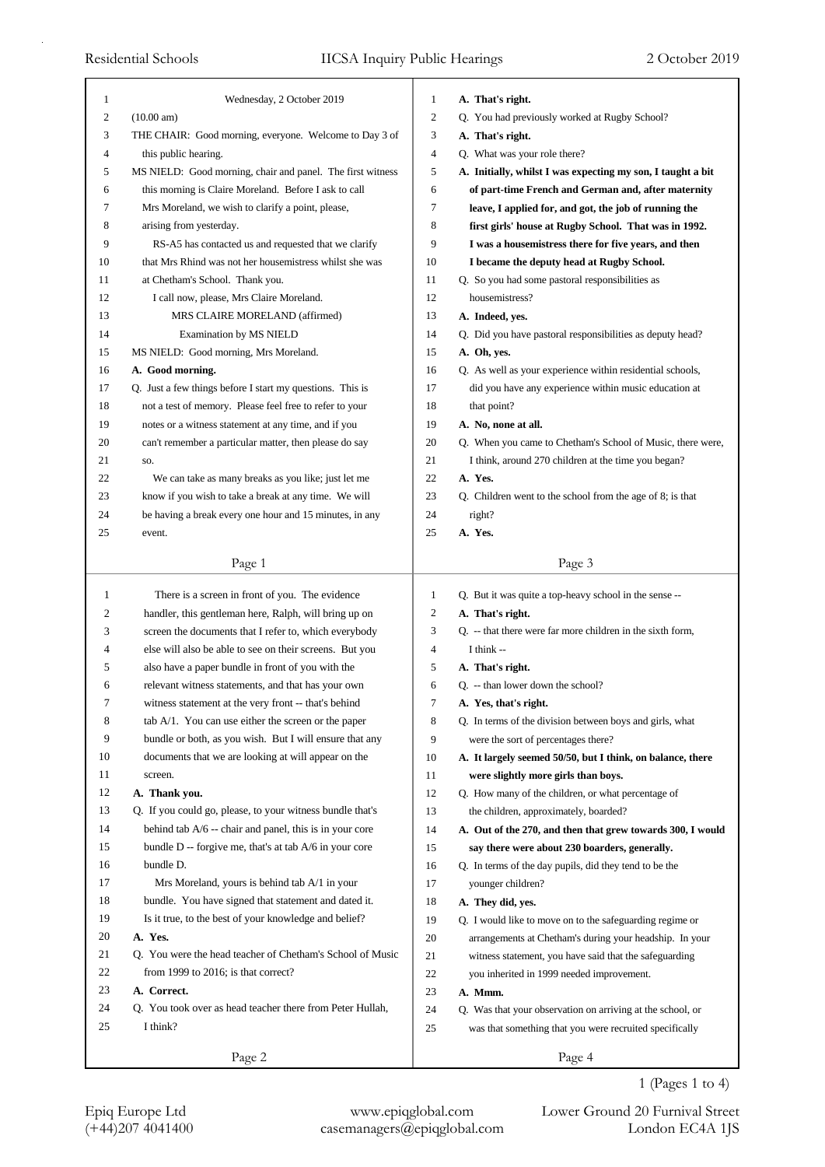| $\mathbf{1}$   | Wednesday, 2 October 2019                                  | 1              | A. That's right.                                            |
|----------------|------------------------------------------------------------|----------------|-------------------------------------------------------------|
| $\overline{c}$ | (10.00 am)                                                 | 2              | Q. You had previously worked at Rugby School?               |
| 3              | THE CHAIR: Good morning, everyone. Welcome to Day 3 of     | 3              | A. That's right.                                            |
| 4              | this public hearing.                                       | $\overline{4}$ | Q. What was your role there?                                |
| 5              | MS NIELD: Good morning, chair and panel. The first witness | 5              | A. Initially, whilst I was expecting my son, I taught a bit |
| 6              | this morning is Claire Moreland. Before I ask to call      | 6              | of part-time French and German and, after maternity         |
| 7              | Mrs Moreland, we wish to clarify a point, please,          | 7              | leave, I applied for, and got, the job of running the       |
| 8              | arising from yesterday.                                    | 8              | first girls' house at Rugby School. That was in 1992.       |
| 9              | RS-A5 has contacted us and requested that we clarify       | 9              | I was a housemistress there for five years, and then        |
| 10             | that Mrs Rhind was not her housemistress whilst she was    | 10             | I became the deputy head at Rugby School.                   |
| 11             | at Chetham's School. Thank you.                            | 11             | Q. So you had some pastoral responsibilities as             |
| 12             | I call now, please, Mrs Claire Moreland.                   | 12             | housemistress?                                              |
| 13             | MRS CLAIRE MORELAND (affirmed)                             | 13             | A. Indeed, yes.                                             |
| 14             | <b>Examination by MS NIELD</b>                             | 14             | Q. Did you have pastoral responsibilities as deputy head?   |
| 15             | MS NIELD: Good morning, Mrs Moreland.                      | 15             | A. Oh, yes.                                                 |
| 16             | A. Good morning.                                           | 16             | Q. As well as your experience within residential schools,   |
| 17             | Q. Just a few things before I start my questions. This is  | 17             | did you have any experience within music education at       |
| 18             | not a test of memory. Please feel free to refer to your    | 18             | that point?                                                 |
| 19             | notes or a witness statement at any time, and if you       | 19             | A. No, none at all.                                         |
| 20             | can't remember a particular matter, then please do say     | 20             | Q. When you came to Chetham's School of Music, there were,  |
| 21             | SO.                                                        | 21             | I think, around 270 children at the time you began?         |
| 22             | We can take as many breaks as you like; just let me        | 22             | A. Yes.                                                     |
| 23             | know if you wish to take a break at any time. We will      | 23             | Q. Children went to the school from the age of 8; is that   |
| 24             | be having a break every one hour and 15 minutes, in any    | 24             | right?                                                      |
| 25             | event.                                                     | 25             | A. Yes.                                                     |
|                | Page 1                                                     |                | Page 3                                                      |
|                |                                                            |                |                                                             |
|                |                                                            |                |                                                             |
| 1              | There is a screen in front of you. The evidence            | 1              | Q. But it was quite a top-heavy school in the sense --      |
| 2              | handler, this gentleman here, Ralph, will bring up on      | 2              | A. That's right.                                            |
| 3              | screen the documents that I refer to, which everybody      | 3              | Q. -- that there were far more children in the sixth form,  |
| 4              | else will also be able to see on their screens. But you    | 4              | I think --                                                  |
| 5              | also have a paper bundle in front of you with the          | 5              | A. That's right.                                            |
| 6              | relevant witness statements, and that has your own         | 6              | Q. -- than lower down the school?                           |
| 7              | witness statement at the very front -- that's behind       | 7              | A. Yes, that's right.                                       |
| 8              | tab A/1. You can use either the screen or the paper        | 8              | Q. In terms of the division between boys and girls, what    |
| 9              | bundle or both, as you wish. But I will ensure that any    | 9              | were the sort of percentages there?                         |
| 10             | documents that we are looking at will appear on the        | 10             | A. It largely seemed 50/50, but I think, on balance, there  |
| 11             | screen.                                                    | 11             | were slightly more girls than boys.                         |
| 12             | A. Thank you.                                              | 12             | Q. How many of the children, or what percentage of          |
| 13             | Q. If you could go, please, to your witness bundle that's  | 13             | the children, approximately, boarded?                       |
| 14             | behind tab $A/6$ -- chair and panel, this is in your core  | 14             | A. Out of the 270, and then that grew towards 300, I would  |
| 15             | bundle $D$ -- forgive me, that's at tab $A/6$ in your core | 15             | say there were about 230 boarders, generally.               |
| 16             | bundle D.                                                  | 16             | Q. In terms of the day pupils, did they tend to be the      |
| 17             | Mrs Moreland, yours is behind tab A/1 in your              | 17             | younger children?                                           |
| 18             | bundle. You have signed that statement and dated it.       | 18             | A. They did, yes.                                           |
| 19             | Is it true, to the best of your knowledge and belief?      | 19             | Q. I would like to move on to the safeguarding regime or    |
| 20             | A. Yes.                                                    | 20             | arrangements at Chetham's during your headship. In your     |
| 21             | Q. You were the head teacher of Chetham's School of Music  | 21             | witness statement, you have said that the safeguarding      |
| 22             | from 1999 to 2016; is that correct?                        | 22             | you inherited in 1999 needed improvement.                   |
| 23             | A. Correct.                                                | 23             | A. Mmm.                                                     |
| 24             | Q. You took over as head teacher there from Peter Hullah,  | 24             | Q. Was that your observation on arriving at the school, or  |
| 25             | I think?                                                   | 25             | was that something that you were recruited specifically     |

Epiq Europe Ltd www.epiqglobal.com Lower Ground 20 Furnival Street<br>
(+44)207 4041400 casemanagers@epiqglobal.com London EC4A 1JS

Lower Ground 20 Furnival Street 1 (Pages 1 to 4)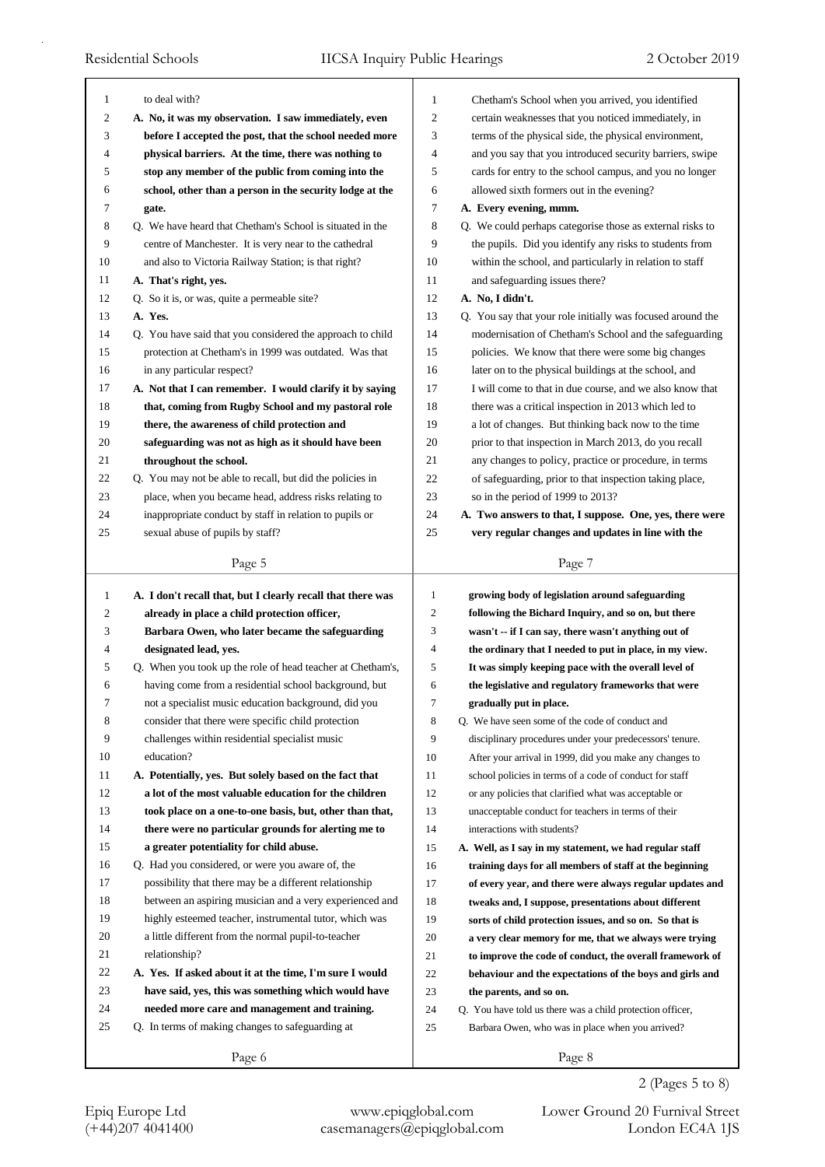| 1              | to deal with?                                               | $\mathbf{1}$   | Chetham's School when you arrived, you identified          |
|----------------|-------------------------------------------------------------|----------------|------------------------------------------------------------|
| 2              | A. No, it was my observation. I saw immediately, even       | 2              | certain weaknesses that you noticed immediately, in        |
| 3              | before I accepted the post, that the school needed more     | 3              | terms of the physical side, the physical environment,      |
| 4              | physical barriers. At the time, there was nothing to        | 4              | and you say that you introduced security barriers, swipe   |
| 5              | stop any member of the public from coming into the          | 5              | cards for entry to the school campus, and you no longer    |
| 6              | school, other than a person in the security lodge at the    | 6              | allowed sixth formers out in the evening?                  |
| 7              | gate.                                                       | 7              | A. Every evening, mmm.                                     |
| 8              | Q. We have heard that Chetham's School is situated in the   | 8              | Q. We could perhaps categorise those as external risks to  |
| 9              | centre of Manchester. It is very near to the cathedral      | 9              | the pupils. Did you identify any risks to students from    |
| 10             | and also to Victoria Railway Station; is that right?        | 10             | within the school, and particularly in relation to staff   |
| 11             | A. That's right, yes.                                       | 11             | and safeguarding issues there?                             |
| 12             | Q. So it is, or was, quite a permeable site?                | 12             | A. No, I didn't.                                           |
| 13             | A. Yes.                                                     | 13             | Q. You say that your role initially was focused around the |
| 14             | Q. You have said that you considered the approach to child  | 14             | modernisation of Chetham's School and the safeguarding     |
| 15             | protection at Chetham's in 1999 was outdated. Was that      | 15             | policies. We know that there were some big changes         |
| 16             | in any particular respect?                                  | 16             | later on to the physical buildings at the school, and      |
| 17             | A. Not that I can remember. I would clarify it by saying    | 17             | I will come to that in due course, and we also know that   |
| 18             | that, coming from Rugby School and my pastoral role         | 18             | there was a critical inspection in 2013 which led to       |
| 19             | there, the awareness of child protection and                | 19             | a lot of changes. But thinking back now to the time        |
| 20             | safeguarding was not as high as it should have been         | 20             | prior to that inspection in March 2013, do you recall      |
| 21             | throughout the school.                                      | 21             | any changes to policy, practice or procedure, in terms     |
| 22             | Q. You may not be able to recall, but did the policies in   | 22             | of safeguarding, prior to that inspection taking place,    |
| 23             | place, when you became head, address risks relating to      | 23             | so in the period of 1999 to 2013?                          |
| 24             | inappropriate conduct by staff in relation to pupils or     | 24             | A. Two answers to that, I suppose. One, yes, there were    |
| 25             | sexual abuse of pupils by staff?                            | 25             | very regular changes and updates in line with the          |
|                | Page 5                                                      |                | Page 7                                                     |
|                |                                                             |                |                                                            |
|                |                                                             |                |                                                            |
| $\mathbf{1}$   | A. I don't recall that, but I clearly recall that there was | $\mathbf{1}$   | growing body of legislation around safeguarding            |
| $\overline{c}$ | already in place a child protection officer,                | 2              | following the Bichard Inquiry, and so on, but there        |
| 3              | Barbara Owen, who later became the safeguarding             | 3              | wasn't -- if I can say, there wasn't anything out of       |
| 4              | designated lead, yes.                                       | 4              | the ordinary that I needed to put in place, in my view.    |
| 5              | Q. When you took up the role of head teacher at Chetham's,  | 5              | It was simply keeping pace with the overall level of       |
| 6              | having come from a residential school background, but       | 6              | the legislative and regulatory frameworks that were        |
|                | not a specialist music education background, did you        | $\overline{7}$ | gradually put in place.                                    |
| 8              | consider that there were specific child protection          | 8              | Q. We have seen some of the code of conduct and            |
| 9              | challenges within residential specialist music              | 9              | disciplinary procedures under your predecessors' tenure.   |
| 10             | education?                                                  | 10             | After your arrival in 1999, did you make any changes to    |
| 11             | A. Potentially, yes. But solely based on the fact that      | 11             | school policies in terms of a code of conduct for staff    |
| 12             | a lot of the most valuable education for the children       | 12             | or any policies that clarified what was acceptable or      |
| 13             | took place on a one-to-one basis, but, other than that,     | 13             | unacceptable conduct for teachers in terms of their        |
| 14             | there were no particular grounds for alerting me to         | 14             | interactions with students?                                |
| 15             | a greater potentiality for child abuse.                     | 15             | A. Well, as I say in my statement, we had regular staff    |
| 16             | Q. Had you considered, or were you aware of, the            | 16             | training days for all members of staff at the beginning    |
| 17             | possibility that there may be a different relationship      | 17             | of every year, and there were always regular updates and   |
| 18             | between an aspiring musician and a very experienced and     | 18             | tweaks and, I suppose, presentations about different       |
| 19             | highly esteemed teacher, instrumental tutor, which was      | 19             | sorts of child protection issues, and so on. So that is    |
| 20             | a little different from the normal pupil-to-teacher         | 20             | a very clear memory for me, that we always were trying     |
| 21             | relationship?                                               | 21             | to improve the code of conduct, the overall framework of   |
| 22             | A. Yes. If asked about it at the time, I'm sure I would     | 22             | behaviour and the expectations of the boys and girls and   |
| 23             | have said, yes, this was something which would have         | 23             | the parents, and so on.                                    |
| 24             | needed more care and management and training.               | 24             | Q. You have told us there was a child protection officer,  |
| 25             | Q. In terms of making changes to safeguarding at            | 25             | Barbara Owen, who was in place when you arrived?           |
|                | Page 6                                                      |                | Page 8                                                     |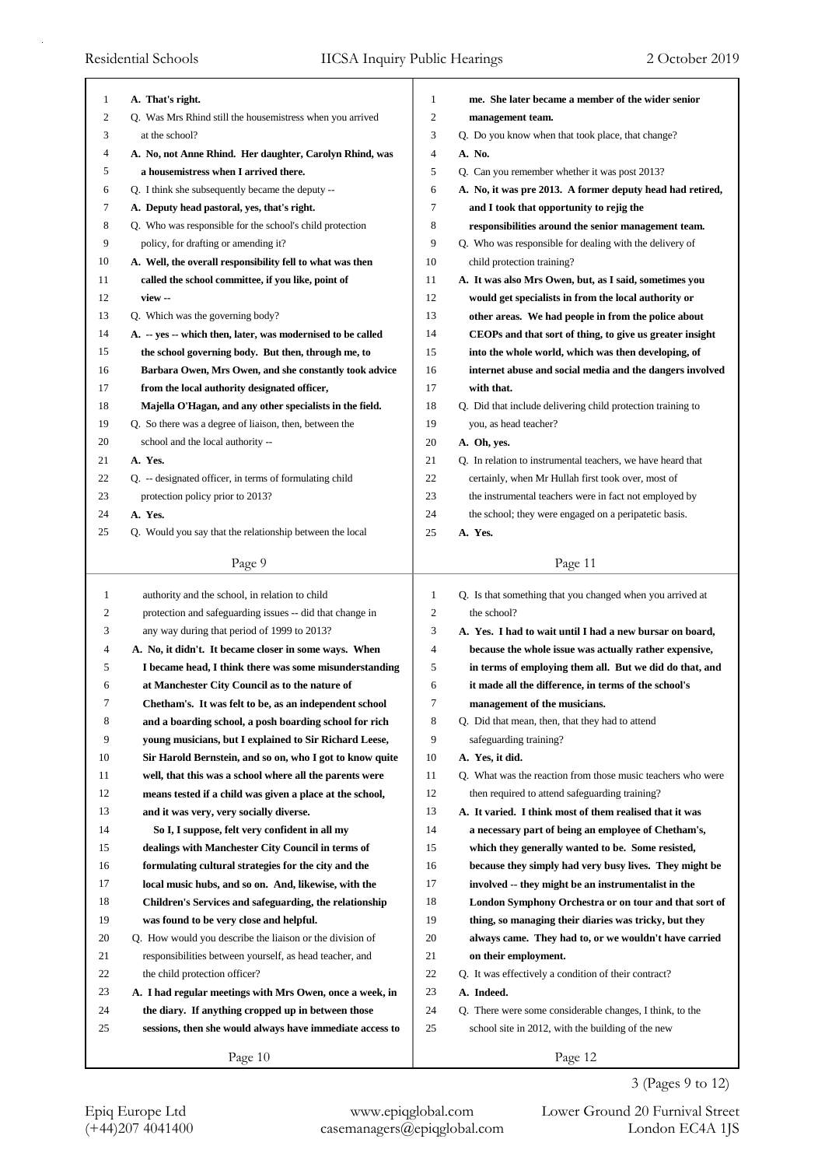| 1  | A. That's right.                                            | 1                | me. She later became a member of the wider senior           |
|----|-------------------------------------------------------------|------------------|-------------------------------------------------------------|
| 2  | Q. Was Mrs Rhind still the housemistress when you arrived   | $\overline{2}$   | management team.                                            |
| 3  | at the school?                                              | 3                | Q. Do you know when that took place, that change?           |
| 4  | A. No, not Anne Rhind. Her daughter, Carolyn Rhind, was     | $\overline{4}$   | A. No.                                                      |
| 5  | a housemistress when I arrived there.                       | 5                | Q. Can you remember whether it was post 2013?               |
| 6  | Q. I think she subsequently became the deputy --            | 6                | A. No, it was pre 2013. A former deputy head had retired,   |
| 7  | A. Deputy head pastoral, yes, that's right.                 | 7                | and I took that opportunity to rejig the                    |
| 8  | Q. Who was responsible for the school's child protection    | 8                | responsibilities around the senior management team.         |
| 9  | policy, for drafting or amending it?                        | 9                | Q. Who was responsible for dealing with the delivery of     |
| 10 | A. Well, the overall responsibility fell to what was then   | 10               | child protection training?                                  |
| 11 | called the school committee, if you like, point of          | 11               | A. It was also Mrs Owen, but, as I said, sometimes you      |
| 12 | view --                                                     | 12               | would get specialists in from the local authority or        |
| 13 | Q. Which was the governing body?                            | 13               | other areas. We had people in from the police about         |
| 14 | A. -- yes -- which then, later, was modernised to be called | 14               | CEOPs and that sort of thing, to give us greater insight    |
| 15 | the school governing body. But then, through me, to         | 15               | into the whole world, which was then developing, of         |
| 16 | Barbara Owen, Mrs Owen, and she constantly took advice      | 16               | internet abuse and social media and the dangers involved    |
| 17 | from the local authority designated officer,                | 17               | with that.                                                  |
| 18 | Majella O'Hagan, and any other specialists in the field.    | 18               | Q. Did that include delivering child protection training to |
| 19 | Q. So there was a degree of liaison, then, between the      | 19               | you, as head teacher?                                       |
| 20 | school and the local authority --                           | 20               | A. Oh, yes.                                                 |
| 21 | A. Yes.                                                     | 21               | Q. In relation to instrumental teachers, we have heard that |
| 22 | Q. - designated officer, in terms of formulating child      | 22               | certainly, when Mr Hullah first took over, most of          |
| 23 | protection policy prior to 2013?                            | 23               | the instrumental teachers were in fact not employed by      |
| 24 | A. Yes.                                                     | 24               | the school; they were engaged on a peripatetic basis.       |
| 25 | Q. Would you say that the relationship between the local    | 25               | A. Yes.                                                     |
|    |                                                             |                  |                                                             |
|    | Page 9                                                      |                  | Page 11                                                     |
|    |                                                             |                  |                                                             |
|    |                                                             |                  |                                                             |
| 1  | authority and the school, in relation to child              | 1                | Q. Is that something that you changed when you arrived at   |
| 2  | protection and safeguarding issues -- did that change in    | $\overline{c}$   | the school?                                                 |
| 3  | any way during that period of 1999 to 2013?                 | 3                | A. Yes. I had to wait until I had a new bursar on board,    |
| 4  | A. No, it didn't. It became closer in some ways. When       | 4                | because the whole issue was actually rather expensive,      |
| 5  | I became head, I think there was some misunderstanding      | 5                | in terms of employing them all. But we did do that, and     |
| 6  | at Manchester City Council as to the nature of              | 6                | it made all the difference, in terms of the school's        |
| 7  | Chetham's. It was felt to be, as an independent school      | $\boldsymbol{7}$ | management of the musicians.                                |
| 8  | and a boarding school, a posh boarding school for rich      | 8                | Q. Did that mean, then, that they had to attend             |
| 9  | young musicians, but I explained to Sir Richard Leese,      | 9                | safeguarding training?                                      |
| 10 | Sir Harold Bernstein, and so on, who I got to know quite    | 10               | A. Yes, it did.                                             |
| 11 | well, that this was a school where all the parents were     | 11               | Q. What was the reaction from those music teachers who were |
| 12 | means tested if a child was given a place at the school,    | 12               | then required to attend safeguarding training?              |
| 13 | and it was very, very socially diverse.                     | 13               | A. It varied. I think most of them realised that it was     |
| 14 | So I, I suppose, felt very confident in all my              | 14               | a necessary part of being an employee of Chetham's,         |
| 15 | dealings with Manchester City Council in terms of           | 15               | which they generally wanted to be. Some resisted,           |
| 16 | formulating cultural strategies for the city and the        | 16               | because they simply had very busy lives. They might be      |
| 17 | local music hubs, and so on. And, likewise, with the        | 17               | involved -- they might be an instrumentalist in the         |
| 18 | Children's Services and safeguarding, the relationship      | 18               | London Symphony Orchestra or on tour and that sort of       |
| 19 | was found to be very close and helpful.                     | 19               | thing, so managing their diaries was tricky, but they       |
| 20 | Q. How would you describe the liaison or the division of    | 20               | always came. They had to, or we wouldn't have carried       |
| 21 | responsibilities between yourself, as head teacher, and     | 21               | on their employment.                                        |
| 22 | the child protection officer?                               | 22               | Q. It was effectively a condition of their contract?        |
| 23 | A. I had regular meetings with Mrs Owen, once a week, in    | 23               | A. Indeed.                                                  |
| 24 | the diary. If anything cropped up in between those          | 24               | Q. There were some considerable changes, I think, to the    |
| 25 | sessions, then she would always have immediate access to    | 25               | school site in 2012, with the building of the new           |
|    | Page 10                                                     |                  | Page 12                                                     |

3 (Pages 9 to 12)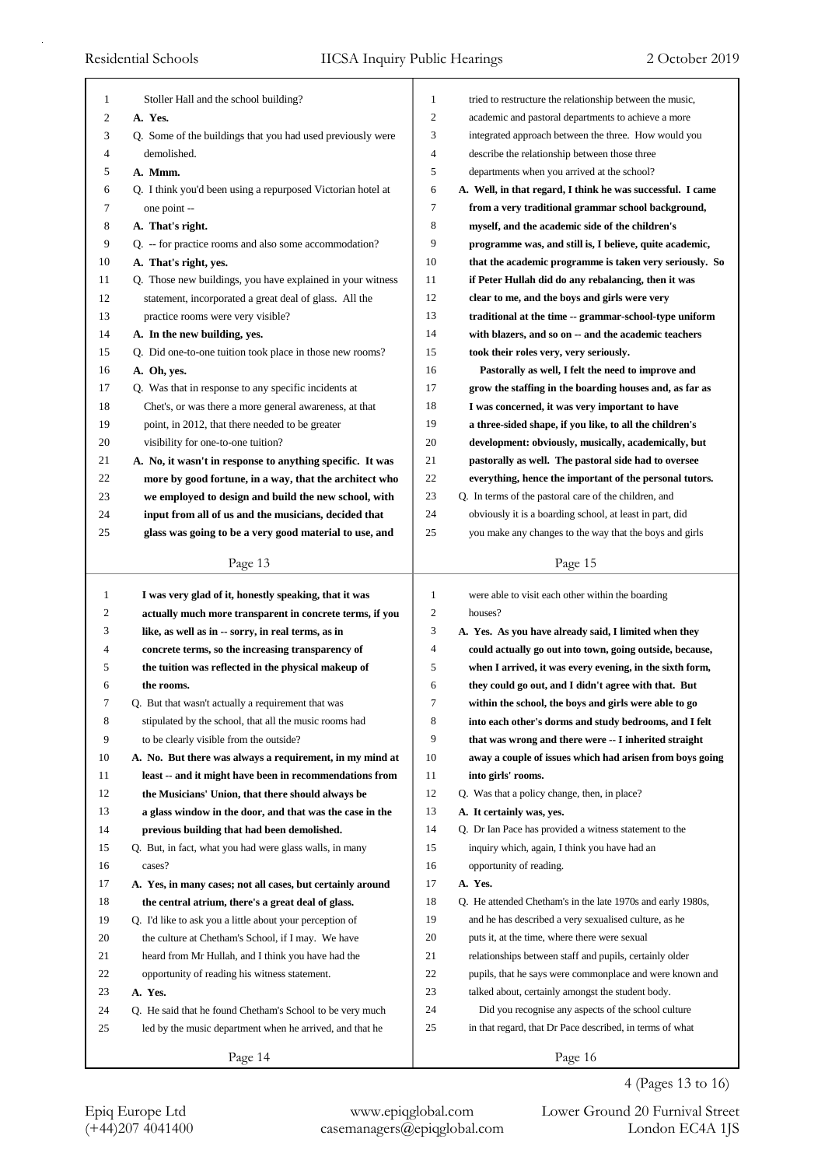| 1            | Stoller Hall and the school building?                       | 1                   | tried to restructure the relationship between the music,    |
|--------------|-------------------------------------------------------------|---------------------|-------------------------------------------------------------|
| 2            | A. Yes.                                                     | 2                   | academic and pastoral departments to achieve a more         |
| 3            | Q. Some of the buildings that you had used previously were  | 3<br>$\overline{4}$ | integrated approach between the three. How would you        |
| 4            | demolished.                                                 | 5                   | describe the relationship between those three               |
| 5            | A. Mmm.                                                     |                     | departments when you arrived at the school?                 |
| 6            | Q. I think you'd been using a repurposed Victorian hotel at | 6                   | A. Well, in that regard, I think he was successful. I came  |
| 7            | one point --                                                | 7                   | from a very traditional grammar school background,          |
| 8            | A. That's right.                                            | 8                   | myself, and the academic side of the children's             |
| 9            | Q. -- for practice rooms and also some accommodation?       | 9                   | programme was, and still is, I believe, quite academic,     |
| 10           | A. That's right, yes.                                       | 10                  | that the academic programme is taken very seriously. So     |
| 11           | Q. Those new buildings, you have explained in your witness  | 11                  | if Peter Hullah did do any rebalancing, then it was         |
| 12           | statement, incorporated a great deal of glass. All the      | 12                  | clear to me, and the boys and girls were very               |
| 13           | practice rooms were very visible?                           | 13                  | traditional at the time -- grammar-school-type uniform      |
| 14           | A. In the new building, yes.                                | 14                  | with blazers, and so on -- and the academic teachers        |
| 15           | Q. Did one-to-one tuition took place in those new rooms?    | 15                  | took their roles very, very seriously.                      |
| 16           | A. Oh, yes.                                                 | 16                  | Pastorally as well, I felt the need to improve and          |
| 17           | Q. Was that in response to any specific incidents at        | 17                  | grow the staffing in the boarding houses and, as far as     |
| 18           | Chet's, or was there a more general awareness, at that      | 18                  | I was concerned, it was very important to have              |
| 19           | point, in 2012, that there needed to be greater             | 19                  | a three-sided shape, if you like, to all the children's     |
| 20           | visibility for one-to-one tuition?                          | 20                  | development: obviously, musically, academically, but        |
| 21           | A. No, it wasn't in response to anything specific. It was   | 21                  | pastorally as well. The pastoral side had to oversee        |
| 22           | more by good fortune, in a way, that the architect who      | 22                  | everything, hence the important of the personal tutors.     |
| 23           | we employed to design and build the new school, with        | 23                  | Q. In terms of the pastoral care of the children, and       |
| 24           | input from all of us and the musicians, decided that        | 24                  | obviously it is a boarding school, at least in part, did    |
| 25           | glass was going to be a very good material to use, and      | 25                  | you make any changes to the way that the boys and girls     |
|              | Page 13                                                     |                     | Page 15                                                     |
|              |                                                             |                     |                                                             |
|              |                                                             |                     |                                                             |
| $\mathbf{1}$ | I was very glad of it, honestly speaking, that it was       | 1                   | were able to visit each other within the boarding           |
| 2            | actually much more transparent in concrete terms, if you    | 2                   | houses?                                                     |
| 3            | like, as well as in -- sorry, in real terms, as in          | 3                   | A. Yes. As you have already said, I limited when they       |
| 4            | concrete terms, so the increasing transparency of           | $\overline{4}$      | could actually go out into town, going outside, because,    |
| 5            | the tuition was reflected in the physical makeup of         | 5                   | when I arrived, it was every evening, in the sixth form,    |
| 6            | the rooms.                                                  | 6                   | they could go out, and I didn't agree with that. But        |
| 7            | Q. But that wasn't actually a requirement that was          | Τ                   | within the school, the boys and girls were able to go       |
| 8            | stipulated by the school, that all the music rooms had      | 8                   | into each other's dorms and study bedrooms, and I felt      |
| 9            | to be clearly visible from the outside?                     | 9                   | that was wrong and there were -- I inherited straight       |
| 10           | A. No. But there was always a requirement, in my mind at    | 10                  | away a couple of issues which had arisen from boys going    |
| 11           | least -- and it might have been in recommendations from     | 11                  | into girls' rooms.                                          |
| 12           | the Musicians' Union, that there should always be           | 12                  | Q. Was that a policy change, then, in place?                |
| 13           | a glass window in the door, and that was the case in the    | 13                  | A. It certainly was, yes.                                   |
| 14           | previous building that had been demolished.                 | 14                  | Q. Dr Ian Pace has provided a witness statement to the      |
| 15           | Q. But, in fact, what you had were glass walls, in many     | 15                  | inquiry which, again, I think you have had an               |
| 16           | cases?                                                      | 16                  | opportunity of reading.                                     |
| 17           | A. Yes, in many cases; not all cases, but certainly around  | 17                  | A. Yes.                                                     |
| 18           | the central atrium, there's a great deal of glass.          | 18                  | Q. He attended Chetham's in the late 1970s and early 1980s, |
| 19           | Q. I'd like to ask you a little about your perception of    | 19                  | and he has described a very sexualised culture, as he       |
| 20           | the culture at Chetham's School, if I may. We have          | 20                  | puts it, at the time, where there were sexual               |
| 21           | heard from Mr Hullah, and I think you have had the          | 21                  | relationships between staff and pupils, certainly older     |
| 22           | opportunity of reading his witness statement.               | 22                  | pupils, that he says were commonplace and were known and    |
| 23           | A. Yes.                                                     | 23                  | talked about, certainly amongst the student body.           |
| 24           | Q. He said that he found Chetham's School to be very much   | 24                  | Did you recognise any aspects of the school culture         |
| 25           | led by the music department when he arrived, and that he    | 25                  | in that regard, that Dr Pace described, in terms of what    |

4 (Pages 13 to 16)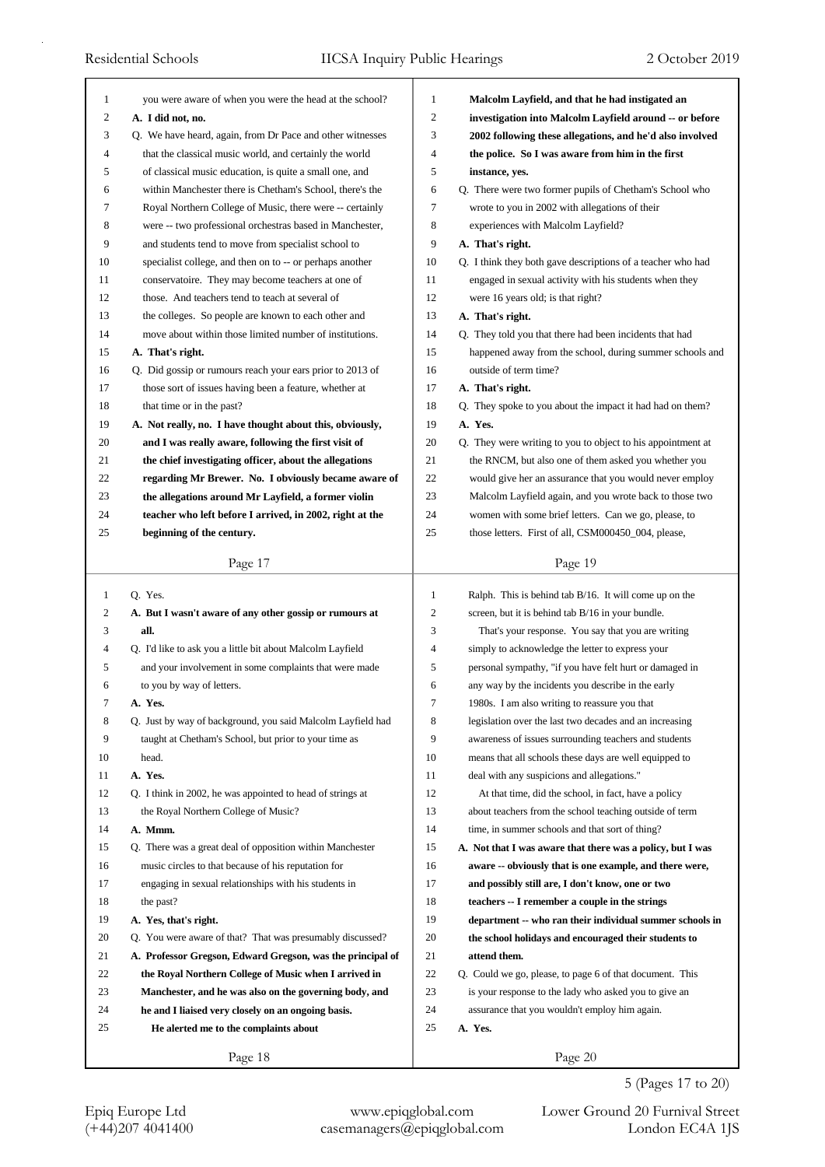| 1            | you were aware of when you were the head at the school?                                                      | 1  | Malcolm Layfield, and that he had instigated an             |
|--------------|--------------------------------------------------------------------------------------------------------------|----|-------------------------------------------------------------|
| 2            | A. I did not, no.                                                                                            | 2  | investigation into Malcolm Layfield around -- or before     |
| 3            | Q. We have heard, again, from Dr Pace and other witnesses                                                    | 3  | 2002 following these allegations, and he'd also involved    |
| 4            | that the classical music world, and certainly the world                                                      | 4  | the police. So I was aware from him in the first            |
| 5            | of classical music education, is quite a small one, and                                                      | 5  | instance, yes.                                              |
| 6            | within Manchester there is Chetham's School, there's the                                                     | 6  | Q. There were two former pupils of Chetham's School who     |
| 7            | Royal Northern College of Music, there were -- certainly                                                     | 7  | wrote to you in 2002 with allegations of their              |
| 8            | were -- two professional orchestras based in Manchester,                                                     | 8  | experiences with Malcolm Layfield?                          |
| 9            | and students tend to move from specialist school to                                                          | 9  | A. That's right.                                            |
| 10           | specialist college, and then on to -- or perhaps another                                                     | 10 | Q. I think they both gave descriptions of a teacher who had |
| 11           | conservatoire. They may become teachers at one of                                                            | 11 | engaged in sexual activity with his students when they      |
| 12           | those. And teachers tend to teach at several of                                                              | 12 | were 16 years old; is that right?                           |
| 13           | the colleges. So people are known to each other and                                                          | 13 | A. That's right.                                            |
| 14           | move about within those limited number of institutions.                                                      | 14 | Q. They told you that there had been incidents that had     |
| 15           | A. That's right.                                                                                             | 15 | happened away from the school, during summer schools and    |
| 16           | Q. Did gossip or rumours reach your ears prior to 2013 of                                                    | 16 | outside of term time?                                       |
| 17           | those sort of issues having been a feature, whether at                                                       | 17 | A. That's right.                                            |
| 18           | that time or in the past?                                                                                    | 18 | Q. They spoke to you about the impact it had had on them?   |
| 19           | A. Not really, no. I have thought about this, obviously,                                                     | 19 | A. Yes.                                                     |
| 20           | and I was really aware, following the first visit of                                                         | 20 | Q. They were writing to you to object to his appointment at |
| 21           | the chief investigating officer, about the allegations                                                       | 21 | the RNCM, but also one of them asked you whether you        |
| 22           | regarding Mr Brewer. No. I obviously became aware of                                                         | 22 | would give her an assurance that you would never employ     |
| 23           | the allegations around Mr Layfield, a former violin                                                          | 23 | Malcolm Layfield again, and you wrote back to those two     |
| 24           | teacher who left before I arrived, in 2002, right at the                                                     | 24 | women with some brief letters. Can we go, please, to        |
| 25           | beginning of the century.                                                                                    | 25 | those letters. First of all, CSM000450_004, please,         |
|              | Page 17                                                                                                      |    | Page 19                                                     |
|              |                                                                                                              |    |                                                             |
|              |                                                                                                              |    |                                                             |
| $\mathbf{1}$ | Q. Yes.                                                                                                      | 1  | Ralph. This is behind tab $B/16$ . It will come up on the   |
| 2            | A. But I wasn't aware of any other gossip or rumours at                                                      | 2  | screen, but it is behind tab B/16 in your bundle.           |
| 3            | all.                                                                                                         | 3  | That's your response. You say that you are writing          |
| 4            | Q. I'd like to ask you a little bit about Malcolm Layfield                                                   | 4  | simply to acknowledge the letter to express your            |
| 5            | and your involvement in some complaints that were made                                                       | 5  | personal sympathy, "if you have felt hurt or damaged in     |
| 6            | to you by way of letters.                                                                                    | 6  | any way by the incidents you describe in the early          |
| 7            | A. Yes.                                                                                                      | 7  | 1980s. I am also writing to reassure you that               |
| 8            | Q. Just by way of background, you said Malcolm Layfield had                                                  | 8  | legislation over the last two decades and an increasing     |
| 9            | taught at Chetham's School, but prior to your time as                                                        | 9  | awareness of issues surrounding teachers and students       |
| 10           | head.                                                                                                        | 10 | means that all schools these days are well equipped to      |
| 11           | A. Yes.                                                                                                      | 11 | deal with any suspicions and allegations."                  |
| 12           | Q. I think in 2002, he was appointed to head of strings at                                                   | 12 | At that time, did the school, in fact, have a policy        |
| 13           | the Royal Northern College of Music?                                                                         | 13 | about teachers from the school teaching outside of term     |
| 14           | A. Mmm.                                                                                                      | 14 | time, in summer schools and that sort of thing?             |
| 15           | Q. There was a great deal of opposition within Manchester                                                    | 15 | A. Not that I was aware that there was a policy, but I was  |
| 16           | music circles to that because of his reputation for                                                          | 16 | aware -- obviously that is one example, and there were,     |
| 17           | engaging in sexual relationships with his students in                                                        | 17 | and possibly still are, I don't know, one or two            |
| 18           | the past?                                                                                                    | 18 | teachers -- I remember a couple in the strings              |
| 19           | A. Yes, that's right.                                                                                        | 19 | department -- who ran their individual summer schools in    |
| 20           | Q. You were aware of that? That was presumably discussed?                                                    | 20 | the school holidays and encouraged their students to        |
| 21           | A. Professor Gregson, Edward Gregson, was the principal of                                                   | 21 | attend them.                                                |
| 22           | the Royal Northern College of Music when I arrived in                                                        | 22 | Q. Could we go, please, to page 6 of that document. This    |
| 23           |                                                                                                              | 23 | is your response to the lady who asked you to give an       |
| 24           | Manchester, and he was also on the governing body, and<br>he and I liaised very closely on an ongoing basis. | 24 | assurance that you wouldn't employ him again.               |
| 25           | He alerted me to the complaints about                                                                        | 25 | A. Yes.                                                     |
|              | Page 18                                                                                                      |    | Page 20                                                     |

5 (Pages 17 to 20)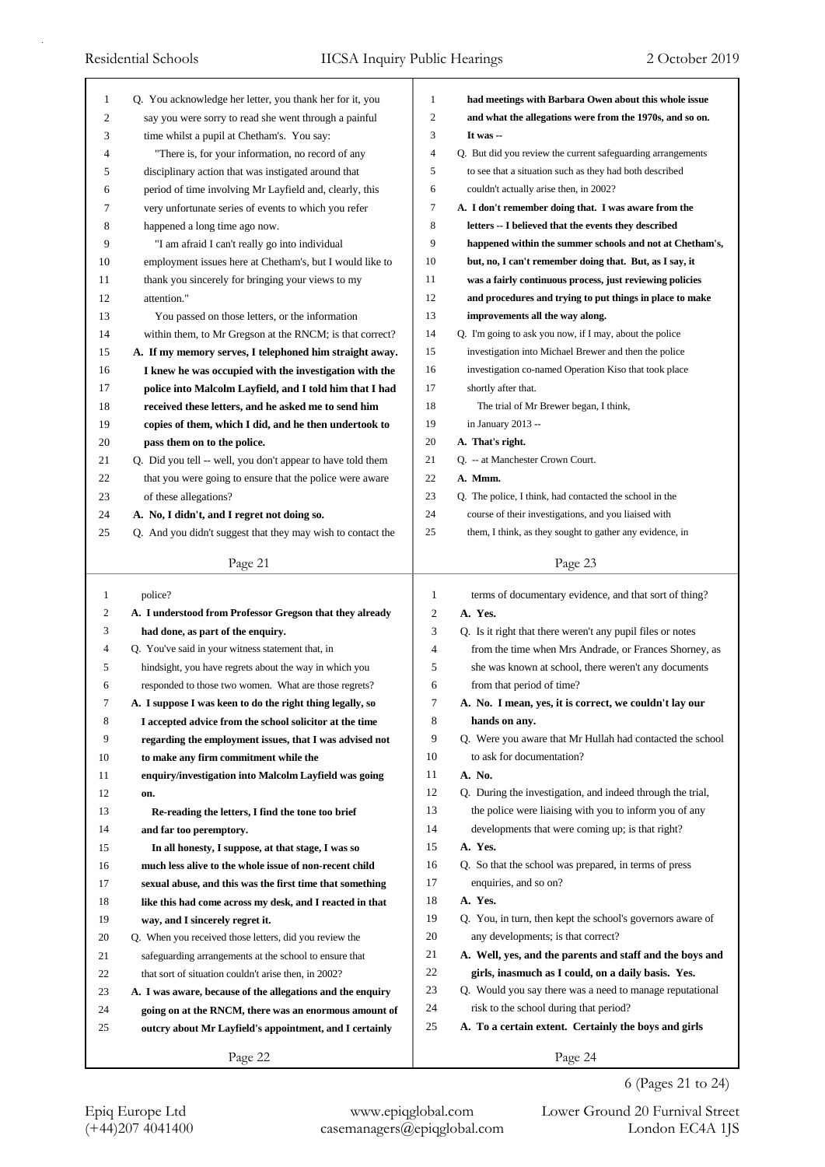| 1        | Q. You acknowledge her letter, you thank her for it, you                                                         | $\mathbf{1}$   | had meetings with Barbara Owen about this whole issue                                                      |
|----------|------------------------------------------------------------------------------------------------------------------|----------------|------------------------------------------------------------------------------------------------------------|
| 2        | say you were sorry to read she went through a painful                                                            | $\overline{c}$ | and what the allegations were from the 1970s, and so on.                                                   |
| 3        | time whilst a pupil at Chetham's. You say:                                                                       | 3              | It was --                                                                                                  |
| 4        | "There is, for your information, no record of any                                                                | 4              | Q. But did you review the current safeguarding arrangements                                                |
| 5        | disciplinary action that was instigated around that                                                              | 5              | to see that a situation such as they had both described                                                    |
| 6        | period of time involving Mr Layfield and, clearly, this                                                          | 6              | couldn't actually arise then, in 2002?                                                                     |
| 7        | very unfortunate series of events to which you refer                                                             | 7              | A. I don't remember doing that. I was aware from the                                                       |
| 8        | happened a long time ago now.                                                                                    | 8              | letters -- I believed that the events they described                                                       |
| 9        | "I am afraid I can't really go into individual                                                                   | 9              | happened within the summer schools and not at Chetham's,                                                   |
| 10       | employment issues here at Chetham's, but I would like to                                                         | 10             | but, no, I can't remember doing that. But, as I say, it                                                    |
| 11       | thank you sincerely for bringing your views to my                                                                | 11             | was a fairly continuous process, just reviewing policies                                                   |
| 12       | attention."                                                                                                      | 12             | and procedures and trying to put things in place to make                                                   |
| 13       | You passed on those letters, or the information                                                                  | 13             | improvements all the way along.                                                                            |
| 14       | within them, to Mr Gregson at the RNCM; is that correct?                                                         | 14             | Q. I'm going to ask you now, if I may, about the police                                                    |
| 15       | A. If my memory serves, I telephoned him straight away.                                                          | 15             | investigation into Michael Brewer and then the police                                                      |
| 16       | I knew he was occupied with the investigation with the                                                           | 16             | investigation co-named Operation Kiso that took place                                                      |
| 17       | police into Malcolm Layfield, and I told him that I had                                                          | 17             | shortly after that.                                                                                        |
| 18       | received these letters, and he asked me to send him                                                              | 18             | The trial of Mr Brewer began, I think,                                                                     |
| 19       | copies of them, which I did, and he then undertook to                                                            | 19             | in January 2013 --                                                                                         |
| 20       | pass them on to the police.                                                                                      | 20             | A. That's right.                                                                                           |
| 21       | Q. Did you tell -- well, you don't appear to have told them                                                      | 21             | Q. -- at Manchester Crown Court.                                                                           |
| 22       | that you were going to ensure that the police were aware                                                         | 22             | A. Mmm.                                                                                                    |
| 23       | of these allegations?                                                                                            | 23             | Q. The police, I think, had contacted the school in the                                                    |
| 24       | A. No, I didn't, and I regret not doing so.                                                                      | 24             | course of their investigations, and you liaised with                                                       |
| 25       | Q. And you didn't suggest that they may wish to contact the                                                      | 25             | them, I think, as they sought to gather any evidence, in                                                   |
|          | Page 21                                                                                                          |                | Page 23                                                                                                    |
|          |                                                                                                                  |                |                                                                                                            |
|          |                                                                                                                  |                |                                                                                                            |
| 1        | police?                                                                                                          | 1              | terms of documentary evidence, and that sort of thing?                                                     |
| 2        | A. I understood from Professor Gregson that they already                                                         | $\overline{c}$ | A. Yes.                                                                                                    |
| 3        | had done, as part of the enquiry.                                                                                | 3              | Q. Is it right that there weren't any pupil files or notes                                                 |
| 4        | Q. You've said in your witness statement that, in                                                                | $\overline{4}$ | from the time when Mrs Andrade, or Frances Shorney, as                                                     |
| 5        | hindsight, you have regrets about the way in which you                                                           | 5              | she was known at school, there weren't any documents                                                       |
| 6        | responded to those two women. What are those regrets?                                                            | 6              | from that period of time?                                                                                  |
| Ί        | A. I suppose I was keen to do the right thing legally, so                                                        | 7              | A. No. I mean, yes, it is correct, we couldn't lay our                                                     |
| 8        | I accepted advice from the school solicitor at the time                                                          | 8<br>9         | hands on any.                                                                                              |
| 9<br>10  | regarding the employment issues, that I was advised not                                                          | 10             | Q. Were you aware that Mr Hullah had contacted the school<br>to ask for documentation?                     |
| 11       | to make any firm commitment while the                                                                            | 11             | A. No.                                                                                                     |
|          | enquiry/investigation into Malcolm Layfield was going                                                            | 12             | Q. During the investigation, and indeed through the trial,                                                 |
| 12       | on.                                                                                                              | 13             |                                                                                                            |
| 13<br>14 | Re-reading the letters, I find the tone too brief                                                                | 14             | the police were liaising with you to inform you of any<br>developments that were coming up; is that right? |
| 15       | and far too peremptory.                                                                                          | 15             | A. Yes.                                                                                                    |
|          | In all honesty, I suppose, at that stage, I was so                                                               | 16             | Q. So that the school was prepared, in terms of press                                                      |
| 16       | much less alive to the whole issue of non-recent child                                                           | 17             |                                                                                                            |
| 17       | sexual abuse, and this was the first time that something                                                         | 18             | enquiries, and so on?<br>A. Yes.                                                                           |
| 18       | like this had come across my desk, and I reacted in that                                                         | 19             |                                                                                                            |
| 19       | way, and I sincerely regret it.                                                                                  |                | Q. You, in turn, then kept the school's governors aware of                                                 |
| 20<br>21 | Q. When you received those letters, did you review the                                                           | 20<br>21       | any developments; is that correct?<br>A. Well, yes, and the parents and staff and the boys and             |
| 22       | safeguarding arrangements at the school to ensure that<br>that sort of situation couldn't arise then, in 2002?   | 22             | girls, inasmuch as I could, on a daily basis. Yes.                                                         |
| 23       |                                                                                                                  | 23             | Q. Would you say there was a need to manage reputational                                                   |
| 24       | A. I was aware, because of the allegations and the enquiry                                                       | 24             | risk to the school during that period?                                                                     |
| 25       | going on at the RNCM, there was an enormous amount of<br>outcry about Mr Layfield's appointment, and I certainly | 25             | A. To a certain extent. Certainly the boys and girls                                                       |
|          | Page 22                                                                                                          |                | Page 24                                                                                                    |

6 (Pages 21 to 24)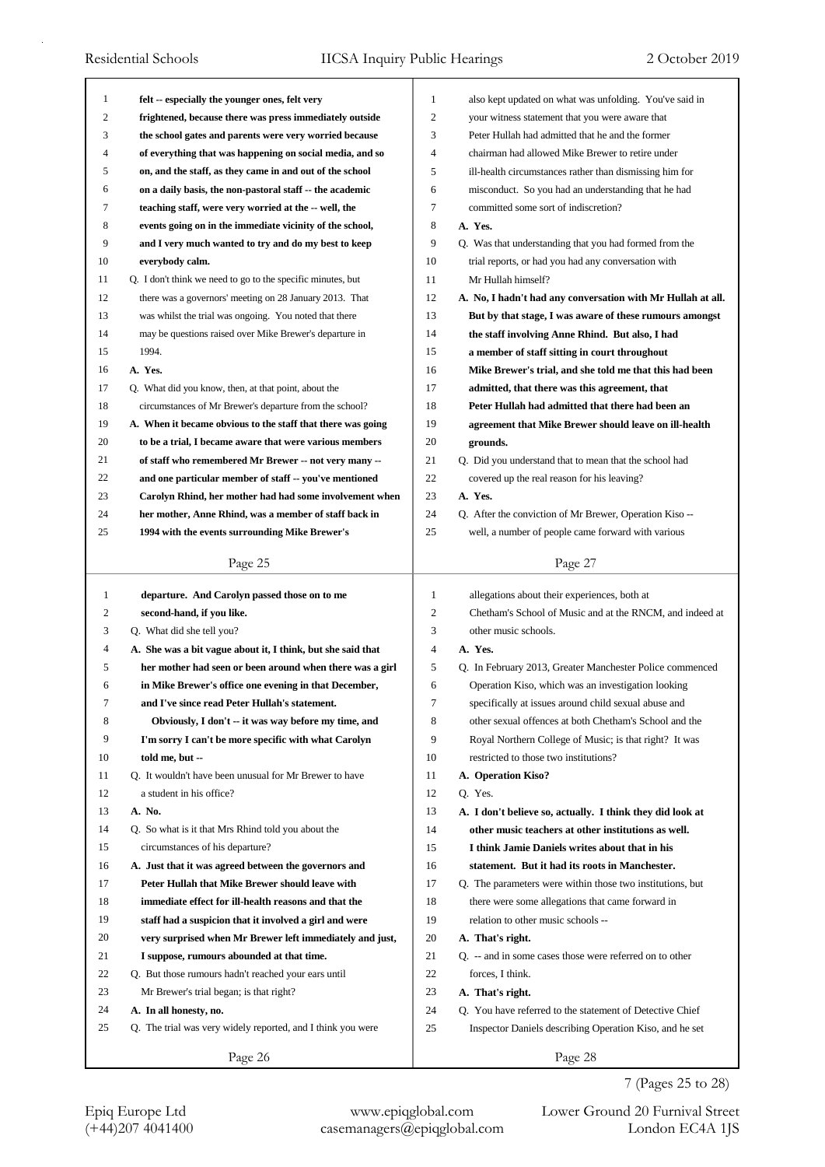| 1            | felt -- especially the younger ones, felt very              | 1              | also kept updated on what was unfolding. You've said in     |
|--------------|-------------------------------------------------------------|----------------|-------------------------------------------------------------|
| 2            | frightened, because there was press immediately outside     | $\overline{c}$ | your witness statement that you were aware that             |
| 3            | the school gates and parents were very worried because      | 3              | Peter Hullah had admitted that he and the former            |
| 4            | of everything that was happening on social media, and so    | 4              | chairman had allowed Mike Brewer to retire under            |
| 5            | on, and the staff, as they came in and out of the school    | 5              | ill-health circumstances rather than dismissing him for     |
| 6            | on a daily basis, the non-pastoral staff -- the academic    | 6              | misconduct. So you had an understanding that he had         |
| 7            | teaching staff, were very worried at the -- well, the       | $\tau$         | committed some sort of indiscretion?                        |
| 8            | events going on in the immediate vicinity of the school,    | 8              | A. Yes.                                                     |
| 9            | and I very much wanted to try and do my best to keep        | 9              | Q. Was that understanding that you had formed from the      |
| 10           | everybody calm.                                             | 10             | trial reports, or had you had any conversation with         |
| 11           | Q. I don't think we need to go to the specific minutes, but | 11             | Mr Hullah himself?                                          |
| 12           | there was a governors' meeting on 28 January 2013. That     | 12             | A. No, I hadn't had any conversation with Mr Hullah at all. |
| 13           | was whilst the trial was ongoing. You noted that there      | 13             | But by that stage, I was aware of these rumours amongst     |
| 14           | may be questions raised over Mike Brewer's departure in     | 14             | the staff involving Anne Rhind. But also, I had             |
| 15           | 1994.                                                       | 15             | a member of staff sitting in court throughout               |
| 16           | A. Yes.                                                     | 16             | Mike Brewer's trial, and she told me that this had been     |
| 17           | Q. What did you know, then, at that point, about the        | 17             | admitted, that there was this agreement, that               |
| 18           | circumstances of Mr Brewer's departure from the school?     | 18             | Peter Hullah had admitted that there had been an            |
| 19           | A. When it became obvious to the staff that there was going | 19             | agreement that Mike Brewer should leave on ill-health       |
| 20           | to be a trial, I became aware that were various members     | 20             | grounds.                                                    |
| 21           | of staff who remembered Mr Brewer -- not very many --       | 21             | Q. Did you understand that to mean that the school had      |
| 22           | and one particular member of staff -- you've mentioned      | 22             | covered up the real reason for his leaving?                 |
| 23           | Carolyn Rhind, her mother had had some involvement when     | 23             | A. Yes.                                                     |
| 24           |                                                             | 24             |                                                             |
| 25           | her mother, Anne Rhind, was a member of staff back in       | 25             | Q. After the conviction of Mr Brewer, Operation Kiso --     |
|              | 1994 with the events surrounding Mike Brewer's              |                | well, a number of people came forward with various          |
|              | Page 25                                                     |                | Page 27                                                     |
|              |                                                             |                |                                                             |
|              |                                                             |                |                                                             |
| $\mathbf{1}$ | departure. And Carolyn passed those on to me                | $\mathbf{1}$   | allegations about their experiences, both at                |
| 2            | second-hand, if you like.                                   | 2              | Chetham's School of Music and at the RNCM, and indeed at    |
| 3            | Q. What did she tell you?                                   | 3              | other music schools.                                        |
| 4            | A. She was a bit vague about it, I think, but she said that | $\overline{4}$ | A. Yes.                                                     |
| 5            | her mother had seen or been around when there was a girl    | 5              | Q. In February 2013, Greater Manchester Police commenced    |
| 6            | in Mike Brewer's office one evening in that December,       | 6              | Operation Kiso, which was an investigation looking          |
| 7            | and I've since read Peter Hullah's statement.               | 7              | specifically at issues around child sexual abuse and        |
| 8            | Obviously, I don't -- it was way before my time, and        | 8              | other sexual offences at both Chetham's School and the      |
| 9            | I'm sorry I can't be more specific with what Carolyn        | 9              | Royal Northern College of Music; is that right? It was      |
| 10           | told me, but --                                             | 10             | restricted to those two institutions?                       |
| 11           | Q. It wouldn't have been unusual for Mr Brewer to have      | 11             | A. Operation Kiso?                                          |
| 12           | a student in his office?                                    | 12             | Q. Yes.                                                     |
| 13           | A. No.                                                      | 13             | A. I don't believe so, actually. I think they did look at   |
| 14           | Q. So what is it that Mrs Rhind told you about the          | 14             | other music teachers at other institutions as well.         |
| 15           | circumstances of his departure?                             | 15             | I think Jamie Daniels writes about that in his              |
| 16           | A. Just that it was agreed between the governors and        | 16             | statement. But it had its roots in Manchester.              |
| 17           | Peter Hullah that Mike Brewer should leave with             | 17             | Q. The parameters were within those two institutions, but   |
| 18           | immediate effect for ill-health reasons and that the        | 18             | there were some allegations that came forward in            |
| 19           | staff had a suspicion that it involved a girl and were      | 19             | relation to other music schools --                          |
| 20           | very surprised when Mr Brewer left immediately and just,    | 20             | A. That's right.                                            |
| 21           | I suppose, rumours abounded at that time.                   | 21             | Q. -- and in some cases those were referred on to other     |
| 22           | Q. But those rumours hadn't reached your ears until         | 22             | forces, I think.                                            |
| 23           | Mr Brewer's trial began; is that right?                     | 23             | A. That's right.                                            |
| 24           | A. In all honesty, no.                                      | 24             | Q. You have referred to the statement of Detective Chief    |
| 25           | Q. The trial was very widely reported, and I think you were | 25             | Inspector Daniels describing Operation Kiso, and he set     |

Epiq Europe Ltd www.epiqglobal.com Lower Ground 20 Furnival Street<br>
(+44)207 4041400 casemanagers@epiqglobal.com London EC4A 1JS

Lower Ground 20 Furnival Street 7 (Pages 25 to 28)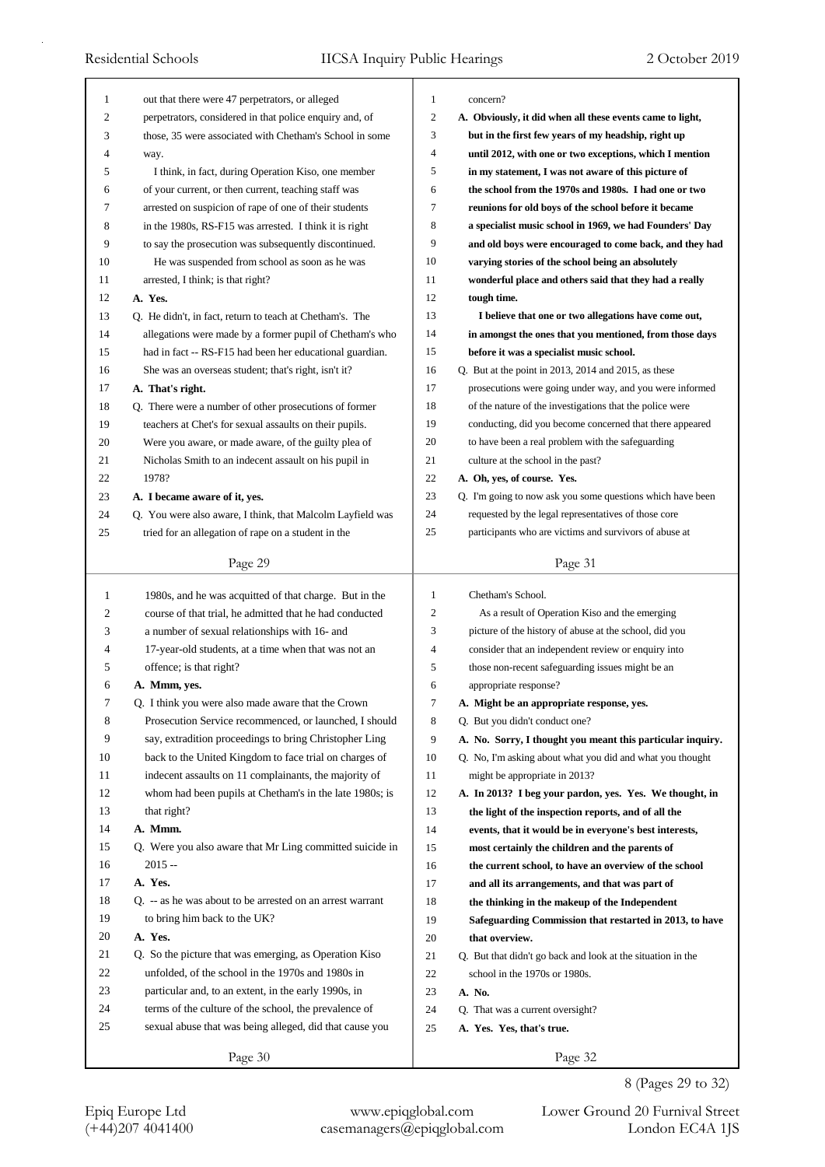| 1  | out that there were 47 perpetrators, or alleged            | 1              | concern?                                                    |
|----|------------------------------------------------------------|----------------|-------------------------------------------------------------|
| 2  | perpetrators, considered in that police enquiry and, of    | $\mathfrak{2}$ | A. Obviously, it did when all these events came to light,   |
| 3  | those, 35 were associated with Chetham's School in some    | 3              | but in the first few years of my headship, right up         |
| 4  | way.                                                       | 4              | until 2012, with one or two exceptions, which I mention     |
| 5  | I think, in fact, during Operation Kiso, one member        | 5              | in my statement, I was not aware of this picture of         |
| 6  | of your current, or then current, teaching staff was       | 6              | the school from the 1970s and 1980s. I had one or two       |
| 7  | arrested on suspicion of rape of one of their students     | 7              | reunions for old boys of the school before it became        |
| 8  | in the 1980s, RS-F15 was arrested. I think it is right     | 8              | a specialist music school in 1969, we had Founders' Day     |
| 9  | to say the prosecution was subsequently discontinued.      | 9              | and old boys were encouraged to come back, and they had     |
| 10 | He was suspended from school as soon as he was             | 10             | varying stories of the school being an absolutely           |
| 11 | arrested, I think; is that right?                          | 11             | wonderful place and others said that they had a really      |
| 12 | A. Yes.                                                    | 12             | tough time.                                                 |
| 13 | Q. He didn't, in fact, return to teach at Chetham's. The   | 13             | I believe that one or two allegations have come out,        |
| 14 | allegations were made by a former pupil of Chetham's who   | 14             | in amongst the ones that you mentioned, from those days     |
| 15 | had in fact -- RS-F15 had been her educational guardian.   | 15             | before it was a specialist music school.                    |
| 16 | She was an overseas student; that's right, isn't it?       | 16             | Q. But at the point in 2013, 2014 and 2015, as these        |
| 17 | A. That's right.                                           | 17             | prosecutions were going under way, and you were informed    |
| 18 | Q. There were a number of other prosecutions of former     | 18             | of the nature of the investigations that the police were    |
| 19 | teachers at Chet's for sexual assaults on their pupils.    | 19             | conducting, did you become concerned that there appeared    |
| 20 | Were you aware, or made aware, of the guilty plea of       | 20             | to have been a real problem with the safeguarding           |
| 21 | Nicholas Smith to an indecent assault on his pupil in      | 21             | culture at the school in the past?                          |
| 22 | 1978?                                                      | 22             | A. Oh, yes, of course. Yes.                                 |
| 23 | A. I became aware of it, yes.                              | 23             | Q. I'm going to now ask you some questions which have been  |
| 24 | Q. You were also aware, I think, that Malcolm Layfield was | 24             | requested by the legal representatives of those core        |
| 25 | tried for an allegation of rape on a student in the        | 25             | participants who are victims and survivors of abuse at      |
|    | Page 29                                                    |                | Page 31                                                     |
|    |                                                            |                |                                                             |
|    |                                                            |                |                                                             |
| 1  | 1980s, and he was acquitted of that charge. But in the     | 1              | Chetham's School.                                           |
| 2  | course of that trial, he admitted that he had conducted    | 2              | As a result of Operation Kiso and the emerging              |
| 3  | a number of sexual relationships with 16- and              | 3              | picture of the history of abuse at the school, did you      |
| 4  | 17-year-old students, at a time when that was not an       | 4              | consider that an independent review or enquiry into         |
| 5  | offence; is that right?                                    | 5              | those non-recent safeguarding issues might be an            |
| 6  | A. Mmm, yes.                                               | 6              | appropriate response?                                       |
| 7  | Q. I think you were also made aware that the Crown         | Ί              | A. Might be an appropriate response, yes.                   |
| 8  | Prosecution Service recommenced, or launched, I should     | 8              | Q. But you didn't conduct one?                              |
| 9  | say, extradition proceedings to bring Christopher Ling     | 9              | A. No. Sorry, I thought you meant this particular inquiry.  |
| 10 | back to the United Kingdom to face trial on charges of     | 10             | Q. No, I'm asking about what you did and what you thought   |
| 11 | indecent assaults on 11 complainants, the majority of      | 11             | might be appropriate in 2013?                               |
| 12 | whom had been pupils at Chetham's in the late 1980s; is    | 12             | A. In 2013? I beg your pardon, yes. Yes. We thought, in     |
| 13 | that right?                                                | 13             | the light of the inspection reports, and of all the         |
| 14 | A. Mmm.                                                    | 14             | events, that it would be in everyone's best interests,      |
| 15 | Q. Were you also aware that Mr Ling committed suicide in   | 15             | most certainly the children and the parents of              |
| 16 | 2015 --                                                    | 16             | the current school, to have an overview of the school       |
| 17 | A. Yes.                                                    | 17             | and all its arrangements, and that was part of              |
| 18 | Q. -- as he was about to be arrested on an arrest warrant  | 18             | the thinking in the makeup of the Independent               |
| 19 | to bring him back to the UK?                               | 19             | Safeguarding Commission that restarted in 2013, to have     |
| 20 | A. Yes.                                                    | 20             | that overview.                                              |
| 21 | Q. So the picture that was emerging, as Operation Kiso     | 21             | Q. But that didn't go back and look at the situation in the |
| 22 | unfolded, of the school in the 1970s and 1980s in          | 22             | school in the 1970s or 1980s.                               |
| 23 | particular and, to an extent, in the early 1990s, in       | 23             | A. No.                                                      |
| 24 | terms of the culture of the school, the prevalence of      | 24             | Q. That was a current oversight?                            |
| 25 | sexual abuse that was being alleged, did that cause you    | 25             | A. Yes. Yes, that's true.                                   |

8 (Pages 29 to 32)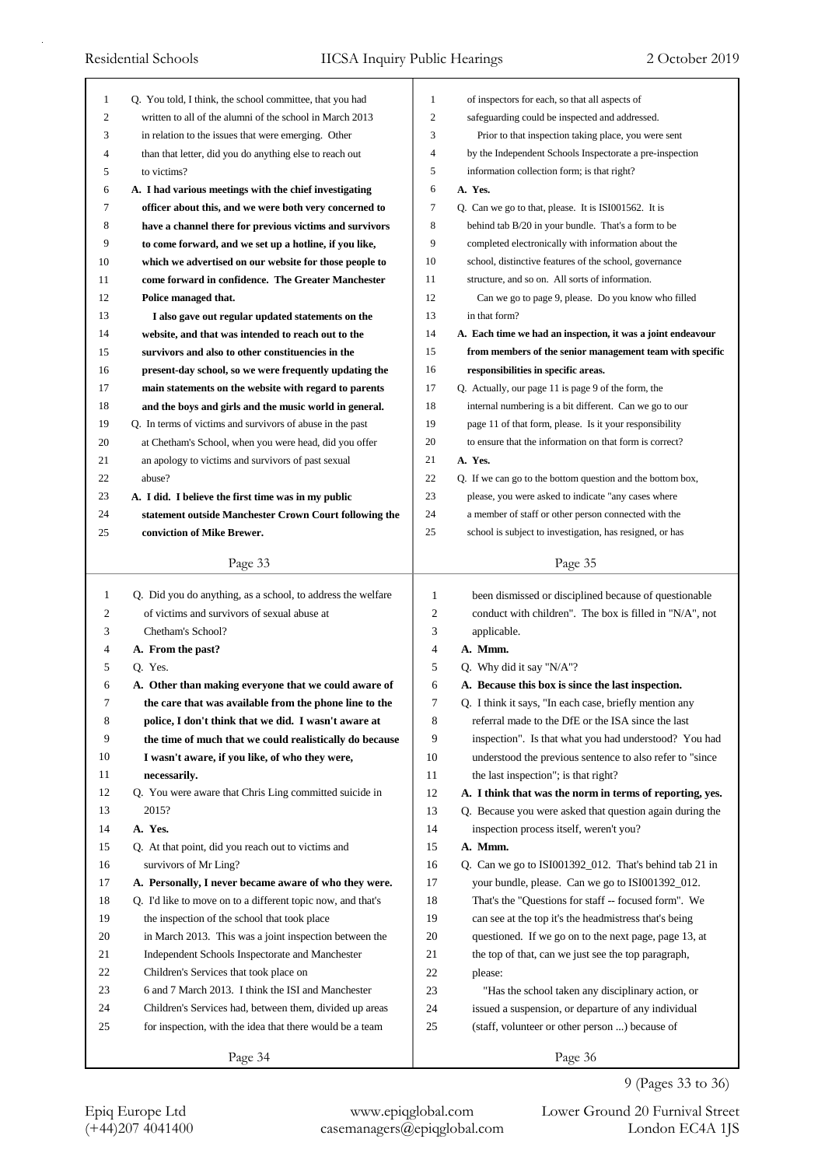| 1            | Q. You told, I think, the school committee, that you had    | $\mathbf{1}$   | of inspectors for each, so that all aspects of              |
|--------------|-------------------------------------------------------------|----------------|-------------------------------------------------------------|
| 2            | written to all of the alumni of the school in March 2013    | $\overline{2}$ | safeguarding could be inspected and addressed.              |
| 3            | in relation to the issues that were emerging. Other         | 3              | Prior to that inspection taking place, you were sent        |
| 4            | than that letter, did you do anything else to reach out     | 4              | by the Independent Schools Inspectorate a pre-inspection    |
| 5            | to victims?                                                 | 5              | information collection form; is that right?                 |
| 6            | A. I had various meetings with the chief investigating      | 6              | A. Yes.                                                     |
| 7            | officer about this, and we were both very concerned to      | 7              | Q. Can we go to that, please. It is ISI001562. It is        |
| 8            | have a channel there for previous victims and survivors     | 8              | behind tab B/20 in your bundle. That's a form to be         |
| 9            | to come forward, and we set up a hotline, if you like,      | 9              | completed electronically with information about the         |
| 10           | which we advertised on our website for those people to      | 10             | school, distinctive features of the school, governance      |
| 11           | come forward in confidence. The Greater Manchester          | 11             | structure, and so on. All sorts of information.             |
| 12           | Police managed that.                                        | 12             | Can we go to page 9, please. Do you know who filled         |
| 13           | I also gave out regular updated statements on the           | 13             | in that form?                                               |
| 14           | website, and that was intended to reach out to the          | 14             | A. Each time we had an inspection, it was a joint endeavour |
| 15           | survivors and also to other constituencies in the           | 15             | from members of the senior management team with specific    |
| 16           | present-day school, so we were frequently updating the      | 16             | responsibilities in specific areas.                         |
| 17           | main statements on the website with regard to parents       | 17             | Q. Actually, our page 11 is page 9 of the form, the         |
| 18           | and the boys and girls and the music world in general.      | 18             | internal numbering is a bit different. Can we go to our     |
| 19           | Q. In terms of victims and survivors of abuse in the past   | 19             | page 11 of that form, please. Is it your responsibility     |
| 20           | at Chetham's School, when you were head, did you offer      | 20             | to ensure that the information on that form is correct?     |
| 21           | an apology to victims and survivors of past sexual          | 21             | A. Yes.                                                     |
| 22           | abuse?                                                      | 22             | Q. If we can go to the bottom question and the bottom box,  |
| 23           | A. I did. I believe the first time was in my public         | 23             | please, you were asked to indicate "any cases where         |
| 24           | statement outside Manchester Crown Court following the      | 24             | a member of staff or other person connected with the        |
| 25           | conviction of Mike Brewer.                                  | 25             | school is subject to investigation, has resigned, or has    |
|              |                                                             |                |                                                             |
|              | Page 33                                                     |                | Page 35                                                     |
|              |                                                             |                |                                                             |
|              |                                                             |                |                                                             |
| $\mathbf{1}$ | Q. Did you do anything, as a school, to address the welfare | $\mathbf{1}$   | been dismissed or disciplined because of questionable       |
| 2            | of victims and survivors of sexual abuse at                 | $\mathfrak{2}$ | conduct with children". The box is filled in "N/A", not     |
| 3            | Chetham's School?                                           | 3              | applicable.                                                 |
| 4            | A. From the past?                                           | 4              | A. Mmm.                                                     |
| 5            | Q. Yes.                                                     | 5              | Q. Why did it say "N/A"?                                    |
| 6            | A. Other than making everyone that we could aware of        | 6              | A. Because this box is since the last inspection.           |
| 7            | the care that was available from the phone line to the      | 7              | Q. I think it says, "In each case, briefly mention any      |
| 8            | police, I don't think that we did. I wasn't aware at        | 8              | referral made to the DfE or the ISA since the last          |
| 9            | the time of much that we could realistically do because     | 9              | inspection". Is that what you had understood? You had       |
| 10           | I wasn't aware, if you like, of who they were,              | 10             | understood the previous sentence to also refer to "since    |
| 11           | necessarily.                                                | 11             | the last inspection"; is that right?                        |
| 12           | Q. You were aware that Chris Ling committed suicide in      | 12             | A. I think that was the norm in terms of reporting, yes.    |
| 13           | 2015?                                                       | 13             | Q. Because you were asked that question again during the    |
| 14           | A. Yes.                                                     | 14             | inspection process itself, weren't you?                     |
| 15           | Q. At that point, did you reach out to victims and          | 15             | A. Mmm.                                                     |
| 16           | survivors of Mr Ling?                                       | 16             | Q. Can we go to ISI001392_012. That's behind tab 21 in      |
| 17           | A. Personally, I never became aware of who they were.       | 17             | your bundle, please. Can we go to ISI001392_012.            |
| 18           | Q. I'd like to move on to a different topic now, and that's | 18             | That's the "Questions for staff -- focused form". We        |
| 19           | the inspection of the school that took place                | 19             | can see at the top it's the headmistress that's being       |
| 20           | in March 2013. This was a joint inspection between the      | 20             | questioned. If we go on to the next page, page 13, at       |
| 21           | Independent Schools Inspectorate and Manchester             | 21             | the top of that, can we just see the top paragraph,         |
| 22           | Children's Services that took place on                      | 22             | please:                                                     |
| 23           | 6 and 7 March 2013. I think the ISI and Manchester          | 23             | "Has the school taken any disciplinary action, or           |
| 24           | Children's Services had, between them, divided up areas     | 24             | issued a suspension, or departure of any individual         |
| 25           | for inspection, with the idea that there would be a team    | 25             | (staff, volunteer or other person ) because of              |

## 9 (Pages 33 to 36)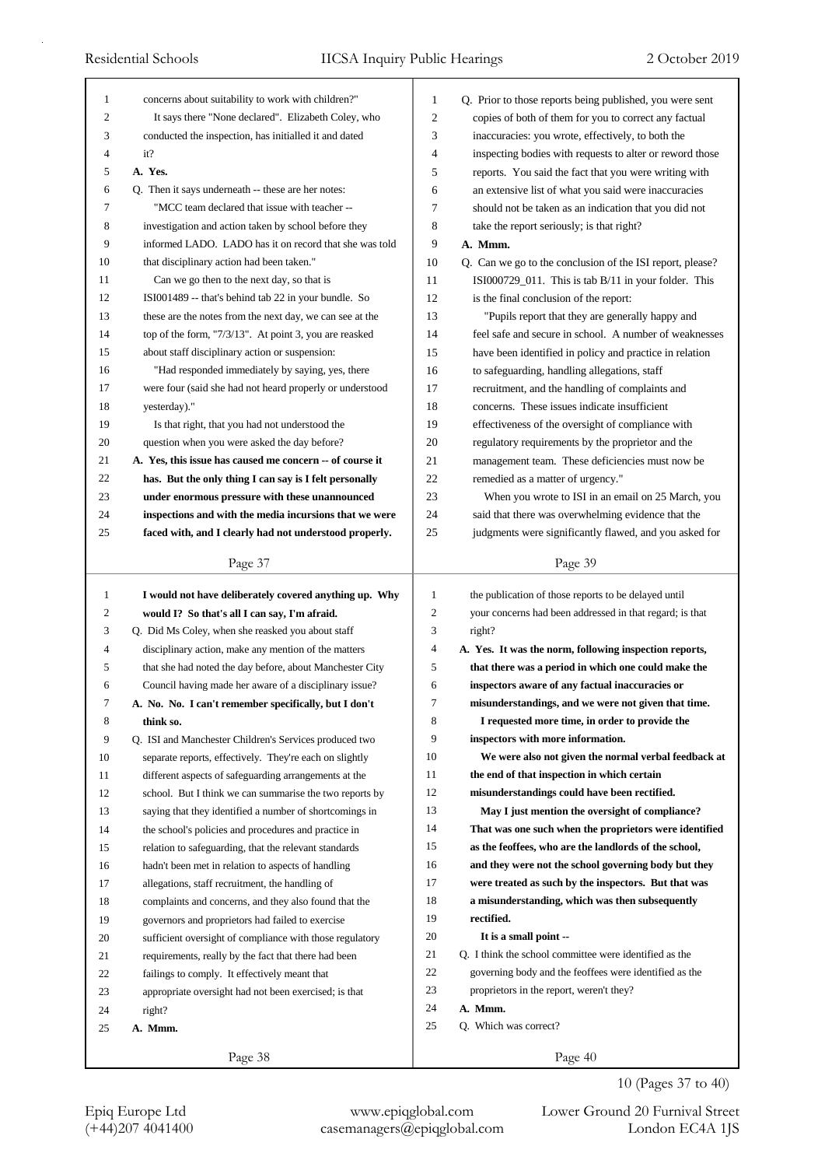| 1            | concerns about suitability to work with children?"       | 1                   | Q. Prior to those reports being published, you were sent                                              |
|--------------|----------------------------------------------------------|---------------------|-------------------------------------------------------------------------------------------------------|
| 2            | It says there "None declared". Elizabeth Coley, who      | 2                   | copies of both of them for you to correct any factual                                                 |
| 3            | conducted the inspection, has initialled it and dated    | 3                   | inaccuracies: you wrote, effectively, to both the                                                     |
| 4            | it?                                                      | 4                   | inspecting bodies with requests to alter or reword those                                              |
| 5            | A. Yes.                                                  | 5                   | reports. You said the fact that you were writing with                                                 |
| 6            | Q. Then it says underneath -- these are her notes:       | 6                   | an extensive list of what you said were inaccuracies                                                  |
| 7            | "MCC team declared that issue with teacher --            | 7                   | should not be taken as an indication that you did not                                                 |
| 8            | investigation and action taken by school before they     | 8                   | take the report seriously; is that right?                                                             |
| 9            | informed LADO. LADO has it on record that she was told   | 9                   | A. Mmm.                                                                                               |
| 10           | that disciplinary action had been taken."                | 10                  | Q. Can we go to the conclusion of the ISI report, please?                                             |
| 11           | Can we go then to the next day, so that is               | 11                  | ISI000729_011. This is tab B/11 in your folder. This                                                  |
| 12           | ISI001489 -- that's behind tab 22 in your bundle. So     | 12                  | is the final conclusion of the report:                                                                |
| 13           | these are the notes from the next day, we can see at the | 13                  | "Pupils report that they are generally happy and                                                      |
| 14           | top of the form, "7/3/13". At point 3, you are reasked   | 14                  | feel safe and secure in school. A number of weaknesses                                                |
| 15           | about staff disciplinary action or suspension:           | 15                  | have been identified in policy and practice in relation                                               |
| 16           | "Had responded immediately by saying, yes, there         | 16                  | to safeguarding, handling allegations, staff                                                          |
| 17           | were four (said she had not heard properly or understood | 17                  | recruitment, and the handling of complaints and                                                       |
| 18           | yesterday)."                                             | 18                  | concerns. These issues indicate insufficient                                                          |
| 19           | Is that right, that you had not understood the           | 19                  | effectiveness of the oversight of compliance with                                                     |
| 20           | question when you were asked the day before?             | 20                  | regulatory requirements by the proprietor and the                                                     |
| 21           | A. Yes, this issue has caused me concern -- of course it | 21                  | management team. These deficiencies must now be                                                       |
| 22           | has. But the only thing I can say is I felt personally   | 22                  | remedied as a matter of urgency."                                                                     |
| 23           | under enormous pressure with these unannounced           | 23                  | When you wrote to ISI in an email on 25 March, you                                                    |
| 24           | inspections and with the media incursions that we were   | 24                  | said that there was overwhelming evidence that the                                                    |
| 25           | faced with, and I clearly had not understood properly.   | 25                  | judgments were significantly flawed, and you asked for                                                |
|              |                                                          |                     |                                                                                                       |
|              | Page 37                                                  |                     | Page 39                                                                                               |
|              |                                                          |                     |                                                                                                       |
| $\mathbf{1}$ |                                                          | 1                   |                                                                                                       |
| 2            | I would not have deliberately covered anything up. Why   | 2                   | the publication of those reports to be delayed until                                                  |
|              | would I? So that's all I can say, I'm afraid.            |                     | your concerns had been addressed in that regard; is that                                              |
| 3<br>4       | Q. Did Ms Coley, when she reasked you about staff        | 3<br>4              | right?                                                                                                |
| 5            | disciplinary action, make any mention of the matters     | 5                   | A. Yes. It was the norm, following inspection reports,                                                |
| 6            | that she had noted the day before, about Manchester City | 6                   | that there was a period in which one could make the                                                   |
|              | Council having made her aware of a disciplinary issue?   |                     | inspectors aware of any factual inaccuracies or                                                       |
| 7<br>8       | A. No. No. I can't remember specifically, but I don't    | $\overline{1}$<br>8 | misunderstandings, and we were not given that time.<br>I requested more time, in order to provide the |
|              | think so.                                                |                     |                                                                                                       |
| 9            | Q. ISI and Manchester Children's Services produced two   | 9                   | inspectors with more information.                                                                     |
| 10           | separate reports, effectively. They're each on slightly  | 10                  | We were also not given the normal verbal feedback at                                                  |
| 11           | different aspects of safeguarding arrangements at the    | 11                  | the end of that inspection in which certain                                                           |
| 12           | school. But I think we can summarise the two reports by  | 12                  | misunderstandings could have been rectified.                                                          |
| 13           | saying that they identified a number of shortcomings in  | 13                  | May I just mention the oversight of compliance?                                                       |
| 14           | the school's policies and procedures and practice in     | 14                  | That was one such when the proprietors were identified                                                |
| 15           | relation to safeguarding, that the relevant standards    | 15                  | as the feoffees, who are the landlords of the school,                                                 |
| 16           | hadn't been met in relation to aspects of handling       | 16                  | and they were not the school governing body but they                                                  |
| 17           | allegations, staff recruitment, the handling of          | 17                  | were treated as such by the inspectors. But that was                                                  |
| 18           | complaints and concerns, and they also found that the    | 18                  | a misunderstanding, which was then subsequently                                                       |
| 19           | governors and proprietors had failed to exercise         | 19                  | rectified.                                                                                            |
| 20           | sufficient oversight of compliance with those regulatory | 20                  | It is a small point --                                                                                |
| 21           | requirements, really by the fact that there had been     | 21                  | Q. I think the school committee were identified as the                                                |
| 22           | failings to comply. It effectively meant that            | 22                  | governing body and the feoffees were identified as the                                                |
| 23           | appropriate oversight had not been exercised; is that    | 23                  | proprietors in the report, weren't they?                                                              |
| 24           | right?                                                   | 24                  | A. Mmm.                                                                                               |
| 25           | A. Mmm.                                                  | 25                  | Q. Which was correct?                                                                                 |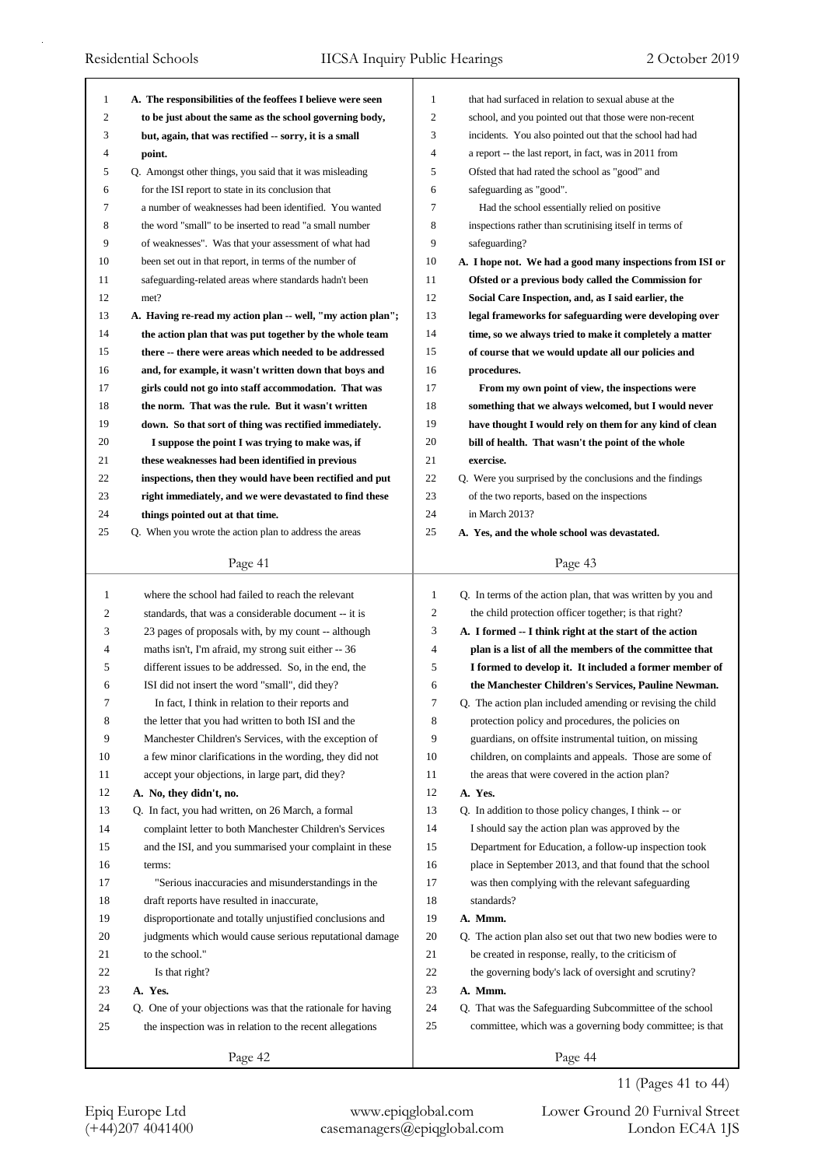| 1            | A. The responsibilities of the feoffees I believe were seen | $\mathbf{1}$   | that had surfaced in relation to sexual abuse at the        |
|--------------|-------------------------------------------------------------|----------------|-------------------------------------------------------------|
| 2            | to be just about the same as the school governing body,     | $\overline{c}$ | school, and you pointed out that those were non-recent      |
| 3            | but, again, that was rectified -- sorry, it is a small      | 3              | incidents. You also pointed out that the school had had     |
| 4            | point.                                                      | 4              | a report -- the last report, in fact, was in 2011 from      |
| 5            | Q. Amongst other things, you said that it was misleading    | 5              | Ofsted that had rated the school as "good" and              |
| 6            | for the ISI report to state in its conclusion that          | 6              | safeguarding as "good".                                     |
| 7            | a number of weaknesses had been identified. You wanted      | 7              | Had the school essentially relied on positive               |
| 8            | the word "small" to be inserted to read "a small number     | 8              | inspections rather than scrutinising itself in terms of     |
| 9            | of weaknesses". Was that your assessment of what had        | 9              | safeguarding?                                               |
| 10           | been set out in that report, in terms of the number of      | 10             | A. I hope not. We had a good many inspections from ISI or   |
| 11           | safeguarding-related areas where standards hadn't been      | 11             | Ofsted or a previous body called the Commission for         |
| 12           | met?                                                        | 12             | Social Care Inspection, and, as I said earlier, the         |
| 13           | A. Having re-read my action plan -- well, "my action plan"; | 13             | legal frameworks for safeguarding were developing over      |
| 14           | the action plan that was put together by the whole team     | 14             | time, so we always tried to make it completely a matter     |
| 15           | there -- there were areas which needed to be addressed      | 15             | of course that we would update all our policies and         |
| 16           | and, for example, it wasn't written down that boys and      | 16             | procedures.                                                 |
| 17           | girls could not go into staff accommodation. That was       | 17             | From my own point of view, the inspections were             |
| 18           | the norm. That was the rule. But it wasn't written          | 18             | something that we always welcomed, but I would never        |
| 19           | down. So that sort of thing was rectified immediately.      | 19             | have thought I would rely on them for any kind of clean     |
| 20           | I suppose the point I was trying to make was, if            | 20             | bill of health. That wasn't the point of the whole          |
| 21           | these weaknesses had been identified in previous            | 21             | exercise.                                                   |
| 22           | inspections, then they would have been rectified and put    | 22             | Q. Were you surprised by the conclusions and the findings   |
| 23           | right immediately, and we were devastated to find these     | 23             | of the two reports, based on the inspections                |
| 24           | things pointed out at that time.                            | 24             | in March 2013?                                              |
| 25           | Q. When you wrote the action plan to address the areas      | 25             | A. Yes, and the whole school was devastated.                |
|              | Page 41                                                     |                | Page 43                                                     |
|              |                                                             |                |                                                             |
|              |                                                             |                |                                                             |
| $\mathbf{1}$ | where the school had failed to reach the relevant           | $\mathbf{1}$   | Q. In terms of the action plan, that was written by you and |
| 2            | standards, that was a considerable document -- it is        | $\sqrt{2}$     | the child protection officer together; is that right?       |
| 3            | 23 pages of proposals with, by my count -- although         | 3              | A. I formed -- I think right at the start of the action     |
| 4            | maths isn't, I'm afraid, my strong suit either -- 36        | $\overline{4}$ | plan is a list of all the members of the committee that     |
| 5            | different issues to be addressed. So, in the end, the       | 5              | I formed to develop it. It included a former member of      |
| 6            | ISI did not insert the word "small", did they?              | 6              | the Manchester Children's Services, Pauline Newman.         |
| 7            | In fact, I think in relation to their reports and           |                | Q. The action plan included amending or revising the child  |
| 8            | the letter that you had written to both ISI and the         | 8              | protection policy and procedures, the policies on           |
| 9            | Manchester Children's Services, with the exception of       | 9              | guardians, on offsite instrumental tuition, on missing      |
| 10           | a few minor clarifications in the wording, they did not     | 10             | children, on complaints and appeals. Those are some of      |
| 11           | accept your objections, in large part, did they?            | 11             | the areas that were covered in the action plan?             |
| 12           | A. No, they didn't, no.                                     | 12             | A. Yes.                                                     |
| 13           | Q. In fact, you had written, on 26 March, a formal          | 13             | Q. In addition to those policy changes, I think -- or       |
| 14           | complaint letter to both Manchester Children's Services     | 14             | I should say the action plan was approved by the            |
| 15           | and the ISI, and you summarised your complaint in these     | 15             | Department for Education, a follow-up inspection took       |
| 16           | terms:                                                      | 16             | place in September 2013, and that found that the school     |
| 17           | "Serious inaccuracies and misunderstandings in the          | 17             | was then complying with the relevant safeguarding           |
| 18           | draft reports have resulted in inaccurate,                  | 18             | standards?                                                  |
| 19           | disproportionate and totally unjustified conclusions and    | 19             | A. Mmm.                                                     |
| 20           | judgments which would cause serious reputational damage     | 20             | Q. The action plan also set out that two new bodies were to |
| 21           | to the school."                                             | 21             | be created in response, really, to the criticism of         |
| 22           | Is that right?                                              | 22             | the governing body's lack of oversight and scrutiny?        |
| 23           | A. Yes.                                                     | 23             | A. Mmm.                                                     |
| 24           | Q. One of your objections was that the rationale for having | 24             | Q. That was the Safeguarding Subcommittee of the school     |
| 25           | the inspection was in relation to the recent allegations    | 25             | committee, which was a governing body committee; is that    |

11 (Pages 41 to 44)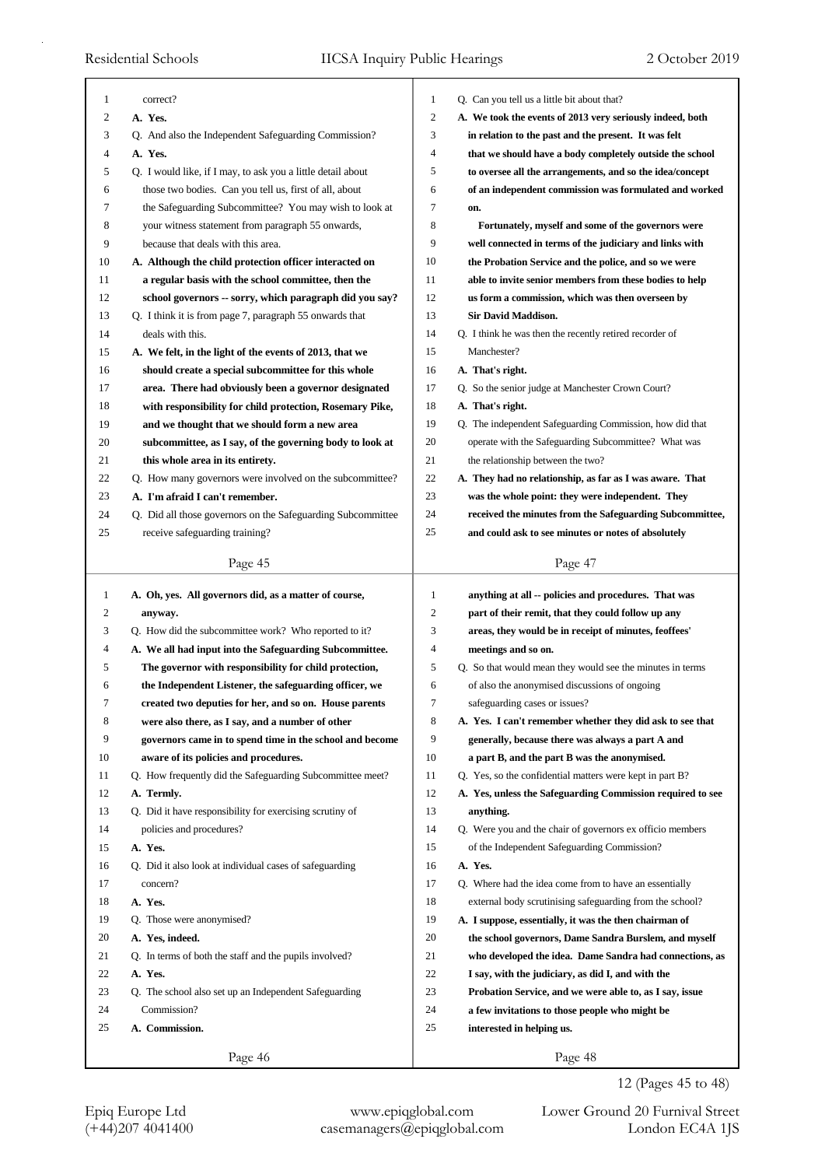| 1        | correct?                                                    | 1              | Q. Can you tell us a little bit about that?                |
|----------|-------------------------------------------------------------|----------------|------------------------------------------------------------|
| 2        | A. Yes.                                                     | $\overline{c}$ | A. We took the events of 2013 very seriously indeed, both  |
| 3        | Q. And also the Independent Safeguarding Commission?        | 3              | in relation to the past and the present. It was felt       |
| 4        | A. Yes.                                                     | $\overline{4}$ | that we should have a body completely outside the school   |
| 5        | Q. I would like, if I may, to ask you a little detail about | 5              | to oversee all the arrangements, and so the idea/concept   |
| 6        | those two bodies. Can you tell us, first of all, about      | 6              | of an independent commission was formulated and worked     |
| 7        | the Safeguarding Subcommittee? You may wish to look at      | 7              | on.                                                        |
| 8        | your witness statement from paragraph 55 onwards,           | 8              | Fortunately, myself and some of the governors were         |
| 9        | because that deals with this area.                          | 9              | well connected in terms of the judiciary and links with    |
| 10       | A. Although the child protection officer interacted on      | 10             | the Probation Service and the police, and so we were       |
| 11       | a regular basis with the school committee, then the         | 11             | able to invite senior members from these bodies to help    |
| 12       | school governors -- sorry, which paragraph did you say?     | 12             | us form a commission, which was then overseen by           |
| 13       | Q. I think it is from page 7, paragraph 55 onwards that     | 13             | <b>Sir David Maddison.</b>                                 |
| 14       | deals with this.                                            | 14             | Q. I think he was then the recently retired recorder of    |
| 15       | A. We felt, in the light of the events of 2013, that we     | 15             | Manchester?                                                |
| 16       | should create a special subcommittee for this whole         | 16             | A. That's right.                                           |
| 17       |                                                             | 17             | Q. So the senior judge at Manchester Crown Court?          |
| 18       | area. There had obviously been a governor designated        | 18             | A. That's right.                                           |
| 19       | with responsibility for child protection, Rosemary Pike,    | 19             |                                                            |
| 20       | and we thought that we should form a new area               | 20             | Q. The independent Safeguarding Commission, how did that   |
|          | subcommittee, as I say, of the governing body to look at    | 21             | operate with the Safeguarding Subcommittee? What was       |
| 21       | this whole area in its entirety.                            | 22             | the relationship between the two?                          |
| 22       | Q. How many governors were involved on the subcommittee?    | 23             | A. They had no relationship, as far as I was aware. That   |
| 23<br>24 | A. I'm afraid I can't remember.                             |                | was the whole point: they were independent. They           |
|          | Q. Did all those governors on the Safeguarding Subcommittee | 24<br>25       | received the minutes from the Safeguarding Subcommittee,   |
| 25       | receive safeguarding training?                              |                | and could ask to see minutes or notes of absolutely        |
|          | Page 45                                                     |                | Page 47                                                    |
|          |                                                             |                |                                                            |
| 1        | A. Oh, yes. All governors did, as a matter of course,       | 1              | anything at all -- policies and procedures. That was       |
| 2        | anyway.                                                     | $\overline{c}$ | part of their remit, that they could follow up any         |
| 3        | Q. How did the subcommittee work? Who reported to it?       | 3              | areas, they would be in receipt of minutes, feoffees'      |
| 4        | A. We all had input into the Safeguarding Subcommittee.     | 4              | meetings and so on.                                        |
| 5        | The governor with responsibility for child protection,      | 5              | Q. So that would mean they would see the minutes in terms  |
| 6        | the Independent Listener, the safeguarding officer, we      | 6              | of also the anonymised discussions of ongoing              |
| 7        | created two deputies for her, and so on. House parents      | 7              | safeguarding cases or issues?                              |
| 8        | were also there, as I say, and a number of other            | 8              | A. Yes. I can't remember whether they did ask to see that  |
| 9        | governors came in to spend time in the school and become    | 9              | generally, because there was always a part A and           |
| 10       | aware of its policies and procedures.                       | 10             | a part B, and the part B was the anonymised.               |
| 11       | Q. How frequently did the Safeguarding Subcommittee meet?   | 11             | Q. Yes, so the confidential matters were kept in part B?   |
| 12       | A. Termly.                                                  | 12             | A. Yes, unless the Safeguarding Commission required to see |
| 13       | Q. Did it have responsibility for exercising scrutiny of    | 13             | anything.                                                  |
| 14       | policies and procedures?                                    | 14             | Q. Were you and the chair of governors ex officio members  |
| 15       | A. Yes.                                                     | 15             | of the Independent Safeguarding Commission?                |
| 16       | Q. Did it also look at individual cases of safeguarding     | 16             | A. Yes.                                                    |
| 17       | concern?                                                    | 17             | Q. Where had the idea come from to have an essentially     |
| 18       | A. Yes.                                                     | 18             | external body scrutinising safeguarding from the school?   |
| 19       | Q. Those were anonymised?                                   | 19             | A. I suppose, essentially, it was the then chairman of     |
| 20       | A. Yes, indeed.                                             | 20             | the school governors, Dame Sandra Burslem, and myself      |
| 21       | Q. In terms of both the staff and the pupils involved?      | 21             | who developed the idea. Dame Sandra had connections, as    |
| 22       | A. Yes.                                                     | 22             | I say, with the judiciary, as did I, and with the          |
| 23       | Q. The school also set up an Independent Safeguarding       | 23             | Probation Service, and we were able to, as I say, issue    |
| 24       | Commission?                                                 | 24             | a few invitations to those people who might be             |
| 25       | A. Commission.                                              | 25             | interested in helping us.                                  |

12 (Pages 45 to 48)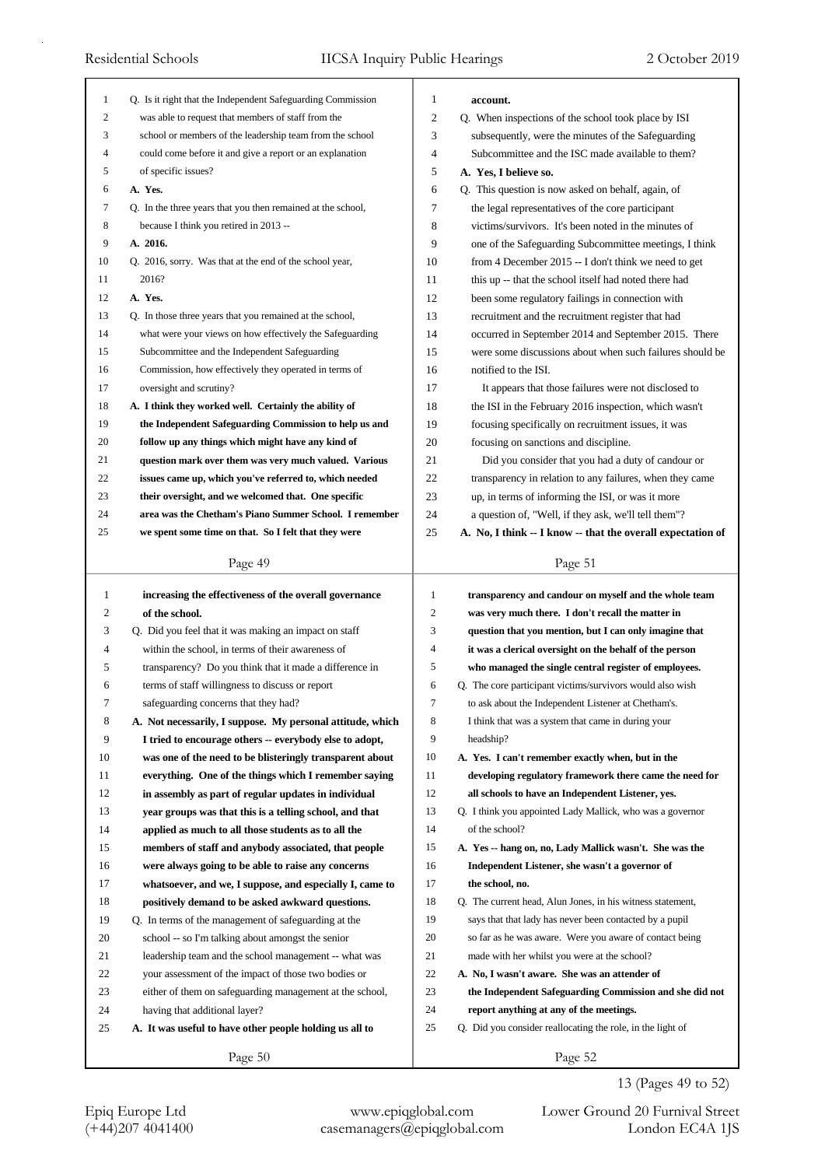| 1  | Q. Is it right that the Independent Safeguarding Commission | 1                | account.                                                    |
|----|-------------------------------------------------------------|------------------|-------------------------------------------------------------|
| 2  | was able to request that members of staff from the          | $\overline{2}$   | Q. When inspections of the school took place by ISI         |
| 3  | school or members of the leadership team from the school    | 3                | subsequently, were the minutes of the Safeguarding          |
| 4  | could come before it and give a report or an explanation    | $\overline{4}$   | Subcommittee and the ISC made available to them?            |
| 5  | of specific issues?                                         | 5                | A. Yes, I believe so.                                       |
| 6  | A. Yes.                                                     | 6                | Q. This question is now asked on behalf, again, of          |
| 7  | Q. In the three years that you then remained at the school, | 7                | the legal representatives of the core participant           |
| 8  | because I think you retired in 2013 --                      | 8                | victims/survivors. It's been noted in the minutes of        |
| 9  | A. 2016.                                                    | 9                | one of the Safeguarding Subcommittee meetings, I think      |
| 10 | Q. 2016, sorry. Was that at the end of the school year,     | 10               | from 4 December 2015 $-$ I don't think we need to get       |
| 11 | 2016?                                                       | 11               | this up -- that the school itself had noted there had       |
| 12 | A. Yes.                                                     | 12               | been some regulatory failings in connection with            |
| 13 | Q. In those three years that you remained at the school,    | 13               | recruitment and the recruitment register that had           |
| 14 | what were your views on how effectively the Safeguarding    | 14               | occurred in September 2014 and September 2015. There        |
| 15 | Subcommittee and the Independent Safeguarding               | 15               | were some discussions about when such failures should be    |
| 16 | Commission, how effectively they operated in terms of       | 16               | notified to the ISI.                                        |
| 17 | oversight and scrutiny?                                     | 17               | It appears that those failures were not disclosed to        |
| 18 | A. I think they worked well. Certainly the ability of       | 18               | the ISI in the February 2016 inspection, which wasn't       |
| 19 | the Independent Safeguarding Commission to help us and      | 19               | focusing specifically on recruitment issues, it was         |
| 20 | follow up any things which might have any kind of           | 20               | focusing on sanctions and discipline.                       |
| 21 | question mark over them was very much valued. Various       | 21               | Did you consider that you had a duty of candour or          |
| 22 | issues came up, which you've referred to, which needed      | 22               | transparency in relation to any failures, when they came    |
| 23 | their oversight, and we welcomed that. One specific         | 23               | up, in terms of informing the ISI, or was it more           |
| 24 | area was the Chetham's Piano Summer School. I remember      | 24               | a question of, "Well, if they ask, we'll tell them"?        |
| 25 | we spent some time on that. So I felt that they were        | 25               | A. No, I think -- I know -- that the overall expectation of |
|    | Page 49                                                     |                  | Page 51                                                     |
|    |                                                             |                  |                                                             |
|    |                                                             |                  |                                                             |
| 1  | increasing the effectiveness of the overall governance      | $\mathbf{1}$     | transparency and candour on myself and the whole team       |
| 2  | of the school.                                              | $\boldsymbol{2}$ | was very much there. I don't recall the matter in           |
| 3  | Q. Did you feel that it was making an impact on staff       | 3                | question that you mention, but I can only imagine that      |
| 4  | within the school, in terms of their awareness of           | 4                | it was a clerical oversight on the behalf of the person     |
| 5  | transparency? Do you think that it made a difference in     | 5                | who managed the single central register of employees.       |
| 6  | terms of staff willingness to discuss or report             | 6                | Q. The core participant victims/survivors would also wish   |
| 7  | safeguarding concerns that they had?                        | 7                | to ask about the Independent Listener at Chetham's.         |
| 8  | A. Not necessarily, I suppose. My personal attitude, which  | 8                | I think that was a system that came in during your          |
| 9  | I tried to encourage others -- everybody else to adopt,     | 9                | headship?                                                   |
| 10 | was one of the need to be blisteringly transparent about    | 10               | A. Yes. I can't remember exactly when, but in the           |
| 11 | everything. One of the things which I remember saying       | 11               | developing regulatory framework there came the need for     |
| 12 | in assembly as part of regular updates in individual        | 12               | all schools to have an Independent Listener, yes.           |
| 13 | year groups was that this is a telling school, and that     | 13               | Q. I think you appointed Lady Mallick, who was a governor   |
| 14 | applied as much to all those students as to all the         | 14               | of the school?                                              |
| 15 | members of staff and anybody associated, that people        | 15               | A. Yes -- hang on, no, Lady Mallick wasn't. She was the     |
| 16 | were always going to be able to raise any concerns          | 16               | Independent Listener, she wasn't a governor of              |
| 17 | whatsoever, and we, I suppose, and especially I, came to    | 17               | the school, no.                                             |
| 18 | positively demand to be asked awkward questions.            | 18               | Q. The current head, Alun Jones, in his witness statement,  |
| 19 | Q. In terms of the management of safeguarding at the        | 19               | says that that lady has never been contacted by a pupil     |
| 20 | school -- so I'm talking about amongst the senior           | 20               | so far as he was aware. Were you aware of contact being     |
| 21 | leadership team and the school management -- what was       | 21               | made with her whilst you were at the school?                |
| 22 | your assessment of the impact of those two bodies or        | 22               | A. No, I wasn't aware. She was an attender of               |
| 23 | either of them on safeguarding management at the school,    | 23               | the Independent Safeguarding Commission and she did not     |
| 24 | having that additional layer?                               | 24               | report anything at any of the meetings.                     |
| 25 | A. It was useful to have other people holding us all to     | 25               | Q. Did you consider reallocating the role, in the light of  |

13 (Pages 49 to 52)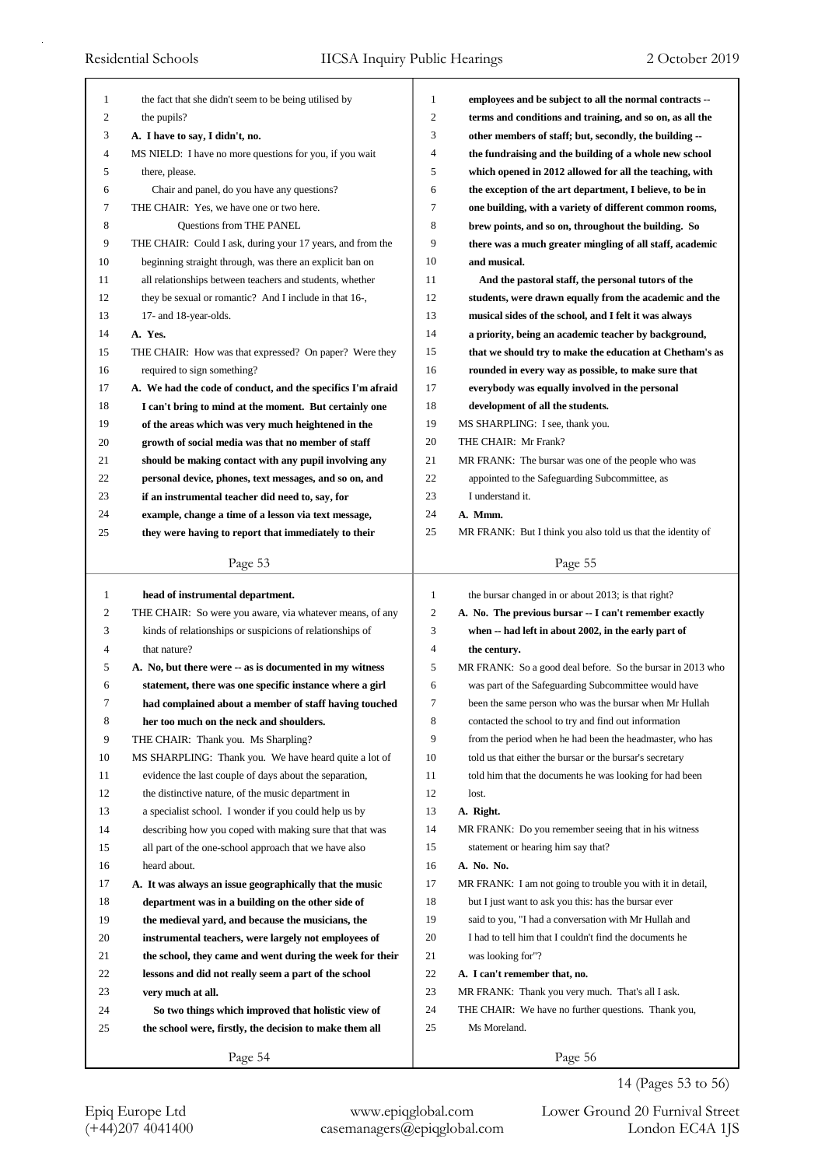| 1  | the fact that she didn't seem to be being utilised by       | $\mathbf{1}$     | employees and be subject to all the normal contracts --     |
|----|-------------------------------------------------------------|------------------|-------------------------------------------------------------|
| 2  | the pupils?                                                 | $\boldsymbol{2}$ | terms and conditions and training, and so on, as all the    |
| 3  | A. I have to say, I didn't, no.                             | 3                | other members of staff; but, secondly, the building --      |
| 4  | MS NIELD: I have no more questions for you, if you wait     | 4                | the fundraising and the building of a whole new school      |
| 5  | there, please.                                              | 5                | which opened in 2012 allowed for all the teaching, with     |
| 6  | Chair and panel, do you have any questions?                 | 6                | the exception of the art department, I believe, to be in    |
| 7  | THE CHAIR: Yes, we have one or two here.                    | 7                | one building, with a variety of different common rooms,     |
| 8  | Questions from THE PANEL                                    | 8                | brew points, and so on, throughout the building. So         |
| 9  | THE CHAIR: Could I ask, during your 17 years, and from the  | 9                | there was a much greater mingling of all staff, academic    |
| 10 | beginning straight through, was there an explicit ban on    | 10               | and musical.                                                |
| 11 | all relationships between teachers and students, whether    | 11               | And the pastoral staff, the personal tutors of the          |
| 12 | they be sexual or romantic? And I include in that 16-,      | 12               | students, were drawn equally from the academic and the      |
| 13 | 17- and 18-year-olds.                                       | 13               | musical sides of the school, and I felt it was always       |
| 14 | A. Yes.                                                     | 14               | a priority, being an academic teacher by background,        |
| 15 | THE CHAIR: How was that expressed? On paper? Were they      | 15               | that we should try to make the education at Chetham's as    |
| 16 | required to sign something?                                 | 16               | rounded in every way as possible, to make sure that         |
| 17 | A. We had the code of conduct, and the specifics I'm afraid | 17               | everybody was equally involved in the personal              |
| 18 | I can't bring to mind at the moment. But certainly one      | 18               | development of all the students.                            |
| 19 | of the areas which was very much heightened in the          | 19               | MS SHARPLING: I see, thank you.                             |
| 20 | growth of social media was that no member of staff          | 20               | THE CHAIR: Mr Frank?                                        |
| 21 | should be making contact with any pupil involving any       | 21               | MR FRANK: The bursar was one of the people who was          |
| 22 | personal device, phones, text messages, and so on, and      | 22               | appointed to the Safeguarding Subcommittee, as              |
| 23 | if an instrumental teacher did need to, say, for            | 23               | I understand it.                                            |
| 24 | example, change a time of a lesson via text message,        | 24               | A. Mmm.                                                     |
| 25 | they were having to report that immediately to their        | 25               | MR FRANK: But I think you also told us that the identity of |
|    |                                                             |                  |                                                             |
|    | Page 53                                                     |                  | Page 55                                                     |
|    |                                                             |                  |                                                             |
| 1  |                                                             | $\mathbf{1}$     |                                                             |
| 2  | head of instrumental department.                            | $\overline{c}$   | the bursar changed in or about 2013; is that right?         |
|    | THE CHAIR: So were you aware, via whatever means, of any    | 3                | A. No. The previous bursar -- I can't remember exactly      |
| 3  | kinds of relationships or suspicions of relationships of    | 4                | when -- had left in about 2002, in the early part of        |
| 4  | that nature?                                                | 5                | the century.                                                |
| 5  | A. No, but there were -- as is documented in my witness     |                  | MR FRANK: So a good deal before. So the bursar in 2013 who  |
| 6  | statement, there was one specific instance where a girl     | 6<br>$\tau$      | was part of the Safeguarding Subcommittee would have        |
| 7  | had complained about a member of staff having touched       |                  | been the same person who was the bursar when Mr Hullah      |
| 8  | her too much on the neck and shoulders.                     | 8                | contacted the school to try and find out information        |
| 9  | THE CHAIR: Thank you. Ms Sharpling?                         | 9                | from the period when he had been the headmaster, who has    |
| 10 | MS SHARPLING: Thank you. We have heard quite a lot of       | 10               | told us that either the bursar or the bursar's secretary    |
| 11 | evidence the last couple of days about the separation,      | 11               | told him that the documents he was looking for had been     |
| 12 | the distinctive nature, of the music department in          | 12               | lost.                                                       |
| 13 | a specialist school. I wonder if you could help us by       | 13               | A. Right.                                                   |
| 14 | describing how you coped with making sure that that was     | 14               | MR FRANK: Do you remember seeing that in his witness        |
| 15 | all part of the one-school approach that we have also       | 15               | statement or hearing him say that?                          |
| 16 | heard about.                                                | 16               | A. No. No.                                                  |
| 17 | A. It was always an issue geographically that the music     | 17               | MR FRANK: I am not going to trouble you with it in detail,  |
| 18 | department was in a building on the other side of           | 18               | but I just want to ask you this: has the bursar ever        |
| 19 | the medieval yard, and because the musicians, the           | 19               | said to you, "I had a conversation with Mr Hullah and       |
| 20 | instrumental teachers, were largely not employees of        | 20               | I had to tell him that I couldn't find the documents he     |
| 21 | the school, they came and went during the week for their    | 21               | was looking for"?                                           |
| 22 | lessons and did not really seem a part of the school        | $22\,$           | A. I can't remember that, no.                               |
| 23 | very much at all.                                           | 23               | MR FRANK: Thank you very much. That's all I ask.            |
| 24 | So two things which improved that holistic view of          | 24               | THE CHAIR: We have no further questions. Thank you,         |
| 25 | the school were, firstly, the decision to make them all     | 25               | Ms Moreland.                                                |

14 (Pages 53 to 56)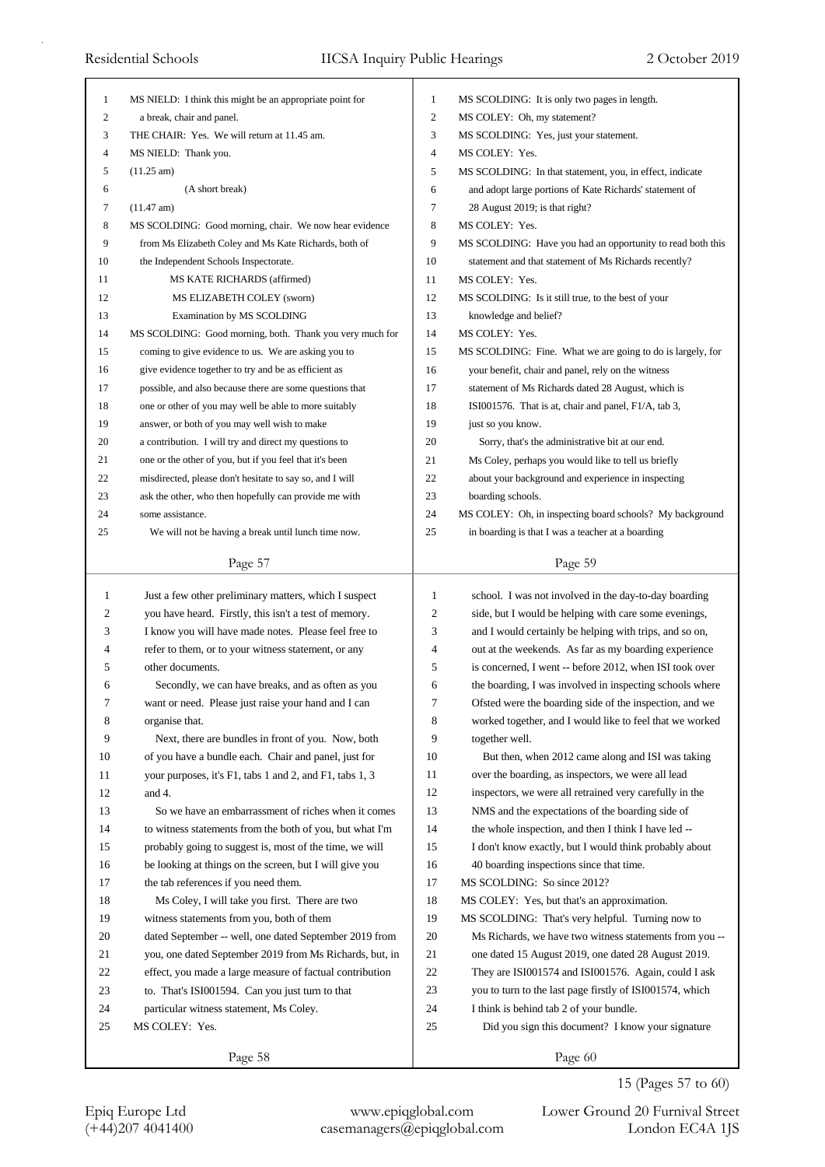| 1            | MS NIELD: I think this might be an appropriate point for | 1            | MS SCOLDING: It is only two pages in length.               |
|--------------|----------------------------------------------------------|--------------|------------------------------------------------------------|
| 2            | a break, chair and panel.                                | 2            | MS COLEY: Oh, my statement?                                |
| 3            | THE CHAIR: Yes. We will return at 11.45 am.              | 3            | MS SCOLDING: Yes, just your statement.                     |
| 4            | MS NIELD: Thank you.                                     | 4            | MS COLEY: Yes.                                             |
| 5            | $(11.25 \text{ am})$                                     | 5            | MS SCOLDING: In that statement, you, in effect, indicate   |
| 6            | (A short break)                                          | 6            | and adopt large portions of Kate Richards' statement of    |
| 7            | $(11.47 \text{ am})$                                     | 7            | 28 August 2019; is that right?                             |
| 8            | MS SCOLDING: Good morning, chair. We now hear evidence   | 8            | MS COLEY: Yes.                                             |
| 9            | from Ms Elizabeth Coley and Ms Kate Richards, both of    | 9            | MS SCOLDING: Have you had an opportunity to read both this |
| 10           | the Independent Schools Inspectorate.                    | 10           | statement and that statement of Ms Richards recently?      |
| 11           | MS KATE RICHARDS (affirmed)                              | 11           | MS COLEY: Yes.                                             |
| 12           | MS ELIZABETH COLEY (sworn)                               | 12           | MS SCOLDING: Is it still true, to the best of your         |
| 13           | Examination by MS SCOLDING                               | 13           | knowledge and belief?                                      |
| 14           | MS SCOLDING: Good morning, both. Thank you very much for | 14           | MS COLEY: Yes.                                             |
| 15           | coming to give evidence to us. We are asking you to      | 15           | MS SCOLDING: Fine. What we are going to do is largely, for |
| 16           | give evidence together to try and be as efficient as     | 16           | your benefit, chair and panel, rely on the witness         |
| 17           | possible, and also because there are some questions that | 17           | statement of Ms Richards dated 28 August, which is         |
| 18           | one or other of you may well be able to more suitably    | 18           | ISI001576. That is at, chair and panel, F1/A, tab 3,       |
| 19           | answer, or both of you may well wish to make             | 19           | just so you know.                                          |
| 20           | a contribution. I will try and direct my questions to    | 20           | Sorry, that's the administrative bit at our end.           |
| 21           | one or the other of you, but if you feel that it's been  | 21           | Ms Coley, perhaps you would like to tell us briefly        |
| 22           | misdirected, please don't hesitate to say so, and I will | 22           |                                                            |
|              |                                                          | 23           | about your background and experience in inspecting         |
| 23           | ask the other, who then hopefully can provide me with    |              | boarding schools.                                          |
| 24           | some assistance.                                         | 24           | MS COLEY: Oh, in inspecting board schools? My background   |
| 25           | We will not be having a break until lunch time now.      | 25           | in boarding is that I was a teacher at a boarding          |
|              | Page 57                                                  |              | Page 59                                                    |
|              |                                                          |              |                                                            |
|              |                                                          |              |                                                            |
| $\mathbf{1}$ | Just a few other preliminary matters, which I suspect    | $\mathbf{1}$ | school. I was not involved in the day-to-day boarding      |
| 2            | you have heard. Firstly, this isn't a test of memory.    | 2            | side, but I would be helping with care some evenings,      |
| 3            | I know you will have made notes. Please feel free to     | 3            | and I would certainly be helping with trips, and so on,    |
| 4            | refer to them, or to your witness statement, or any      | 4            | out at the weekends. As far as my boarding experience      |
| 5            | other documents.                                         | 5            | is concerned, I went -- before 2012, when ISI took over    |
| 6            | Secondly, we can have breaks, and as often as you        | 6            | the boarding, I was involved in inspecting schools where   |
| 7            | want or need. Please just raise your hand and I can      | 7            | Ofsted were the boarding side of the inspection, and we    |
| 8            | organise that.                                           | 8            | worked together, and I would like to feel that we worked   |
| 9            | Next, there are bundles in front of you. Now, both       | 9            | together well.                                             |
| 10           | of you have a bundle each. Chair and panel, just for     | 10           | But then, when 2012 came along and ISI was taking          |
| 11           | your purposes, it's F1, tabs 1 and 2, and F1, tabs 1, 3  | 11           | over the boarding, as inspectors, we were all lead         |
| 12           | and 4.                                                   | 12           | inspectors, we were all retrained very carefully in the    |
| 13           | So we have an embarrassment of riches when it comes      | 13           | NMS and the expectations of the boarding side of           |
| 14           | to witness statements from the both of you, but what I'm | 14           | the whole inspection, and then I think I have led --       |
| 15           | probably going to suggest is, most of the time, we will  | 15           | I don't know exactly, but I would think probably about     |
| 16           | be looking at things on the screen, but I will give you  | 16           | 40 boarding inspections since that time.                   |
| 17           | the tab references if you need them.                     | 17           | MS SCOLDING: So since 2012?                                |
| 18           | Ms Coley, I will take you first. There are two           | 18           | MS COLEY: Yes, but that's an approximation.                |
| 19           | witness statements from you, both of them                | 19           | MS SCOLDING: That's very helpful. Turning now to           |
| 20           | dated September -- well, one dated September 2019 from   | 20           | Ms Richards, we have two witness statements from you --    |
| 21           | you, one dated September 2019 from Ms Richards, but, in  | 21           | one dated 15 August 2019, one dated 28 August 2019.        |
| 22           | effect, you made a large measure of factual contribution | 22           | They are ISI001574 and ISI001576. Again, could I ask       |
| 23           | to. That's ISI001594. Can you just turn to that          | 23           | you to turn to the last page firstly of ISI001574, which   |
| 24           | particular witness statement, Ms Coley.                  | 24           | I think is behind tab 2 of your bundle.                    |
| 25           | MS COLEY: Yes.                                           | 25           | Did you sign this document? I know your signature          |
|              | Page 58                                                  |              | Page 60                                                    |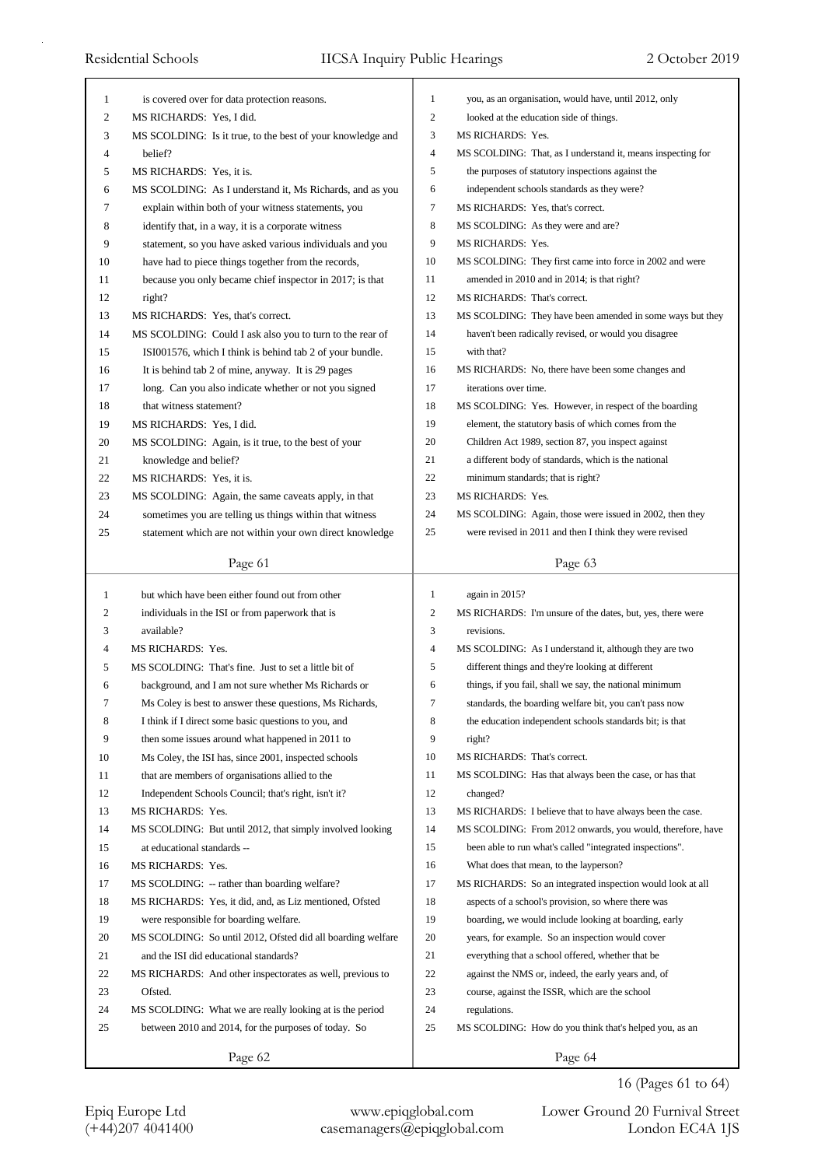| 1      | is covered over for data protection reasons.                          | 1<br>$\mathfrak{2}$ | you, as an organisation, would have, until 2012, only                                   |
|--------|-----------------------------------------------------------------------|---------------------|-----------------------------------------------------------------------------------------|
| 2      | MS RICHARDS: Yes, I did.                                              |                     | looked at the education side of things.                                                 |
| 3      | MS SCOLDING: Is it true, to the best of your knowledge and<br>belief? | 3<br>$\overline{4}$ | <b>MS RICHARDS: Yes.</b><br>MS SCOLDING: That, as I understand it, means inspecting for |
| 4      |                                                                       | 5                   |                                                                                         |
| 5<br>6 | MS RICHARDS: Yes, it is.                                              | 6                   | the purposes of statutory inspections against the                                       |
| 7      | MS SCOLDING: As I understand it, Ms Richards, and as you              | 7                   | independent schools standards as they were?                                             |
|        | explain within both of your witness statements, you                   |                     | MS RICHARDS: Yes, that's correct.                                                       |
| 8      | identify that, in a way, it is a corporate witness                    | 8<br>9              | MS SCOLDING: As they were and are?                                                      |
| 9      | statement, so you have asked various individuals and you              | 10                  | MS RICHARDS: Yes.                                                                       |
| 10     | have had to piece things together from the records,                   |                     | MS SCOLDING: They first came into force in 2002 and were                                |
| 11     | because you only became chief inspector in 2017; is that              | 11                  | amended in 2010 and in 2014; is that right?                                             |
| 12     | right?                                                                | 12                  | MS RICHARDS: That's correct.                                                            |
| 13     | MS RICHARDS: Yes, that's correct.                                     | 13                  | MS SCOLDING: They have been amended in some ways but they                               |
| 14     | MS SCOLDING: Could I ask also you to turn to the rear of              | 14                  | haven't been radically revised, or would you disagree                                   |
| 15     | ISI001576, which I think is behind tab 2 of your bundle.              | 15                  | with that?                                                                              |
| 16     | It is behind tab 2 of mine, anyway. It is 29 pages                    | 16                  | MS RICHARDS: No, there have been some changes and                                       |
| 17     | long. Can you also indicate whether or not you signed                 | 17                  | iterations over time.                                                                   |
| 18     | that witness statement?                                               | 18                  | MS SCOLDING: Yes. However, in respect of the boarding                                   |
| 19     | MS RICHARDS: Yes, I did.                                              | 19                  | element, the statutory basis of which comes from the                                    |
| 20     | MS SCOLDING: Again, is it true, to the best of your                   | 20                  | Children Act 1989, section 87, you inspect against                                      |
| 21     | knowledge and belief?                                                 | 21                  | a different body of standards, which is the national                                    |
| 22     | MS RICHARDS: Yes, it is.                                              | 22                  | minimum standards; that is right?                                                       |
| 23     | MS SCOLDING: Again, the same caveats apply, in that                   | 23                  | <b>MS RICHARDS: Yes.</b>                                                                |
| 24     | sometimes you are telling us things within that witness               | 24                  | MS SCOLDING: Again, those were issued in 2002, then they                                |
| 25     | statement which are not within your own direct knowledge              | 25                  | were revised in 2011 and then I think they were revised                                 |
|        | Page 61                                                               |                     | Page 63                                                                                 |
| 1      | but which have been either found out from other                       | $\mathbf{1}$        | again in 2015?                                                                          |
| 2      | individuals in the ISI or from paperwork that is                      | 2                   | MS RICHARDS: I'm unsure of the dates, but, yes, there were                              |
| 3      | available?                                                            | 3                   | revisions.                                                                              |
| 4      | MS RICHARDS: Yes.                                                     | 4                   | MS SCOLDING: As I understand it, although they are two                                  |
| 5      | MS SCOLDING: That's fine. Just to set a little bit of                 | 5                   | different things and they're looking at different                                       |
| 6      | background, and I am not sure whether Ms Richards or                  | 6                   | things, if you fail, shall we say, the national minimum                                 |
| 7      | Ms Coley is best to answer these questions, Ms Richards,              | 7                   | standards, the boarding welfare bit, you can't pass now                                 |
| 8      | I think if I direct some basic questions to you, and                  | 8                   | the education independent schools standards bit; is that                                |
| 9      | then some issues around what happened in 2011 to                      | 9                   | right?                                                                                  |
| 10     | Ms Coley, the ISI has, since 2001, inspected schools                  | 10                  | MS RICHARDS: That's correct.                                                            |
| 11     | that are members of organisations allied to the                       | 11                  | MS SCOLDING: Has that always been the case, or has that                                 |
| 12     | Independent Schools Council; that's right, isn't it?                  | 12                  | changed?                                                                                |
| 13     | MS RICHARDS: Yes.                                                     | 13                  | MS RICHARDS: I believe that to have always been the case.                               |
| 14     | MS SCOLDING: But until 2012, that simply involved looking             | 14                  | MS SCOLDING: From 2012 onwards, you would, therefore, have                              |
| 15     | at educational standards --                                           | 15                  | been able to run what's called "integrated inspections".                                |
| 16     | MS RICHARDS: Yes.                                                     | 16                  | What does that mean, to the layperson?                                                  |
| 17     | MS SCOLDING: -- rather than boarding welfare?                         | 17                  | MS RICHARDS: So an integrated inspection would look at all                              |
| 18     | MS RICHARDS: Yes, it did, and, as Liz mentioned, Ofsted               | 18                  | aspects of a school's provision, so where there was                                     |
| 19     | were responsible for boarding welfare.                                | 19                  | boarding, we would include looking at boarding, early                                   |
| 20     | MS SCOLDING: So until 2012, Ofsted did all boarding welfare           | 20                  | years, for example. So an inspection would cover                                        |
| 21     |                                                                       | 21                  | everything that a school offered, whether that be                                       |
|        | and the ISI did educational standards?                                |                     |                                                                                         |
| 22     | MS RICHARDS: And other inspectorates as well, previous to             | 22                  | against the NMS or, indeed, the early years and, of                                     |
| 23     | Ofsted.                                                               | 23                  | course, against the ISSR, which are the school                                          |
| 24     | MS SCOLDING: What we are really looking at is the period              | 24                  | regulations.                                                                            |
| 25     | between 2010 and 2014, for the purposes of today. So                  | 25                  | MS SCOLDING: How do you think that's helped you, as an                                  |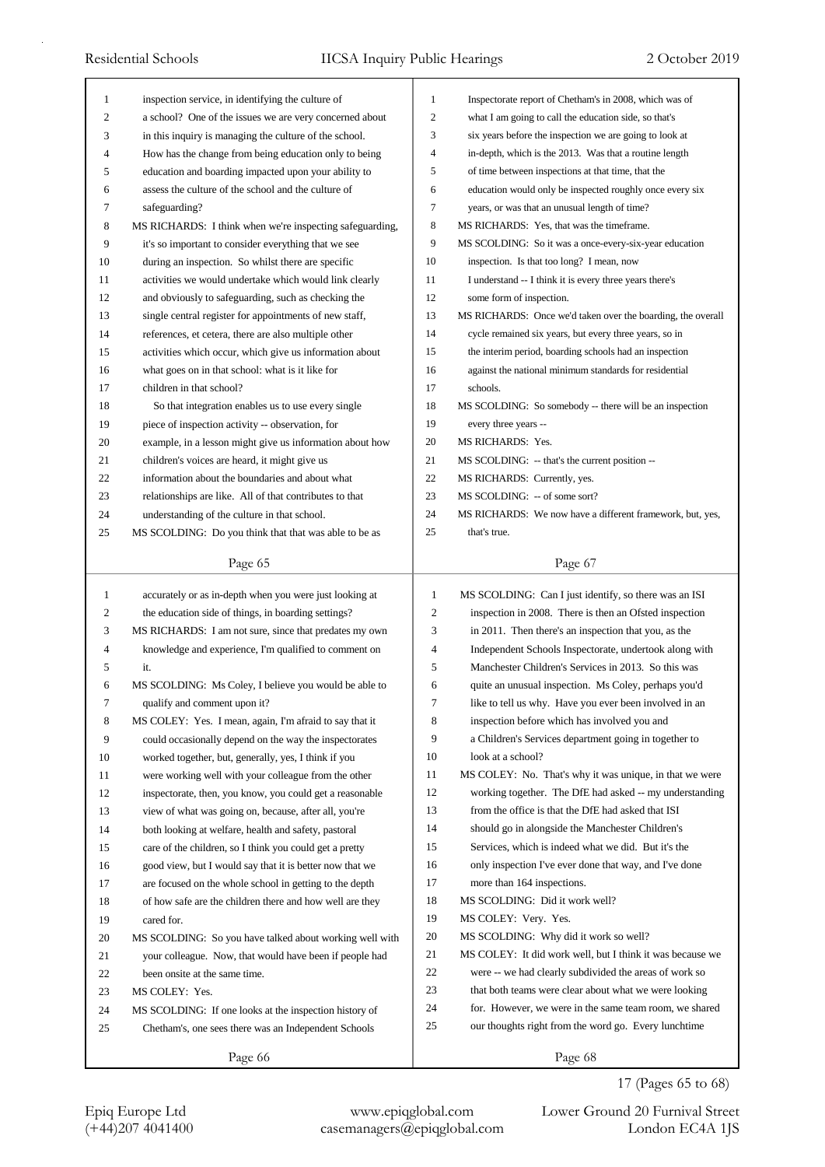| Inspectorate report of Chetham's in 2008, which was of      |
|-------------------------------------------------------------|
| what I am going to call the education side, so that's       |
| six years before the inspection we are going to look at     |
| in-depth, which is the 2013. Was that a routine length      |
|                                                             |
| education would only be inspected roughly once every six    |
|                                                             |
|                                                             |
| MS SCOLDING: So it was a once-every-six-year education      |
|                                                             |
| I understand -- I think it is every three years there's     |
|                                                             |
| MS RICHARDS: Once we'd taken over the boarding, the overall |
| cycle remained six years, but every three years, so in      |
| the interim period, boarding schools had an inspection      |
| against the national minimum standards for residential      |
|                                                             |
| MS SCOLDING: So somebody -- there will be an inspection     |
|                                                             |
|                                                             |
|                                                             |
|                                                             |
|                                                             |
|                                                             |
|                                                             |
| MS RICHARDS: We now have a different framework, but, yes,   |
|                                                             |
|                                                             |
|                                                             |
| MS SCOLDING: Can I just identify, so there was an ISI       |
| inspection in 2008. There is then an Ofsted inspection      |
| in 2011. Then there's an inspection that you, as the        |
| Independent Schools Inspectorate, undertook along with      |
| Manchester Children's Services in 2013. So this was         |
| quite an unusual inspection. Ms Coley, perhaps you'd        |
| like to tell us why. Have you ever been involved in an      |
| inspection before which has involved you and                |
| a Children's Services department going in together to       |
|                                                             |
| MS COLEY: No. That's why it was unique, in that we were     |
| working together. The DfE had asked -- my understanding     |
| from the office is that the DfE had asked that ISI          |
| should go in alongside the Manchester Children's            |
| Services, which is indeed what we did. But it's the         |
| only inspection I've ever done that way, and I've done      |
|                                                             |
|                                                             |
|                                                             |
|                                                             |
| MS COLEY: It did work well, but I think it was because we   |
| were -- we had clearly subdivided the areas of work so      |
| that both teams were clear about what we were looking       |
| for. However, we were in the same team room, we shared      |
| our thoughts right from the word go. Every lunchtime        |
| of time between inspections at that time, that the          |

17 (Pages 65 to 68)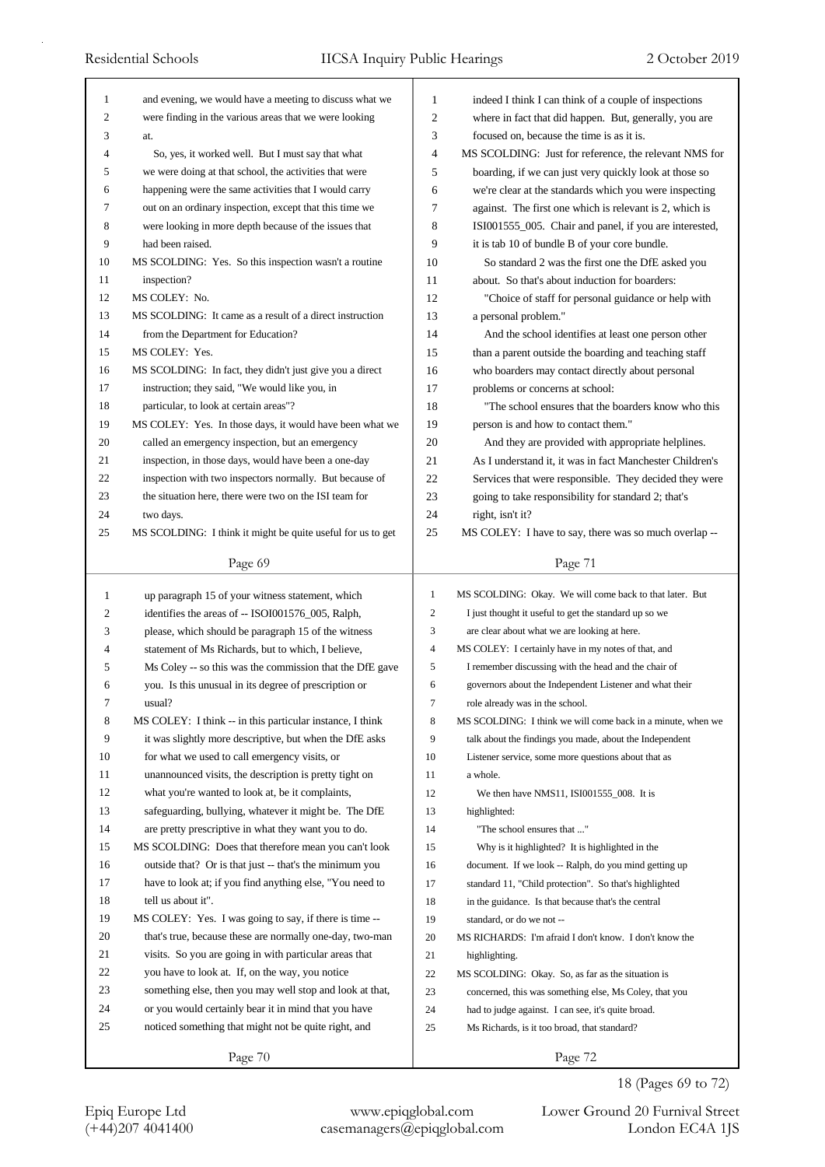| 1            | and evening, we would have a meeting to discuss what we     | 1              | indeed I think I can think of a couple of inspections       |
|--------------|-------------------------------------------------------------|----------------|-------------------------------------------------------------|
| 2            | were finding in the various areas that we were looking      | $\overline{c}$ | where in fact that did happen. But, generally, you are      |
| 3            | at.                                                         | 3              | focused on, because the time is as it is.                   |
| 4            | So, yes, it worked well. But I must say that what           | $\overline{4}$ | MS SCOLDING: Just for reference, the relevant NMS for       |
| 5            | we were doing at that school, the activities that were      | 5              | boarding, if we can just very quickly look at those so      |
| 6            | happening were the same activities that I would carry       | 6              | we're clear at the standards which you were inspecting      |
| 7            | out on an ordinary inspection, except that this time we     | 7              | against. The first one which is relevant is 2, which is     |
| 8            | were looking in more depth because of the issues that       | 8              | ISI001555_005. Chair and panel, if you are interested,      |
| 9            | had been raised.                                            | 9              | it is tab 10 of bundle B of your core bundle.               |
| 10           | MS SCOLDING: Yes. So this inspection wasn't a routine       | 10             | So standard 2 was the first one the DfE asked you           |
| 11           | inspection?                                                 | 11             | about. So that's about induction for boarders:              |
| 12           | MS COLEY: No.                                               | 12             | "Choice of staff for personal guidance or help with         |
| 13           | MS SCOLDING: It came as a result of a direct instruction    | 13             | a personal problem."                                        |
| 14           | from the Department for Education?                          | 14             | And the school identifies at least one person other         |
| 15           | MS COLEY: Yes.                                              | 15             | than a parent outside the boarding and teaching staff       |
| 16           | MS SCOLDING: In fact, they didn't just give you a direct    | 16             | who boarders may contact directly about personal            |
| 17           | instruction; they said, "We would like you, in              | 17             | problems or concerns at school:                             |
| 18           | particular, to look at certain areas"?                      | 18             | "The school ensures that the boarders know who this         |
| 19           | MS COLEY: Yes. In those days, it would have been what we    | 19             | person is and how to contact them."                         |
| 20           | called an emergency inspection, but an emergency            | 20             | And they are provided with appropriate helplines.           |
| 21           | inspection, in those days, would have been a one-day        | 21             | As I understand it, it was in fact Manchester Children's    |
| 22           | inspection with two inspectors normally. But because of     | 22             | Services that were responsible. They decided they were      |
| 23           | the situation here, there were two on the ISI team for      | 23             | going to take responsibility for standard 2; that's         |
| 24           | two days.                                                   | 24             | right, isn't it?                                            |
| 25           | MS SCOLDING: I think it might be quite useful for us to get | 25             | MS COLEY: I have to say, there was so much overlap --       |
|              |                                                             |                |                                                             |
|              | Page 69                                                     |                | Page 71                                                     |
|              |                                                             |                |                                                             |
|              |                                                             |                |                                                             |
| $\mathbf{1}$ | up paragraph 15 of your witness statement, which            | $\mathbf{1}$   | MS SCOLDING: Okay. We will come back to that later. But     |
| 2            | identifies the areas of -- ISOI001576_005, Ralph,           | 2              | I just thought it useful to get the standard up so we       |
| 3            | please, which should be paragraph 15 of the witness         | 3              | are clear about what we are looking at here.                |
| 4            | statement of Ms Richards, but to which, I believe,          | $\overline{4}$ | MS COLEY: I certainly have in my notes of that, and         |
| 5            | Ms Coley -- so this was the commission that the DfE gave    | 5              | I remember discussing with the head and the chair of        |
| 6            | you. Is this unusual in its degree of prescription or       | 6              | governors about the Independent Listener and what their     |
| 7            | usual?                                                      | 7              | role already was in the school.                             |
| 8            | MS COLEY: I think -- in this particular instance, I think   | 8              | MS SCOLDING: I think we will come back in a minute, when we |
| 9            | it was slightly more descriptive, but when the DfE asks     | 9              | talk about the findings you made, about the Independent     |
| 10           | for what we used to call emergency visits, or               | 10             | Listener service, some more questions about that as         |
| 11           | unannounced visits, the description is pretty tight on      | 11             | a whole.                                                    |
| 12           | what you're wanted to look at, be it complaints,            | 12             | We then have NMS11, ISI001555_008. It is                    |
| 13           | safeguarding, bullying, whatever it might be. The DfE       | 13             | highlighted:                                                |
| 14           | are pretty prescriptive in what they want you to do.        | 14             | "The school ensures that "                                  |
| 15           | MS SCOLDING: Does that therefore mean you can't look        | 15             | Why is it highlighted? It is highlighted in the             |
| 16           | outside that? Or is that just -- that's the minimum you     | 16             | document. If we look -- Ralph, do you mind getting up       |
| 17           | have to look at; if you find anything else, "You need to    | 17             | standard 11, "Child protection". So that's highlighted      |
| 18           | tell us about it".                                          | 18             | in the guidance. Is that because that's the central         |
| 19           | MS COLEY: Yes. I was going to say, if there is time --      | 19             | standard, or do we not --                                   |
| 20           | that's true, because these are normally one-day, two-man    | 20             | MS RICHARDS: I'm afraid I don't know. I don't know the      |
| 21           | visits. So you are going in with particular areas that      | 21             | highlighting.                                               |
| 22           | you have to look at. If, on the way, you notice             | 22             | MS SCOLDING: Okay. So, as far as the situation is           |
| 23           | something else, then you may well stop and look at that,    | 23             | concerned, this was something else, Ms Coley, that you      |
| 24           | or you would certainly bear it in mind that you have        | 24             | had to judge against. I can see, it's quite broad.          |
| 25           | noticed something that might not be quite right, and        | 25             | Ms Richards, is it too broad, that standard?                |
|              | Page 70                                                     |                | Page 72                                                     |

18 (Pages 69 to 72)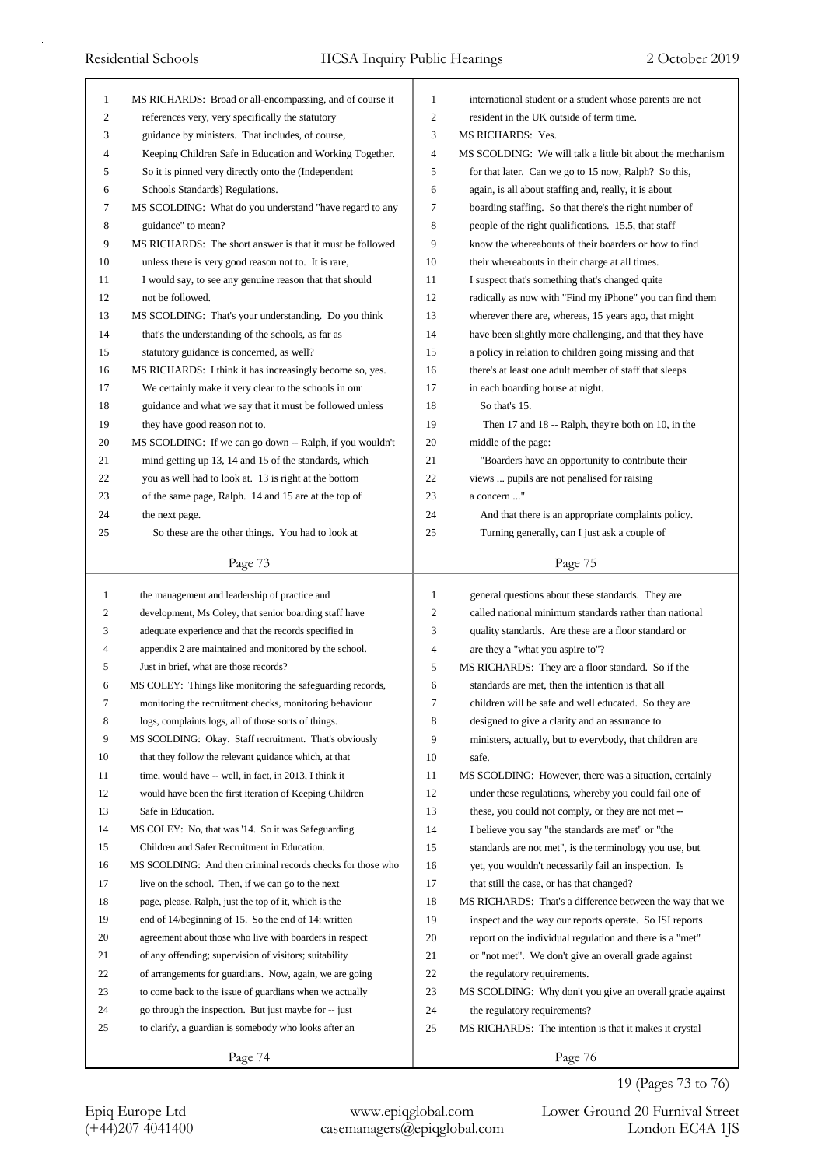| $\mathbf{1}$   | MS RICHARDS: Broad or all-encompassing, and of course it                                                   | $\mathbf{1}$ |                                                                                                                  |
|----------------|------------------------------------------------------------------------------------------------------------|--------------|------------------------------------------------------------------------------------------------------------------|
| $\overline{c}$ |                                                                                                            | 2            | international student or a student whose parents are not<br>resident in the UK outside of term time.             |
| 3              | references very, very specifically the statutory<br>guidance by ministers. That includes, of course,       | 3            | MS RICHARDS: Yes.                                                                                                |
| 4              | Keeping Children Safe in Education and Working Together.                                                   | 4            | MS SCOLDING: We will talk a little bit about the mechanism                                                       |
| 5              | So it is pinned very directly onto the (Independent                                                        | 5            | for that later. Can we go to 15 now, Ralph? So this,                                                             |
| 6              | Schools Standards) Regulations.                                                                            | 6            | again, is all about staffing and, really, it is about                                                            |
| 7              | MS SCOLDING: What do you understand "have regard to any                                                    | 7            | boarding staffing. So that there's the right number of                                                           |
| 8              | guidance" to mean?                                                                                         | 8            | people of the right qualifications. 15.5, that staff                                                             |
| 9              | MS RICHARDS: The short answer is that it must be followed                                                  | 9            | know the whereabouts of their boarders or how to find                                                            |
|                |                                                                                                            | 10           |                                                                                                                  |
| 10<br>11       | unless there is very good reason not to. It is rare,                                                       | 11           | their whereabouts in their charge at all times.                                                                  |
| 12             | I would say, to see any genuine reason that that should<br>not be followed.                                | 12           | I suspect that's something that's changed quite                                                                  |
| 13             |                                                                                                            | 13           | radically as now with "Find my iPhone" you can find them                                                         |
| 14             | MS SCOLDING: That's your understanding. Do you think<br>that's the understanding of the schools, as far as | 14           | wherever there are, whereas, 15 years ago, that might<br>have been slightly more challenging, and that they have |
| 15             | statutory guidance is concerned, as well?                                                                  | 15           | a policy in relation to children going missing and that                                                          |
| 16             | MS RICHARDS: I think it has increasingly become so, yes.                                                   | 16           | there's at least one adult member of staff that sleeps                                                           |
| 17             | We certainly make it very clear to the schools in our                                                      | 17           | in each boarding house at night.                                                                                 |
| 18             | guidance and what we say that it must be followed unless                                                   | 18           | So that's 15.                                                                                                    |
| 19             | they have good reason not to.                                                                              | 19           | Then 17 and 18 -- Ralph, they're both on 10, in the                                                              |
| 20             | MS SCOLDING: If we can go down -- Ralph, if you wouldn't                                                   | 20           | middle of the page:                                                                                              |
| 21             | mind getting up 13, 14 and 15 of the standards, which                                                      | 21           | "Boarders have an opportunity to contribute their                                                                |
| 22             | you as well had to look at. 13 is right at the bottom                                                      | 22           | views  pupils are not penalised for raising                                                                      |
| 23             | of the same page, Ralph. 14 and 15 are at the top of                                                       | 23           | a concern "                                                                                                      |
| 24             | the next page.                                                                                             | 24           | And that there is an appropriate complaints policy.                                                              |
| 25             | So these are the other things. You had to look at                                                          | 25           | Turning generally, can I just ask a couple of                                                                    |
|                |                                                                                                            |              |                                                                                                                  |
|                | Page 73                                                                                                    |              | Page 75                                                                                                          |
|                |                                                                                                            |              |                                                                                                                  |
| $\mathbf{1}$   | the management and leadership of practice and                                                              | $\mathbf{1}$ | general questions about these standards. They are                                                                |
| 2              | development, Ms Coley, that senior boarding staff have                                                     | 2            | called national minimum standards rather than national                                                           |
| 3              | adequate experience and that the records specified in                                                      | 3            | quality standards. Are these are a floor standard or                                                             |
| 4              | appendix 2 are maintained and monitored by the school.                                                     | 4            | are they a "what you aspire to"?                                                                                 |
| 5              | Just in brief, what are those records?                                                                     | 5            | MS RICHARDS: They are a floor standard. So if the                                                                |
| 6              | MS COLEY: Things like monitoring the safeguarding records,                                                 | 6            | standards are met, then the intention is that all                                                                |
| 7              | monitoring the recruitment checks, monitoring behaviour                                                    | Ί            | children will be safe and well educated. So they are                                                             |
| 8              | logs, complaints logs, all of those sorts of things.                                                       | 8            | designed to give a clarity and an assurance to                                                                   |
| 9              | MS SCOLDING: Okay. Staff recruitment. That's obviously                                                     | 9            | ministers, actually, but to everybody, that children are                                                         |
| 10             | that they follow the relevant guidance which, at that                                                      | 10           | safe.                                                                                                            |
| 11             | time, would have -- well, in fact, in 2013, I think it                                                     | 11           | MS SCOLDING: However, there was a situation, certainly                                                           |
| 12             | would have been the first iteration of Keeping Children                                                    | 12           | under these regulations, whereby you could fail one of                                                           |
| 13             | Safe in Education.                                                                                         | 13           | these, you could not comply, or they are not met --                                                              |
| 14             | MS COLEY: No, that was '14. So it was Safeguarding                                                         | 14           | I believe you say "the standards are met" or "the                                                                |
| 15             | Children and Safer Recruitment in Education.                                                               | 15           | standards are not met", is the terminology you use, but                                                          |
| 16             | MS SCOLDING: And then criminal records checks for those who                                                | 16           | yet, you wouldn't necessarily fail an inspection. Is                                                             |
| 17             | live on the school. Then, if we can go to the next                                                         | 17           | that still the case, or has that changed?                                                                        |
| 18             | page, please, Ralph, just the top of it, which is the                                                      | 18           | MS RICHARDS: That's a difference between the way that we                                                         |
| 19             | end of 14/beginning of 15. So the end of 14: written                                                       | 19           | inspect and the way our reports operate. So ISI reports                                                          |
| 20             | agreement about those who live with boarders in respect                                                    | 20           | report on the individual regulation and there is a "met"                                                         |
| 21             | of any offending; supervision of visitors; suitability                                                     | 21           | or "not met". We don't give an overall grade against                                                             |
| 22             | of arrangements for guardians. Now, again, we are going                                                    | 22           | the regulatory requirements.                                                                                     |
| 23             | to come back to the issue of guardians when we actually                                                    | 23           | MS SCOLDING: Why don't you give an overall grade against                                                         |
| 24             | go through the inspection. But just maybe for -- just                                                      | 24           | the regulatory requirements?                                                                                     |
| 25             | to clarify, a guardian is somebody who looks after an                                                      | 25           | MS RICHARDS: The intention is that it makes it crystal                                                           |

## 19 (Pages 73 to 76)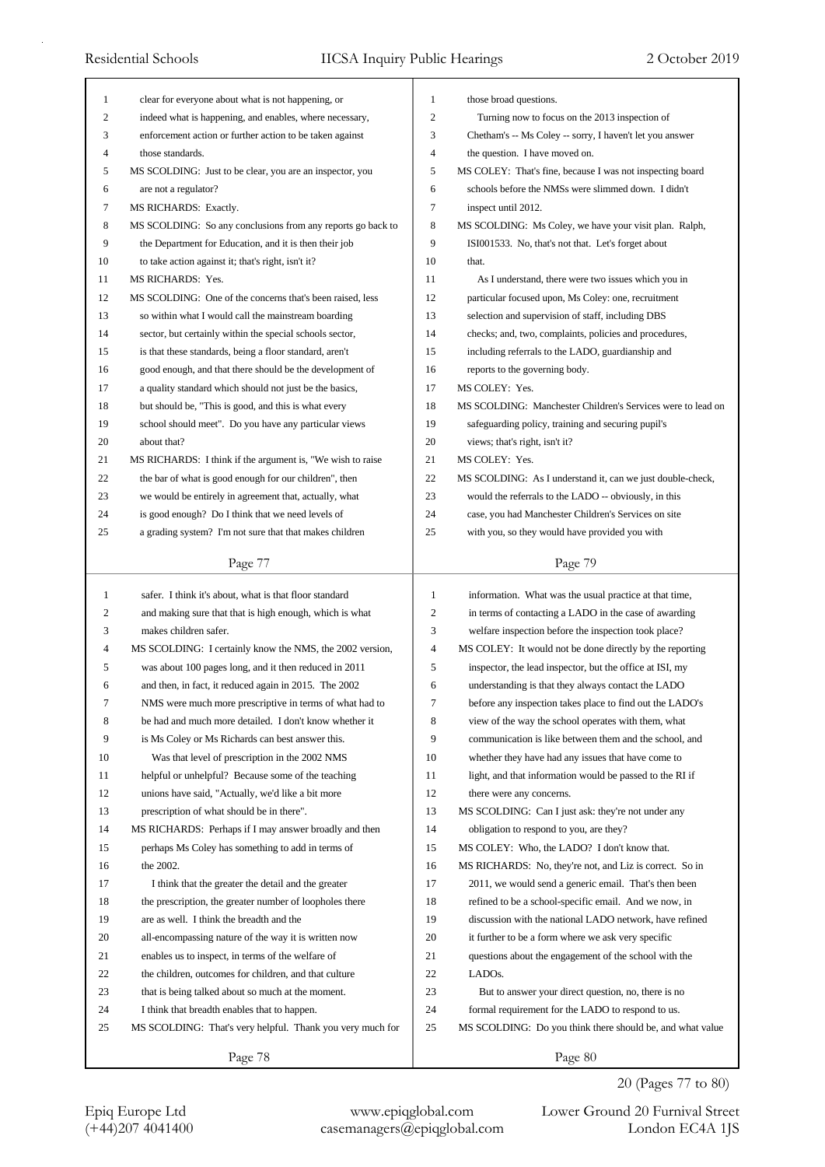| $\mathbf{1}$     | clear for everyone about what is not happening, or          | $\mathbf{1}$     | those broad questions.                                      |
|------------------|-------------------------------------------------------------|------------------|-------------------------------------------------------------|
| 2                | indeed what is happening, and enables, where necessary,     | $\overline{c}$   | Turning now to focus on the 2013 inspection of              |
| 3                | enforcement action or further action to be taken against    | 3                | Chetham's -- Ms Coley -- sorry, I haven't let you answer    |
| 4                | those standards.                                            | $\overline{4}$   | the question. I have moved on.                              |
| 5                | MS SCOLDING: Just to be clear, you are an inspector, you    | 5                | MS COLEY: That's fine, because I was not inspecting board   |
| 6                | are not a regulator?                                        | 6                | schools before the NMSs were slimmed down. I didn't         |
| 7                | MS RICHARDS: Exactly.                                       | 7                | inspect until 2012.                                         |
| 8                | MS SCOLDING: So any conclusions from any reports go back to | $\,$ 8 $\,$      | MS SCOLDING: Ms Coley, we have your visit plan. Ralph,      |
| 9                | the Department for Education, and it is then their job      | 9                | ISI001533. No, that's not that. Let's forget about          |
| 10               | to take action against it; that's right, isn't it?          | 10               | that.                                                       |
| 11               | MS RICHARDS: Yes.                                           | 11               | As I understand, there were two issues which you in         |
| 12               | MS SCOLDING: One of the concerns that's been raised, less   | 12               | particular focused upon, Ms Coley: one, recruitment         |
| 13               | so within what I would call the mainstream boarding         | 13               | selection and supervision of staff, including DBS           |
| 14               | sector, but certainly within the special schools sector,    | 14               | checks; and, two, complaints, policies and procedures,      |
| 15               | is that these standards, being a floor standard, aren't     | 15               | including referrals to the LADO, guardianship and           |
| 16               | good enough, and that there should be the development of    | 16               | reports to the governing body.                              |
| 17               | a quality standard which should not just be the basics,     | 17               | MS COLEY: Yes.                                              |
| 18               | but should be, "This is good, and this is what every        | 18               | MS SCOLDING: Manchester Children's Services were to lead on |
| 19               | school should meet". Do you have any particular views       | 19               | safeguarding policy, training and securing pupil's          |
| 20               | about that?                                                 | 20               | views; that's right, isn't it?                              |
| 21               | MS RICHARDS: I think if the argument is, "We wish to raise  | 21               | MS COLEY: Yes.                                              |
| 22               | the bar of what is good enough for our children", then      | 22               | MS SCOLDING: As I understand it, can we just double-check,  |
| 23               | we would be entirely in agreement that, actually, what      | 23               | would the referrals to the LADO -- obviously, in this       |
| 24               | is good enough? Do I think that we need levels of           | 24               | case, you had Manchester Children's Services on site        |
| 25               | a grading system? I'm not sure that that makes children     | 25               | with you, so they would have provided you with              |
|                  |                                                             |                  |                                                             |
|                  | Page 77                                                     |                  | Page 79                                                     |
|                  |                                                             |                  |                                                             |
|                  |                                                             | $\mathbf{1}$     |                                                             |
| $\mathbf{1}$     | safer. I think it's about, what is that floor standard      |                  | information. What was the usual practice at that time,      |
| 2                | and making sure that that is high enough, which is what     | $\overline{2}$   | in terms of contacting a LADO in the case of awarding       |
| 3                | makes children safer.                                       | 3                | welfare inspection before the inspection took place?        |
| 4                | MS SCOLDING: I certainly know the NMS, the 2002 version,    | $\overline{4}$   | MS COLEY: It would not be done directly by the reporting    |
| 5                | was about 100 pages long, and it then reduced in 2011       | 5                | inspector, the lead inspector, but the office at ISI, my    |
| 6                | and then, in fact, it reduced again in 2015. The 2002       | 6                | understanding is that they always contact the LADO          |
| $\boldsymbol{7}$ | NMS were much more prescriptive in terms of what had to     | $\boldsymbol{7}$ | before any inspection takes place to find out the LADO's    |
| 8                | be had and much more detailed. I don't know whether it      | 8                | view of the way the school operates with them, what         |
| 9                | is Ms Coley or Ms Richards can best answer this.            | 9                | communication is like between them and the school, and      |
| 10               | Was that level of prescription in the 2002 NMS              | $10\,$           | whether they have had any issues that have come to          |
| 11               | helpful or unhelpful? Because some of the teaching          | 11               | light, and that information would be passed to the RI if    |
| 12               | unions have said, "Actually, we'd like a bit more           | 12               | there were any concerns.                                    |
| 13               | prescription of what should be in there".                   | 13               | MS SCOLDING: Can I just ask: they're not under any          |
| 14               | MS RICHARDS: Perhaps if I may answer broadly and then       | 14               | obligation to respond to you, are they?                     |
| 15               | perhaps Ms Coley has something to add in terms of           | 15               | MS COLEY: Who, the LADO? I don't know that.                 |
| 16               | the 2002.                                                   | 16               | MS RICHARDS: No, they're not, and Liz is correct. So in     |
| 17               | I think that the greater the detail and the greater         | 17               | 2011, we would send a generic email. That's then been       |
| 18               | the prescription, the greater number of loopholes there     | 18               | refined to be a school-specific email. And we now, in       |
| 19               | are as well. I think the breadth and the                    | 19               | discussion with the national LADO network, have refined     |
| 20               | all-encompassing nature of the way it is written now        | 20               | it further to be a form where we ask very specific          |
| 21               | enables us to inspect, in terms of the welfare of           | 21               | questions about the engagement of the school with the       |
| 22               | the children, outcomes for children, and that culture       | 22               | LADO <sub>s</sub> .                                         |
| 23               | that is being talked about so much at the moment.           | 23               | But to answer your direct question, no, there is no         |
| 24               | I think that breadth enables that to happen.                | 24               | formal requirement for the LADO to respond to us.           |
| 25               | MS SCOLDING: That's very helpful. Thank you very much for   | 25               | MS SCOLDING: Do you think there should be, and what value   |

20 (Pages 77 to 80)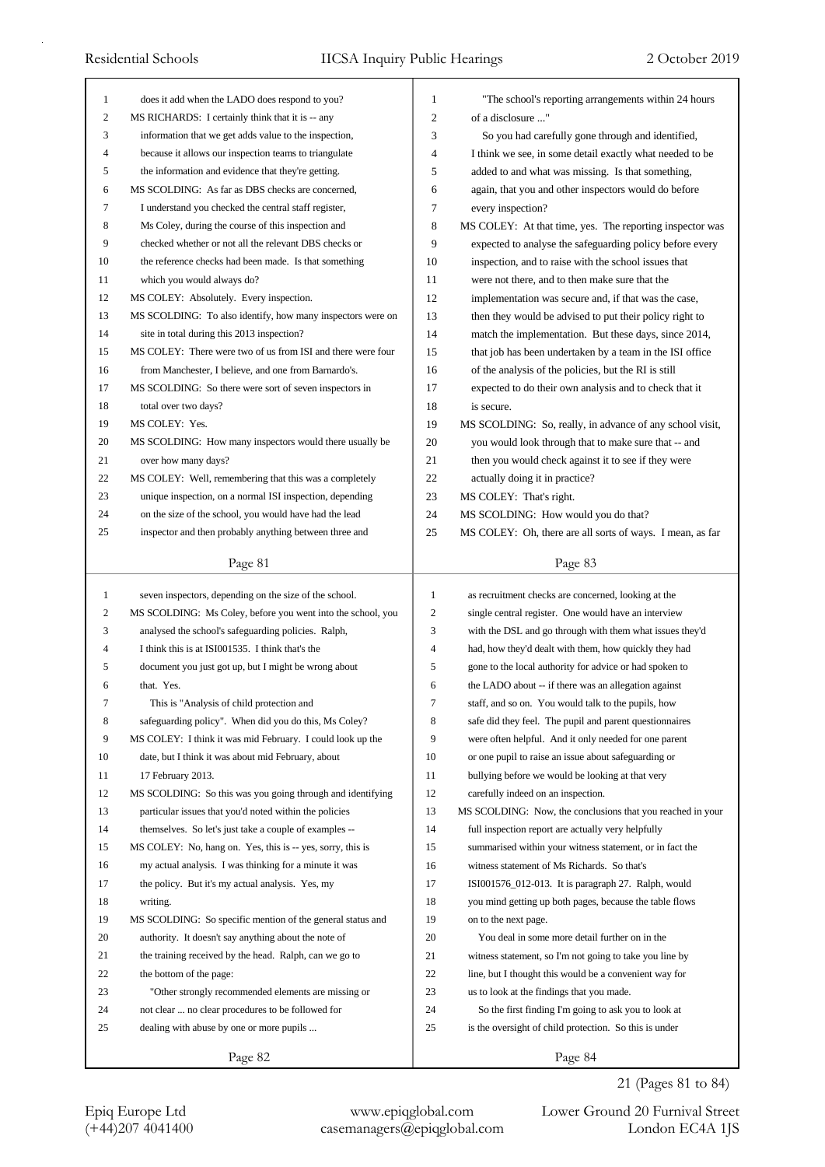| 1                 | does it add when the LADO does respond to you?                                                                        | 1                              | "The school's reporting arrangements within 24 hours                                                        |
|-------------------|-----------------------------------------------------------------------------------------------------------------------|--------------------------------|-------------------------------------------------------------------------------------------------------------|
| 2                 | MS RICHARDS: I certainly think that it is -- any                                                                      | $\overline{c}$                 | of a disclosure "                                                                                           |
| 3                 | information that we get adds value to the inspection,                                                                 | 3                              | So you had carefully gone through and identified,                                                           |
| 4                 | because it allows our inspection teams to triangulate                                                                 | 4                              | I think we see, in some detail exactly what needed to be                                                    |
| 5<br>6            | the information and evidence that they're getting.                                                                    | 5                              | added to and what was missing. Is that something,                                                           |
| 7                 | MS SCOLDING: As far as DBS checks are concerned,                                                                      | 6<br>7                         | again, that you and other inspectors would do before                                                        |
|                   | I understand you checked the central staff register,                                                                  |                                | every inspection?                                                                                           |
| 8                 | Ms Coley, during the course of this inspection and                                                                    | 8                              | MS COLEY: At that time, yes. The reporting inspector was                                                    |
| 9                 | checked whether or not all the relevant DBS checks or                                                                 | 9                              | expected to analyse the safeguarding policy before every                                                    |
| 10                | the reference checks had been made. Is that something                                                                 | 10                             | inspection, and to raise with the school issues that                                                        |
| 11                | which you would always do?                                                                                            | 11                             | were not there, and to then make sure that the                                                              |
| 12                | MS COLEY: Absolutely. Every inspection.                                                                               | 12<br>13                       | implementation was secure and, if that was the case,                                                        |
| 13<br>14          | MS SCOLDING: To also identify, how many inspectors were on                                                            | 14                             | then they would be advised to put their policy right to                                                     |
| 15                | site in total during this 2013 inspection?                                                                            | 15                             | match the implementation. But these days, since 2014,                                                       |
|                   | MS COLEY: There were two of us from ISI and there were four<br>from Manchester, I believe, and one from Barnardo's.   | 16                             | that job has been undertaken by a team in the ISI office                                                    |
| 16<br>17          |                                                                                                                       | 17                             | of the analysis of the policies, but the RI is still                                                        |
| 18                | MS SCOLDING: So there were sort of seven inspectors in<br>total over two days?                                        | 18                             | expected to do their own analysis and to check that it<br>is secure.                                        |
| 19                | MS COLEY: Yes.                                                                                                        | 19                             | MS SCOLDING: So, really, in advance of any school visit,                                                    |
| 20                | MS SCOLDING: How many inspectors would there usually be                                                               | 20                             | you would look through that to make sure that -- and                                                        |
| 21                | over how many days?                                                                                                   | 21                             | then you would check against it to see if they were                                                         |
| 22                | MS COLEY: Well, remembering that this was a completely                                                                | 22                             | actually doing it in practice?                                                                              |
| 23                | unique inspection, on a normal ISI inspection, depending                                                              | 23                             | MS COLEY: That's right.                                                                                     |
| 24                | on the size of the school, you would have had the lead                                                                | 24                             | MS SCOLDING: How would you do that?                                                                         |
| 25                | inspector and then probably anything between three and                                                                | 25                             | MS COLEY: Oh, there are all sorts of ways. I mean, as far                                                   |
|                   |                                                                                                                       |                                |                                                                                                             |
|                   | Page 81                                                                                                               |                                | Page 83                                                                                                     |
|                   |                                                                                                                       |                                |                                                                                                             |
|                   |                                                                                                                       |                                |                                                                                                             |
| $\mathbf{1}$<br>2 | seven inspectors, depending on the size of the school.<br>MS SCOLDING: Ms Coley, before you went into the school, you | $\mathbf{1}$<br>$\overline{2}$ | as recruitment checks are concerned, looking at the<br>single central register. One would have an interview |
| 3                 | analysed the school's safeguarding policies. Ralph,                                                                   | 3                              | with the DSL and go through with them what issues they'd                                                    |
| 4                 | I think this is at ISI001535. I think that's the                                                                      | $\overline{4}$                 | had, how they'd dealt with them, how quickly they had                                                       |
| 5                 | document you just got up, but I might be wrong about                                                                  | 5                              | gone to the local authority for advice or had spoken to                                                     |
| 6                 | that. Yes.                                                                                                            | 6                              | the LADO about -- if there was an allegation against                                                        |
| 7                 | This is "Analysis of child protection and                                                                             | 7                              | staff, and so on. You would talk to the pupils, how                                                         |
| 8                 | safeguarding policy". When did you do this, Ms Coley?                                                                 | 8                              | safe did they feel. The pupil and parent questionnaires                                                     |
| 9                 | MS COLEY: I think it was mid February. I could look up the                                                            | 9                              | were often helpful. And it only needed for one parent                                                       |
| 10                | date, but I think it was about mid February, about                                                                    | 10                             | or one pupil to raise an issue about safeguarding or                                                        |
| 11                | 17 February 2013.                                                                                                     | 11                             | bullying before we would be looking at that very                                                            |
| 12                | MS SCOLDING: So this was you going through and identifying                                                            | 12                             | carefully indeed on an inspection.                                                                          |
| 13                | particular issues that you'd noted within the policies                                                                | 13                             | MS SCOLDING: Now, the conclusions that you reached in your                                                  |
| 14                | themselves. So let's just take a couple of examples --                                                                | 14                             | full inspection report are actually very helpfully                                                          |
| 15                | MS COLEY: No, hang on. Yes, this is -- yes, sorry, this is                                                            | 15                             | summarised within your witness statement, or in fact the                                                    |
| 16                | my actual analysis. I was thinking for a minute it was                                                                | 16                             | witness statement of Ms Richards. So that's                                                                 |
| 17                | the policy. But it's my actual analysis. Yes, my                                                                      | 17                             | ISI001576_012-013. It is paragraph 27. Ralph, would                                                         |
| 18                | writing.                                                                                                              | 18                             | you mind getting up both pages, because the table flows                                                     |
| 19                | MS SCOLDING: So specific mention of the general status and                                                            | 19                             | on to the next page.                                                                                        |
| 20                | authority. It doesn't say anything about the note of                                                                  | 20                             | You deal in some more detail further on in the                                                              |
| 21                | the training received by the head. Ralph, can we go to                                                                | 21                             | witness statement, so I'm not going to take you line by                                                     |
| 22                | the bottom of the page:                                                                                               | 22                             | line, but I thought this would be a convenient way for                                                      |
| 23                | "Other strongly recommended elements are missing or                                                                   | 23                             | us to look at the findings that you made.                                                                   |
| 24                | not clear  no clear procedures to be followed for                                                                     | 24                             | So the first finding I'm going to ask you to look at                                                        |
| 25                | dealing with abuse by one or more pupils                                                                              | 25                             | is the oversight of child protection. So this is under                                                      |

21 (Pages 81 to 84)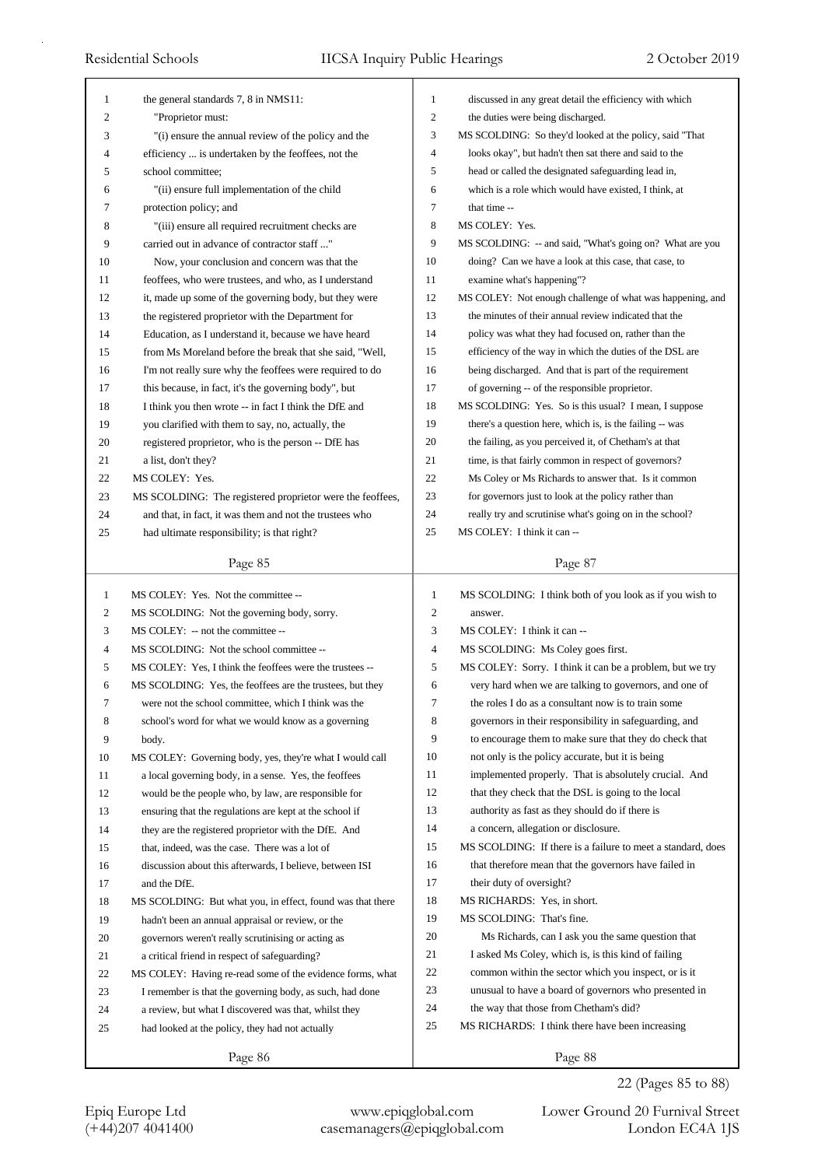|                                |                                                            | $\mathbf{1}$   |                                                                                              |
|--------------------------------|------------------------------------------------------------|----------------|----------------------------------------------------------------------------------------------|
| $\mathbf{1}$<br>$\overline{c}$ | the general standards 7, 8 in NMS11:<br>"Proprietor must:  | $\overline{c}$ | discussed in any great detail the efficiency with which<br>the duties were being discharged. |
| 3                              | "(i) ensure the annual review of the policy and the        | 3              | MS SCOLDING: So they'd looked at the policy, said "That                                      |
| 4                              | efficiency  is undertaken by the feoffees, not the         | $\overline{4}$ | looks okay", but hadn't then sat there and said to the                                       |
| 5                              | school committee;                                          | 5              | head or called the designated safeguarding lead in,                                          |
| 6                              | "(ii) ensure full implementation of the child              | 6              | which is a role which would have existed, I think, at                                        |
| 7                              | protection policy; and                                     | 7              | that time --                                                                                 |
| 8                              | "(iii) ensure all required recruitment checks are          | 8              | MS COLEY: Yes.                                                                               |
| 9                              | carried out in advance of contractor staff"                | 9              | MS SCOLDING: -- and said, "What's going on? What are you                                     |
| 10                             | Now, your conclusion and concern was that the              | 10             | doing? Can we have a look at this case, that case, to                                        |
| 11                             | feoffees, who were trustees, and who, as I understand      | 11             | examine what's happening"?                                                                   |
| 12                             | it, made up some of the governing body, but they were      | 12             | MS COLEY: Not enough challenge of what was happening, and                                    |
| 13                             | the registered proprietor with the Department for          | 13             | the minutes of their annual review indicated that the                                        |
| 14                             | Education, as I understand it, because we have heard       | 14             | policy was what they had focused on, rather than the                                         |
| 15                             | from Ms Moreland before the break that she said, "Well,    | 15             | efficiency of the way in which the duties of the DSL are                                     |
| 16                             | I'm not really sure why the feoffees were required to do   | 16             | being discharged. And that is part of the requirement                                        |
| 17                             | this because, in fact, it's the governing body", but       | 17             | of governing -- of the responsible proprietor.                                               |
| 18                             | I think you then wrote -- in fact I think the DfE and      | 18             | MS SCOLDING: Yes. So is this usual? I mean, I suppose                                        |
| 19                             | you clarified with them to say, no, actually, the          | 19             | there's a question here, which is, is the failing -- was                                     |
| 20                             | registered proprietor, who is the person -- DfE has        | 20             | the failing, as you perceived it, of Chetham's at that                                       |
| 21                             | a list, don't they?                                        | 21             | time, is that fairly common in respect of governors?                                         |
| 22                             | MS COLEY: Yes.                                             | 22             | Ms Coley or Ms Richards to answer that. Is it common                                         |
| 23                             | MS SCOLDING: The registered proprietor were the feoffees,  | 23             | for governors just to look at the policy rather than                                         |
| 24                             | and that, in fact, it was them and not the trustees who    | 24             | really try and scrutinise what's going on in the school?                                     |
| 25                             | had ultimate responsibility; is that right?                | 25             | MS COLEY: I think it can --                                                                  |
|                                |                                                            |                |                                                                                              |
|                                | Page 85                                                    |                | Page 87                                                                                      |
|                                |                                                            |                |                                                                                              |
| $\mathbf{1}$                   | MS COLEY: Yes. Not the committee --                        | $\mathbf{1}$   | MS SCOLDING: I think both of you look as if you wish to                                      |
| 2                              | MS SCOLDING: Not the governing body, sorry.                | $\overline{c}$ | answer.                                                                                      |
| 3                              | MS COLEY: -- not the committee --                          | 3              | MS COLEY: I think it can --                                                                  |
| 4                              | MS SCOLDING: Not the school committee --                   | $\overline{4}$ | MS SCOLDING: Ms Coley goes first.                                                            |
| 5                              | MS COLEY: Yes, I think the feoffees were the trustees --   | 5              | MS COLEY: Sorry. I think it can be a problem, but we try                                     |
| 6                              | MS SCOLDING: Yes, the feoffees are the trustees, but they  | 6              | very hard when we are talking to governors, and one of                                       |
| 7                              | were not the school committee, which I think was the       | 7              | the roles I do as a consultant now is to train some                                          |
| 8                              | school's word for what we would know as a governing        | 8              | governors in their responsibility in safeguarding, and                                       |
| 9                              | body.                                                      | 9              | to encourage them to make sure that they do check that                                       |
| 10                             | MS COLEY: Governing body, yes, they're what I would call   | 10             | not only is the policy accurate, but it is being                                             |
| 11                             | a local governing body, in a sense. Yes, the feoffees      | 11             | implemented properly. That is absolutely crucial. And                                        |
| 12                             | would be the people who, by law, are responsible for       | 12             | that they check that the DSL is going to the local                                           |
| 13                             | ensuring that the regulations are kept at the school if    | 13             | authority as fast as they should do if there is                                              |
| 14                             | they are the registered proprietor with the DfE. And       | 14             | a concern, allegation or disclosure.                                                         |
| 15                             | that, indeed, was the case. There was a lot of             | 15             | MS SCOLDING: If there is a failure to meet a standard, does                                  |
| 16                             | discussion about this afterwards, I believe, between ISI   | 16             | that therefore mean that the governors have failed in                                        |
| 17                             | and the DfE.                                               | 17             | their duty of oversight?                                                                     |
| 18                             | MS SCOLDING: But what you, in effect, found was that there | 18             | MS RICHARDS: Yes, in short.                                                                  |
| 19                             | hadn't been an annual appraisal or review, or the          | 19             | MS SCOLDING: That's fine.                                                                    |
| 20                             | governors weren't really scrutinising or acting as         | 20             | Ms Richards, can I ask you the same question that                                            |
| 21                             | a critical friend in respect of safeguarding?              | 21             | I asked Ms Coley, which is, is this kind of failing                                          |
| 22                             | MS COLEY: Having re-read some of the evidence forms, what  | 22             | common within the sector which you inspect, or is it                                         |
| 23                             | I remember is that the governing body, as such, had done   | 23             | unusual to have a board of governors who presented in                                        |
| 24                             | a review, but what I discovered was that, whilst they      | 24             | the way that those from Chetham's did?                                                       |
| 25                             | had looked at the policy, they had not actually            | 25             | MS RICHARDS: I think there have been increasing                                              |

22 (Pages 85 to 88)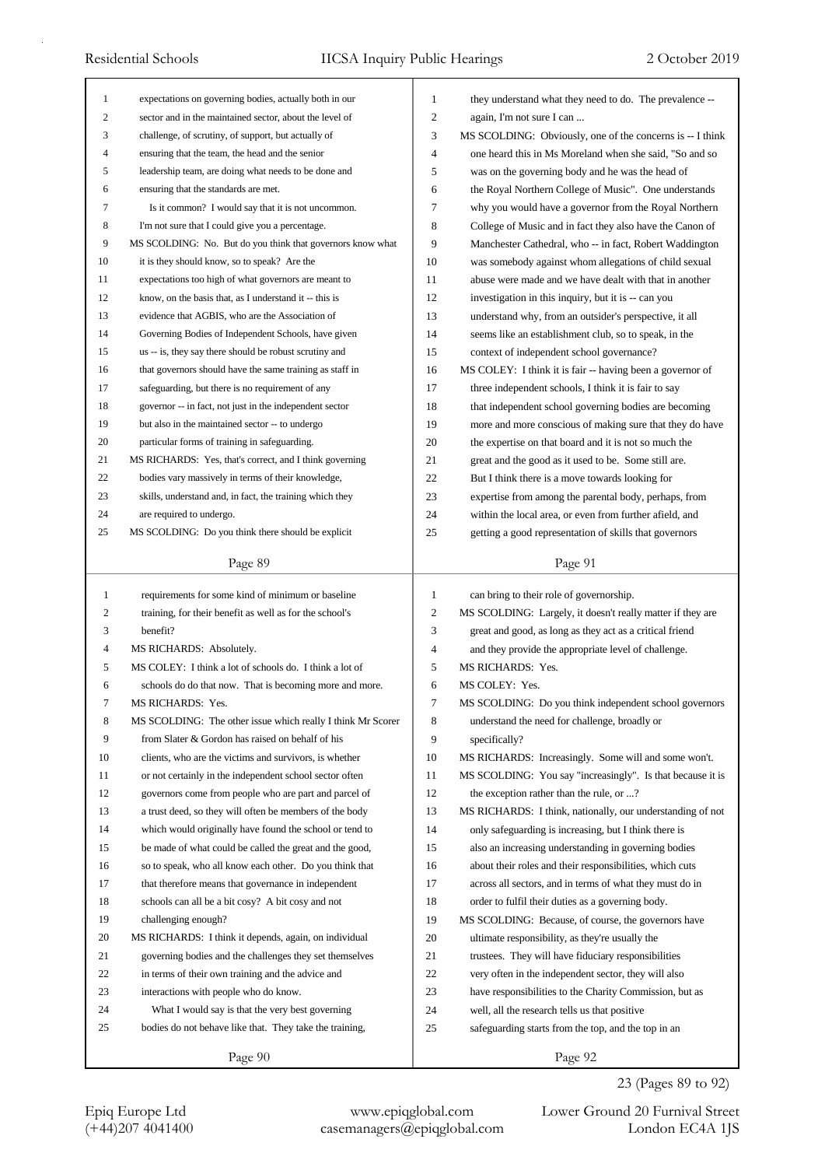| $\mathbf{1}$   | expectations on governing bodies, actually both in our      | 1              | they understand what they need to do. The prevalence --    |
|----------------|-------------------------------------------------------------|----------------|------------------------------------------------------------|
| 2              | sector and in the maintained sector, about the level of     | 2              | again, I'm not sure I can                                  |
| 3              | challenge, of scrutiny, of support, but actually of         | 3              | MS SCOLDING: Obviously, one of the concerns is -- I think  |
| $\overline{4}$ | ensuring that the team, the head and the senior             | 4              | one heard this in Ms Moreland when she said, "So and so    |
| 5              | leadership team, are doing what needs to be done and        | 5              | was on the governing body and he was the head of           |
| 6              | ensuring that the standards are met.                        | 6              | the Royal Northern College of Music". One understands      |
| 7              | Is it common? I would say that it is not uncommon.          | 7              | why you would have a governor from the Royal Northern      |
| 8              | I'm not sure that I could give you a percentage.            | 8              | College of Music and in fact they also have the Canon of   |
| 9              | MS SCOLDING: No. But do you think that governors know what  | 9              | Manchester Cathedral, who -- in fact, Robert Waddington    |
| 10             | it is they should know, so to speak? Are the                | 10             | was somebody against whom allegations of child sexual      |
| 11             | expectations too high of what governors are meant to        | 11             | abuse were made and we have dealt with that in another     |
| 12             | know, on the basis that, as I understand it -- this is      | 12             | investigation in this inquiry, but it is -- can you        |
| 13             | evidence that AGBIS, who are the Association of             | 13             | understand why, from an outsider's perspective, it all     |
| 14             | Governing Bodies of Independent Schools, have given         | 14             | seems like an establishment club, so to speak, in the      |
| 15             | us -- is, they say there should be robust scrutiny and      | 15             | context of independent school governance?                  |
| 16             | that governors should have the same training as staff in    | 16             | MS COLEY: I think it is fair -- having been a governor of  |
| 17             | safeguarding, but there is no requirement of any            | 17             | three independent schools, I think it is fair to say       |
| 18             | governor -- in fact, not just in the independent sector     | 18             | that independent school governing bodies are becoming      |
| 19             | but also in the maintained sector -- to undergo             | 19             | more and more conscious of making sure that they do have   |
| 20             | particular forms of training in safeguarding.               | 20             | the expertise on that board and it is not so much the      |
| 21             | MS RICHARDS: Yes, that's correct, and I think governing     | 21             | great and the good as it used to be. Some still are.       |
| 22             | bodies vary massively in terms of their knowledge,          | 22             | But I think there is a move towards looking for            |
| 23             | skills, understand and, in fact, the training which they    | 23             | expertise from among the parental body, perhaps, from      |
| 24             | are required to undergo.                                    | 24             | within the local area, or even from further afield, and    |
| 25             | MS SCOLDING: Do you think there should be explicit          | 25             | getting a good representation of skills that governors     |
|                |                                                             |                |                                                            |
|                | Page 89                                                     |                | Page 91                                                    |
|                |                                                             |                |                                                            |
|                |                                                             |                |                                                            |
| 1              | requirements for some kind of minimum or baseline           | $\mathbf{1}$   | can bring to their role of governorship.                   |
| $\overline{c}$ | training, for their benefit as well as for the school's     | $\overline{c}$ | MS SCOLDING: Largely, it doesn't really matter if they are |
| 3              | benefit?                                                    | 3              | great and good, as long as they act as a critical friend   |
| 4              | MS RICHARDS: Absolutely.                                    | 4              | and they provide the appropriate level of challenge.       |
| 5              | MS COLEY: I think a lot of schools do. I think a lot of     | 5              | MS RICHARDS: Yes.                                          |
| 6              | schools do do that now. That is becoming more and more.     | 6              | MS COLEY: Yes.                                             |
|                | MS RICHARDS: Yes.                                           | 7              | MS SCOLDING: Do you think independent school governors     |
| 8              | MS SCOLDING: The other issue which really I think Mr Scorer | 8              | understand the need for challenge, broadly or              |
| 9              | from Slater & Gordon has raised on behalf of his            | 9              | specifically?                                              |
| 10             | clients, who are the victims and survivors, is whether      | 10             | MS RICHARDS: Increasingly. Some will and some won't.       |
| 11             | or not certainly in the independent school sector often     | 11             | MS SCOLDING: You say "increasingly". Is that because it is |
| 12             | governors come from people who are part and parcel of       | 12             | the exception rather than the rule, or ?                   |
| 13             | a trust deed, so they will often be members of the body     | 13             | MS RICHARDS: I think, nationally, our understanding of not |
| 14             | which would originally have found the school or tend to     | 14             | only safeguarding is increasing, but I think there is      |
| 15             | be made of what could be called the great and the good,     | 15             | also an increasing understanding in governing bodies       |
| 16             | so to speak, who all know each other. Do you think that     | 16             | about their roles and their responsibilities, which cuts   |
| 17             | that therefore means that governance in independent         | 17             | across all sectors, and in terms of what they must do in   |
| 18             | schools can all be a bit cosy? A bit cosy and not           | 18             | order to fulfil their duties as a governing body.          |
| 19             | challenging enough?                                         | 19             | MS SCOLDING: Because, of course, the governors have        |
| 20             | MS RICHARDS: I think it depends, again, on individual       | 20             | ultimate responsibility, as they're usually the            |
| 21             | governing bodies and the challenges they set themselves     | 21             | trustees. They will have fiduciary responsibilities        |
| 22             | in terms of their own training and the advice and           | 22             | very often in the independent sector, they will also       |
| 23             | interactions with people who do know.                       | 23             | have responsibilities to the Charity Commission, but as    |
| 24             | What I would say is that the very best governing            | 24             | well, all the research tells us that positive              |
| 25             | bodies do not behave like that. They take the training,     | 25             | safeguarding starts from the top, and the top in an        |
|                | Page 90                                                     |                | Page 92                                                    |

23 (Pages 89 to 92)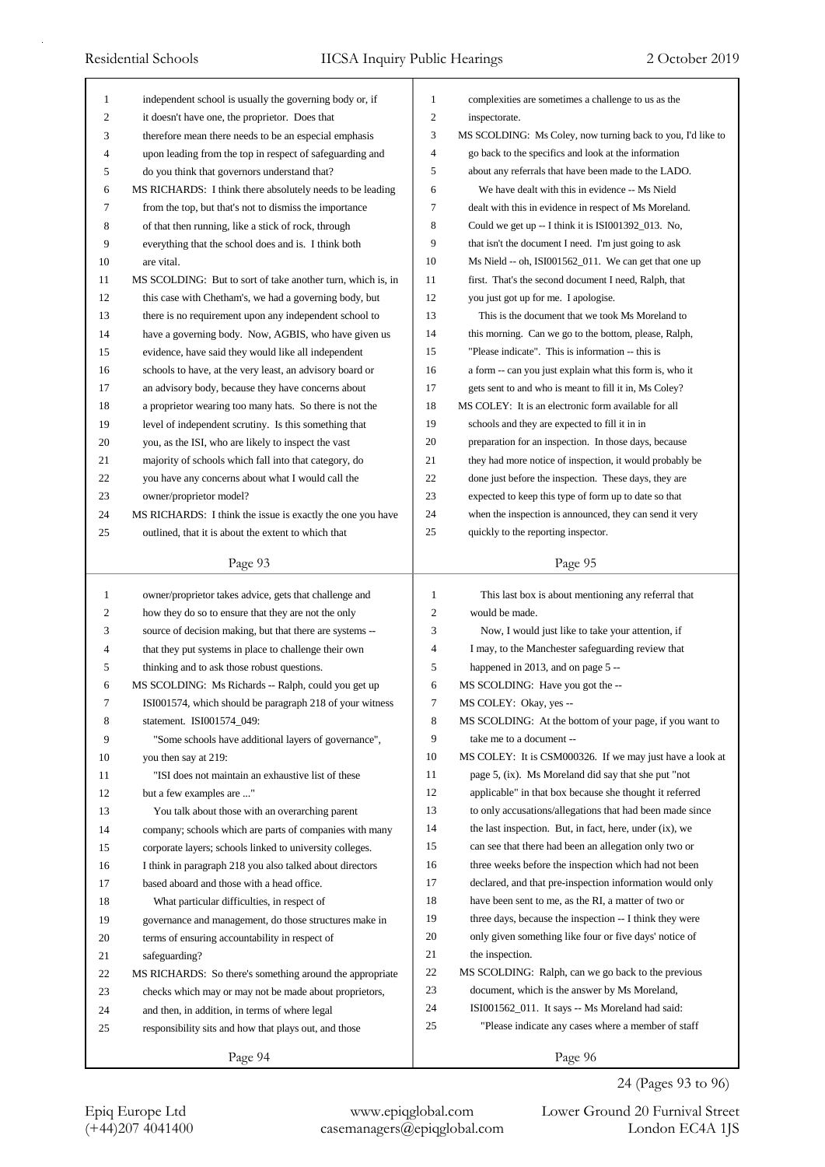| 1              | independent school is usually the governing body or, if     | $\mathbf{1}$   | complexities are sometimes a challenge to us as the         |
|----------------|-------------------------------------------------------------|----------------|-------------------------------------------------------------|
| $\overline{c}$ | it doesn't have one, the proprietor. Does that              | $\mathfrak{2}$ | inspectorate.                                               |
| 3              | therefore mean there needs to be an especial emphasis       | 3              | MS SCOLDING: Ms Coley, now turning back to you, I'd like to |
| 4              | upon leading from the top in respect of safeguarding and    | $\overline{4}$ | go back to the specifics and look at the information        |
| 5              | do you think that governors understand that?                | 5              | about any referrals that have been made to the LADO.        |
| 6              | MS RICHARDS: I think there absolutely needs to be leading   | 6              | We have dealt with this in evidence -- Ms Nield             |
| 7              | from the top, but that's not to dismiss the importance      | 7              | dealt with this in evidence in respect of Ms Moreland.      |
| 8              | of that then running, like a stick of rock, through         | 8              | Could we get up -- I think it is ISI001392_013. No,         |
| 9              | everything that the school does and is. I think both        | 9              | that isn't the document I need. I'm just going to ask       |
| 10             | are vital.                                                  | 10             | Ms Nield -- oh, ISI001562_011. We can get that one up       |
| 11             | MS SCOLDING: But to sort of take another turn, which is, in | 11             | first. That's the second document I need, Ralph, that       |
| 12             | this case with Chetham's, we had a governing body, but      | 12             | you just got up for me. I apologise.                        |
| 13             | there is no requirement upon any independent school to      | 13             | This is the document that we took Ms Moreland to            |
| 14             | have a governing body. Now, AGBIS, who have given us        | 14             | this morning. Can we go to the bottom, please, Ralph,       |
| 15             | evidence, have said they would like all independent         | 15             | "Please indicate". This is information -- this is           |
| 16             | schools to have, at the very least, an advisory board or    | 16             | a form -- can you just explain what this form is, who it    |
| 17             | an advisory body, because they have concerns about          | 17             | gets sent to and who is meant to fill it in, Ms Coley?      |
| 18             | a proprietor wearing too many hats. So there is not the     | 18             | MS COLEY: It is an electronic form available for all        |
| 19             | level of independent scrutiny. Is this something that       | 19             | schools and they are expected to fill it in in              |
| 20             | you, as the ISI, who are likely to inspect the vast         | 20             | preparation for an inspection. In those days, because       |
| 21             | majority of schools which fall into that category, do       | 21             | they had more notice of inspection, it would probably be    |
| 22             | you have any concerns about what I would call the           | 22             | done just before the inspection. These days, they are       |
| 23             | owner/proprietor model?                                     | 23             | expected to keep this type of form up to date so that       |
| 24             | MS RICHARDS: I think the issue is exactly the one you have  | 24             | when the inspection is announced, they can send it very     |
| 25             | outlined, that it is about the extent to which that         | 25             | quickly to the reporting inspector.                         |
|                |                                                             |                |                                                             |
|                | Page 93                                                     |                | Page 95                                                     |
|                |                                                             |                |                                                             |
|                |                                                             |                |                                                             |
| 1              | owner/proprietor takes advice, gets that challenge and      | $\mathbf{1}$   | This last box is about mentioning any referral that         |
| 2              | how they do so to ensure that they are not the only         | 2              | would be made.                                              |
| 3              | source of decision making, but that there are systems --    | 3              | Now, I would just like to take your attention, if           |
| 4              | that they put systems in place to challenge their own       | $\overline{4}$ | I may, to the Manchester safeguarding review that           |
| 5              | thinking and to ask those robust questions.                 | 5              | happened in 2013, and on page 5 --                          |
| 6              | MS SCOLDING: Ms Richards -- Ralph, could you get up         | 6              | MS SCOLDING: Have you got the --                            |
| 7              | ISI001574, which should be paragraph 218 of your witness    | Τ              | MS COLEY: Okay, yes --                                      |
| 8              | statement. ISI001574_049:                                   | 8              | MS SCOLDING: At the bottom of your page, if you want to     |
| 9              | "Some schools have additional layers of governance",        | 9              | take me to a document --                                    |
| 10             | you then say at 219:                                        | 10             | MS COLEY: It is CSM000326. If we may just have a look at    |
| 11             | "ISI does not maintain an exhaustive list of these          | 11             | page 5, (ix). Ms Moreland did say that she put "not         |
| 12             | but a few examples are "                                    | 12             | applicable" in that box because she thought it referred     |
| 13             | You talk about those with an overarching parent             | 13             | to only accusations/allegations that had been made since    |
| 14             | company; schools which are parts of companies with many     | 14             | the last inspection. But, in fact, here, under (ix), we     |
| 15             | corporate layers; schools linked to university colleges.    | 15             | can see that there had been an allegation only two or       |
| 16             | I think in paragraph 218 you also talked about directors    | 16             | three weeks before the inspection which had not been        |
| 17             | based aboard and those with a head office.                  | 17             | declared, and that pre-inspection information would only    |
| 18             | What particular difficulties, in respect of                 | 18             | have been sent to me, as the RI, a matter of two or         |
| 19             | governance and management, do those structures make in      | 19             | three days, because the inspection -- I think they were     |
| 20             | terms of ensuring accountability in respect of              | 20             | only given something like four or five days' notice of      |
| 21             | safeguarding?                                               | 21             | the inspection.                                             |
| 22             | MS RICHARDS: So there's something around the appropriate    | 22             | MS SCOLDING: Ralph, can we go back to the previous          |
| 23             | checks which may or may not be made about proprietors,      | 23             | document, which is the answer by Ms Moreland,               |
| 24             | and then, in addition, in terms of where legal              | 24             | ISI001562_011. It says -- Ms Moreland had said:             |
| 25             | responsibility sits and how that plays out, and those       | 25             | "Please indicate any cases where a member of staff          |
|                | Page 94                                                     |                | Page 96                                                     |

## 24 (Pages 93 to 96)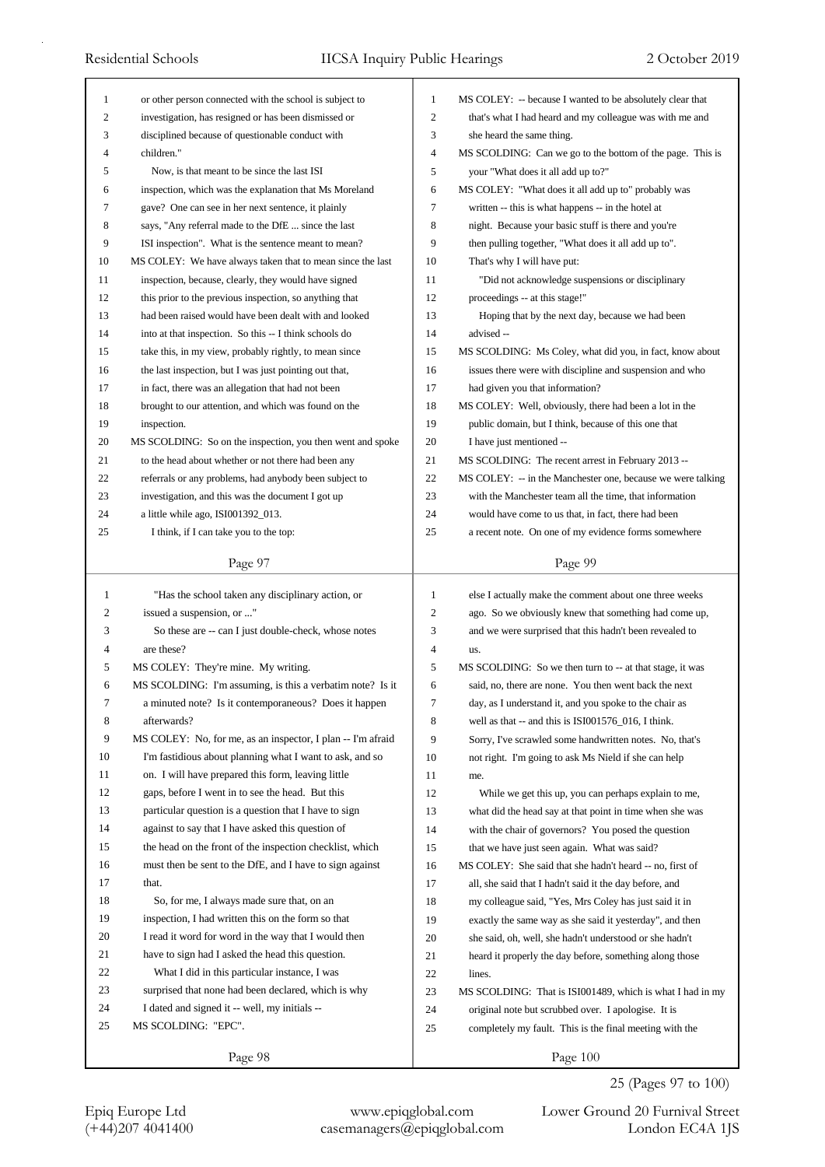| 1              | or other person connected with the school is subject to     | 1              | MS COLEY: -- because I wanted to be absolutely clear that                                                         |
|----------------|-------------------------------------------------------------|----------------|-------------------------------------------------------------------------------------------------------------------|
| $\mathfrak{2}$ | investigation, has resigned or has been dismissed or        | 2              | that's what I had heard and my colleague was with me and                                                          |
| 3              | disciplined because of questionable conduct with            | 3              | she heard the same thing.                                                                                         |
| 4              | children."                                                  | 4              | MS SCOLDING: Can we go to the bottom of the page. This is                                                         |
| 5              | Now, is that meant to be since the last ISI                 | 5              | your "What does it all add up to?"                                                                                |
| 6              | inspection, which was the explanation that Ms Moreland      | 6              | MS COLEY: "What does it all add up to" probably was                                                               |
| 7              | gave? One can see in her next sentence, it plainly          | 7              | written -- this is what happens -- in the hotel at                                                                |
| 8              | says, "Any referral made to the DfE  since the last         | 8              | night. Because your basic stuff is there and you're                                                               |
| 9              | ISI inspection". What is the sentence meant to mean?        | 9              | then pulling together, "What does it all add up to".                                                              |
| 10             | MS COLEY: We have always taken that to mean since the last  | 10             | That's why I will have put:                                                                                       |
| 11             | inspection, because, clearly, they would have signed        | 11             | "Did not acknowledge suspensions or disciplinary                                                                  |
| 12             | this prior to the previous inspection, so anything that     | 12             | proceedings -- at this stage!"                                                                                    |
| 13             | had been raised would have been dealt with and looked       | 13             | Hoping that by the next day, because we had been                                                                  |
| 14             | into at that inspection. So this -- I think schools do      | 14             | advised --                                                                                                        |
| 15             | take this, in my view, probably rightly, to mean since      | 15             | MS SCOLDING: Ms Coley, what did you, in fact, know about                                                          |
| 16             | the last inspection, but I was just pointing out that,      | 16             | issues there were with discipline and suspension and who                                                          |
| 17             | in fact, there was an allegation that had not been          | 17             | had given you that information?                                                                                   |
| 18             | brought to our attention, and which was found on the        | 18             | MS COLEY: Well, obviously, there had been a lot in the                                                            |
| 19             | inspection.                                                 | 19             | public domain, but I think, because of this one that                                                              |
| 20             | MS SCOLDING: So on the inspection, you then went and spoke  | 20             | I have just mentioned --                                                                                          |
| 21             | to the head about whether or not there had been any         | 21             | MS SCOLDING: The recent arrest in February 2013 --                                                                |
| 22             | referrals or any problems, had anybody been subject to      | 22             | MS COLEY: -- in the Manchester one, because we were talking                                                       |
| 23             | investigation, and this was the document I got up           | 23             | with the Manchester team all the time, that information                                                           |
| 24             | a little while ago, ISI001392_013.                          | 24             | would have come to us that, in fact, there had been                                                               |
| 25             | I think, if I can take you to the top:                      | 25             | a recent note. On one of my evidence forms somewhere                                                              |
|                |                                                             |                |                                                                                                                   |
|                | Page 97                                                     |                | Page 99                                                                                                           |
|                |                                                             |                |                                                                                                                   |
|                |                                                             |                |                                                                                                                   |
| $\mathbf{1}$   | "Has the school taken any disciplinary action, or           | $\mathbf{1}$   | else I actually make the comment about one three weeks                                                            |
| 2              | issued a suspension, or "                                   | $\mathfrak{2}$ | ago. So we obviously knew that something had come up,                                                             |
| 3<br>4         | So these are -- can I just double-check, whose notes        | 3              | and we were surprised that this hadn't been revealed to                                                           |
| 5              | are these?                                                  | 4<br>5         | us.                                                                                                               |
|                | MS COLEY: They're mine. My writing.                         | 6              | MS SCOLDING: So we then turn to -- at that stage, it was<br>said, no, there are none. You then went back the next |
| 6              | MS SCOLDING: I'm assuming, is this a verbatim note? Is it   |                |                                                                                                                   |
| 7              | a minuted note? Is it contemporaneous? Does it happen       | 7              | day, as I understand it, and you spoke to the chair as                                                            |
| $\,8\,$        | afterwards?                                                 | 8              | well as that -- and this is ISI001576_016, I think.                                                               |
| 9              | MS COLEY: No, for me, as an inspector, I plan -- I'm afraid | 9              | Sorry, I've scrawled some handwritten notes. No, that's                                                           |
| 10             | I'm fastidious about planning what I want to ask, and so    | 10             | not right. I'm going to ask Ms Nield if she can help                                                              |
| 11             | on. I will have prepared this form, leaving little          | 11             | me.                                                                                                               |
| 12             | gaps, before I went in to see the head. But this            | 12             | While we get this up, you can perhaps explain to me,                                                              |
| 13             | particular question is a question that I have to sign       | 13             | what did the head say at that point in time when she was                                                          |
| 14             | against to say that I have asked this question of           | 14             | with the chair of governors? You posed the question                                                               |
| 15             | the head on the front of the inspection checklist, which    | 15             | that we have just seen again. What was said?                                                                      |
| 16             | must then be sent to the DfE, and I have to sign against    | 16             | MS COLEY: She said that she hadn't heard -- no, first of                                                          |
| 17             | that.                                                       | 17             | all, she said that I hadn't said it the day before, and                                                           |
| 18             | So, for me, I always made sure that, on an                  | 18             | my colleague said, "Yes, Mrs Coley has just said it in                                                            |
| 19             | inspection, I had written this on the form so that          | 19             | exactly the same way as she said it yesterday", and then                                                          |
| 20             | I read it word for word in the way that I would then        | 20             | she said, oh, well, she hadn't understood or she hadn't                                                           |
| 21             | have to sign had I asked the head this question.            | 21             | heard it properly the day before, something along those                                                           |
| 22             | What I did in this particular instance, I was               | 22             | lines.                                                                                                            |
| 23             | surprised that none had been declared, which is why         | 23             | MS SCOLDING: That is ISI001489, which is what I had in my                                                         |
| 24             | I dated and signed it -- well, my initials --               | 24             | original note but scrubbed over. I apologise. It is                                                               |
| 25             | MS SCOLDING: "EPC".                                         | 25             | completely my fault. This is the final meeting with the                                                           |

Epiq Europe Ltd www.epiqglobal.com Lower Ground 20 Furnival Street<br>
(+44)207 4041400 casemanagers@epiqglobal.com London EC4A 1JS

Lower Ground 20 Furnival Street 25 (Pages 97 to 100)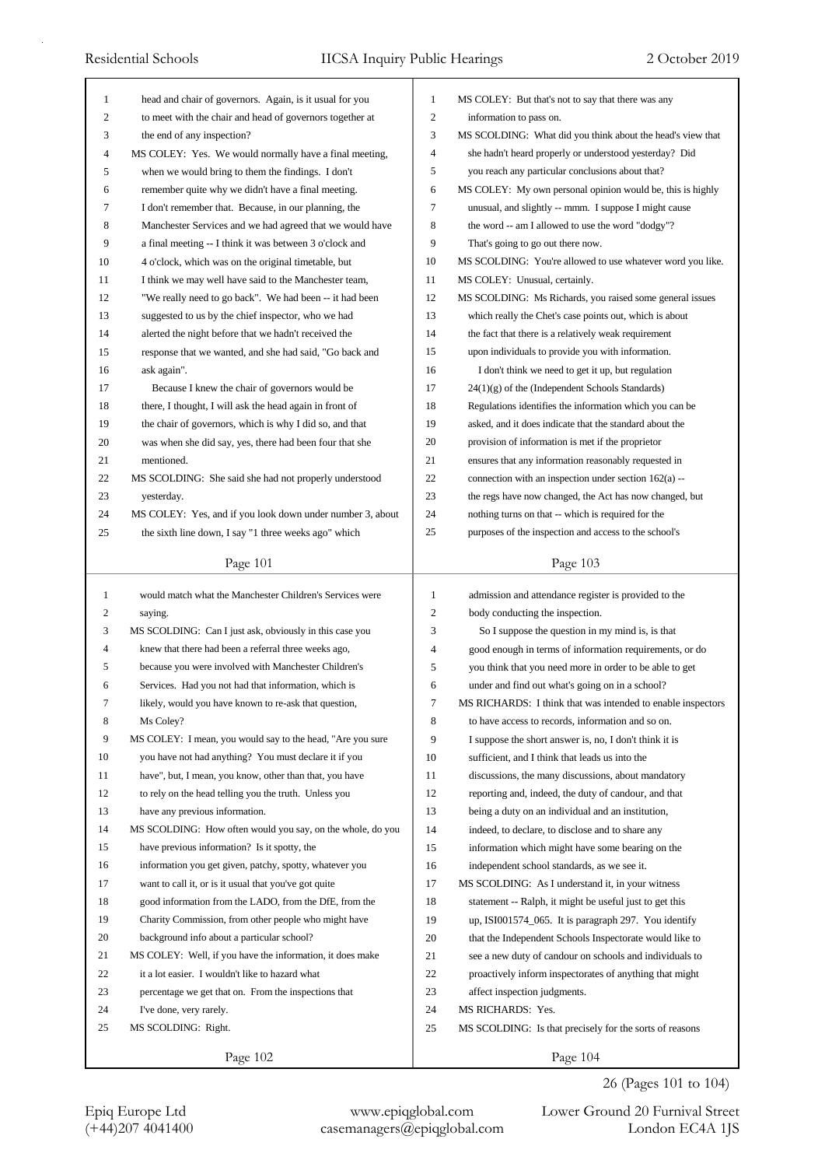| $\mathbf{1}$      | head and chair of governors. Again, is it usual for you    | 1                        | MS COLEY: But that's not to say that there was any          |
|-------------------|------------------------------------------------------------|--------------------------|-------------------------------------------------------------|
| 2                 | to meet with the chair and head of governors together at   | $\mathfrak{2}$           | information to pass on.                                     |
| 3                 | the end of any inspection?                                 | 3                        | MS SCOLDING: What did you think about the head's view that  |
| 4                 | MS COLEY: Yes. We would normally have a final meeting,     | $\overline{\mathcal{L}}$ | she hadn't heard properly or understood yesterday? Did      |
| 5                 | when we would bring to them the findings. I don't          | 5                        | you reach any particular conclusions about that?            |
| 6                 | remember quite why we didn't have a final meeting.         | 6                        | MS COLEY: My own personal opinion would be, this is highly  |
| 7                 | I don't remember that. Because, in our planning, the       | 7                        | unusual, and slightly -- mmm. I suppose I might cause       |
| 8                 | Manchester Services and we had agreed that we would have   | 8                        | the word -- am I allowed to use the word "dodgy"?           |
| 9                 | a final meeting -- I think it was between 3 o'clock and    | 9                        | That's going to go out there now.                           |
| 10                | 4 o'clock, which was on the original timetable, but        | 10                       | MS SCOLDING: You're allowed to use whatever word you like.  |
| 11                | I think we may well have said to the Manchester team,      | 11                       | MS COLEY: Unusual, certainly.                               |
| 12                | "We really need to go back". We had been -- it had been    | 12                       | MS SCOLDING: Ms Richards, you raised some general issues    |
| 13                | suggested to us by the chief inspector, who we had         | 13                       | which really the Chet's case points out, which is about     |
| 14                | alerted the night before that we hadn't received the       | 14                       | the fact that there is a relatively weak requirement        |
| 15                | response that we wanted, and she had said, "Go back and    | 15                       | upon individuals to provide you with information.           |
| 16                | ask again".                                                | 16                       | I don't think we need to get it up, but regulation          |
| 17                | Because I knew the chair of governors would be             | 17                       | $24(1)(g)$ of the (Independent Schools Standards)           |
| 18                | there, I thought, I will ask the head again in front of    | 18                       | Regulations identifies the information which you can be     |
| 19                | the chair of governors, which is why I did so, and that    | 19                       | asked, and it does indicate that the standard about the     |
| 20                | was when she did say, yes, there had been four that she    | 20                       | provision of information is met if the proprietor           |
| 21                | mentioned.                                                 | 21                       | ensures that any information reasonably requested in        |
| 22                | MS SCOLDING: She said she had not properly understood      | 22                       | connection with an inspection under section 162(a) --       |
| 23                |                                                            | 23                       | the regs have now changed, the Act has now changed, but     |
|                   | yesterday.                                                 | 24                       |                                                             |
| 24                | MS COLEY: Yes, and if you look down under number 3, about  | 25                       | nothing turns on that -- which is required for the          |
| 25                | the sixth line down, I say "1 three weeks ago" which       |                          | purposes of the inspection and access to the school's       |
|                   | Page 101                                                   |                          | Page 103                                                    |
|                   |                                                            |                          |                                                             |
|                   |                                                            |                          |                                                             |
| $\mathbf{1}$<br>2 | would match what the Manchester Children's Services were   | 1<br>$\overline{2}$      | admission and attendance register is provided to the        |
|                   | saying.                                                    |                          | body conducting the inspection.                             |
| 3                 | MS SCOLDING: Can I just ask, obviously in this case you    | 3                        | So I suppose the question in my mind is, is that            |
| 4                 | knew that there had been a referral three weeks ago,       | 4                        | good enough in terms of information requirements, or do     |
| 5                 | because you were involved with Manchester Children's       | 5                        | you think that you need more in order to be able to get     |
| 6                 | Services. Had you not had that information, which is       | 6                        | under and find out what's going on in a school?             |
|                   | likely, would you have known to re-ask that question,      | 7                        | MS RICHARDS: I think that was intended to enable inspectors |
| 8                 | Ms Coley?                                                  | 8                        | to have access to records, information and so on.           |
| 9                 | MS COLEY: I mean, you would say to the head, "Are you sure | 9                        | I suppose the short answer is, no, I don't think it is      |
| 10                | you have not had anything? You must declare it if you      | 10                       | sufficient, and I think that leads us into the              |
| 11                | have", but, I mean, you know, other than that, you have    | 11                       | discussions, the many discussions, about mandatory          |
| 12                | to rely on the head telling you the truth. Unless you      | 12                       | reporting and, indeed, the duty of candour, and that        |
| 13                | have any previous information.                             | 13                       | being a duty on an individual and an institution,           |
| 14                | MS SCOLDING: How often would you say, on the whole, do you | 14                       | indeed, to declare, to disclose and to share any            |
| 15                | have previous information? Is it spotty, the               | 15                       | information which might have some bearing on the            |
| 16                | information you get given, patchy, spotty, whatever you    | 16                       | independent school standards, as we see it.                 |
| 17                | want to call it, or is it usual that you've got quite      | 17                       | MS SCOLDING: As I understand it, in your witness            |
| 18                | good information from the LADO, from the DfE, from the     | 18                       | statement -- Ralph, it might be useful just to get this     |
| 19                | Charity Commission, from other people who might have       | 19                       | up, ISI001574_065. It is paragraph 297. You identify        |
| 20                | background info about a particular school?                 | 20                       | that the Independent Schools Inspectorate would like to     |
| 21                | MS COLEY: Well, if you have the information, it does make  | 21                       | see a new duty of candour on schools and individuals to     |
| 22                | it a lot easier. I wouldn't like to hazard what            | 22                       | proactively inform inspectorates of anything that might     |
| 23                | percentage we get that on. From the inspections that       | 23                       | affect inspection judgments.                                |
| 24                | I've done, very rarely.                                    | 24                       | MS RICHARDS: Yes.                                           |
| 25                | MS SCOLDING: Right.                                        | 25                       | MS SCOLDING: Is that precisely for the sorts of reasons     |

26 (Pages 101 to 104)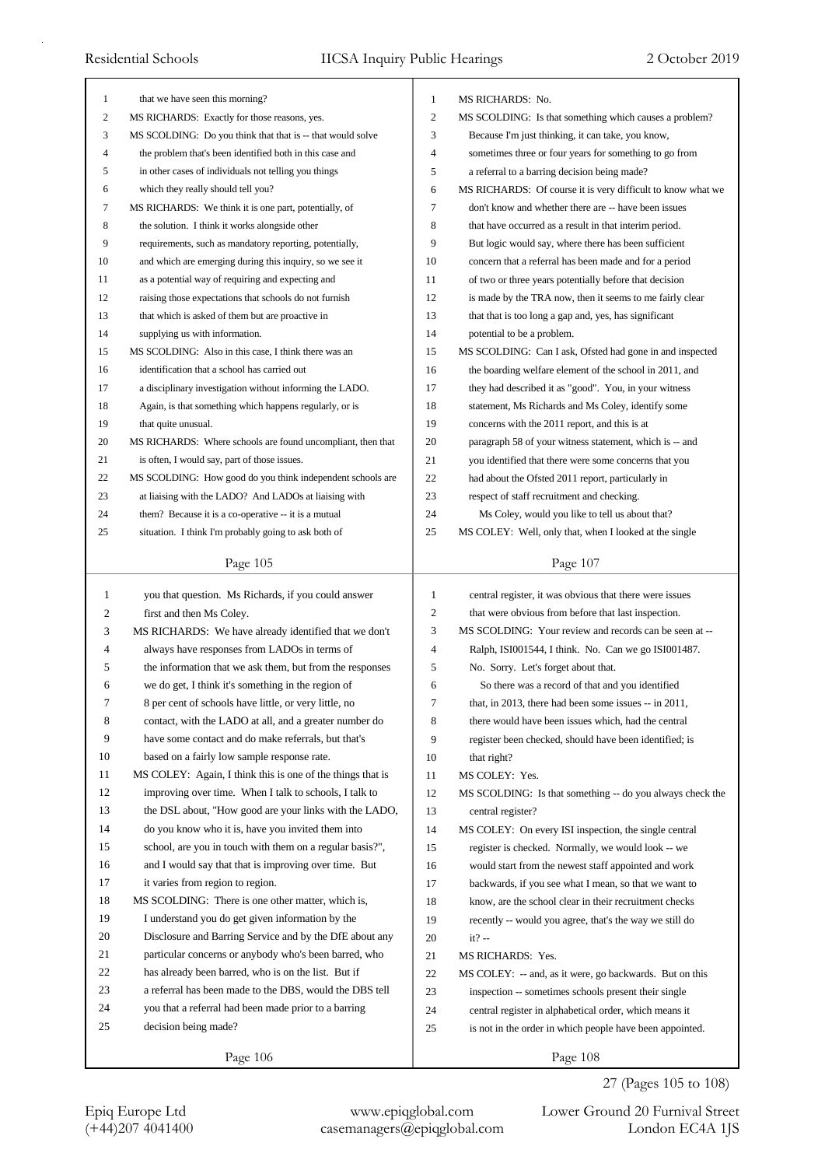| 1                | that we have seen this morning?                             | $\mathbf{1}$                   | MS RICHARDS: No.                                            |
|------------------|-------------------------------------------------------------|--------------------------------|-------------------------------------------------------------|
| $\boldsymbol{2}$ | MS RICHARDS: Exactly for those reasons, yes.                | $\mathbf{2}$                   | MS SCOLDING: Is that something which causes a problem?      |
| 3                | MS SCOLDING: Do you think that that is -- that would solve  | 3                              | Because I'm just thinking, it can take, you know,           |
| 4                | the problem that's been identified both in this case and    | 4                              | sometimes three or four years for something to go from      |
| 5                | in other cases of individuals not telling you things        | $\sqrt{5}$                     | a referral to a barring decision being made?                |
| 6                | which they really should tell you?                          | 6                              | MS RICHARDS: Of course it is very difficult to know what we |
| 7                | MS RICHARDS: We think it is one part, potentially, of       | $\tau$                         | don't know and whether there are -- have been issues        |
| 8                | the solution. I think it works alongside other              | 8                              | that have occurred as a result in that interim period.      |
| 9                | requirements, such as mandatory reporting, potentially,     | 9                              | But logic would say, where there has been sufficient        |
| 10               | and which are emerging during this inquiry, so we see it    | 10                             | concern that a referral has been made and for a period      |
| 11               | as a potential way of requiring and expecting and           | 11                             | of two or three years potentially before that decision      |
| 12               | raising those expectations that schools do not furnish      | 12                             | is made by the TRA now, then it seems to me fairly clear    |
| 13               | that which is asked of them but are proactive in            | 13                             | that that is too long a gap and, yes, has significant       |
| 14               | supplying us with information.                              | 14                             | potential to be a problem.                                  |
| 15               | MS SCOLDING: Also in this case, I think there was an        | 15                             | MS SCOLDING: Can I ask, Ofsted had gone in and inspected    |
| 16               | identification that a school has carried out                | 16                             | the boarding welfare element of the school in 2011, and     |
| 17               | a disciplinary investigation without informing the LADO.    | 17                             | they had described it as "good". You, in your witness       |
| 18               | Again, is that something which happens regularly, or is     | 18                             | statement, Ms Richards and Ms Coley, identify some          |
| 19               | that quite unusual.                                         | 19                             | concerns with the 2011 report, and this is at               |
| 20               | MS RICHARDS: Where schools are found uncompliant, then that | 20                             | paragraph 58 of your witness statement, which is -- and     |
| 21               | is often, I would say, part of those issues.                | 21                             | you identified that there were some concerns that you       |
| 22               | MS SCOLDING: How good do you think independent schools are  | 22                             | had about the Ofsted 2011 report, particularly in           |
| 23               | at liaising with the LADO? And LADOs at liaising with       | 23                             | respect of staff recruitment and checking.                  |
| 24               | them? Because it is a co-operative -- it is a mutual        | 24                             | Ms Coley, would you like to tell us about that?             |
| 25               | situation. I think I'm probably going to ask both of        | 25                             | MS COLEY: Well, only that, when I looked at the single      |
|                  |                                                             |                                |                                                             |
|                  | Page 105                                                    |                                | Page 107                                                    |
|                  |                                                             |                                |                                                             |
|                  |                                                             |                                |                                                             |
| $\mathbf{1}$     | you that question. Ms Richards, if you could answer         | $\mathbf{1}$<br>$\mathfrak{2}$ | central register, it was obvious that there were issues     |
| 2                | first and then Ms Coley.                                    |                                | that were obvious from before that last inspection.         |
| 3<br>4           | MS RICHARDS: We have already identified that we don't       | 3<br>$\overline{4}$            | MS SCOLDING: Your review and records can be seen at --      |
| 5                | always have responses from LADOs in terms of                | 5                              | Ralph, ISI001544, I think. No. Can we go ISI001487.         |
|                  | the information that we ask them, but from the responses    |                                | No. Sorry. Let's forget about that.                         |
| 6                | we do get, I think it's something in the region of          | 6                              | So there was a record of that and you identified            |
|                  | 8 per cent of schools have little, or very little, no       | 7                              | that, in 2013, there had been some issues -- in 2011,       |
| 8                | contact, with the LADO at all, and a greater number do      | 8                              | there would have been issues which, had the central         |
| $\boldsymbol{9}$ | have some contact and do make referrals, but that's         | 9                              | register been checked, should have been identified; is      |
| 10               | based on a fairly low sample response rate.                 | 10                             | that right?                                                 |
| 11               | MS COLEY: Again, I think this is one of the things that is  | 11                             | MS COLEY: Yes.                                              |
| 12               | improving over time. When I talk to schools, I talk to      | 12                             | MS SCOLDING: Is that something -- do you always check the   |
| 13               | the DSL about, "How good are your links with the LADO,      | 13                             | central register?                                           |
| 14               | do you know who it is, have you invited them into           | 14                             | MS COLEY: On every ISI inspection, the single central       |
| 15               | school, are you in touch with them on a regular basis?",    | 15                             | register is checked. Normally, we would look -- we          |
| 16               | and I would say that that is improving over time. But       | 16                             | would start from the newest staff appointed and work        |
| 17               | it varies from region to region.                            | 17                             | backwards, if you see what I mean, so that we want to       |
| 18               | MS SCOLDING: There is one other matter, which is,           | 18                             | know, are the school clear in their recruitment checks      |
| 19               | I understand you do get given information by the            | 19                             | recently -- would you agree, that's the way we still do     |
| 20               | Disclosure and Barring Service and by the DfE about any     | 20                             | $it? -$                                                     |
| 21               | particular concerns or anybody who's been barred, who       | 21                             | MS RICHARDS: Yes.                                           |
| 22               | has already been barred, who is on the list. But if         | 22                             | MS COLEY: -- and, as it were, go backwards. But on this     |
| 23               | a referral has been made to the DBS, would the DBS tell     | 23                             | inspection -- sometimes schools present their single        |
| 24               | you that a referral had been made prior to a barring        | 24                             | central register in alphabetical order, which means it      |
| 25               | decision being made?                                        | 25                             | is not in the order in which people have been appointed.    |

27 (Pages 105 to 108)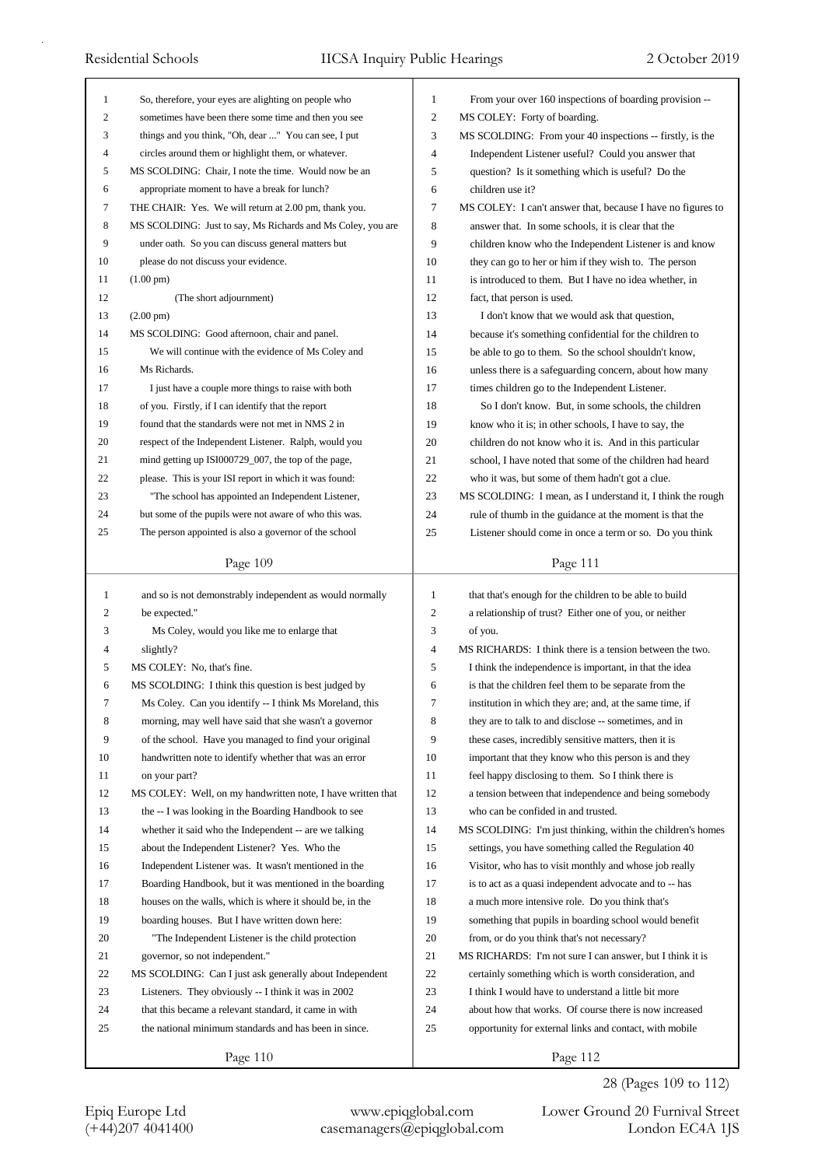| 1            | So, therefore, your eyes are alighting on people who        | 1              | From your over 160 inspections of boarding provision --     |
|--------------|-------------------------------------------------------------|----------------|-------------------------------------------------------------|
| 2            | sometimes have been there some time and then you see        | $\overline{c}$ | MS COLEY: Forty of boarding.                                |
| 3            | things and you think, "Oh, dear " You can see, I put        | 3              | MS SCOLDING: From your 40 inspections -- firstly, is the    |
| 4            | circles around them or highlight them, or whatever.         | 4              | Independent Listener useful? Could you answer that          |
| 5            | MS SCOLDING: Chair, I note the time. Would now be an        | 5              | question? Is it something which is useful? Do the           |
| 6            | appropriate moment to have a break for lunch?               | 6              | children use it?                                            |
| 7            | THE CHAIR: Yes. We will return at 2.00 pm, thank you.       | 7              | MS COLEY: I can't answer that, because I have no figures to |
| 8            | MS SCOLDING: Just to say, Ms Richards and Ms Coley, you are | 8              | answer that. In some schools, it is clear that the          |
| 9            | under oath. So you can discuss general matters but          | 9              | children know who the Independent Listener is and know      |
| 10           | please do not discuss your evidence.                        | 10             | they can go to her or him if they wish to. The person       |
| 11           | $(1.00 \text{ pm})$                                         | 11             | is introduced to them. But I have no idea whether, in       |
| 12           | (The short adjournment)                                     | 12             | fact, that person is used.                                  |
| 13           | $(2.00 \text{ pm})$                                         | 13             | I don't know that we would ask that question,               |
| 14           | MS SCOLDING: Good afternoon, chair and panel.               | 14             | because it's something confidential for the children to     |
| 15           | We will continue with the evidence of Ms Coley and          | 15             | be able to go to them. So the school shouldn't know,        |
| 16           | Ms Richards.                                                | 16             | unless there is a safeguarding concern, about how many      |
| 17           | I just have a couple more things to raise with both         | 17             | times children go to the Independent Listener.              |
| 18           | of you. Firstly, if I can identify that the report          | 18             | So I don't know. But, in some schools, the children         |
| 19           | found that the standards were not met in NMS 2 in           | 19             | know who it is; in other schools, I have to say, the        |
| 20           | respect of the Independent Listener. Ralph, would you       | 20             | children do not know who it is. And in this particular      |
| 21           | mind getting up ISI000729_007, the top of the page,         | 21             | school, I have noted that some of the children had heard    |
| 22           | please. This is your ISI report in which it was found:      | 22             | who it was, but some of them hadn't got a clue.             |
| 23           | "The school has appointed an Independent Listener,          | 23             | MS SCOLDING: I mean, as I understand it, I think the rough  |
| 24           | but some of the pupils were not aware of who this was.      | 24             | rule of thumb in the guidance at the moment is that the     |
| 25           | The person appointed is also a governor of the school       | 25             | Listener should come in once a term or so. Do you think     |
|              |                                                             |                |                                                             |
|              | Page 109                                                    |                | Page 111                                                    |
|              |                                                             |                |                                                             |
| $\mathbf{1}$ | and so is not demonstrably independent as would normally    | $\mathbf{1}$   | that that's enough for the children to be able to build     |
| 2            | be expected."                                               | 2              | a relationship of trust? Either one of you, or neither      |
| 3            | Ms Coley, would you like me to enlarge that                 | 3              | of you.                                                     |
| 4            | slightly?                                                   | 4              | MS RICHARDS: I think there is a tension between the two.    |
| 5            | MS COLEY: No, that's fine.                                  | 5              | I think the independence is important, in that the idea     |
| 6            | MS SCOLDING: I think this question is best judged by        | 6              | is that the children feel them to be separate from the      |
| 7            | Ms Coley. Can you identify -- I think Ms Moreland, this     | 7              | institution in which they are; and, at the same time, if    |
| 8            | morning, may well have said that she wasn't a governor      | 8              | they are to talk to and disclose -- sometimes, and in       |
| 9            | of the school. Have you managed to find your original       | 9              | these cases, incredibly sensitive matters, then it is       |
| 10           | handwritten note to identify whether that was an error      | 10             | important that they know who this person is and they        |
| 11           | on your part?                                               | 11             | feel happy disclosing to them. So I think there is          |
| 12           | MS COLEY: Well, on my handwritten note, I have written that | 12             | a tension between that independence and being somebody      |
| 13           | the -- I was looking in the Boarding Handbook to see        | 13             | who can be confided in and trusted.                         |
| 14           | whether it said who the Independent -- are we talking       | 14             | MS SCOLDING: I'm just thinking, within the children's homes |
| 15           | about the Independent Listener? Yes. Who the                | 15             | settings, you have something called the Regulation 40       |
| 16           | Independent Listener was. It wasn't mentioned in the        | 16             | Visitor, who has to visit monthly and whose job really      |
| 17           | Boarding Handbook, but it was mentioned in the boarding     | 17             | is to act as a quasi independent advocate and to -- has     |
| 18           | houses on the walls, which is where it should be, in the    | 18             |                                                             |
| 19           |                                                             | 19             | a much more intensive role. Do you think that's             |
|              | boarding houses. But I have written down here:              |                | something that pupils in boarding school would benefit      |
| 20<br>21     | "The Independent Listener is the child protection           | 20<br>21       | from, or do you think that's not necessary?                 |
|              | governor, so not independent."                              | 22             | MS RICHARDS: I'm not sure I can answer, but I think it is   |
| 22<br>23     | MS SCOLDING: Can I just ask generally about Independent     | 23             | certainly something which is worth consideration, and       |
|              | Listeners. They obviously -- I think it was in 2002         |                | I think I would have to understand a little bit more        |
| 24           | that this became a relevant standard, it came in with       | 24             | about how that works. Of course there is now increased      |
| 25           | the national minimum standards and has been in since.       | 25             | opportunity for external links and contact, with mobile     |

28 (Pages 109 to 112)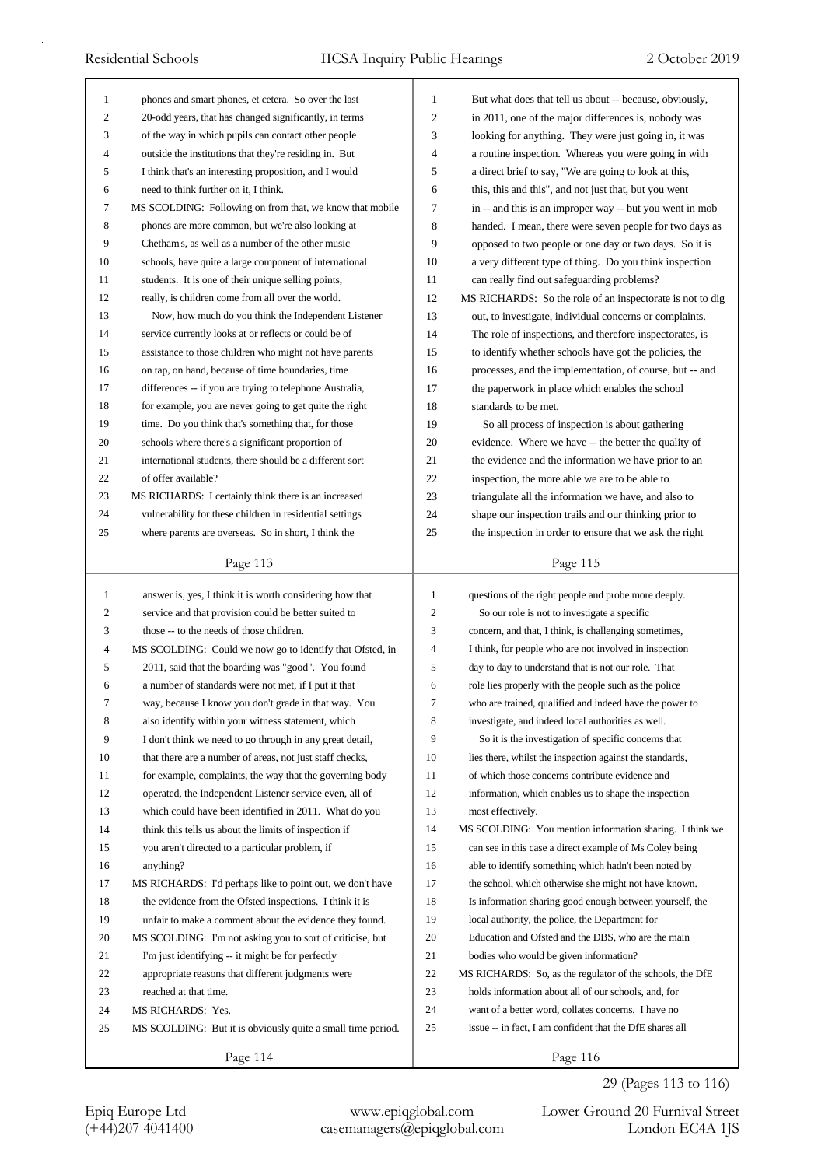| 1              | phones and smart phones, et cetera. So over the last                    | $\mathbf{1}$   | But what does that tell us about -- because, obviously,   |
|----------------|-------------------------------------------------------------------------|----------------|-----------------------------------------------------------|
| 2              | 20-odd years, that has changed significantly, in terms                  | $\overline{c}$ | in 2011, one of the major differences is, nobody was      |
| 3              | of the way in which pupils can contact other people                     | 3              | looking for anything. They were just going in, it was     |
| 4              | outside the institutions that they're residing in. But                  | 4              | a routine inspection. Whereas you were going in with      |
| 5              | I think that's an interesting proposition, and I would                  | 5              | a direct brief to say, "We are going to look at this,     |
| 6              | need to think further on it, I think.                                   | 6              | this, this and this", and not just that, but you went     |
| 7              | MS SCOLDING: Following on from that, we know that mobile                | 7              | in -- and this is an improper way -- but you went in mob  |
| 8              | phones are more common, but we're also looking at                       | 8              | handed. I mean, there were seven people for two days as   |
| 9              | Chetham's, as well as a number of the other music                       | 9              | opposed to two people or one day or two days. So it is    |
| 10             | schools, have quite a large component of international                  | 10             | a very different type of thing. Do you think inspection   |
| 11             | students. It is one of their unique selling points,                     | 11             | can really find out safeguarding problems?                |
| 12             | really, is children come from all over the world.                       | 12             | MS RICHARDS: So the role of an inspectorate is not to dig |
| 13             | Now, how much do you think the Independent Listener                     | 13             | out, to investigate, individual concerns or complaints.   |
| 14             | service currently looks at or reflects or could be of                   | 14             | The role of inspections, and therefore inspectorates, is  |
| 15             | assistance to those children who might not have parents                 | 15             | to identify whether schools have got the policies, the    |
| 16             | on tap, on hand, because of time boundaries, time                       | 16             | processes, and the implementation, of course, but -- and  |
| 17             | differences -- if you are trying to telephone Australia,                | 17             | the paperwork in place which enables the school           |
| 18             | for example, you are never going to get quite the right                 | 18             | standards to be met.                                      |
| 19             | time. Do you think that's something that, for those                     | 19             | So all process of inspection is about gathering           |
| 20             | schools where there's a significant proportion of                       | 20             | evidence. Where we have -- the better the quality of      |
| 21             | international students, there should be a different sort                | 21             | the evidence and the information we have prior to an      |
| 22             | of offer available?                                                     | 22             | inspection, the more able we are to be able to            |
| 23             | MS RICHARDS: I certainly think there is an increased                    | 23             | triangulate all the information we have, and also to      |
| 24             | vulnerability for these children in residential settings                | 24             | shape our inspection trails and our thinking prior to     |
| 25             | where parents are overseas. So in short, I think the                    | 25             | the inspection in order to ensure that we ask the right   |
|                | Page 113                                                                |                | Page 115                                                  |
|                |                                                                         |                |                                                           |
|                |                                                                         |                |                                                           |
| $\mathbf{1}$   | answer is, yes, I think it is worth considering how that                | 1              | questions of the right people and probe more deeply.      |
| 2              | service and that provision could be better suited to                    | 2              | So our role is not to investigate a specific              |
| 3              | those -- to the needs of those children.                                | 3              | concern, and that, I think, is challenging sometimes,     |
| $\overline{4}$ | MS SCOLDING: Could we now go to identify that Ofsted, in                | 4              | I think, for people who are not involved in inspection    |
| 5              | 2011, said that the boarding was "good". You found                      | 5              | day to day to understand that is not our role. That       |
| 6              | a number of standards were not met, if I put it that                    | 6              | role lies properly with the people such as the police     |
| 7              | way, because I know you don't grade in that way. You                    | 7              | who are trained, qualified and indeed have the power to   |
| 8              | also identify within your witness statement, which                      | 8              | investigate, and indeed local authorities as well.        |
| 9              | I don't think we need to go through in any great detail,                | 9              | So it is the investigation of specific concerns that      |
| 10             | that there are a number of areas, not just staff checks,                | 10             | lies there, whilst the inspection against the standards,  |
| 11             | for example, complaints, the way that the governing body                | 11             | of which those concerns contribute evidence and           |
| 12             | operated, the Independent Listener service even, all of                 | 12             | information, which enables us to shape the inspection     |
| 13             | which could have been identified in 2011. What do you                   | 13             | most effectively.                                         |
| 14             | think this tells us about the limits of inspection if                   | 14             | MS SCOLDING: You mention information sharing. I think we  |
| 15             | you aren't directed to a particular problem, if                         | 15             | can see in this case a direct example of Ms Coley being   |
| 16             | anything?                                                               | 16             | able to identify something which hadn't been noted by     |
| 17             | MS RICHARDS: I'd perhaps like to point out, we don't have               | 17             | the school, which otherwise she might not have known.     |
| 18             | the evidence from the Ofsted inspections. I think it is                 | 18             | Is information sharing good enough between yourself, the  |
| 19             | unfair to make a comment about the evidence they found.                 | 19             | local authority, the police, the Department for           |
| 20             | MS SCOLDING: I'm not asking you to sort of criticise, but               | 20             | Education and Ofsted and the DBS, who are the main        |
| 21             | I'm just identifying -- it might be for perfectly                       | 21             | bodies who would be given information?                    |
| 22             | appropriate reasons that different judgments were                       | 22             | MS RICHARDS: So, as the regulator of the schools, the DfE |
| 23             | reached at that time.                                                   | 23             | holds information about all of our schools, and, for      |
| 24             | MS RICHARDS: Yes.                                                       | 24             | want of a better word, collates concerns. I have no       |
| 25             | MS SCOLDING: But it is obviously quite a small time period.<br>Page 114 | 25             | issue -- in fact, I am confident that the DfE shares all  |

Epiq Europe Ltd www.epiqglobal.com Lower Ground 20 Furnival Street<br>
(+44)207 4041400 casemanagers@epiqglobal.com London EC4A 1JS

Lower Ground 20 Furnival Street 29 (Pages 113 to 116)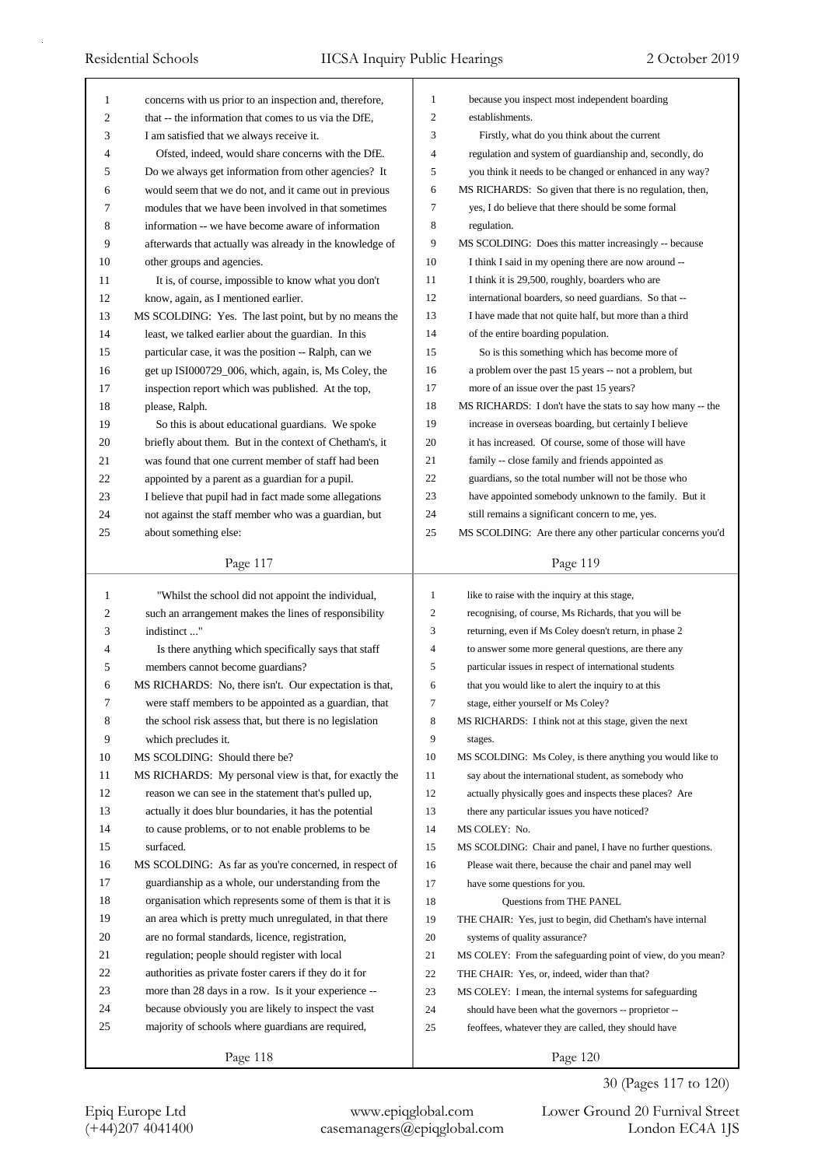| 1  | concerns with us prior to an inspection and, therefore,                                                            | $\mathbf{1}$     | because you inspect most independent boarding               |
|----|--------------------------------------------------------------------------------------------------------------------|------------------|-------------------------------------------------------------|
| 2  | that -- the information that comes to us via the DfE,                                                              | 2                | establishments.                                             |
| 3  | I am satisfied that we always receive it.                                                                          | 3                | Firstly, what do you think about the current                |
| 4  | Ofsted, indeed, would share concerns with the DfE.                                                                 | 4                | regulation and system of guardianship and, secondly, do     |
| 5  | Do we always get information from other agencies? It                                                               | 5                | you think it needs to be changed or enhanced in any way?    |
| 6  | would seem that we do not, and it came out in previous                                                             | 6                | MS RICHARDS: So given that there is no regulation, then,    |
| 7  | modules that we have been involved in that sometimes                                                               | $\tau$           | yes, I do believe that there should be some formal          |
| 8  | information -- we have become aware of information                                                                 | 8                | regulation.                                                 |
| 9  | afterwards that actually was already in the knowledge of                                                           | 9                | MS SCOLDING: Does this matter increasingly -- because       |
| 10 | other groups and agencies.                                                                                         | 10               | I think I said in my opening there are now around --        |
| 11 | It is, of course, impossible to know what you don't                                                                | 11               | I think it is 29,500, roughly, boarders who are             |
| 12 | know, again, as I mentioned earlier.                                                                               | 12               | international boarders, so need guardians. So that --       |
| 13 | MS SCOLDING: Yes. The last point, but by no means the                                                              | 13               | I have made that not quite half, but more than a third      |
| 14 | least, we talked earlier about the guardian. In this                                                               | 14               | of the entire boarding population.                          |
| 15 | particular case, it was the position -- Ralph, can we                                                              | 15               | So is this something which has become more of               |
| 16 | get up ISI000729_006, which, again, is, Ms Coley, the                                                              | 16               | a problem over the past 15 years -- not a problem, but      |
| 17 | inspection report which was published. At the top,                                                                 | 17               | more of an issue over the past 15 years?                    |
| 18 | please, Ralph.                                                                                                     | 18               | MS RICHARDS: I don't have the stats to say how many -- the  |
| 19 | So this is about educational guardians. We spoke                                                                   | 19               | increase in overseas boarding, but certainly I believe      |
| 20 | briefly about them. But in the context of Chetham's, it                                                            | 20               | it has increased. Of course, some of those will have        |
| 21 | was found that one current member of staff had been                                                                | 21               | family -- close family and friends appointed as             |
| 22 | appointed by a parent as a guardian for a pupil.                                                                   | 22               | guardians, so the total number will not be those who        |
| 23 | I believe that pupil had in fact made some allegations                                                             | 23               | have appointed somebody unknown to the family. But it       |
| 24 | not against the staff member who was a guardian, but                                                               | 24               | still remains a significant concern to me, yes.             |
| 25 | about something else:                                                                                              | 25               | MS SCOLDING: Are there any other particular concerns you'd  |
|    |                                                                                                                    |                  |                                                             |
|    | Page 117                                                                                                           |                  | Page 119                                                    |
|    |                                                                                                                    |                  |                                                             |
| 1  |                                                                                                                    | $\mathbf{1}$     | like to raise with the inquiry at this stage,               |
| 2  | "Whilst the school did not appoint the individual,<br>such an arrangement makes the lines of responsibility        | $\boldsymbol{2}$ | recognising, of course, Ms Richards, that you will be       |
| 3  | indistinct"                                                                                                        | 3                | returning, even if Ms Coley doesn't return, in phase 2      |
| 4  |                                                                                                                    | $\overline{4}$   | to answer some more general questions, are there any        |
| 5  | Is there anything which specifically says that staff<br>members cannot become guardians?                           | 5                | particular issues in respect of international students      |
| 6  | MS RICHARDS: No, there isn't. Our expectation is that,                                                             | 6                | that you would like to alert the inquiry to at this         |
| 7  |                                                                                                                    | $\boldsymbol{7}$ |                                                             |
| 8  | were staff members to be appointed as a guardian, that<br>the school risk assess that, but there is no legislation | 8                | stage, either yourself or Ms Coley?                         |
|    |                                                                                                                    | 9                | MS RICHARDS: I think not at this stage, given the next      |
| 9  | which precludes it.<br>MS SCOLDING: Should there be?                                                               | 10               | stages.                                                     |
| 10 |                                                                                                                    |                  | MS SCOLDING: Ms Coley, is there anything you would like to  |
| 11 | MS RICHARDS: My personal view is that, for exactly the                                                             | 11               | say about the international student, as somebody who        |
| 12 | reason we can see in the statement that's pulled up,                                                               | 12               | actually physically goes and inspects these places? Are     |
| 13 | actually it does blur boundaries, it has the potential                                                             | 13               | there any particular issues you have noticed?               |
| 14 | to cause problems, or to not enable problems to be                                                                 | 14               | MS COLEY: No.                                               |
| 15 | surfaced.                                                                                                          | 15               | MS SCOLDING: Chair and panel, I have no further questions.  |
| 16 | MS SCOLDING: As far as you're concerned, in respect of                                                             | 16               | Please wait there, because the chair and panel may well     |
| 17 | guardianship as a whole, our understanding from the                                                                | 17               | have some questions for you.                                |
| 18 | organisation which represents some of them is that it is                                                           | 18               | Questions from THE PANEL                                    |
| 19 | an area which is pretty much unregulated, in that there                                                            | 19               | THE CHAIR: Yes, just to begin, did Chetham's have internal  |
| 20 | are no formal standards, licence, registration,                                                                    | 20               | systems of quality assurance?                               |
| 21 | regulation; people should register with local                                                                      | 21               | MS COLEY: From the safeguarding point of view, do you mean? |
| 22 | authorities as private foster carers if they do it for                                                             | 22               | THE CHAIR: Yes, or, indeed, wider than that?                |
| 23 | more than 28 days in a row. Is it your experience --                                                               | 23               | MS COLEY: I mean, the internal systems for safeguarding     |
| 24 | because obviously you are likely to inspect the vast                                                               | 24               | should have been what the governors -- proprietor --        |
| 25 | majority of schools where guardians are required,                                                                  | 25               | feoffees, whatever they are called, they should have        |

Page 120

30 (Pages 117 to 120)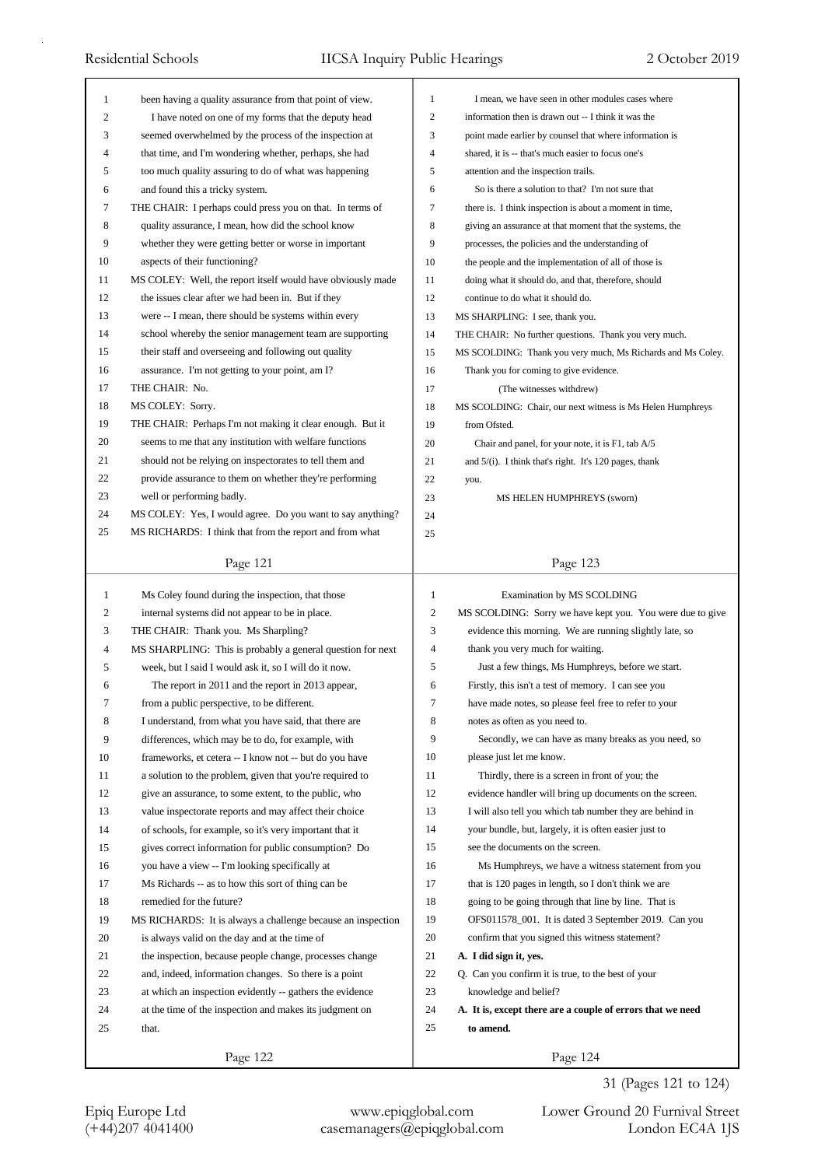| $\mathbf{1}$   | been having a quality assurance from that point of view.    | $\mathbf{1}$            | I mean, we have seen in other modules cases where           |
|----------------|-------------------------------------------------------------|-------------------------|-------------------------------------------------------------|
| $\mathfrak{2}$ | I have noted on one of my forms that the deputy head        | $\overline{c}$          | information then is drawn out -- I think it was the         |
| 3              | seemed overwhelmed by the process of the inspection at      | 3                       | point made earlier by counsel that where information is     |
| 4              | that time, and I'm wondering whether, perhaps, she had      | $\overline{4}$          | shared, it is -- that's much easier to focus one's          |
| 5              | too much quality assuring to do of what was happening       | 5                       | attention and the inspection trails.                        |
| 6              | and found this a tricky system.                             | 6                       | So is there a solution to that? I'm not sure that           |
| 7              | THE CHAIR: I perhaps could press you on that. In terms of   | 7                       | there is. I think inspection is about a moment in time,     |
| 8              | quality assurance, I mean, how did the school know          | 8                       | giving an assurance at that moment that the systems, the    |
| 9              | whether they were getting better or worse in important      | 9                       | processes, the policies and the understanding of            |
| 10             | aspects of their functioning?                               | 10                      | the people and the implementation of all of those is        |
| 11             | MS COLEY: Well, the report itself would have obviously made | 11                      | doing what it should do, and that, therefore, should        |
| 12             | the issues clear after we had been in. But if they          | 12                      | continue to do what it should do.                           |
| 13             | were -- I mean, there should be systems within every        | 13                      | MS SHARPLING: I see, thank you.                             |
| 14             | school whereby the senior management team are supporting    | 14                      | THE CHAIR: No further questions. Thank you very much.       |
| 15             | their staff and overseeing and following out quality        | 15                      | MS SCOLDING: Thank you very much, Ms Richards and Ms Coley. |
| 16             | assurance. I'm not getting to your point, am I?             | 16                      | Thank you for coming to give evidence.                      |
| 17             | THE CHAIR: No.                                              | 17                      | (The witnesses withdrew)                                    |
| 18             | MS COLEY: Sorry.                                            | 18                      | MS SCOLDING: Chair, our next witness is Ms Helen Humphreys  |
| 19             | THE CHAIR: Perhaps I'm not making it clear enough. But it   | 19                      | from Ofsted.                                                |
| 20             | seems to me that any institution with welfare functions     | 20                      | Chair and panel, for your note, it is F1, tab A/5           |
| 21             | should not be relying on inspectorates to tell them and     | 21                      | and $5/(i)$ . I think that's right. It's 120 pages, thank   |
| 22             | provide assurance to them on whether they're performing     | 22                      | you.                                                        |
| 23             | well or performing badly.                                   | 23                      | MS HELEN HUMPHREYS (sworn)                                  |
| 24             | MS COLEY: Yes, I would agree. Do you want to say anything?  | 24                      |                                                             |
| 25             | MS RICHARDS: I think that from the report and from what     | 25                      |                                                             |
|                |                                                             |                         |                                                             |
|                | Page 121                                                    |                         | Page 123                                                    |
| $\mathbf{1}$   | Ms Coley found during the inspection, that those            | $\mathbf{1}$            | Examination by MS SCOLDING                                  |
| 2              | internal systems did not appear to be in place.             | $\overline{\mathbf{c}}$ | MS SCOLDING: Sorry we have kept you. You were due to give   |
| 3              | THE CHAIR: Thank you. Ms Sharpling?                         | 3                       | evidence this morning. We are running slightly late, so     |
| 4              | MS SHARPLING: This is probably a general question for next  | $\overline{4}$          | thank you very much for waiting.                            |
| 5              | week, but I said I would ask it, so I will do it now.       | 5                       | Just a few things, Ms Humphreys, before we start.           |
| 6              | The report in 2011 and the report in 2013 appear,           | 6                       | Firstly, this isn't a test of memory. I can see you         |
| 7              | from a public perspective, to be different.                 | 7                       | have made notes, so please feel free to refer to your       |
| 8              | I understand, from what you have said, that there are       | 8                       | notes as often as you need to.                              |
| 9              | differences, which may be to do, for example, with          | 9                       | Secondly, we can have as many breaks as you need, so        |
| 10             |                                                             | 10                      | please just let me know.                                    |
| 11             | frameworks, et cetera -- I know not -- but do you have      | 11                      |                                                             |
|                | a solution to the problem, given that you're required to    |                         | Thirdly, there is a screen in front of you; the             |
| 12             | give an assurance, to some extent, to the public, who       | 12                      | evidence handler will bring up documents on the screen.     |
| 13             | value inspectorate reports and may affect their choice      | 13                      | I will also tell you which tab number they are behind in    |
| 14             | of schools, for example, so it's very important that it     | 14                      | your bundle, but, largely, it is often easier just to       |
| 15             | gives correct information for public consumption? Do        | 15                      | see the documents on the screen.                            |
| 16             | you have a view -- I'm looking specifically at              | 16                      | Ms Humphreys, we have a witness statement from you          |
| 17             | Ms Richards -- as to how this sort of thing can be          | 17                      | that is 120 pages in length, so I don't think we are        |
| 18             | remedied for the future?                                    | 18                      | going to be going through that line by line. That is        |
| 19             | MS RICHARDS: It is always a challenge because an inspection | 19                      | OFS011578_001. It is dated 3 September 2019. Can you        |
| 20             | is always valid on the day and at the time of               | 20                      | confirm that you signed this witness statement?             |
| 21             | the inspection, because people change, processes change     | 21                      | A. I did sign it, yes.                                      |
| 22             | and, indeed, information changes. So there is a point       | 22                      | Q. Can you confirm it is true, to the best of your          |
|                |                                                             |                         |                                                             |
| 23             | at which an inspection evidently -- gathers the evidence    | 23                      | knowledge and belief?                                       |
| 24             | at the time of the inspection and makes its judgment on     | 24                      | A. It is, except there are a couple of errors that we need  |
| 25             | that.                                                       | 25                      | to amend.                                                   |

31 (Pages 121 to 124)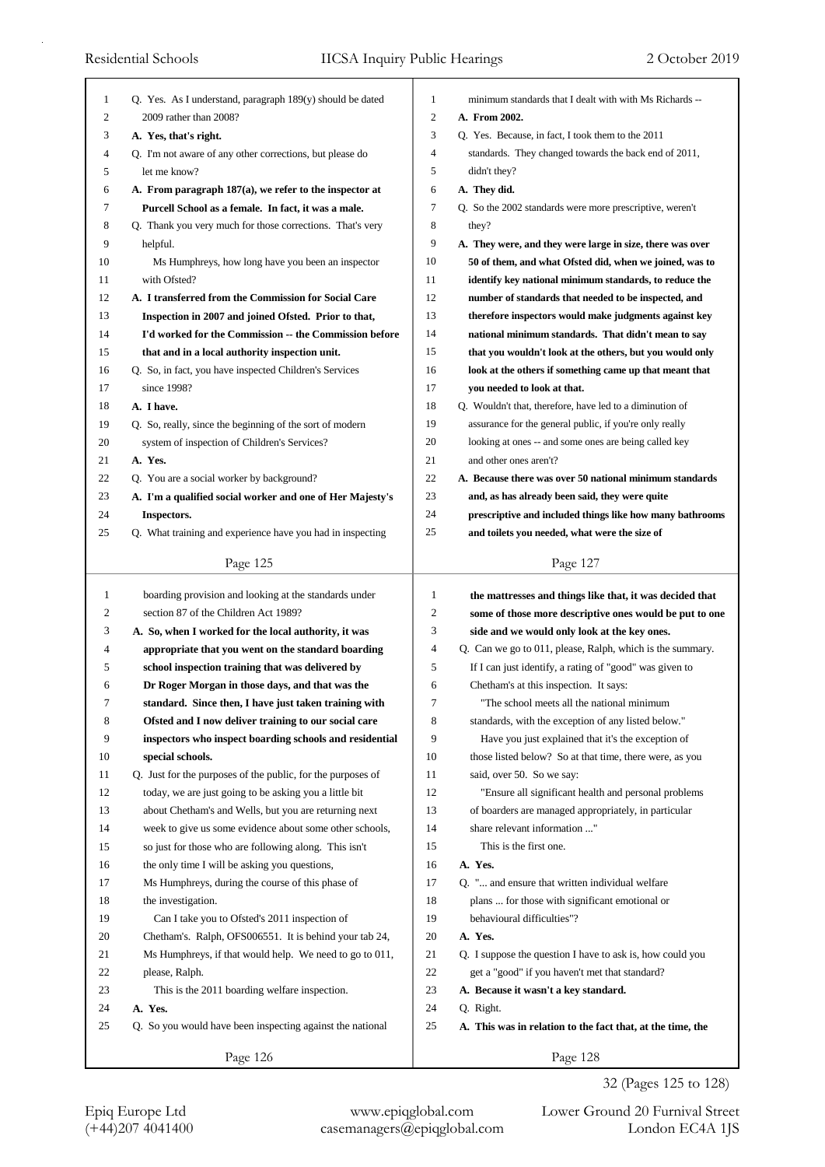| 1            | Q. Yes. As I understand, paragraph $189(y)$ should be dated | 1              | minimum standards that I dealt with with Ms Richards --                 |
|--------------|-------------------------------------------------------------|----------------|-------------------------------------------------------------------------|
| 2            | 2009 rather than 2008?                                      | $\mathfrak{2}$ | A. From 2002.                                                           |
| 3            | A. Yes, that's right.                                       | 3              | Q. Yes. Because, in fact, I took them to the 2011                       |
| 4            | Q. I'm not aware of any other corrections, but please do    | 4              | standards. They changed towards the back end of 2011,                   |
| 5            | let me know?                                                | 5              | didn't they?                                                            |
| 6            | A. From paragraph 187(a), we refer to the inspector at      | 6              | A. They did.                                                            |
| 7            | Purcell School as a female. In fact, it was a male.         | 7              | Q. So the 2002 standards were more prescriptive, weren't                |
| 8            | Q. Thank you very much for those corrections. That's very   | 8              | they?                                                                   |
| 9            | helpful.                                                    | 9              | A. They were, and they were large in size, there was over               |
| 10           | Ms Humphreys, how long have you been an inspector           | 10             | 50 of them, and what Ofsted did, when we joined, was to                 |
| 11           | with Ofsted?                                                | 11             | identify key national minimum standards, to reduce the                  |
| 12           | A. I transferred from the Commission for Social Care        | 12             | number of standards that needed to be inspected, and                    |
| 13           | Inspection in 2007 and joined Ofsted. Prior to that,        | 13             | therefore inspectors would make judgments against key                   |
| 14           | I'd worked for the Commission -- the Commission before      | 14             | national minimum standards. That didn't mean to say                     |
| 15           | that and in a local authority inspection unit.              | 15             | that you wouldn't look at the others, but you would only                |
| 16           | Q. So, in fact, you have inspected Children's Services      | 16             | look at the others if something came up that meant that                 |
| 17           | since 1998?                                                 | 17             | you needed to look at that.                                             |
| 18           | A. I have.                                                  | 18             | Q. Wouldn't that, therefore, have led to a diminution of                |
| 19           | Q. So, really, since the beginning of the sort of modern    | 19             | assurance for the general public, if you're only really                 |
| 20           | system of inspection of Children's Services?                | 20             | looking at ones -- and some ones are being called key                   |
| 21           | A. Yes.                                                     | 21             | and other ones aren't?                                                  |
| 22           | Q. You are a social worker by background?                   | 22             | A. Because there was over 50 national minimum standards                 |
| 23           | A. I'm a qualified social worker and one of Her Majesty's   | 23             | and, as has already been said, they were quite                          |
| 24           | Inspectors.                                                 | 24             | prescriptive and included things like how many bathrooms                |
| 25           | Q. What training and experience have you had in inspecting  | 25             | and toilets you needed, what were the size of                           |
|              | Page 125                                                    |                | Page 127                                                                |
|              |                                                             |                |                                                                         |
|              |                                                             |                |                                                                         |
| $\mathbf{1}$ | boarding provision and looking at the standards under       | 1              | the mattresses and things like that, it was decided that                |
| 2            | section 87 of the Children Act 1989?                        | $\mathfrak{2}$ | some of those more descriptive ones would be put to one                 |
| 3            | A. So, when I worked for the local authority, it was        | 3              | side and we would only look at the key ones.                            |
| 4            | appropriate that you went on the standard boarding          | $\overline{4}$ | Q. Can we go to 011, please, Ralph, which is the summary.               |
| 5            | school inspection training that was delivered by            | 5              | If I can just identify, a rating of "good" was given to                 |
| 6            | Dr Roger Morgan in those days, and that was the             | 6              | Chetham's at this inspection. It says:                                  |
| 7            | standard. Since then, I have just taken training with       | 7              | "The school meets all the national minimum                              |
| 8            | Ofsted and I now deliver training to our social care        | 8              | standards, with the exception of any listed below."                     |
| 9            | inspectors who inspect boarding schools and residential     | 9              | Have you just explained that it's the exception of                      |
| 10           | special schools.                                            | 10             | those listed below? So at that time, there were, as you                 |
| 11           | Q. Just for the purposes of the public, for the purposes of | 11             | said, over 50. So we say:                                               |
| 12           | today, we are just going to be asking you a little bit      | 12             | "Ensure all significant health and personal problems                    |
| 13           | about Chetham's and Wells, but you are returning next       | 13             | of boarders are managed appropriately, in particular                    |
| 14           | week to give us some evidence about some other schools,     | 14             | share relevant information "                                            |
| 15           | so just for those who are following along. This isn't       | 15             | This is the first one.                                                  |
| 16           | the only time I will be asking you questions,               | 16             | A. Yes.                                                                 |
| 17           | Ms Humphreys, during the course of this phase of            | 17             | Q. " and ensure that written individual welfare                         |
| 18           | the investigation.                                          | 18             | plans  for those with significant emotional or                          |
| 19           | Can I take you to Ofsted's 2011 inspection of               | 19             | behavioural difficulties"?                                              |
| 20           | Chetham's. Ralph, OFS006551. It is behind your tab 24,      | 20             | A. Yes.                                                                 |
| 21           | Ms Humphreys, if that would help. We need to go to 011,     | 21<br>22       | Q. I suppose the question I have to ask is, how could you               |
| 22<br>23     | please, Ralph.                                              | 23             | get a "good" if you haven't met that standard?                          |
| 24           | This is the 2011 boarding welfare inspection.<br>A. Yes.    | 24             | A. Because it wasn't a key standard.                                    |
| 25           | Q. So you would have been inspecting against the national   | 25             | Q. Right.<br>A. This was in relation to the fact that, at the time, the |
|              | Page 126                                                    |                | Page 128                                                                |

32 (Pages 125 to 128)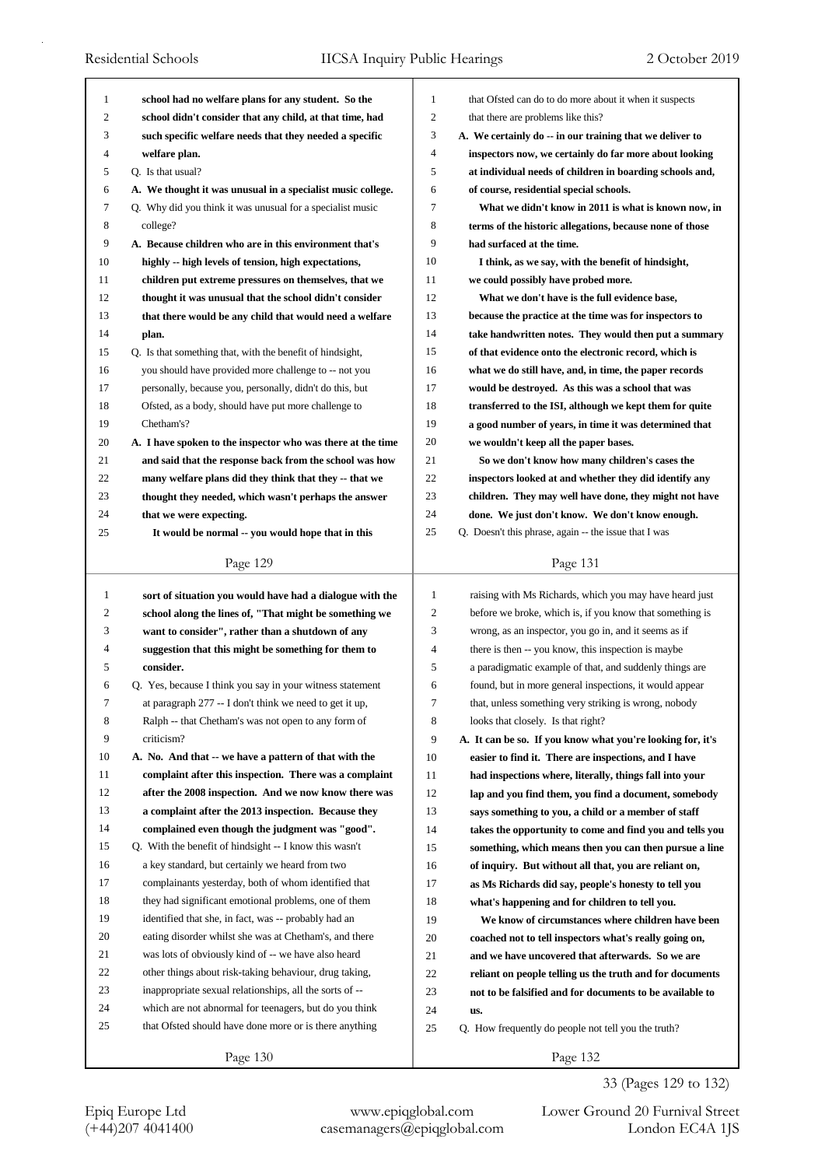| 1              | school had no welfare plans for any student. So the         | 1              | that Ofsted can do to do more about it when it suspects    |
|----------------|-------------------------------------------------------------|----------------|------------------------------------------------------------|
| $\overline{c}$ | school didn't consider that any child, at that time, had    | $\overline{c}$ | that there are problems like this?                         |
| 3              | such specific welfare needs that they needed a specific     | 3              | A. We certainly do -- in our training that we deliver to   |
| 4              | welfare plan.                                               | 4              | inspectors now, we certainly do far more about looking     |
| 5              | Q. Is that usual?                                           | 5              | at individual needs of children in boarding schools and,   |
| 6              | A. We thought it was unusual in a specialist music college. | 6              | of course, residential special schools.                    |
| 7              | Q. Why did you think it was unusual for a specialist music  | 7              | What we didn't know in 2011 is what is known now, in       |
| 8              | college?                                                    | 8              | terms of the historic allegations, because none of those   |
| 9              | A. Because children who are in this environment that's      | 9              | had surfaced at the time.                                  |
| 10             | highly -- high levels of tension, high expectations,        | 10             | I think, as we say, with the benefit of hindsight,         |
| 11             | children put extreme pressures on themselves, that we       | 11             | we could possibly have probed more.                        |
| 12             | thought it was unusual that the school didn't consider      | 12             | What we don't have is the full evidence base,              |
| 13             | that there would be any child that would need a welfare     | 13             | because the practice at the time was for inspectors to     |
| 14             | plan.                                                       | 14             | take handwritten notes. They would then put a summary      |
| 15             | Q. Is that something that, with the benefit of hindsight,   | 15             | of that evidence onto the electronic record, which is      |
| 16             | you should have provided more challenge to -- not you       | 16             | what we do still have, and, in time, the paper records     |
| 17             | personally, because you, personally, didn't do this, but    | 17             | would be destroyed. As this was a school that was          |
| 18             | Ofsted, as a body, should have put more challenge to        | 18             | transferred to the ISI, although we kept them for quite    |
| 19             | Chetham's?                                                  | 19             | a good number of years, in time it was determined that     |
| 20             | A. I have spoken to the inspector who was there at the time | 20             | we wouldn't keep all the paper bases.                      |
| 21             | and said that the response back from the school was how     | 21             | So we don't know how many children's cases the             |
| 22             | many welfare plans did they think that they -- that we      | 22             | inspectors looked at and whether they did identify any     |
| 23             | thought they needed, which wasn't perhaps the answer        | 23             | children. They may well have done, they might not have     |
| 24             | that we were expecting.                                     | 24             | done. We just don't know. We don't know enough.            |
| 25             | It would be normal -- you would hope that in this           | 25             | Q. Doesn't this phrase, again -- the issue that I was      |
|                |                                                             |                |                                                            |
|                | Page 129                                                    |                | Page 131                                                   |
|                |                                                             |                |                                                            |
|                |                                                             |                |                                                            |
| 1              | sort of situation you would have had a dialogue with the    | 1              | raising with Ms Richards, which you may have heard just    |
| 2              | school along the lines of, "That might be something we      | 2              | before we broke, which is, if you know that something is   |
| 3              | want to consider", rather than a shutdown of any            | 3              | wrong, as an inspector, you go in, and it seems as if      |
| 4              | suggestion that this might be something for them to         | 4              | there is then -- you know, this inspection is maybe        |
| 5              | consider.                                                   | 5              | a paradigmatic example of that, and suddenly things are    |
| 6              | Q. Yes, because I think you say in your witness statement   | 6              | found, but in more general inspections, it would appear    |
| 7              | at paragraph 277 -- I don't think we need to get it up,     | 7              | that, unless something very striking is wrong, nobody      |
| 8              | Ralph -- that Chetham's was not open to any form of         | 8              | looks that closely. Is that right?                         |
| 9              | criticism?                                                  | 9              | A. It can be so. If you know what you're looking for, it's |
| 10             | A. No. And that -- we have a pattern of that with the       | 10             | easier to find it. There are inspections, and I have       |
| 11             | complaint after this inspection. There was a complaint      | 11             | had inspections where, literally, things fall into your    |
| 12             | after the 2008 inspection. And we now know there was        | 12             | lap and you find them, you find a document, somebody       |
| 13             | a complaint after the 2013 inspection. Because they         | 13             | says something to you, a child or a member of staff        |
| 14             | complained even though the judgment was "good".             | 14             | takes the opportunity to come and find you and tells you   |
| 15             | Q. With the benefit of hindsight -- I know this wasn't      | 15             | something, which means then you can then pursue a line     |
| 16             | a key standard, but certainly we heard from two             | 16             | of inquiry. But without all that, you are reliant on,      |
| 17             | complainants yesterday, both of whom identified that        | 17             | as Ms Richards did say, people's honesty to tell you       |
| 18             | they had significant emotional problems, one of them        | 18             | what's happening and for children to tell you.             |
| 19             | identified that she, in fact, was -- probably had an        | 19             | We know of circumstances where children have been          |
| 20             | eating disorder whilst she was at Chetham's, and there      | 20             | coached not to tell inspectors what's really going on,     |
| 21             | was lots of obviously kind of -- we have also heard         | 21             | and we have uncovered that afterwards. So we are           |
| 22             | other things about risk-taking behaviour, drug taking,      | 22             | reliant on people telling us the truth and for documents   |
| 23             | inappropriate sexual relationships, all the sorts of --     | 23             | not to be falsified and for documents to be available to   |
| 24             | which are not abnormal for teenagers, but do you think      | 24             | us.                                                        |
| 25             | that Ofsted should have done more or is there anything      | 25             | Q. How frequently do people not tell you the truth?        |

33 (Pages 129 to 132)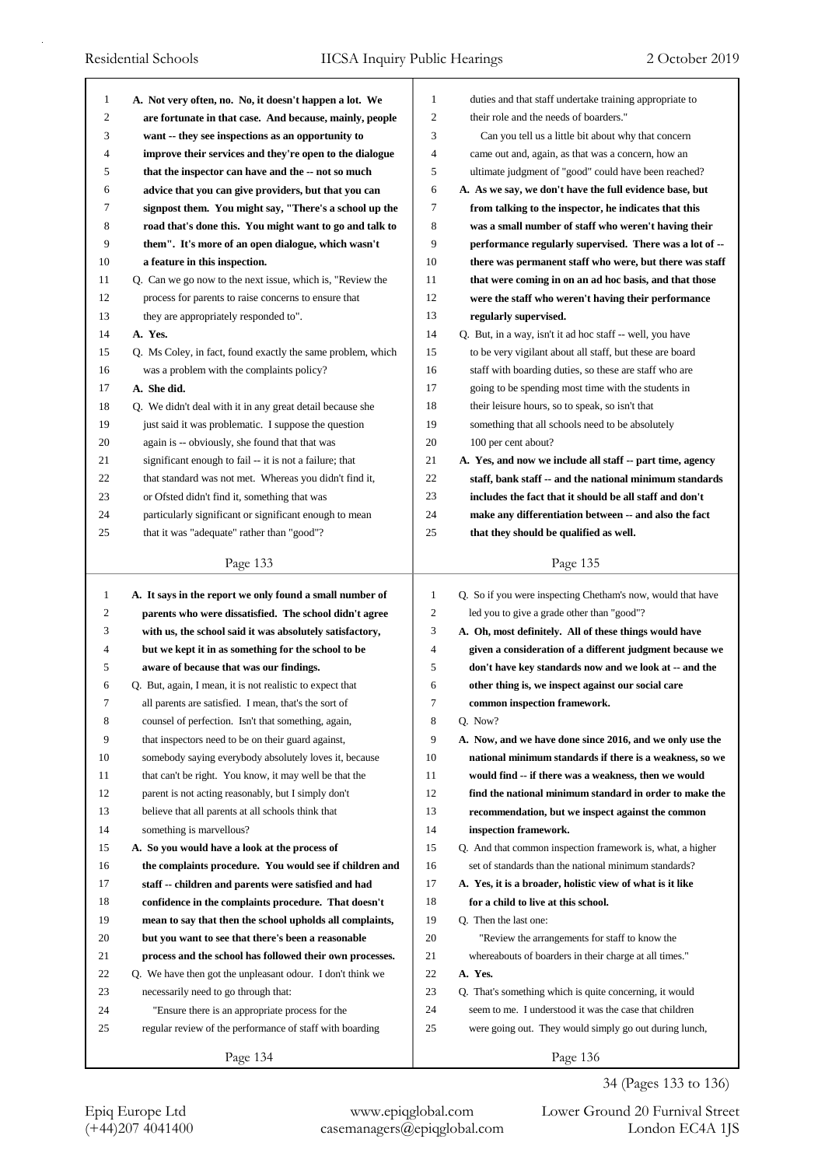| $\mathbf{1}$   | A. Not very often, no. No, it doesn't happen a lot. We      | $\mathbf{1}$   | duties and that staff undertake training appropriate to     |
|----------------|-------------------------------------------------------------|----------------|-------------------------------------------------------------|
| 2              | are fortunate in that case. And because, mainly, people     | 2              | their role and the needs of boarders."                      |
| 3              | want -- they see inspections as an opportunity to           | 3              | Can you tell us a little bit about why that concern         |
| $\overline{4}$ | improve their services and they're open to the dialogue     | $\overline{4}$ | came out and, again, as that was a concern, how an          |
| 5              | that the inspector can have and the -- not so much          | 5              | ultimate judgment of "good" could have been reached?        |
| 6              | advice that you can give providers, but that you can        | 6              | A. As we say, we don't have the full evidence base, but     |
| 7              | signpost them. You might say, "There's a school up the      | 7              | from talking to the inspector, he indicates that this       |
| 8              | road that's done this. You might want to go and talk to     | 8              | was a small number of staff who weren't having their        |
| 9              | them". It's more of an open dialogue, which wasn't          | 9              | performance regularly supervised. There was a lot of --     |
| 10             | a feature in this inspection.                               | 10             | there was permanent staff who were, but there was staff     |
| 11             | Q. Can we go now to the next issue, which is, "Review the   | 11             | that were coming in on an ad hoc basis, and that those      |
| 12             | process for parents to raise concerns to ensure that        | 12             | were the staff who weren't having their performance         |
| 13             | they are appropriately responded to".                       | 13             | regularly supervised.                                       |
| 14             | A. Yes.                                                     | 14             | Q. But, in a way, isn't it ad hoc staff -- well, you have   |
| 15             | Q. Ms Coley, in fact, found exactly the same problem, which | 15             | to be very vigilant about all staff, but these are board    |
| 16             | was a problem with the complaints policy?                   | 16             | staff with boarding duties, so these are staff who are      |
| 17             | A. She did.                                                 | 17             | going to be spending most time with the students in         |
| 18             | Q. We didn't deal with it in any great detail because she   | 18             | their leisure hours, so to speak, so isn't that             |
| 19             | just said it was problematic. I suppose the question        | 19             | something that all schools need to be absolutely            |
| 20             | again is -- obviously, she found that that was              | 20             | 100 per cent about?                                         |
| 21             | significant enough to fail -- it is not a failure; that     | 21             | A. Yes, and now we include all staff -- part time, agency   |
| 22             | that standard was not met. Whereas you didn't find it,      | 22             | staff, bank staff -- and the national minimum standards     |
| 23             | or Ofsted didn't find it, something that was                | 23             | includes the fact that it should be all staff and don't     |
| 24             | particularly significant or significant enough to mean      | 24             | make any differentiation between -- and also the fact       |
| 25             | that it was "adequate" rather than "good"?                  | 25             | that they should be qualified as well.                      |
|                |                                                             |                |                                                             |
|                | Page 133                                                    |                | Page 135                                                    |
| $\mathbf{1}$   |                                                             |                |                                                             |
|                | A. It says in the report we only found a small number of    |                |                                                             |
|                |                                                             | $\mathbf{1}$   | Q. So if you were inspecting Chetham's now, would that have |
| $\overline{c}$ | parents who were dissatisfied. The school didn't agree      | 2              | led you to give a grade other than "good"?                  |
| 3              | with us, the school said it was absolutely satisfactory,    | 3              | A. Oh, most definitely. All of these things would have      |
| 4              | but we kept it in as something for the school to be         | 4              | given a consideration of a different judgment because we    |
| 5              | aware of because that was our findings.                     | 5              | don't have key standards now and we look at -- and the      |
| 6              | Q. But, again, I mean, it is not realistic to expect that   | 6              | other thing is, we inspect against our social care          |
| 7              | all parents are satisfied. I mean, that's the sort of       | 7              | common inspection framework.                                |
| 8              | counsel of perfection. Isn't that something, again,         | 8              | Q. Now?                                                     |
| 9              | that inspectors need to be on their guard against,          | 9              | A. Now, and we have done since 2016, and we only use the    |
| 10             | somebody saying everybody absolutely loves it, because      | 10             | national minimum standards if there is a weakness, so we    |
| 11             | that can't be right. You know, it may well be that the      | 11             | would find -- if there was a weakness, then we would        |
| 12             | parent is not acting reasonably, but I simply don't         | 12             | find the national minimum standard in order to make the     |
| 13             | believe that all parents at all schools think that          | 13             | recommendation, but we inspect against the common           |
| 14             | something is marvellous?                                    | 14             | inspection framework.                                       |
| 15             | A. So you would have a look at the process of               | 15             | Q. And that common inspection framework is, what, a higher  |
| 16             | the complaints procedure. You would see if children and     | 16             | set of standards than the national minimum standards?       |
| 17             | staff -- children and parents were satisfied and had        | 17             | A. Yes, it is a broader, holistic view of what is it like   |
| 18             | confidence in the complaints procedure. That doesn't        | 18             | for a child to live at this school.                         |
| 19             | mean to say that then the school upholds all complaints,    | 19             | Q. Then the last one:                                       |
| 20             | but you want to see that there's been a reasonable          | 20             | "Review the arrangements for staff to know the              |
| 21             | process and the school has followed their own processes.    | 21             | whereabouts of boarders in their charge at all times."      |
| 22             | Q. We have then got the unpleasant odour. I don't think we  | 22             | A. Yes.                                                     |
| 23             | necessarily need to go through that:                        | 23             | Q. That's something which is quite concerning, it would     |
| 24             | "Ensure there is an appropriate process for the             | 24             | seem to me. I understood it was the case that children      |
| 25             | regular review of the performance of staff with boarding    | 25             | were going out. They would simply go out during lunch,      |
|                | Page 134                                                    |                | Page 136                                                    |

34 (Pages 133 to 136)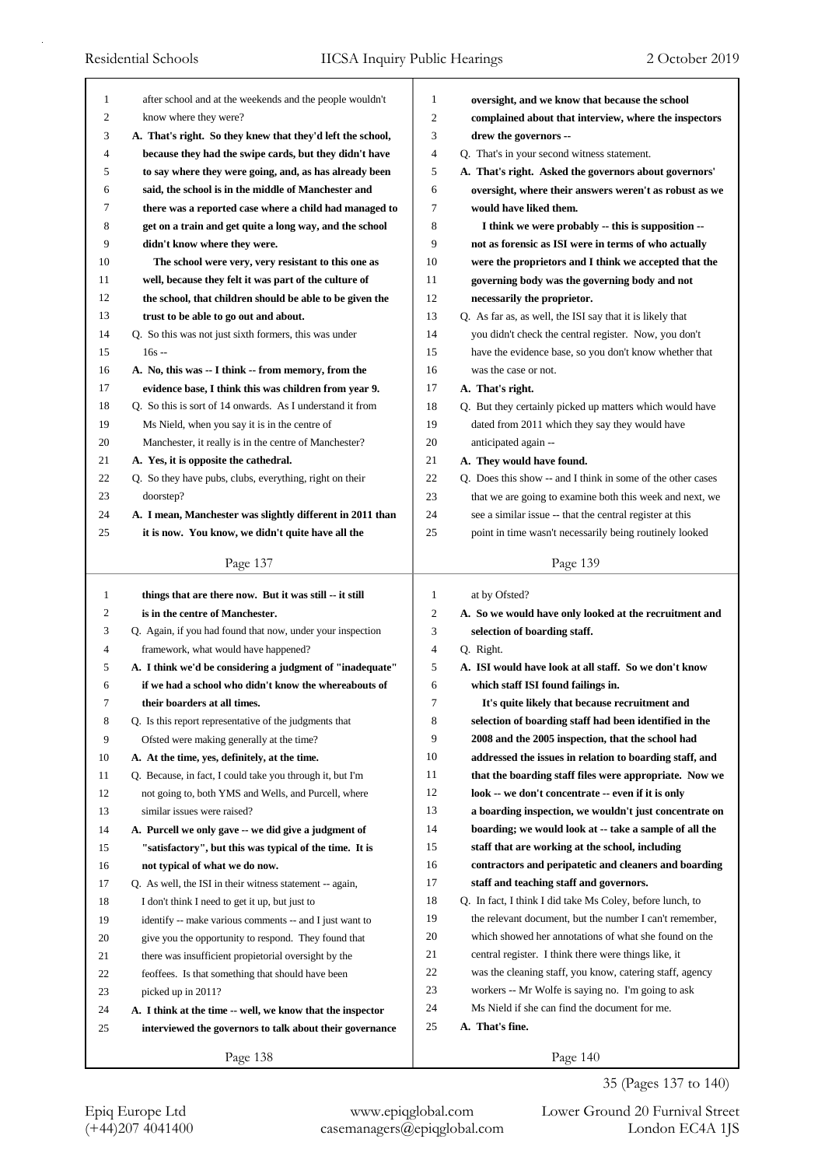| 1              | after school and at the weekends and the people wouldn't                               | 1            | oversight, and we know that because the school                                                           |
|----------------|----------------------------------------------------------------------------------------|--------------|----------------------------------------------------------------------------------------------------------|
| 2              | know where they were?                                                                  | 2            | complained about that interview, where the inspectors                                                    |
| 3              | A. That's right. So they knew that they'd left the school,                             | 3            | drew the governors --                                                                                    |
| $\overline{4}$ | because they had the swipe cards, but they didn't have                                 | 4            | Q. That's in your second witness statement.                                                              |
| 5              | to say where they were going, and, as has already been                                 | 5            | A. That's right. Asked the governors about governors'                                                    |
| 6              | said, the school is in the middle of Manchester and                                    | 6            | oversight, where their answers weren't as robust as we                                                   |
| 7              | there was a reported case where a child had managed to                                 | 7            | would have liked them.                                                                                   |
| 8              | get on a train and get quite a long way, and the school                                | 8            | I think we were probably -- this is supposition --                                                       |
| 9              | didn't know where they were.                                                           | 9            | not as forensic as ISI were in terms of who actually                                                     |
| 10             | The school were very, very resistant to this one as                                    | 10           | were the proprietors and I think we accepted that the                                                    |
| 11             | well, because they felt it was part of the culture of                                  | 11           | governing body was the governing body and not                                                            |
| 12             | the school, that children should be able to be given the                               | 12           | necessarily the proprietor.                                                                              |
| 13             | trust to be able to go out and about.                                                  | 13           | Q. As far as, as well, the ISI say that it is likely that                                                |
| 14             | Q. So this was not just sixth formers, this was under                                  | 14           | you didn't check the central register. Now, you don't                                                    |
| 15             | $16s -$                                                                                | 15           | have the evidence base, so you don't know whether that                                                   |
| 16             | A. No, this was -- I think -- from memory, from the                                    | 16           | was the case or not.                                                                                     |
| 17             | evidence base, I think this was children from year 9.                                  | 17           | A. That's right.                                                                                         |
| 18             | Q. So this is sort of 14 onwards. As I understand it from                              | 18           | Q. But they certainly picked up matters which would have                                                 |
| 19             | Ms Nield, when you say it is in the centre of                                          | 19           | dated from 2011 which they say they would have                                                           |
| 20             | Manchester, it really is in the centre of Manchester?                                  | 20           | anticipated again --                                                                                     |
| 21             | A. Yes, it is opposite the cathedral.                                                  | 21           | A. They would have found.                                                                                |
| 22             | Q. So they have pubs, clubs, everything, right on their                                | 22           | Q. Does this show -- and I think in some of the other cases                                              |
| 23             | doorstep?                                                                              | 23           | that we are going to examine both this week and next, we                                                 |
| 24             | A. I mean, Manchester was slightly different in 2011 than                              | 24           | see a similar issue -- that the central register at this                                                 |
| 25             | it is now. You know, we didn't quite have all the                                      | 25           | point in time wasn't necessarily being routinely looked                                                  |
|                |                                                                                        |              |                                                                                                          |
|                | Page 137                                                                               |              | Page 139                                                                                                 |
|                |                                                                                        |              |                                                                                                          |
| $\mathbf{1}$   | things that are there now. But it was still -- it still                                | $\mathbf{1}$ | at by Ofsted?                                                                                            |
| $\overline{c}$ | is in the centre of Manchester.                                                        | 2            |                                                                                                          |
| 3              | Q. Again, if you had found that now, under your inspection                             | 3            | A. So we would have only looked at the recruitment and<br>selection of boarding staff.                   |
| 4              | framework, what would have happened?                                                   | 4            | Q. Right.                                                                                                |
| 5              | A. I think we'd be considering a judgment of "inadequate"                              | 5            | A. ISI would have look at all staff. So we don't know                                                    |
| 6              | if we had a school who didn't know the whereabouts of                                  | 6            | which staff ISI found failings in.                                                                       |
| 7              |                                                                                        | 7            |                                                                                                          |
| 8              | their boarders at all times.<br>Q. Is this report representative of the judgments that | 8            | It's quite likely that because recruitment and<br>selection of boarding staff had been identified in the |
| 9              |                                                                                        | 9            |                                                                                                          |
|                | Ofsted were making generally at the time?                                              | 10           | 2008 and the 2005 inspection, that the school had                                                        |
| 10             | A. At the time, yes, definitely, at the time.                                          |              | addressed the issues in relation to boarding staff, and                                                  |
| 11             | Q. Because, in fact, I could take you through it, but I'm                              | 11<br>12     | that the boarding staff files were appropriate. Now we                                                   |
| 12             | not going to, both YMS and Wells, and Purcell, where                                   |              | look -- we don't concentrate -- even if it is only                                                       |
| 13             | similar issues were raised?                                                            | 13           | a boarding inspection, we wouldn't just concentrate on                                                   |
| 14             | A. Purcell we only gave -- we did give a judgment of                                   | 14           | boarding; we would look at -- take a sample of all the                                                   |
| 15             | "satisfactory", but this was typical of the time. It is                                | 15           | staff that are working at the school, including                                                          |
| 16             | not typical of what we do now.                                                         | 16           | contractors and peripatetic and cleaners and boarding                                                    |
| 17             | Q. As well, the ISI in their witness statement -- again,                               | 17           | staff and teaching staff and governors.                                                                  |
| 18             | I don't think I need to get it up, but just to                                         | 18           | Q. In fact, I think I did take Ms Coley, before lunch, to                                                |
| 19             | identify -- make various comments -- and I just want to                                | 19           | the relevant document, but the number I can't remember,                                                  |
| 20             | give you the opportunity to respond. They found that                                   | 20           | which showed her annotations of what she found on the                                                    |
| 21             | there was insufficient propietorial oversight by the                                   | 21           | central register. I think there were things like, it                                                     |
| 22             | feoffees. Is that something that should have been                                      | 22           | was the cleaning staff, you know, catering staff, agency                                                 |
| 23             | picked up in 2011?                                                                     | 23           | workers -- Mr Wolfe is saying no. I'm going to ask                                                       |
| 24             | A. I think at the time -- well, we know that the inspector                             | 24           | Ms Nield if she can find the document for me.                                                            |
| 25             | interviewed the governors to talk about their governance                               | 25           | A. That's fine.                                                                                          |

35 (Pages 137 to 140)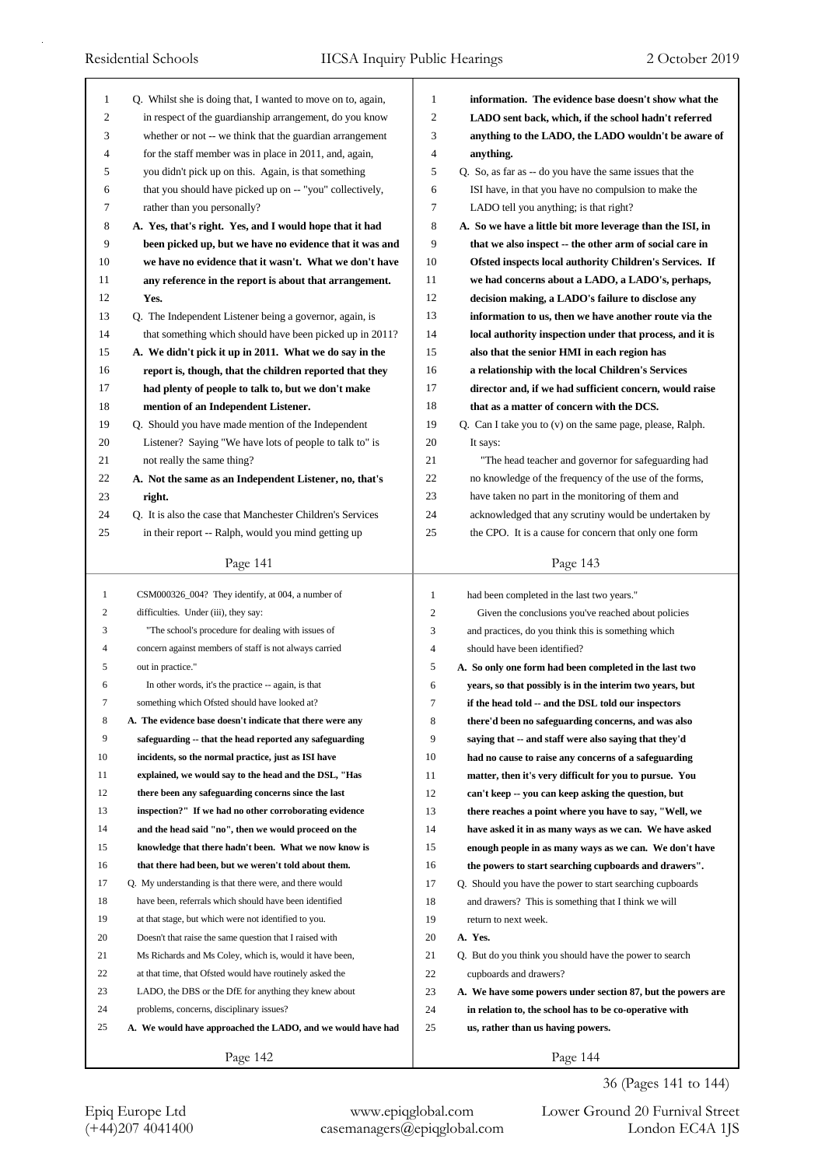| 1            | Q. Whilst she is doing that, I wanted to move on to, again,                                                  | 1              | information. The evidence base doesn't show what the                                                       |
|--------------|--------------------------------------------------------------------------------------------------------------|----------------|------------------------------------------------------------------------------------------------------------|
| 2            | in respect of the guardianship arrangement, do you know                                                      | $\overline{c}$ | LADO sent back, which, if the school hadn't referred                                                       |
| 3            | whether or not -- we think that the guardian arrangement                                                     | 3              | anything to the LADO, the LADO wouldn't be aware of                                                        |
| 4            | for the staff member was in place in 2011, and, again,                                                       | $\overline{4}$ | anything.                                                                                                  |
| 5            | you didn't pick up on this. Again, is that something                                                         | 5              | Q. So, as far as -- do you have the same issues that the                                                   |
| 6            | that you should have picked up on -- "you" collectively,                                                     | 6              | ISI have, in that you have no compulsion to make the                                                       |
| 7            | rather than you personally?                                                                                  | 7              | LADO tell you anything; is that right?                                                                     |
| 8            | A. Yes, that's right. Yes, and I would hope that it had                                                      | 8              | A. So we have a little bit more leverage than the ISI, in                                                  |
| 9            | been picked up, but we have no evidence that it was and                                                      | 9              | that we also inspect -- the other arm of social care in                                                    |
| 10           | we have no evidence that it wasn't. What we don't have                                                       | 10             | Ofsted inspects local authority Children's Services. If                                                    |
| 11           | any reference in the report is about that arrangement.                                                       | 11             | we had concerns about a LADO, a LADO's, perhaps,                                                           |
| 12           | Yes.                                                                                                         | 12             | decision making, a LADO's failure to disclose any                                                          |
| 13           | Q. The Independent Listener being a governor, again, is                                                      | 13             | information to us, then we have another route via the                                                      |
| 14           | that something which should have been picked up in 2011?                                                     | 14             | local authority inspection under that process, and it is                                                   |
| 15           | A. We didn't pick it up in 2011. What we do say in the                                                       | 15             | also that the senior HMI in each region has                                                                |
| 16           | report is, though, that the children reported that they                                                      | 16             | a relationship with the local Children's Services                                                          |
| 17           | had plenty of people to talk to, but we don't make                                                           | 17             | director and, if we had sufficient concern, would raise                                                    |
| 18           | mention of an Independent Listener.                                                                          | 18             | that as a matter of concern with the DCS.                                                                  |
| 19           | Q. Should you have made mention of the Independent                                                           | 19             | Q. Can I take you to (v) on the same page, please, Ralph.                                                  |
| 20           | Listener? Saying "We have lots of people to talk to" is                                                      | 20             | It says:                                                                                                   |
| 21           | not really the same thing?                                                                                   | 21             | "The head teacher and governor for safeguarding had                                                        |
| 22           | A. Not the same as an Independent Listener, no, that's                                                       | 22             | no knowledge of the frequency of the use of the forms,                                                     |
| 23           | right.                                                                                                       | 23             | have taken no part in the monitoring of them and                                                           |
| 24           | Q. It is also the case that Manchester Children's Services                                                   | 24             | acknowledged that any scrutiny would be undertaken by                                                      |
| 25           | in their report -- Ralph, would you mind getting up                                                          | 25             | the CPO. It is a cause for concern that only one form                                                      |
|              |                                                                                                              |                |                                                                                                            |
|              | Page 141                                                                                                     |                | Page 143                                                                                                   |
|              |                                                                                                              |                |                                                                                                            |
| $\mathbf{1}$ | CSM000326_004? They identify, at 004, a number of                                                            | $\mathbf{1}$   | had been completed in the last two years."                                                                 |
| 2            | difficulties. Under (iii), they say:                                                                         | $\overline{c}$ | Given the conclusions you've reached about policies                                                        |
| 3            | "The school's procedure for dealing with issues of                                                           | 3              | and practices, do you think this is something which                                                        |
| 4            | concern against members of staff is not always carried                                                       | $\overline{4}$ | should have been identified?                                                                               |
| 5            | out in practice."                                                                                            | 5              | A. So only one form had been completed in the last two                                                     |
| 6            | In other words, it's the practice -- again, is that                                                          | 6              | years, so that possibly is in the interim two years, but                                                   |
| 7            | something which Ofsted should have looked at?                                                                | 7              |                                                                                                            |
| 8            | A. The evidence base doesn't indicate that there were any                                                    | 8              | if the head told -- and the DSL told our inspectors<br>there'd been no safeguarding concerns, and was also |
| 9            | safeguarding -- that the head reported any safeguarding                                                      | 9              | saying that -- and staff were also saying that they'd                                                      |
| 10           | incidents, so the normal practice, just as ISI have                                                          | 10             |                                                                                                            |
| 11           |                                                                                                              |                | had no cause to raise any concerns of a safeguarding                                                       |
| 12           | explained, we would say to the head and the DSL, "Has<br>there been any safeguarding concerns since the last | 11             | matter, then it's very difficult for you to pursue. You                                                    |
|              |                                                                                                              | 12             | can't keep -- you can keep asking the question, but                                                        |
| 13           | inspection?" If we had no other corroborating evidence                                                       | 13             | there reaches a point where you have to say, "Well, we                                                     |
| 14           | and the head said "no", then we would proceed on the                                                         | 14             | have asked it in as many ways as we can. We have asked                                                     |
| 15           | knowledge that there hadn't been. What we now know is                                                        | 15             | enough people in as many ways as we can. We don't have                                                     |
| 16           | that there had been, but we weren't told about them.                                                         | 16             | the powers to start searching cupboards and drawers".                                                      |
| 17           | Q. My understanding is that there were, and there would                                                      | 17             | Q. Should you have the power to start searching cupboards                                                  |
| 18           | have been, referrals which should have been identified                                                       | 18             | and drawers? This is something that I think we will                                                        |
| 19           | at that stage, but which were not identified to you.                                                         | 19             | return to next week.                                                                                       |
| 20           | Doesn't that raise the same question that I raised with                                                      | 20             | A. Yes.                                                                                                    |
| 21           | Ms Richards and Ms Coley, which is, would it have been,                                                      | 21             | Q. But do you think you should have the power to search                                                    |
| 22           | at that time, that Ofsted would have routinely asked the                                                     | 22             | cupboards and drawers?                                                                                     |
| 23           | LADO, the DBS or the DfE for anything they knew about                                                        | 23             | A. We have some powers under section 87, but the powers are                                                |
| 24           | problems, concerns, disciplinary issues?                                                                     | 24             | in relation to, the school has to be co-operative with                                                     |
| 25           | A. We would have approached the LADO, and we would have had                                                  | 25             | us, rather than us having powers.                                                                          |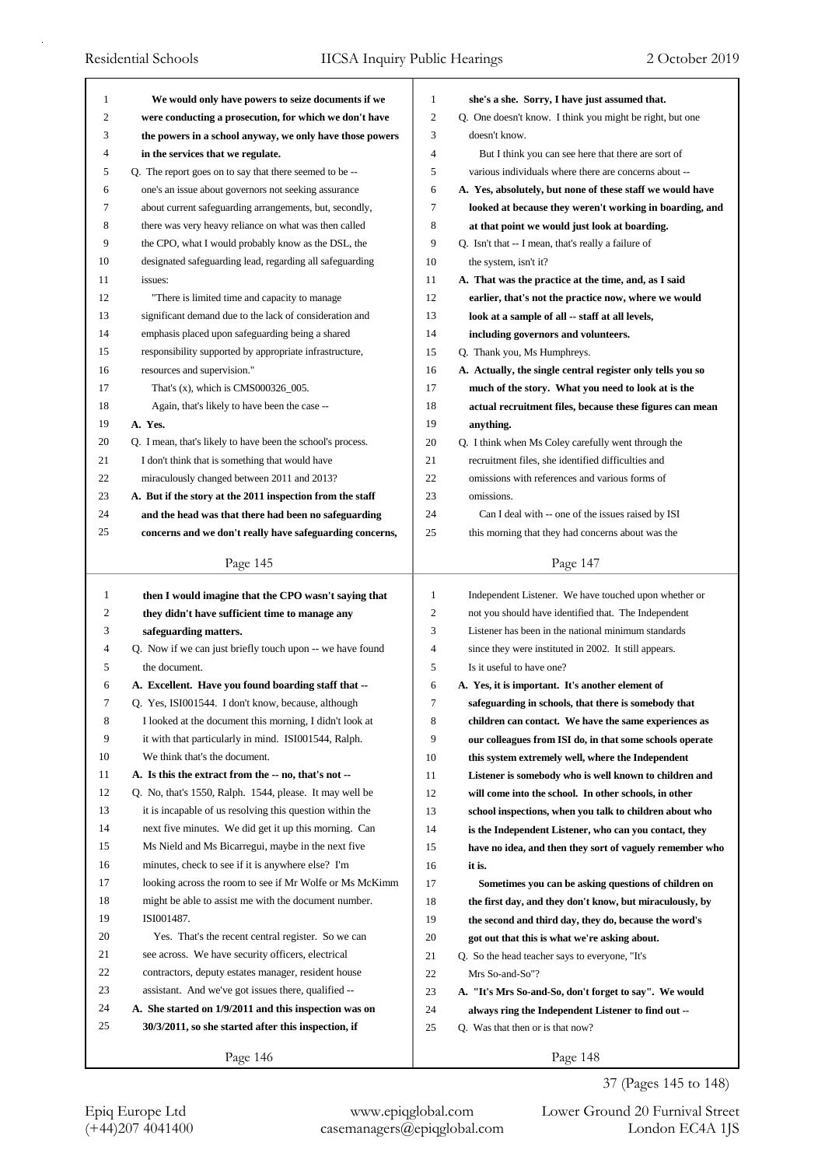| 1  | We would only have powers to seize documents if we          | $\mathbf{1}$     | she's a she. Sorry, I have just assumed that.              |
|----|-------------------------------------------------------------|------------------|------------------------------------------------------------|
| 2  | were conducting a prosecution, for which we don't have      | $\boldsymbol{2}$ | Q. One doesn't know. I think you might be right, but one   |
| 3  | the powers in a school anyway, we only have those powers    | 3                | doesn't know.                                              |
| 4  | in the services that we regulate.                           | 4                | But I think you can see here that there are sort of        |
| 5  | Q. The report goes on to say that there seemed to be --     | 5                | various individuals where there are concerns about --      |
| 6  | one's an issue about governors not seeking assurance        | 6                | A. Yes, absolutely, but none of these staff we would have  |
| 7  | about current safeguarding arrangements, but, secondly,     | 7                | looked at because they weren't working in boarding, and    |
| 8  | there was very heavy reliance on what was then called       | 8                | at that point we would just look at boarding.              |
| 9  | the CPO, what I would probably know as the DSL, the         | 9                | Q. Isn't that -- I mean, that's really a failure of        |
| 10 | designated safeguarding lead, regarding all safeguarding    | 10               | the system, isn't it?                                      |
| 11 | issues:                                                     | 11               | A. That was the practice at the time, and, as I said       |
| 12 | "There is limited time and capacity to manage               | 12               | earlier, that's not the practice now, where we would       |
| 13 | significant demand due to the lack of consideration and     | 13               | look at a sample of all -- staff at all levels,            |
| 14 | emphasis placed upon safeguarding being a shared            | 14               | including governors and volunteers.                        |
| 15 | responsibility supported by appropriate infrastructure,     | 15               |                                                            |
| 16 | resources and supervision."                                 | 16               | Q. Thank you, Ms Humphreys.                                |
| 17 |                                                             | 17               | A. Actually, the single central register only tells you so |
| 18 | That's $(x)$ , which is CMS000326_005.                      | 18               | much of the story. What you need to look at is the         |
|    | Again, that's likely to have been the case --               |                  | actual recruitment files, because these figures can mean   |
| 19 | A. Yes.                                                     | 19               | anything.                                                  |
| 20 | Q. I mean, that's likely to have been the school's process. | 20               | Q. I think when Ms Coley carefully went through the        |
| 21 | I don't think that is something that would have             | 21               | recruitment files, she identified difficulties and         |
| 22 | miraculously changed between 2011 and 2013?                 | 22               | omissions with references and various forms of             |
| 23 | A. But if the story at the 2011 inspection from the staff   | 23               | omissions.                                                 |
| 24 | and the head was that there had been no safeguarding        | 24               | Can I deal with -- one of the issues raised by ISI         |
| 25 | concerns and we don't really have safeguarding concerns,    | 25               | this morning that they had concerns about was the          |
|    | Page 145                                                    |                  | Page 147                                                   |
|    |                                                             |                  |                                                            |
|    |                                                             |                  |                                                            |
| 1  | then I would imagine that the CPO wasn't saying that        | 1                | Independent Listener. We have touched upon whether or      |
| 2  | they didn't have sufficient time to manage any              | 2                | not you should have identified that. The Independent       |
| 3  | safeguarding matters.                                       | 3                | Listener has been in the national minimum standards        |
| 4  | Q. Now if we can just briefly touch upon -- we have found   | 4                | since they were instituted in 2002. It still appears.      |
| 5  | the document.                                               | 5                | Is it useful to have one?                                  |
| 6  | A. Excellent. Have you found boarding staff that --         | 6                | A. Yes, it is important. It's another element of           |
| 7  | Q. Yes, ISI001544. I don't know, because, although          | 7                | safeguarding in schools, that there is somebody that       |
| 8  | I looked at the document this morning, I didn't look at     | 8                | children can contact. We have the same experiences as      |
| 9  | it with that particularly in mind. ISI001544, Ralph.        | 9                | our colleagues from ISI do, in that some schools operate   |
| 10 | We think that's the document.                               | 10               | this system extremely well, where the Independent          |
| 11 | A. Is this the extract from the -- no, that's not --        | 11               | Listener is somebody who is well known to children and     |
| 12 | Q. No, that's 1550, Ralph. 1544, please. It may well be     | 12               | will come into the school. In other schools, in other      |
| 13 | it is incapable of us resolving this question within the    | 13               | school inspections, when you talk to children about who    |
| 14 | next five minutes. We did get it up this morning. Can       | 14               | is the Independent Listener, who can you contact, they     |
| 15 | Ms Nield and Ms Bicarregui, maybe in the next five          | 15               | have no idea, and then they sort of vaguely remember who   |
| 16 | minutes, check to see if it is anywhere else? I'm           | 16               | it is.                                                     |
| 17 | looking across the room to see if Mr Wolfe or Ms McKimm     | 17               | Sometimes you can be asking questions of children on       |
| 18 | might be able to assist me with the document number.        | 18               | the first day, and they don't know, but miraculously, by   |
| 19 | ISI001487.                                                  | 19               | the second and third day, they do, because the word's      |
| 20 | Yes. That's the recent central register. So we can          | 20               | got out that this is what we're asking about.              |
| 21 | see across. We have security officers, electrical           | 21               | Q. So the head teacher says to everyone, "It's             |
| 22 | contractors, deputy estates manager, resident house         | 22               | Mrs So-and-So"?                                            |
| 23 | assistant. And we've got issues there, qualified --         | 23               | A. "It's Mrs So-and-So, don't forget to say". We would     |
| 24 | A. She started on 1/9/2011 and this inspection was on       | 24               | always ring the Independent Listener to find out --        |
| 25 | 30/3/2011, so she started after this inspection, if         | 25               | Q. Was that then or is that now?                           |

37 (Pages 145 to 148)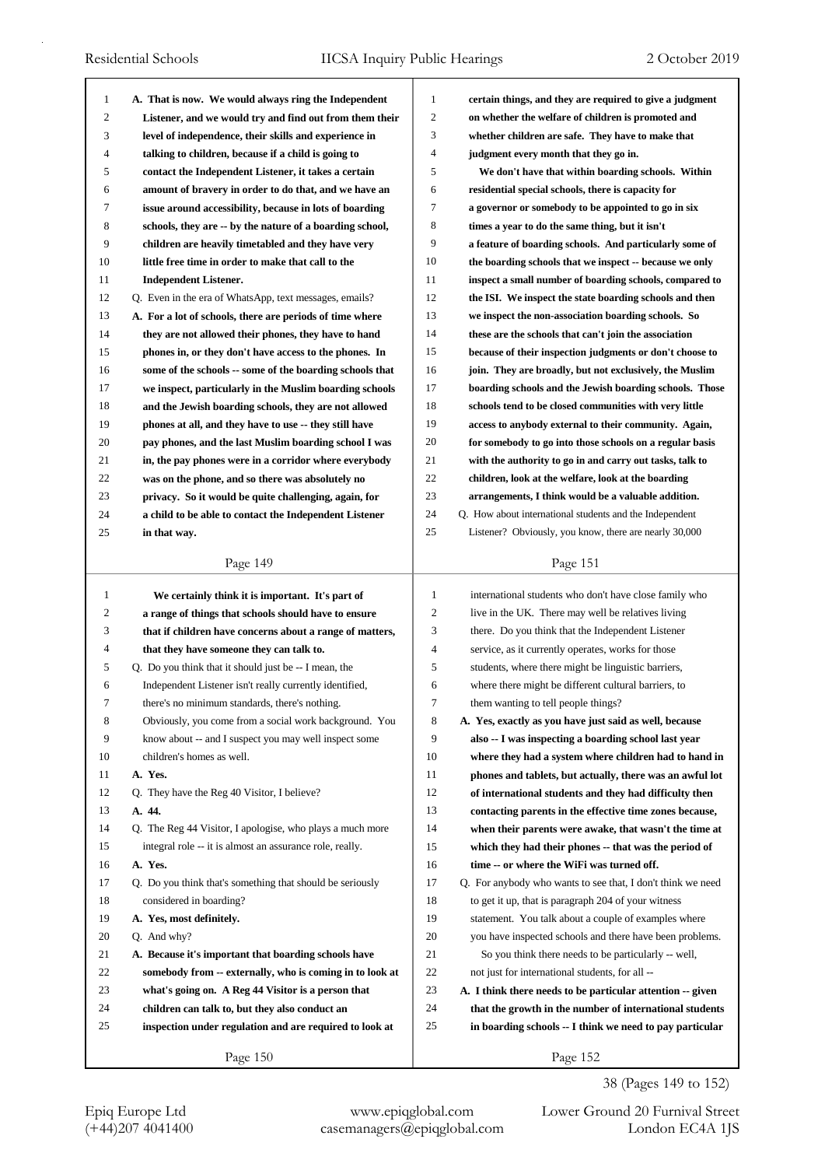| 1            | A. That is now. We would always ring the Independent      | 1            | certain things, and they are required to give a judgment                                                |
|--------------|-----------------------------------------------------------|--------------|---------------------------------------------------------------------------------------------------------|
| 2            | Listener, and we would try and find out from them their   | 2            | on whether the welfare of children is promoted and                                                      |
| 3            | level of independence, their skills and experience in     | 3            | whether children are safe. They have to make that                                                       |
| 4            | talking to children, because if a child is going to       | 4            | judgment every month that they go in.                                                                   |
| 5            | contact the Independent Listener, it takes a certain      | 5            | We don't have that within boarding schools. Within                                                      |
| 6            | amount of bravery in order to do that, and we have an     | 6            | residential special schools, there is capacity for                                                      |
| 7            | issue around accessibility, because in lots of boarding   | 7            | a governor or somebody to be appointed to go in six                                                     |
| 8            | schools, they are -- by the nature of a boarding school,  | 8            | times a year to do the same thing, but it isn't                                                         |
| 9            | children are heavily timetabled and they have very        | 9            | a feature of boarding schools. And particularly some of                                                 |
| 10           | little free time in order to make that call to the        | 10           | the boarding schools that we inspect -- because we only                                                 |
| 11           | <b>Independent Listener.</b>                              | 11           | inspect a small number of boarding schools, compared to                                                 |
| 12           | Q. Even in the era of WhatsApp, text messages, emails?    | 12           | the ISI. We inspect the state boarding schools and then                                                 |
| 13           | A. For a lot of schools, there are periods of time where  | 13           | we inspect the non-association boarding schools. So                                                     |
| 14           | they are not allowed their phones, they have to hand      | 14           | these are the schools that can't join the association                                                   |
| 15           | phones in, or they don't have access to the phones. In    | 15           | because of their inspection judgments or don't choose to                                                |
| 16           | some of the schools -- some of the boarding schools that  | 16           | join. They are broadly, but not exclusively, the Muslim                                                 |
| 17           | we inspect, particularly in the Muslim boarding schools   | 17           | boarding schools and the Jewish boarding schools. Those                                                 |
| 18           | and the Jewish boarding schools, they are not allowed     | 18           | schools tend to be closed communities with very little                                                  |
| 19           | phones at all, and they have to use -- they still have    | 19           | access to anybody external to their community. Again,                                                   |
| 20           | pay phones, and the last Muslim boarding school I was     | 20           | for somebody to go into those schools on a regular basis                                                |
| 21           | in, the pay phones were in a corridor where everybody     | 21           | with the authority to go in and carry out tasks, talk to                                                |
| 22           | was on the phone, and so there was absolutely no          | 22           | children, look at the welfare, look at the boarding                                                     |
| 23           | privacy. So it would be quite challenging, again, for     | 23           | arrangements, I think would be a valuable addition.                                                     |
| 24           | a child to be able to contact the Independent Listener    | 24           | Q. How about international students and the Independent                                                 |
| 25           | in that way.                                              | 25           | Listener? Obviously, you know, there are nearly 30,000                                                  |
|              |                                                           |              |                                                                                                         |
|              | Page 149                                                  |              | Page 151                                                                                                |
|              |                                                           |              |                                                                                                         |
| $\mathbf{1}$ |                                                           | $\mathbf{1}$ |                                                                                                         |
| 2            | We certainly think it is important. It's part of          | 2            | international students who don't have close family who                                                  |
|              | a range of things that schools should have to ensure      |              | live in the UK. There may well be relatives living                                                      |
| 3<br>4       | that if children have concerns about a range of matters,  | 3<br>4       | there. Do you think that the Independent Listener<br>service, as it currently operates, works for those |
|              | that they have someone they can talk to.                  | 5            |                                                                                                         |
| 5<br>6       | Q. Do you think that it should just be -- I mean, the     |              | students, where there might be linguistic barriers,                                                     |
| 7            | Independent Listener isn't really currently identified,   | 6            | where there might be different cultural barriers, to                                                    |
|              | there's no minimum standards, there's nothing.            | 7            | them wanting to tell people things?                                                                     |
| 8            | Obviously, you come from a social work background. You    | 8            | A. Yes, exactly as you have just said as well, because                                                  |
| 9            | know about -- and I suspect you may well inspect some     | 9            | also -- I was inspecting a boarding school last year                                                    |
| 10           | children's homes as well.                                 | 10           | where they had a system where children had to hand in                                                   |
| 11           | A. Yes.                                                   | 11           | phones and tablets, but actually, there was an awful lot                                                |
| 12           | Q. They have the Reg 40 Visitor, I believe?               | 12           | of international students and they had difficulty then                                                  |
| 13           | A. 44.                                                    | 13           | contacting parents in the effective time zones because,                                                 |
| 14           | Q. The Reg 44 Visitor, I apologise, who plays a much more | 14           | when their parents were awake, that wasn't the time at                                                  |
| 15           | integral role -- it is almost an assurance role, really.  | 15           | which they had their phones -- that was the period of                                                   |
| 16           | A. Yes.                                                   | 16           | time -- or where the WiFi was turned off.                                                               |
| 17           | Q. Do you think that's something that should be seriously | 17           | Q. For anybody who wants to see that, I don't think we need                                             |
| 18           | considered in boarding?                                   | 18           | to get it up, that is paragraph 204 of your witness                                                     |
| 19           | A. Yes, most definitely.                                  | 19           | statement. You talk about a couple of examples where                                                    |
| 20           | Q. And why?                                               | 20           | you have inspected schools and there have been problems.                                                |
| 21           | A. Because it's important that boarding schools have      | 21           | So you think there needs to be particularly -- well,                                                    |
| 22           | somebody from -- externally, who is coming in to look at  | 22           | not just for international students, for all --                                                         |
| 23           | what's going on. A Reg 44 Visitor is a person that        | 23           | A. I think there needs to be particular attention -- given                                              |
| 24           | children can talk to, but they also conduct an            | 24           | that the growth in the number of international students                                                 |
| 25           | inspection under regulation and are required to look at   | 25           | in boarding schools -- I think we need to pay particular                                                |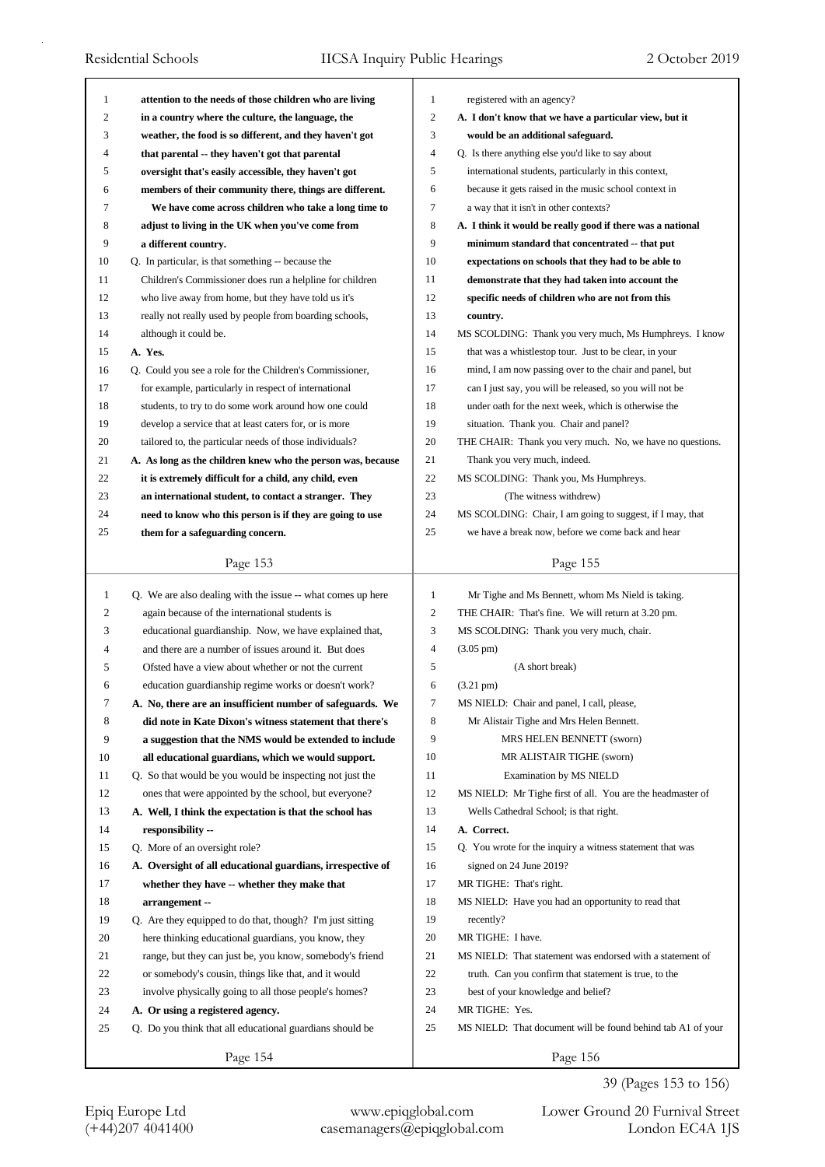| 1<br>2       | attention to the needs of those children who are living     | $\mathbf{1}$<br>$\boldsymbol{2}$ | registered with an agency?                                  |
|--------------|-------------------------------------------------------------|----------------------------------|-------------------------------------------------------------|
| 3            | in a country where the culture, the language, the           | 3                                | A. I don't know that we have a particular view, but it      |
| 4            | weather, the food is so different, and they haven't got     | $\overline{4}$                   | would be an additional safeguard.                           |
|              | that parental -- they haven't got that parental             |                                  | Q. Is there anything else you'd like to say about           |
| 5            | oversight that's easily accessible, they haven't got        | 5                                | international students, particularly in this context,       |
| 6            | members of their community there, things are different.     | 6                                | because it gets raised in the music school context in       |
| 7            | We have come across children who take a long time to        | 7                                | a way that it isn't in other contexts?                      |
| 8            | adjust to living in the UK when you've come from            | 8                                | A. I think it would be really good if there was a national  |
| 9            | a different country.                                        | 9                                | minimum standard that concentrated -- that put              |
| 10           | Q. In particular, is that something -- because the          | 10                               | expectations on schools that they had to be able to         |
| 11           | Children's Commissioner does run a helpline for children    | 11                               | demonstrate that they had taken into account the            |
| 12           | who live away from home, but they have told us it's         | 12                               | specific needs of children who are not from this            |
| 13           | really not really used by people from boarding schools,     | 13                               | country.                                                    |
| 14           | although it could be.                                       | 14                               | MS SCOLDING: Thank you very much, Ms Humphreys. I know      |
| 15           | A. Yes.                                                     | 15                               | that was a whistlestop tour. Just to be clear, in your      |
| 16           | Q. Could you see a role for the Children's Commissioner,    | 16                               | mind, I am now passing over to the chair and panel, but     |
| 17           | for example, particularly in respect of international       | 17                               | can I just say, you will be released, so you will not be    |
| 18           | students, to try to do some work around how one could       | 18                               | under oath for the next week, which is otherwise the        |
| 19           | develop a service that at least caters for, or is more      | 19                               | situation. Thank you. Chair and panel?                      |
| 20           | tailored to, the particular needs of those individuals?     | 20                               | THE CHAIR: Thank you very much. No, we have no questions.   |
| 21           | A. As long as the children knew who the person was, because | 21                               | Thank you very much, indeed.                                |
| 22           | it is extremely difficult for a child, any child, even      | 22                               | MS SCOLDING: Thank you, Ms Humphreys.                       |
| 23           | an international student, to contact a stranger. They       | 23                               | (The witness withdrew)                                      |
| 24           | need to know who this person is if they are going to use    | 24                               | MS SCOLDING: Chair, I am going to suggest, if I may, that   |
| 25           | them for a safeguarding concern.                            | 25                               | we have a break now, before we come back and hear           |
|              |                                                             |                                  |                                                             |
|              | Page 153                                                    |                                  | Page 155                                                    |
|              |                                                             |                                  |                                                             |
|              |                                                             |                                  |                                                             |
| $\mathbf{1}$ | Q. We are also dealing with the issue -- what comes up here | $\mathbf{1}$                     | Mr Tighe and Ms Bennett, whom Ms Nield is taking.           |
| 2            | again because of the international students is              | $\overline{c}$                   | THE CHAIR: That's fine. We will return at 3.20 pm.          |
| 3            | educational guardianship. Now, we have explained that,      | 3                                | MS SCOLDING: Thank you very much, chair.                    |
| 4            | and there are a number of issues around it. But does        | $\overline{4}$                   | $(3.05 \text{ pm})$                                         |
| 5            | Ofsted have a view about whether or not the current         | 5                                | (A short break)                                             |
| 6            | education guardianship regime works or doesn't work?        | 6                                | $(3.21 \text{ pm})$                                         |
| 7            | A. No, there are an insufficient number of safeguards. We   | 7                                | MS NIELD: Chair and panel, I call, please,                  |
| 8            | did note in Kate Dixon's witness statement that there's     | 8                                | Mr Alistair Tighe and Mrs Helen Bennett.                    |
| 9            | a suggestion that the NMS would be extended to include      | 9                                | MRS HELEN BENNETT (sworn)                                   |
| 10           | all educational guardians, which we would support.          | 10                               | MR ALISTAIR TIGHE (sworn)                                   |
| 11           | Q. So that would be you would be inspecting not just the    | 11                               | <b>Examination by MS NIELD</b>                              |
| 12           | ones that were appointed by the school, but everyone?       | 12                               | MS NIELD: Mr Tighe first of all. You are the headmaster of  |
| 13           | A. Well, I think the expectation is that the school has     | 13                               | Wells Cathedral School; is that right.                      |
| 14           | responsibility --                                           | 14                               | A. Correct.                                                 |
| 15           | Q. More of an oversight role?                               | 15                               | Q. You wrote for the inquiry a witness statement that was   |
| 16           | A. Oversight of all educational guardians, irrespective of  | 16                               | signed on 24 June 2019?                                     |
| 17           | whether they have -- whether they make that                 | 17                               | MR TIGHE: That's right.                                     |
| 18           | arrangement --                                              | 18                               | MS NIELD: Have you had an opportunity to read that          |
| 19           | Q. Are they equipped to do that, though? I'm just sitting   | 19                               | recently?                                                   |
| 20           | here thinking educational guardians, you know, they         | 20                               | MR TIGHE: I have.                                           |
| 21           | range, but they can just be, you know, somebody's friend    | 21                               | MS NIELD: That statement was endorsed with a statement of   |
| 22           | or somebody's cousin, things like that, and it would        | 22                               | truth. Can you confirm that statement is true, to the       |
| 23           | involve physically going to all those people's homes?       | 23                               | best of your knowledge and belief?                          |
| 24           | A. Or using a registered agency.                            | 24                               | MR TIGHE: Yes.                                              |
| 25           | Q. Do you think that all educational guardians should be    | 25                               | MS NIELD: That document will be found behind tab A1 of your |
|              | Page 154                                                    |                                  | Page 156                                                    |

39 (Pages 153 to 156)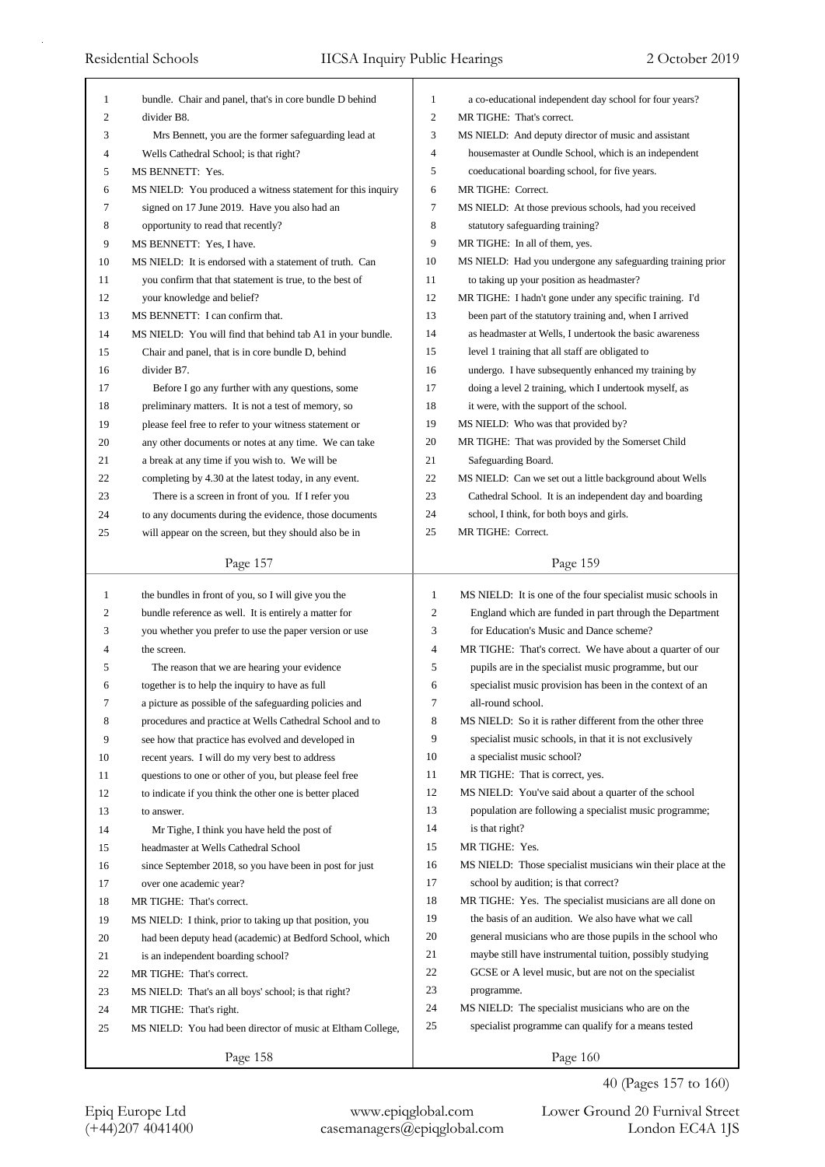| 1            | bundle. Chair and panel, that's in core bundle D behind                                                        | 1            | a co-educational independent day school for four years?         |
|--------------|----------------------------------------------------------------------------------------------------------------|--------------|-----------------------------------------------------------------|
| 2            | divider B8.                                                                                                    | 2            | MR TIGHE: That's correct.                                       |
| 3            | Mrs Bennett, you are the former safeguarding lead at                                                           | 3            | MS NIELD: And deputy director of music and assistant            |
| 4            | Wells Cathedral School; is that right?                                                                         | 4            | housemaster at Oundle School, which is an independent           |
| 5            | MS BENNETT: Yes.                                                                                               | 5            | coeducational boarding school, for five years.                  |
| 6            | MS NIELD: You produced a witness statement for this inquiry                                                    | 6            | MR TIGHE: Correct.                                              |
| 7            | signed on 17 June 2019. Have you also had an                                                                   | 7            | MS NIELD: At those previous schools, had you received           |
| 8            | opportunity to read that recently?                                                                             | 8            | statutory safeguarding training?                                |
| 9            | MS BENNETT: Yes, I have.                                                                                       | 9            | MR TIGHE: In all of them, yes.                                  |
| 10           | MS NIELD: It is endorsed with a statement of truth. Can                                                        | 10           | MS NIELD: Had you undergone any safeguarding training prior     |
| 11           | you confirm that that statement is true, to the best of                                                        | 11           | to taking up your position as headmaster?                       |
| 12           | your knowledge and belief?                                                                                     | 12           | MR TIGHE: I hadn't gone under any specific training. I'd        |
| 13           | MS BENNETT: I can confirm that.                                                                                | 13           | been part of the statutory training and, when I arrived         |
| 14           | MS NIELD: You will find that behind tab A1 in your bundle.                                                     | 14           | as headmaster at Wells, I undertook the basic awareness         |
| 15           | Chair and panel, that is in core bundle D, behind                                                              | 15           | level 1 training that all staff are obligated to                |
| 16           | divider B7.                                                                                                    | 16           | undergo. I have subsequently enhanced my training by            |
| 17           | Before I go any further with any questions, some                                                               | 17           | doing a level 2 training, which I undertook myself, as          |
| 18           | preliminary matters. It is not a test of memory, so                                                            | 18           | it were, with the support of the school.                        |
| 19           | please feel free to refer to your witness statement or                                                         | 19           | MS NIELD: Who was that provided by?                             |
| 20           | any other documents or notes at any time. We can take                                                          | 20           | MR TIGHE: That was provided by the Somerset Child               |
| 21           | a break at any time if you wish to. We will be                                                                 | 21           | Safeguarding Board.                                             |
| 22           | completing by 4.30 at the latest today, in any event.                                                          | 22           | MS NIELD: Can we set out a little background about Wells        |
| 23           | There is a screen in front of you. If I refer you                                                              | 23           | Cathedral School. It is an independent day and boarding         |
| 24           |                                                                                                                | 24           |                                                                 |
|              | to any documents during the evidence, those documents<br>will appear on the screen, but they should also be in | 25           | school, I think, for both boys and girls.<br>MR TIGHE: Correct. |
| 25           |                                                                                                                |              |                                                                 |
|              | Page 157                                                                                                       |              | Page 159                                                        |
|              |                                                                                                                |              |                                                                 |
|              |                                                                                                                |              |                                                                 |
| $\mathbf{1}$ | the bundles in front of you, so I will give you the                                                            | $\mathbf{1}$ | MS NIELD: It is one of the four specialist music schools in     |
| 2            | bundle reference as well. It is entirely a matter for                                                          | 2            | England which are funded in part through the Department         |
| 3            | you whether you prefer to use the paper version or use                                                         | 3            | for Education's Music and Dance scheme?                         |
| 4            | the screen.                                                                                                    | 4            | MR TIGHE: That's correct. We have about a quarter of our        |
| 5            | The reason that we are hearing your evidence                                                                   | 5            | pupils are in the specialist music programme, but our           |
| 6            | together is to help the inquiry to have as full                                                                | 6            | specialist music provision has been in the context of an        |
| 7            | a picture as possible of the safeguarding policies and                                                         | 7            | all-round school.                                               |
| 8            | procedures and practice at Wells Cathedral School and to                                                       | 8            | MS NIELD: So it is rather different from the other three        |
| 9            | see how that practice has evolved and developed in                                                             | 9            | specialist music schools, in that it is not exclusively         |
| 10           | recent years. I will do my very best to address                                                                | 10           | a specialist music school?                                      |
| 11           | questions to one or other of you, but please feel free                                                         | 11           | MR TIGHE: That is correct, yes.                                 |
| 12           | to indicate if you think the other one is better placed                                                        | 12           | MS NIELD: You've said about a quarter of the school             |
| 13           | to answer.                                                                                                     | 13           | population are following a specialist music programme;          |
| 14           | Mr Tighe, I think you have held the post of                                                                    | 14           | is that right?                                                  |
| 15           | headmaster at Wells Cathedral School                                                                           | 15           | MR TIGHE: Yes.                                                  |
| 16           | since September 2018, so you have been in post for just                                                        | 16           | MS NIELD: Those specialist musicians win their place at the     |
| 17           | over one academic year?                                                                                        | 17           | school by audition; is that correct?                            |
| 18           | MR TIGHE: That's correct.                                                                                      | 18           | MR TIGHE: Yes. The specialist musicians are all done on         |
| 19           | MS NIELD: I think, prior to taking up that position, you                                                       | 19           | the basis of an audition. We also have what we call             |
| 20           | had been deputy head (academic) at Bedford School, which                                                       | 20           | general musicians who are those pupils in the school who        |
| 21           | is an independent boarding school?                                                                             | 21           | maybe still have instrumental tuition, possibly studying        |
| 22           | MR TIGHE: That's correct.                                                                                      | 22           | GCSE or A level music, but are not on the specialist            |
| 23           | MS NIELD: That's an all boys' school; is that right?                                                           | 23           | programme.                                                      |
| 24           | MR TIGHE: That's right.                                                                                        | 24           | MS NIELD: The specialist musicians who are on the               |
| 25           | MS NIELD: You had been director of music at Eltham College,                                                    | 25           | specialist programme can qualify for a means tested             |

40 (Pages 157 to 160)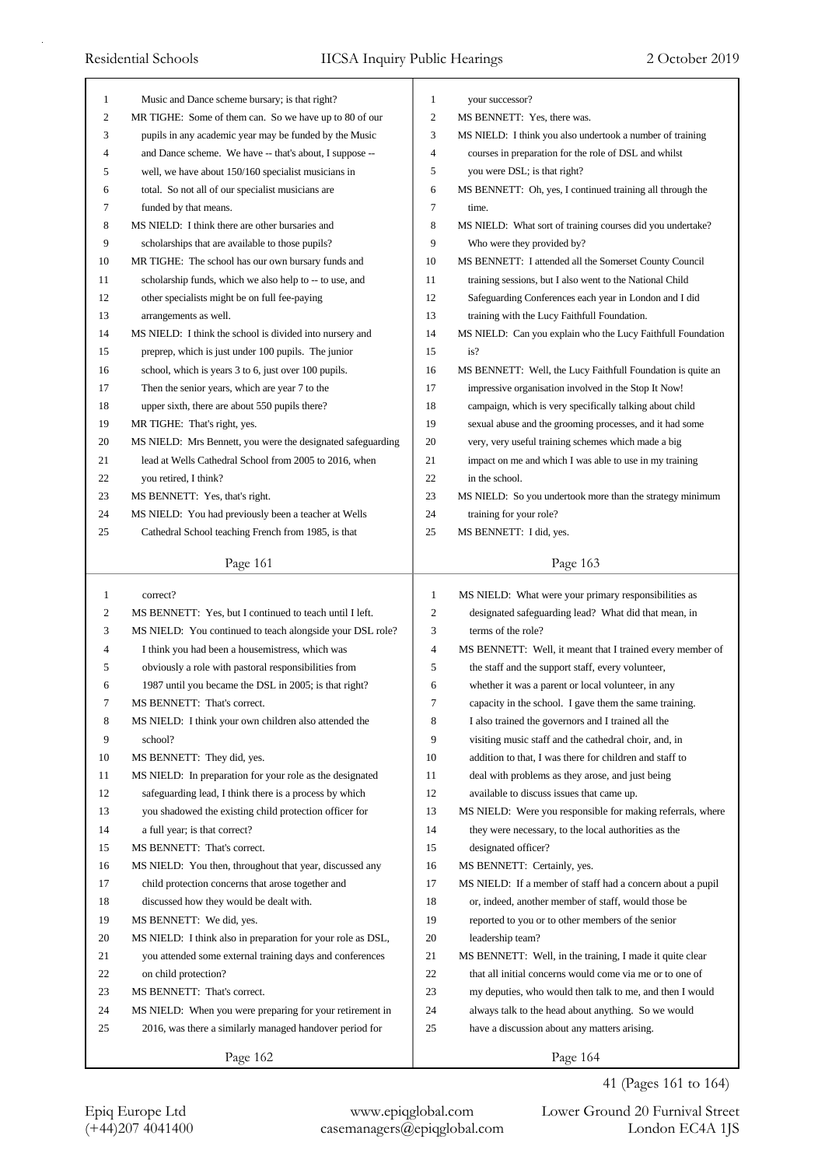| $\mathbf{1}$ | Music and Dance scheme bursary; is that right?              | 1            | your successor?                                             |
|--------------|-------------------------------------------------------------|--------------|-------------------------------------------------------------|
| 2            | MR TIGHE: Some of them can. So we have up to 80 of our      | 2            | MS BENNETT: Yes, there was.                                 |
| 3            | pupils in any academic year may be funded by the Music      | 3            | MS NIELD: I think you also undertook a number of training   |
| 4            | and Dance scheme. We have -- that's about, I suppose --     | 4            | courses in preparation for the role of DSL and whilst       |
| 5            | well, we have about 150/160 specialist musicians in         | 5            | you were DSL; is that right?                                |
| 6            | total. So not all of our specialist musicians are           | 6            | MS BENNETT: Oh, yes, I continued training all through the   |
| 7            | funded by that means.                                       | 7            | time.                                                       |
| 8            | MS NIELD: I think there are other bursaries and             | 8            | MS NIELD: What sort of training courses did you undertake?  |
| 9            | scholarships that are available to those pupils?            | 9            | Who were they provided by?                                  |
| 10           | MR TIGHE: The school has our own bursary funds and          | 10           | MS BENNETT: I attended all the Somerset County Council      |
| 11           | scholarship funds, which we also help to -- to use, and     | 11           | training sessions, but I also went to the National Child    |
| 12           | other specialists might be on full fee-paying               | 12           | Safeguarding Conferences each year in London and I did      |
| 13           | arrangements as well.                                       | 13           | training with the Lucy Faithfull Foundation.                |
| 14           | MS NIELD: I think the school is divided into nursery and    | 14           | MS NIELD: Can you explain who the Lucy Faithfull Foundation |
| 15           | preprep, which is just under 100 pupils. The junior         | 15           | is?                                                         |
| 16           | school, which is years 3 to 6, just over 100 pupils.        | 16           | MS BENNETT: Well, the Lucy Faithfull Foundation is quite an |
| 17           | Then the senior years, which are year 7 to the              | 17           | impressive organisation involved in the Stop It Now!        |
| 18           | upper sixth, there are about 550 pupils there?              | 18           | campaign, which is very specifically talking about child    |
| 19           | MR TIGHE: That's right, yes.                                | 19           | sexual abuse and the grooming processes, and it had some    |
| 20           | MS NIELD: Mrs Bennett, you were the designated safeguarding | 20           | very, very useful training schemes which made a big         |
| 21           | lead at Wells Cathedral School from 2005 to 2016, when      | 21           | impact on me and which I was able to use in my training     |
| 22           | you retired, I think?                                       | 22           | in the school.                                              |
| 23           | MS BENNETT: Yes, that's right.                              | 23           | MS NIELD: So you undertook more than the strategy minimum   |
| 24           | MS NIELD: You had previously been a teacher at Wells        | 24           | training for your role?                                     |
| 25           | Cathedral School teaching French from 1985, is that         | 25           | MS BENNETT: I did, yes.                                     |
|              |                                                             |              |                                                             |
|              | Page 161                                                    |              | Page 163                                                    |
|              |                                                             |              |                                                             |
|              |                                                             |              |                                                             |
| $\mathbf{1}$ | correct?                                                    | $\mathbf{1}$ | MS NIELD: What were your primary responsibilities as        |
| 2            | MS BENNETT: Yes, but I continued to teach until I left.     | 2            | designated safeguarding lead? What did that mean, in        |
| 3            | MS NIELD: You continued to teach alongside your DSL role?   | 3            | terms of the role?                                          |
| 4            | I think you had been a housemistress, which was             | 4            | MS BENNETT: Well, it meant that I trained every member of   |
| 5            | obviously a role with pastoral responsibilities from        | 5            | the staff and the support staff, every volunteer,           |
| 6            | 1987 until you became the DSL in 2005; is that right?       | 6            | whether it was a parent or local volunteer, in any          |
| 7            | MS BENNETT: That's correct.                                 | 7            | capacity in the school. I gave them the same training.      |
| 8            | MS NIELD: I think your own children also attended the       | 8            | I also trained the governors and I trained all the          |
| 9            | school?                                                     | 9            | visiting music staff and the cathedral choir, and, in       |
| 10           | MS BENNETT: They did, yes.                                  | 10           | addition to that, I was there for children and staff to     |
| 11           | MS NIELD: In preparation for your role as the designated    | 11           | deal with problems as they arose, and just being            |
| 12           | safeguarding lead, I think there is a process by which      | 12           | available to discuss issues that came up.                   |
| 13           | you shadowed the existing child protection officer for      | 13           | MS NIELD: Were you responsible for making referrals, where  |
| 14           | a full year; is that correct?                               | 14           | they were necessary, to the local authorities as the        |
| 15           | MS BENNETT: That's correct.                                 | 15           | designated officer?                                         |
| 16           | MS NIELD: You then, throughout that year, discussed any     | 16           | MS BENNETT: Certainly, yes.                                 |
| 17           | child protection concerns that arose together and           | 17           | MS NIELD: If a member of staff had a concern about a pupil  |
| 18           | discussed how they would be dealt with.                     | 18           | or, indeed, another member of staff, would those be         |
| 19           | MS BENNETT: We did, yes.                                    | 19           | reported to you or to other members of the senior           |
| 20           | MS NIELD: I think also in preparation for your role as DSL, | 20           | leadership team?                                            |
| 21           | you attended some external training days and conferences    | 21           | MS BENNETT: Well, in the training, I made it quite clear    |
| 22           | on child protection?                                        | 22           | that all initial concerns would come via me or to one of    |
| 23           | MS BENNETT: That's correct.                                 | 23           | my deputies, who would then talk to me, and then I would    |
| 24           | MS NIELD: When you were preparing for your retirement in    | 24           | always talk to the head about anything. So we would         |
| 25           | 2016, was there a similarly managed handover period for     | 25           | have a discussion about any matters arising.                |
|              | Page 162                                                    |              | Page 164                                                    |

## 41 (Pages 161 to 164)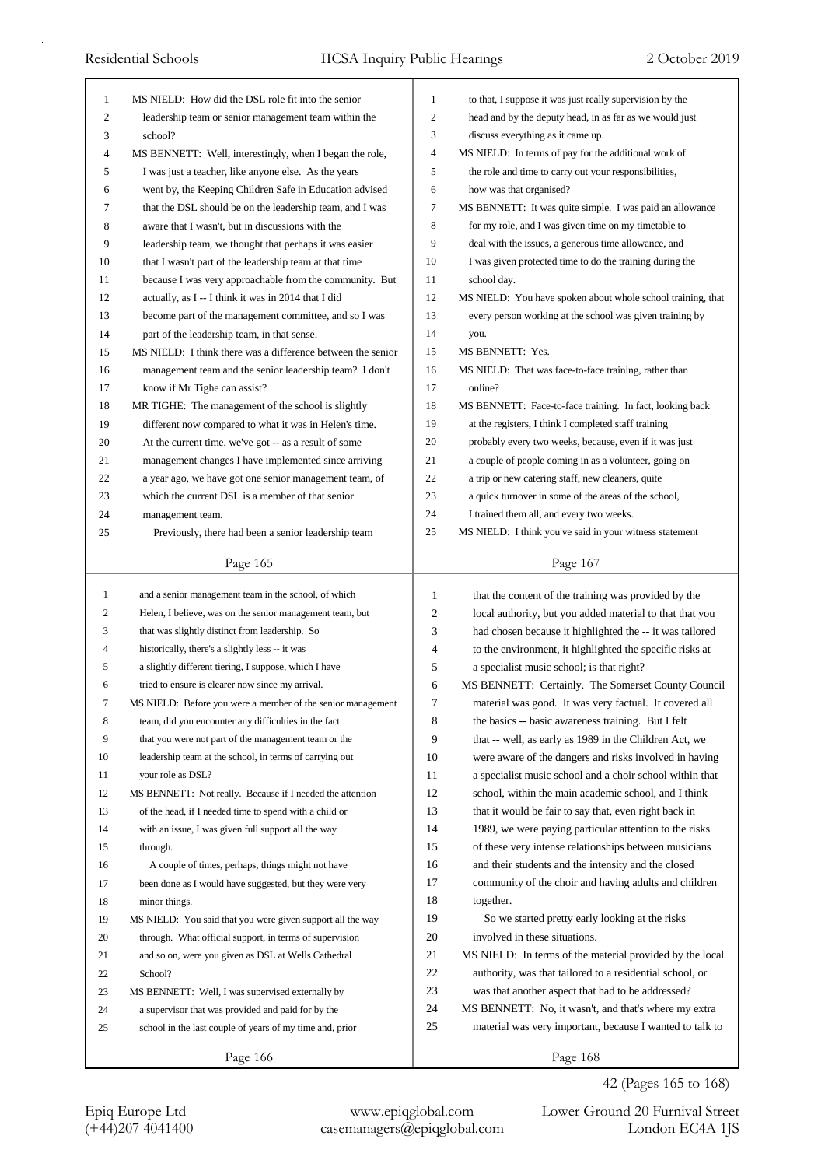| 1            | MS NIELD: How did the DSL role fit into the senior          | 1  | to that, I suppose it was just really supervision by the    |
|--------------|-------------------------------------------------------------|----|-------------------------------------------------------------|
| 2            | leadership team or senior management team within the        | 2  | head and by the deputy head, in as far as we would just     |
| 3            | school?                                                     | 3  | discuss everything as it came up.                           |
| 4            | MS BENNETT: Well, interestingly, when I began the role,     | 4  | MS NIELD: In terms of pay for the additional work of        |
| 5            | I was just a teacher, like anyone else. As the years        | 5  | the role and time to carry out your responsibilities,       |
| 6            | went by, the Keeping Children Safe in Education advised     | 6  | how was that organised?                                     |
| 7            | that the DSL should be on the leadership team, and I was    | 7  | MS BENNETT: It was quite simple. I was paid an allowance    |
| 8            | aware that I wasn't, but in discussions with the            | 8  | for my role, and I was given time on my timetable to        |
| 9            | leadership team, we thought that perhaps it was easier      | 9  | deal with the issues, a generous time allowance, and        |
| 10           | that I wasn't part of the leadership team at that time      | 10 | I was given protected time to do the training during the    |
| 11           | because I was very approachable from the community. But     | 11 | school day.                                                 |
| 12           | actually, as I -- I think it was in 2014 that I did         | 12 | MS NIELD: You have spoken about whole school training, that |
| 13           | become part of the management committee, and so I was       | 13 | every person working at the school was given training by    |
| 14           | part of the leadership team, in that sense.                 | 14 | you.                                                        |
| 15           | MS NIELD: I think there was a difference between the senior | 15 | MS BENNETT: Yes.                                            |
| 16           | management team and the senior leadership team? I don't     | 16 | MS NIELD: That was face-to-face training, rather than       |
| 17           | know if Mr Tighe can assist?                                | 17 | online?                                                     |
| 18           | MR TIGHE: The management of the school is slightly          | 18 | MS BENNETT: Face-to-face training. In fact, looking back    |
| 19           | different now compared to what it was in Helen's time.      | 19 | at the registers, I think I completed staff training        |
| 20           | At the current time, we've got -- as a result of some       | 20 | probably every two weeks, because, even if it was just      |
| 21           | management changes I have implemented since arriving        | 21 | a couple of people coming in as a volunteer, going on       |
| 22           | a year ago, we have got one senior management team, of      | 22 | a trip or new catering staff, new cleaners, quite           |
| 23           | which the current DSL is a member of that senior            | 23 | a quick turnover in some of the areas of the school,        |
| 24           |                                                             | 24 | I trained them all, and every two weeks.                    |
| 25           | management team.                                            | 25 |                                                             |
|              | Previously, there had been a senior leadership team         |    | MS NIELD: I think you've said in your witness statement     |
|              | Page 165                                                    |    | Page 167                                                    |
|              |                                                             |    |                                                             |
|              |                                                             |    |                                                             |
| $\mathbf{1}$ | and a senior management team in the school, of which        | 1  | that the content of the training was provided by the        |
| 2            | Helen, I believe, was on the senior management team, but    | 2  | local authority, but you added material to that that you    |
| 3            | that was slightly distinct from leadership. So              | 3  | had chosen because it highlighted the -- it was tailored    |
| 4            | historically, there's a slightly less -- it was             | 4  | to the environment, it highlighted the specific risks at    |
| 5            | a slightly different tiering, I suppose, which I have       | 5  | a specialist music school; is that right?                   |
| 6            | tried to ensure is clearer now since my arrival.            | 6  | MS BENNETT: Certainly. The Somerset County Council          |
|              | MS NIELD: Before you were a member of the senior management | 7  | material was good. It was very factual. It covered all      |
| 8            | team, did you encounter any difficulties in the fact        | 8  | the basics -- basic awareness training. But I felt          |
| 9            | that you were not part of the management team or the        | 9  | that -- well, as early as 1989 in the Children Act, we      |
| 10           | leadership team at the school, in terms of carrying out     | 10 | were aware of the dangers and risks involved in having      |
| 11           | your role as DSL?                                           | 11 | a specialist music school and a choir school within that    |
| 12           | MS BENNETT: Not really. Because if I needed the attention   | 12 | school, within the main academic school, and I think        |
| 13           | of the head, if I needed time to spend with a child or      | 13 | that it would be fair to say that, even right back in       |
| 14           | with an issue, I was given full support all the way         | 14 | 1989, we were paying particular attention to the risks      |
| 15           | through.                                                    | 15 | of these very intense relationships between musicians       |
| 16           | A couple of times, perhaps, things might not have           | 16 | and their students and the intensity and the closed         |
| 17           | been done as I would have suggested, but they were very     | 17 | community of the choir and having adults and children       |
| 18           | minor things.                                               | 18 | together.                                                   |
| 19           | MS NIELD: You said that you were given support all the way  | 19 | So we started pretty early looking at the risks             |
| 20           | through. What official support, in terms of supervision     | 20 | involved in these situations.                               |
| 21           | and so on, were you given as DSL at Wells Cathedral         | 21 | MS NIELD: In terms of the material provided by the local    |
| 22           | School?                                                     | 22 | authority, was that tailored to a residential school, or    |
| 23           | MS BENNETT: Well, I was supervised externally by            | 23 | was that another aspect that had to be addressed?           |
| 24           | a supervisor that was provided and paid for by the          | 24 | MS BENNETT: No, it wasn't, and that's where my extra        |
| 25           | school in the last couple of years of my time and, prior    | 25 | material was very important, because I wanted to talk to    |

42 (Pages 165 to 168)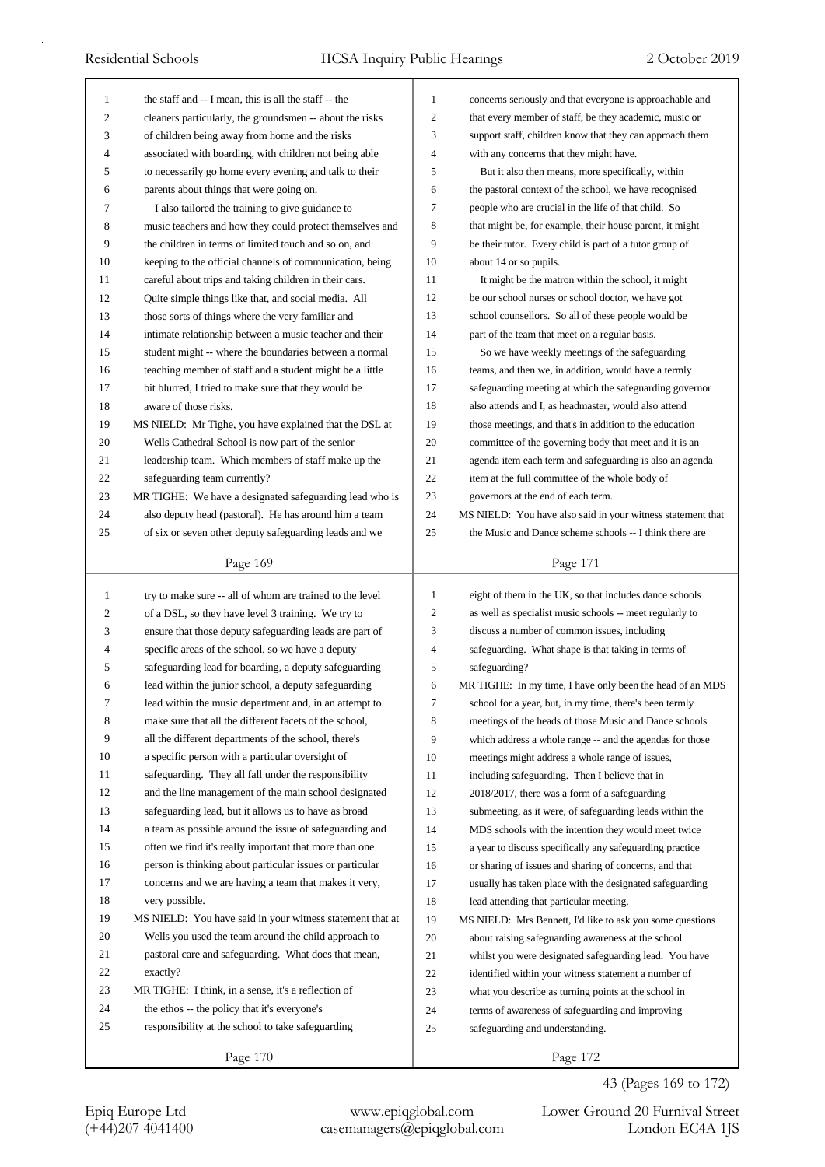| $\mathbf{1}$   | the staff and -- I mean, this is all the staff -- the     | $\mathbf{1}$   | concerns seriously and that everyone is approachable and    |
|----------------|-----------------------------------------------------------|----------------|-------------------------------------------------------------|
| $\mathfrak{2}$ | cleaners particularly, the groundsmen -- about the risks  | $\mathfrak{2}$ | that every member of staff, be they academic, music or      |
| 3              | of children being away from home and the risks            | 3              | support staff, children know that they can approach them    |
| 4              | associated with boarding, with children not being able    | $\overline{4}$ | with any concerns that they might have.                     |
| 5              | to necessarily go home every evening and talk to their    | 5              | But it also then means, more specifically, within           |
| 6              | parents about things that were going on.                  | 6              | the pastoral context of the school, we have recognised      |
| 7              | I also tailored the training to give guidance to          | $\tau$         | people who are crucial in the life of that child. So        |
| 8              | music teachers and how they could protect themselves and  | 8              | that might be, for example, their house parent, it might    |
| 9              | the children in terms of limited touch and so on, and     | 9              | be their tutor. Every child is part of a tutor group of     |
| 10             | keeping to the official channels of communication, being  | 10             | about 14 or so pupils.                                      |
| 11             | careful about trips and taking children in their cars.    | 11             | It might be the matron within the school, it might          |
| 12             | Quite simple things like that, and social media. All      | 12             | be our school nurses or school doctor, we have got          |
| 13             | those sorts of things where the very familiar and         | 13             | school counsellors. So all of these people would be         |
| 14             | intimate relationship between a music teacher and their   | 14             | part of the team that meet on a regular basis.              |
| 15             | student might -- where the boundaries between a normal    | 15             | So we have weekly meetings of the safeguarding              |
| 16             | teaching member of staff and a student might be a little  | 16             | teams, and then we, in addition, would have a termly        |
| 17             | bit blurred, I tried to make sure that they would be      | 17             | safeguarding meeting at which the safeguarding governor     |
| 18             | aware of those risks.                                     | 18             | also attends and I, as headmaster, would also attend        |
| 19             | MS NIELD: Mr Tighe, you have explained that the DSL at    | 19             | those meetings, and that's in addition to the education     |
| 20             | Wells Cathedral School is now part of the senior          | 20             | committee of the governing body that meet and it is an      |
| 21             | leadership team. Which members of staff make up the       | 21             | agenda item each term and safeguarding is also an agenda    |
| 22             | safeguarding team currently?                              | 22             | item at the full committee of the whole body of             |
| 23             | MR TIGHE: We have a designated safeguarding lead who is   | 23             | governors at the end of each term.                          |
| 24             | also deputy head (pastoral). He has around him a team     | 24             | MS NIELD: You have also said in your witness statement that |
| 25             | of six or seven other deputy safeguarding leads and we    | 25             | the Music and Dance scheme schools -- I think there are     |
|                |                                                           |                |                                                             |
|                | Page 169                                                  |                | Page 171                                                    |
|                |                                                           |                |                                                             |
|                |                                                           |                |                                                             |
| $\mathbf{1}$   | try to make sure -- all of whom are trained to the level  | $\mathbf{1}$   | eight of them in the UK, so that includes dance schools     |
| $\overline{c}$ | of a DSL, so they have level 3 training. We try to        | 2              | as well as specialist music schools -- meet regularly to    |
| 3              | ensure that those deputy safeguarding leads are part of   | 3              | discuss a number of common issues, including                |
| 4              | specific areas of the school, so we have a deputy         | 4              | safeguarding. What shape is that taking in terms of         |
| 5              | safeguarding lead for boarding, a deputy safeguarding     | 5              | safeguarding?                                               |
| 6              | lead within the junior school, a deputy safeguarding      | 6              | MR TIGHE: In my time, I have only been the head of an MDS   |
| 7              | lead within the music department and, in an attempt to    | Ί              | school for a year, but, in my time, there's been termly     |
| 8              | make sure that all the different facets of the school,    | 8              | meetings of the heads of those Music and Dance schools      |
| 9              | all the different departments of the school, there's      | 9              | which address a whole range -- and the agendas for those    |
| 10             | a specific person with a particular oversight of          | 10             | meetings might address a whole range of issues,             |
| 11             | safeguarding. They all fall under the responsibility      | 11             | including safeguarding. Then I believe that in              |
| 12             | and the line management of the main school designated     | 12             | 2018/2017, there was a form of a safeguarding               |
| 13             | safeguarding lead, but it allows us to have as broad      | 13             | submeeting, as it were, of safeguarding leads within the    |
| 14             | a team as possible around the issue of safeguarding and   | 14             | MDS schools with the intention they would meet twice        |
| 15             | often we find it's really important that more than one    | 15             | a year to discuss specifically any safeguarding practice    |
| 16             | person is thinking about particular issues or particular  | 16             | or sharing of issues and sharing of concerns, and that      |
| 17             | concerns and we are having a team that makes it very,     | 17             | usually has taken place with the designated safeguarding    |
| 18             | very possible.                                            | 18             | lead attending that particular meeting.                     |
| 19             | MS NIELD: You have said in your witness statement that at | 19             | MS NIELD: Mrs Bennett, I'd like to ask you some questions   |
| 20             | Wells you used the team around the child approach to      | 20             | about raising safeguarding awareness at the school          |
| 21             | pastoral care and safeguarding. What does that mean,      | 21             | whilst you were designated safeguarding lead. You have      |
| 22             | exactly?                                                  | 22             | identified within your witness statement a number of        |
| 23             | MR TIGHE: I think, in a sense, it's a reflection of       | 23             | what you describe as turning points at the school in        |
| 24             | the ethos -- the policy that it's everyone's              | 24             | terms of awareness of safeguarding and improving            |
| 25             | responsibility at the school to take safeguarding         | 25             | safeguarding and understanding.                             |
|                | Page 170                                                  |                | Page 172                                                    |

Page 172

Epiq Europe Ltd www.epiqglobal.com Lower Ground 20 Furnival Street<br>
(+44)207 4041400 casemanagers@epiqglobal.com London EC4A 1JS Lower Ground 20 Furnival Street

43 (Pages 169 to 172)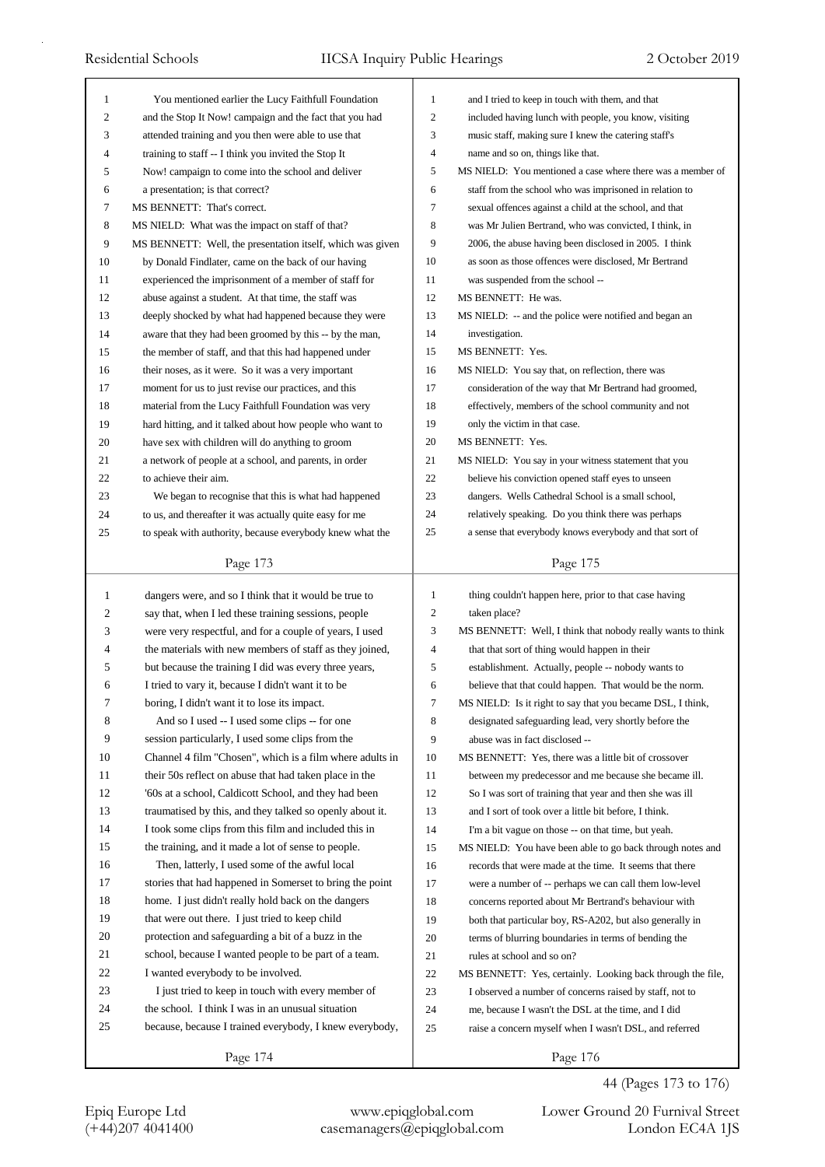| 1            | You mentioned earlier the Lucy Faithfull Foundation        | 1              | and I tried to keep in touch with them, and that                                                               |
|--------------|------------------------------------------------------------|----------------|----------------------------------------------------------------------------------------------------------------|
| 2            | and the Stop It Now! campaign and the fact that you had    | $\mathfrak{2}$ | included having lunch with people, you know, visiting                                                          |
| 3            | attended training and you then were able to use that       | 3              | music staff, making sure I knew the catering staff's                                                           |
| 4            | training to staff -- I think you invited the Stop It       | $\overline{4}$ | name and so on, things like that.                                                                              |
| 5            | Now! campaign to come into the school and deliver          | 5              | MS NIELD: You mentioned a case where there was a member of                                                     |
| 6            | a presentation; is that correct?                           | 6              | staff from the school who was imprisoned in relation to                                                        |
| 7            | MS BENNETT: That's correct.                                | $\tau$         | sexual offences against a child at the school, and that                                                        |
| 8            | MS NIELD: What was the impact on staff of that?            | 8              | was Mr Julien Bertrand, who was convicted, I think, in                                                         |
| 9            | MS BENNETT: Well, the presentation itself, which was given | 9              | 2006, the abuse having been disclosed in 2005. I think                                                         |
| 10           | by Donald Findlater, came on the back of our having        | 10             | as soon as those offences were disclosed, Mr Bertrand                                                          |
| 11           | experienced the imprisonment of a member of staff for      | 11             | was suspended from the school --                                                                               |
| 12           | abuse against a student. At that time, the staff was       | 12             | MS BENNETT: He was.                                                                                            |
| 13           | deeply shocked by what had happened because they were      | 13             | MS NIELD: -- and the police were notified and began an                                                         |
| 14           | aware that they had been groomed by this -- by the man,    | 14             | investigation.                                                                                                 |
| 15           | the member of staff, and that this had happened under      | 15             | MS BENNETT: Yes.                                                                                               |
| 16           | their noses, as it were. So it was a very important        | 16             | MS NIELD: You say that, on reflection, there was                                                               |
| 17           | moment for us to just revise our practices, and this       | 17             |                                                                                                                |
|              |                                                            | 18             | consideration of the way that Mr Bertrand had groomed,<br>effectively, members of the school community and not |
| 18           | material from the Lucy Faithfull Foundation was very       |                |                                                                                                                |
| 19           | hard hitting, and it talked about how people who want to   | 19             | only the victim in that case.                                                                                  |
| 20           | have sex with children will do anything to groom           | 20             | MS BENNETT: Yes.                                                                                               |
| 21           | a network of people at a school, and parents, in order     | 21             | MS NIELD: You say in your witness statement that you                                                           |
| 22           | to achieve their aim.                                      | 22             | believe his conviction opened staff eyes to unseen                                                             |
| 23           | We began to recognise that this is what had happened       | 23             | dangers. Wells Cathedral School is a small school,                                                             |
| 24           | to us, and thereafter it was actually quite easy for me    | 24             | relatively speaking. Do you think there was perhaps                                                            |
| 25           | to speak with authority, because everybody knew what the   | 25             | a sense that everybody knows everybody and that sort of                                                        |
|              | Page 173                                                   |                | Page 175                                                                                                       |
|              |                                                            |                |                                                                                                                |
|              |                                                            |                |                                                                                                                |
| $\mathbf{1}$ | dangers were, and so I think that it would be true to      | $\mathbf{1}$   | thing couldn't happen here, prior to that case having                                                          |
| 2            | say that, when I led these training sessions, people       | $\mathfrak{2}$ | taken place?                                                                                                   |
| 3            | were very respectful, and for a couple of years, I used    | 3              | MS BENNETT: Well, I think that nobody really wants to think                                                    |
| 4            | the materials with new members of staff as they joined,    | 4              | that that sort of thing would happen in their                                                                  |
| 5            | but because the training I did was every three years,      | 5              | establishment. Actually, people -- nobody wants to                                                             |
| 6            | I tried to vary it, because I didn't want it to be         | 6              | believe that that could happen. That would be the norm.                                                        |
| 7            | boring, I didn't want it to lose its impact.               | 7              | MS NIELD: Is it right to say that you became DSL, I think,                                                     |
| 8            | And so I used -- I used some clips -- for one              | 8              | designated safeguarding lead, very shortly before the                                                          |
| 9            | session particularly, I used some clips from the           | 9              | abuse was in fact disclosed --                                                                                 |
| 10           | Channel 4 film "Chosen", which is a film where adults in   | 10             | MS BENNETT: Yes, there was a little bit of crossover                                                           |
| 11           | their 50s reflect on abuse that had taken place in the     | 11             | between my predecessor and me because she became ill.                                                          |
| 12           | '60s at a school, Caldicott School, and they had been      | 12             | So I was sort of training that year and then she was ill                                                       |
| 13           | traumatised by this, and they talked so openly about it.   | 13             | and I sort of took over a little bit before, I think.                                                          |
| 14           | I took some clips from this film and included this in      | 14             | I'm a bit vague on those -- on that time, but yeah.                                                            |
| 15           | the training, and it made a lot of sense to people.        | 15             | MS NIELD: You have been able to go back through notes and                                                      |
| 16           | Then, latterly, I used some of the awful local             | 16             | records that were made at the time. It seems that there                                                        |
| 17           | stories that had happened in Somerset to bring the point   | 17             | were a number of -- perhaps we can call them low-level                                                         |
| 18           | home. I just didn't really hold back on the dangers        | 18             | concerns reported about Mr Bertrand's behaviour with                                                           |
| 19           | that were out there. I just tried to keep child            | 19             | both that particular boy, RS-A202, but also generally in                                                       |
| 20           | protection and safeguarding a bit of a buzz in the         | 20             | terms of blurring boundaries in terms of bending the                                                           |
| 21           | school, because I wanted people to be part of a team.      | 21             | rules at school and so on?                                                                                     |
| 22           | I wanted everybody to be involved.                         | 22             | MS BENNETT: Yes, certainly. Looking back through the file,                                                     |
| 23           | I just tried to keep in touch with every member of         | 23             | I observed a number of concerns raised by staff, not to                                                        |
| 24           | the school. I think I was in an unusual situation          | 24             | me, because I wasn't the DSL at the time, and I did                                                            |
| 25           | because, because I trained everybody, I knew everybody,    | 25             | raise a concern myself when I wasn't DSL, and referred                                                         |
|              | Page 174                                                   |                | Page 176                                                                                                       |

44 (Pages 173 to 176)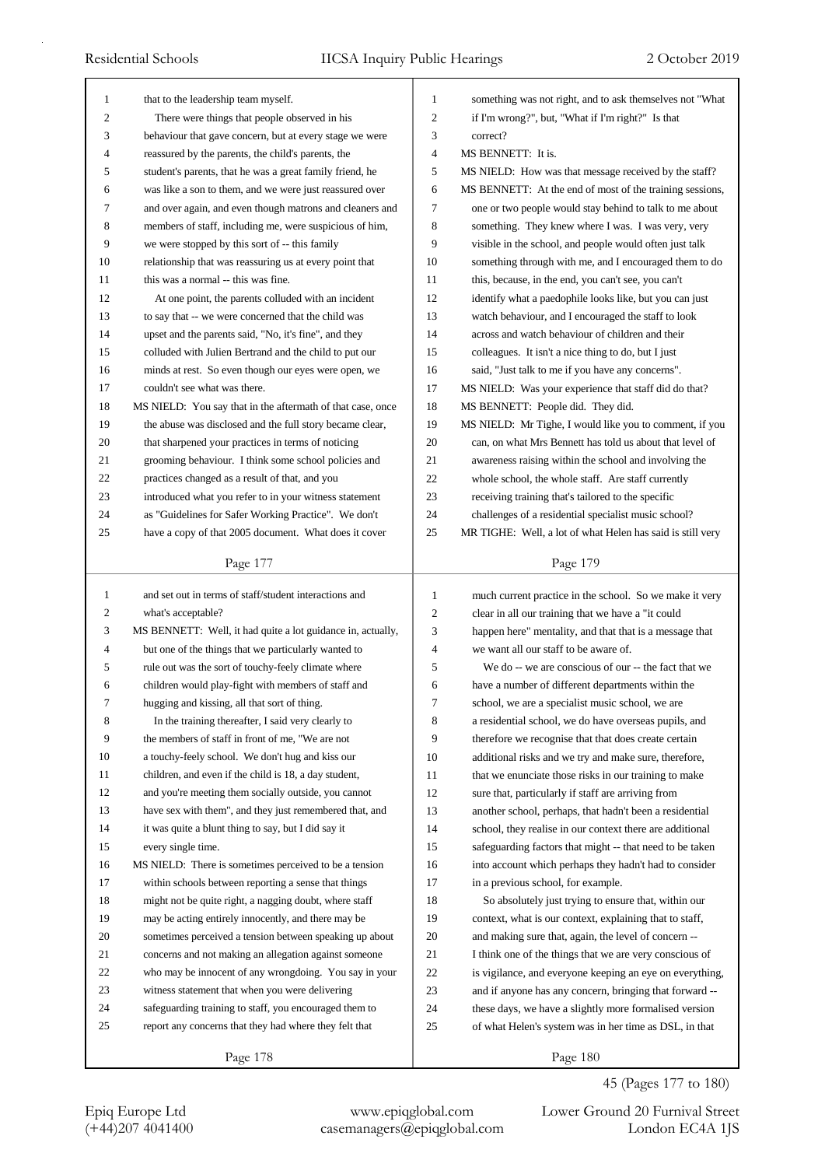| $\mathbf{1}$     | that to the leadership team myself.                                                                            | 1              | something was not right, and to ask themselves not "What                                                       |
|------------------|----------------------------------------------------------------------------------------------------------------|----------------|----------------------------------------------------------------------------------------------------------------|
| $\overline{2}$   | There were things that people observed in his                                                                  | $\overline{2}$ | if I'm wrong?", but, "What if I'm right?" Is that                                                              |
| 3                | behaviour that gave concern, but at every stage we were                                                        | 3              | correct?                                                                                                       |
| 4                | reassured by the parents, the child's parents, the                                                             | 4              | MS BENNETT: It is.                                                                                             |
| 5                | student's parents, that he was a great family friend, he                                                       | 5              | MS NIELD: How was that message received by the staff?                                                          |
| 6                | was like a son to them, and we were just reassured over                                                        | 6              | MS BENNETT: At the end of most of the training sessions,                                                       |
| 7                | and over again, and even though matrons and cleaners and                                                       | 7              | one or two people would stay behind to talk to me about                                                        |
| 8                | members of staff, including me, were suspicious of him,                                                        | 8              | something. They knew where I was. I was very, very                                                             |
| 9                | we were stopped by this sort of -- this family                                                                 | 9              | visible in the school, and people would often just talk                                                        |
| 10               | relationship that was reassuring us at every point that                                                        | 10             | something through with me, and I encouraged them to do                                                         |
| 11               | this was a normal -- this was fine.                                                                            | 11             | this, because, in the end, you can't see, you can't                                                            |
| 12               | At one point, the parents colluded with an incident                                                            | 12             | identify what a paedophile looks like, but you can just                                                        |
| 13               | to say that -- we were concerned that the child was                                                            | 13             | watch behaviour, and I encouraged the staff to look                                                            |
| 14               | upset and the parents said, "No, it's fine", and they                                                          | 14             | across and watch behaviour of children and their                                                               |
| 15               | colluded with Julien Bertrand and the child to put our                                                         | 15             | colleagues. It isn't a nice thing to do, but I just                                                            |
| 16               | minds at rest. So even though our eyes were open, we                                                           | 16             | said, "Just talk to me if you have any concerns".                                                              |
| 17               | couldn't see what was there.                                                                                   | 17             | MS NIELD: Was your experience that staff did do that?                                                          |
| 18               | MS NIELD: You say that in the aftermath of that case, once                                                     | 18             | MS BENNETT: People did. They did.                                                                              |
| 19               | the abuse was disclosed and the full story became clear,                                                       | 19             | MS NIELD: Mr Tighe, I would like you to comment, if you                                                        |
| 20               | that sharpened your practices in terms of noticing                                                             | 20             | can, on what Mrs Bennett has told us about that level of                                                       |
| 21               | grooming behaviour. I think some school policies and                                                           | 21             | awareness raising within the school and involving the                                                          |
| 22               | practices changed as a result of that, and you                                                                 | 22             | whole school, the whole staff. Are staff currently                                                             |
| 23               | introduced what you refer to in your witness statement                                                         | 23             | receiving training that's tailored to the specific                                                             |
| 24               | as "Guidelines for Safer Working Practice". We don't                                                           | 24             | challenges of a residential specialist music school?                                                           |
| 25               | have a copy of that 2005 document. What does it cover                                                          | 25             | MR TIGHE: Well, a lot of what Helen has said is still very                                                     |
|                  |                                                                                                                |                |                                                                                                                |
|                  | Page 177                                                                                                       |                | Page 179                                                                                                       |
|                  |                                                                                                                |                |                                                                                                                |
| $\mathbf{1}$     | and set out in terms of staff/student interactions and                                                         | $\mathbf{1}$   | much current practice in the school. So we make it very                                                        |
| $\boldsymbol{2}$ | what's acceptable?                                                                                             | $\mathfrak{2}$ | clear in all our training that we have a "it could                                                             |
| 3                | MS BENNETT: Well, it had quite a lot guidance in, actually,                                                    | 3              | happen here" mentality, and that that is a message that                                                        |
| $\overline{4}$   | but one of the things that we particularly wanted to                                                           | 4              | we want all our staff to be aware of.                                                                          |
| 5                | rule out was the sort of touchy-feely climate where                                                            | 5              | We do -- we are conscious of our -- the fact that we                                                           |
| 6                | children would play-fight with members of staff and                                                            | 6              | have a number of different departments within the                                                              |
| 7                |                                                                                                                | 7              | school, we are a specialist music school, we are                                                               |
| $\,$ 8 $\,$      | hugging and kissing, all that sort of thing.<br>In the training thereafter, I said very clearly to             | 8              | a residential school, we do have overseas pupils, and                                                          |
| 9                | the members of staff in front of me, "We are not                                                               | 9              | therefore we recognise that that does create certain                                                           |
| 10               | a touchy-feely school. We don't hug and kiss our                                                               | 10             |                                                                                                                |
| 11               | children, and even if the child is 18, a day student,                                                          | 11             | additional risks and we try and make sure, therefore,<br>that we enunciate those risks in our training to make |
| 12               | and you're meeting them socially outside, you cannot                                                           | 12             | sure that, particularly if staff are arriving from                                                             |
| 13               |                                                                                                                | 13             |                                                                                                                |
| 14               | have sex with them", and they just remembered that, and<br>it was quite a blunt thing to say, but I did say it | 14             | another school, perhaps, that hadn't been a residential                                                        |
| 15               | every single time.                                                                                             | 15             | school, they realise in our context there are additional                                                       |
|                  |                                                                                                                |                | safeguarding factors that might -- that need to be taken                                                       |
| 16               | MS NIELD: There is sometimes perceived to be a tension                                                         | 16             | into account which perhaps they hadn't had to consider                                                         |
| 17<br>18         | within schools between reporting a sense that things                                                           | 17             | in a previous school, for example.                                                                             |
|                  | might not be quite right, a nagging doubt, where staff                                                         | 18             | So absolutely just trying to ensure that, within our                                                           |
| 19               | may be acting entirely innocently, and there may be                                                            | 19             | context, what is our context, explaining that to staff,                                                        |
| 20               | sometimes perceived a tension between speaking up about                                                        | 20             | and making sure that, again, the level of concern --                                                           |
| 21               | concerns and not making an allegation against someone                                                          | 21             | I think one of the things that we are very conscious of                                                        |
| 22               | who may be innocent of any wrongdoing. You say in your                                                         | 22             | is vigilance, and everyone keeping an eye on everything,                                                       |
| 23               | witness statement that when you were delivering                                                                | 23             | and if anyone has any concern, bringing that forward --                                                        |
| 24<br>25         | safeguarding training to staff, you encouraged them to                                                         | 24             | these days, we have a slightly more formalised version                                                         |
|                  | report any concerns that they had where they felt that                                                         | 25             | of what Helen's system was in her time as DSL, in that                                                         |

45 (Pages 177 to 180)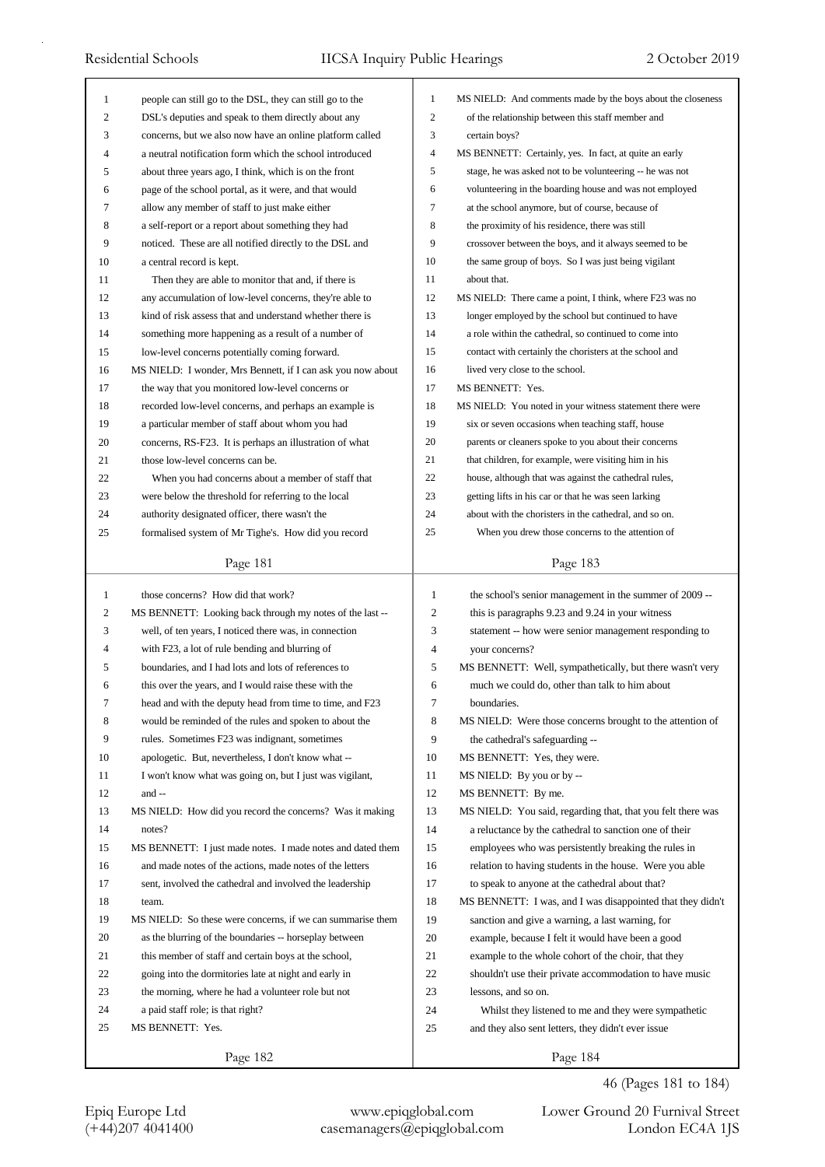| $\mathbf{1}$ | people can still go to the DSL, they can still go to the    | $\mathbf{1}$   | MS NIELD: And comments made by the boys about the closeness |
|--------------|-------------------------------------------------------------|----------------|-------------------------------------------------------------|
| 2            | DSL's deputies and speak to them directly about any         | $\overline{c}$ | of the relationship between this staff member and           |
| 3            | concerns, but we also now have an online platform called    | 3              | certain boys?                                               |
| 4            | a neutral notification form which the school introduced     | $\overline{4}$ | MS BENNETT: Certainly, yes. In fact, at quite an early      |
| 5            | about three years ago, I think, which is on the front       | 5              | stage, he was asked not to be volunteering -- he was not    |
| 6            | page of the school portal, as it were, and that would       | 6              | volunteering in the boarding house and was not employed     |
| 7            | allow any member of staff to just make either               | 7              | at the school anymore, but of course, because of            |
| 8            | a self-report or a report about something they had          | 8              | the proximity of his residence, there was still             |
| 9            | noticed. These are all notified directly to the DSL and     | 9              | crossover between the boys, and it always seemed to be      |
| 10           | a central record is kept.                                   | 10             | the same group of boys. So I was just being vigilant        |
| 11           | Then they are able to monitor that and, if there is         | 11             | about that.                                                 |
| 12           | any accumulation of low-level concerns, they're able to     | 12             | MS NIELD: There came a point, I think, where F23 was no     |
| 13           | kind of risk assess that and understand whether there is    | 13             | longer employed by the school but continued to have         |
| 14           | something more happening as a result of a number of         | 14             | a role within the cathedral, so continued to come into      |
| 15           | low-level concerns potentially coming forward.              | 15             | contact with certainly the choristers at the school and     |
| 16           | MS NIELD: I wonder, Mrs Bennett, if I can ask you now about | 16             | lived very close to the school.                             |
| 17           | the way that you monitored low-level concerns or            | 17             | MS BENNETT: Yes.                                            |
| 18           | recorded low-level concerns, and perhaps an example is      | 18             | MS NIELD: You noted in your witness statement there were    |
| 19           | a particular member of staff about whom you had             | 19             | six or seven occasions when teaching staff, house           |
| 20           | concerns, RS-F23. It is perhaps an illustration of what     | 20             | parents or cleaners spoke to you about their concerns       |
| 21           | those low-level concerns can be.                            | 21             | that children, for example, were visiting him in his        |
| 22           | When you had concerns about a member of staff that          | 22             | house, although that was against the cathedral rules,       |
| 23           | were below the threshold for referring to the local         | 23             | getting lifts in his car or that he was seen larking        |
| 24           | authority designated officer, there wasn't the              | 24             | about with the choristers in the cathedral, and so on.      |
| 25           | formalised system of Mr Tighe's. How did you record         | 25             | When you drew those concerns to the attention of            |
|              |                                                             |                |                                                             |
|              | Page 181                                                    |                | Page 183                                                    |
|              |                                                             |                |                                                             |
|              |                                                             |                |                                                             |
| $\mathbf{1}$ | those concerns? How did that work?                          | $\mathbf{1}$   | the school's senior management in the summer of 2009 --     |
| 2            | MS BENNETT: Looking back through my notes of the last --    | 2              | this is paragraphs 9.23 and 9.24 in your witness            |
| 3            | well, of ten years, I noticed there was, in connection      | 3              | statement -- how were senior management responding to       |
| 4            | with F23, a lot of rule bending and blurring of             | 4              | your concerns?                                              |
| 5            | boundaries, and I had lots and lots of references to        | 5              | MS BENNETT: Well, sympathetically, but there wasn't very    |
| 6            | this over the years, and I would raise these with the       | 6              | much we could do, other than talk to him about              |
| 7            | head and with the deputy head from time to time, and F23    | 7              | boundaries.                                                 |
| 8            | would be reminded of the rules and spoken to about the      | 8              | MS NIELD: Were those concerns brought to the attention of   |
| 9            | rules. Sometimes F23 was indignant, sometimes               | 9              | the cathedral's safeguarding --                             |
| 10           | apologetic. But, nevertheless, I don't know what --         | 10             | MS BENNETT: Yes, they were.                                 |
| 11           | I won't know what was going on, but I just was vigilant,    | 11             | MS NIELD: By you or by --                                   |
| 12           | and --                                                      | 12             | MS BENNETT: By me.                                          |
| 13           | MS NIELD: How did you record the concerns? Was it making    | 13             | MS NIELD: You said, regarding that, that you felt there was |
| 14           | notes?                                                      | 14             | a reluctance by the cathedral to sanction one of their      |
| 15           | MS BENNETT: I just made notes. I made notes and dated them  | 15             | employees who was persistently breaking the rules in        |
| 16           | and made notes of the actions, made notes of the letters    | 16             | relation to having students in the house. Were you able     |
| 17           | sent, involved the cathedral and involved the leadership    | 17             | to speak to anyone at the cathedral about that?             |
| 18           | team.                                                       | 18             | MS BENNETT: I was, and I was disappointed that they didn't  |
| 19           | MS NIELD: So these were concerns, if we can summarise them  | 19             | sanction and give a warning, a last warning, for            |
| 20           | as the blurring of the boundaries -- horseplay between      | 20             | example, because I felt it would have been a good           |
| 21           | this member of staff and certain boys at the school,        | 21             | example to the whole cohort of the choir, that they         |
| 22           | going into the dormitories late at night and early in       | 22             | shouldn't use their private accommodation to have music     |
| 23           | the morning, where he had a volunteer role but not          | 23             | lessons, and so on.                                         |
| 24           | a paid staff role; is that right?                           | 24             | Whilst they listened to me and they were sympathetic        |
| 25           | MS BENNETT: Yes.                                            | 25             | and they also sent letters, they didn't ever issue          |
|              | Page 182                                                    |                | Page 184                                                    |

46 (Pages 181 to 184)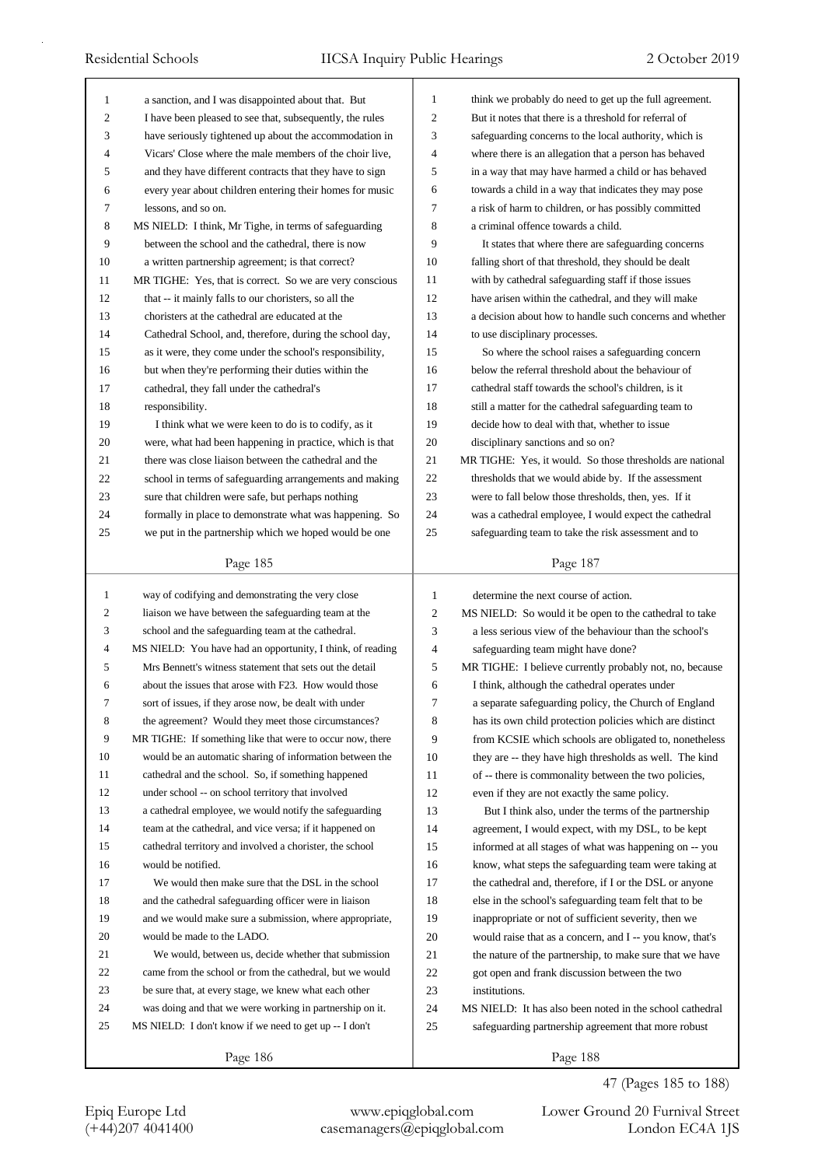| $\mathbf{1}$   | a sanction, and I was disappointed about that. But         | $\mathbf{1}$ | think we probably do need to get up the full agreement.   |
|----------------|------------------------------------------------------------|--------------|-----------------------------------------------------------|
| $\overline{c}$ | I have been pleased to see that, subsequently, the rules   | 2            | But it notes that there is a threshold for referral of    |
| 3              | have seriously tightened up about the accommodation in     | 3            | safeguarding concerns to the local authority, which is    |
| 4              | Vicars' Close where the male members of the choir live,    | 4            | where there is an allegation that a person has behaved    |
| 5              | and they have different contracts that they have to sign   | 5            | in a way that may have harmed a child or has behaved      |
| 6              | every year about children entering their homes for music   | 6            | towards a child in a way that indicates they may pose     |
| 7              | lessons, and so on.                                        | 7            | a risk of harm to children, or has possibly committed     |
| 8              | MS NIELD: I think, Mr Tighe, in terms of safeguarding      | 8            | a criminal offence towards a child.                       |
| 9              | between the school and the cathedral, there is now         | 9            | It states that where there are safeguarding concerns      |
| 10             | a written partnership agreement; is that correct?          | 10           | falling short of that threshold, they should be dealt     |
| 11             | MR TIGHE: Yes, that is correct. So we are very conscious   | 11           | with by cathedral safeguarding staff if those issues      |
| 12             | that -- it mainly falls to our choristers, so all the      | 12           | have arisen within the cathedral, and they will make      |
| 13             | choristers at the cathedral are educated at the            | 13           | a decision about how to handle such concerns and whether  |
| 14             | Cathedral School, and, therefore, during the school day,   | 14           | to use disciplinary processes.                            |
| 15             | as it were, they come under the school's responsibility,   | 15           | So where the school raises a safeguarding concern         |
| 16             | but when they're performing their duties within the        | 16           | below the referral threshold about the behaviour of       |
| 17             | cathedral, they fall under the cathedral's                 | 17           | cathedral staff towards the school's children, is it      |
| 18             | responsibility.                                            | 18           | still a matter for the cathedral safeguarding team to     |
| 19             | I think what we were keen to do is to codify, as it        | 19           | decide how to deal with that, whether to issue            |
| 20             | were, what had been happening in practice, which is that   | 20           | disciplinary sanctions and so on?                         |
| 21             | there was close liaison between the cathedral and the      | 21           | MR TIGHE: Yes, it would. So those thresholds are national |
| 22             | school in terms of safeguarding arrangements and making    | 22           | thresholds that we would abide by. If the assessment      |
| 23             | sure that children were safe, but perhaps nothing          | 23           | were to fall below those thresholds, then, yes. If it     |
| 24             | formally in place to demonstrate what was happening. So    | 24           | was a cathedral employee, I would expect the cathedral    |
| 25             | we put in the partnership which we hoped would be one      | 25           | safeguarding team to take the risk assessment and to      |
|                |                                                            |              |                                                           |
|                | Page 185                                                   |              | Page 187                                                  |
|                |                                                            |              |                                                           |
|                |                                                            |              |                                                           |
| 1              | way of codifying and demonstrating the very close          | 1            | determine the next course of action.                      |
| 2              | liaison we have between the safeguarding team at the       | 2            | MS NIELD: So would it be open to the cathedral to take    |
| 3              | school and the safeguarding team at the cathedral.         | 3            | a less serious view of the behaviour than the school's    |
| $\overline{4}$ | MS NIELD: You have had an opportunity, I think, of reading | 4            | safeguarding team might have done?                        |
| 5              | Mrs Bennett's witness statement that sets out the detail   | 5            | MR TIGHE: I believe currently probably not, no, because   |
| 6              | about the issues that arose with F23. How would those      | 6            | I think, although the cathedral operates under            |
| Ί              | sort of issues, if they arose now, be dealt with under     | 7            | a separate safeguarding policy, the Church of England     |
| 8              | the agreement? Would they meet those circumstances?        | 8            | has its own child protection policies which are distinct  |
| 9              | MR TIGHE: If something like that were to occur now, there  | 9            | from KCSIE which schools are obligated to, nonetheless    |
| 10             | would be an automatic sharing of information between the   | 10           | they are -- they have high thresholds as well. The kind   |
| 11             | cathedral and the school. So, if something happened        | 11           | of -- there is commonality between the two policies,      |
| 12             | under school -- on school territory that involved          | 12           | even if they are not exactly the same policy.             |
| 13             | a cathedral employee, we would notify the safeguarding     | 13           | But I think also, under the terms of the partnership      |
| 14             | team at the cathedral, and vice versa; if it happened on   | 14           | agreement, I would expect, with my DSL, to be kept        |
| 15             | cathedral territory and involved a chorister, the school   | 15           | informed at all stages of what was happening on -- you    |
| 16             | would be notified.                                         | 16           | know, what steps the safeguarding team were taking at     |
| 17             | We would then make sure that the DSL in the school         | 17           | the cathedral and, therefore, if I or the DSL or anyone   |
| 18             | and the cathedral safeguarding officer were in liaison     | 18           | else in the school's safeguarding team felt that to be    |
| 19             | and we would make sure a submission, where appropriate,    | 19           | inappropriate or not of sufficient severity, then we      |
| 20             | would be made to the LADO.                                 | 20           | would raise that as a concern, and I -- you know, that's  |
| 21             | We would, between us, decide whether that submission       | 21           | the nature of the partnership, to make sure that we have  |
| 22             | came from the school or from the cathedral, but we would   | 22           | got open and frank discussion between the two             |
| 23             | be sure that, at every stage, we knew what each other      | 23           | institutions.                                             |
| 24             | was doing and that we were working in partnership on it.   | 24           | MS NIELD: It has also been noted in the school cathedral  |
| 25             | MS NIELD: I don't know if we need to get up -- I don't     | 25           | safeguarding partnership agreement that more robust       |
|                | Page 186                                                   |              | Page 188                                                  |

47 (Pages 185 to 188)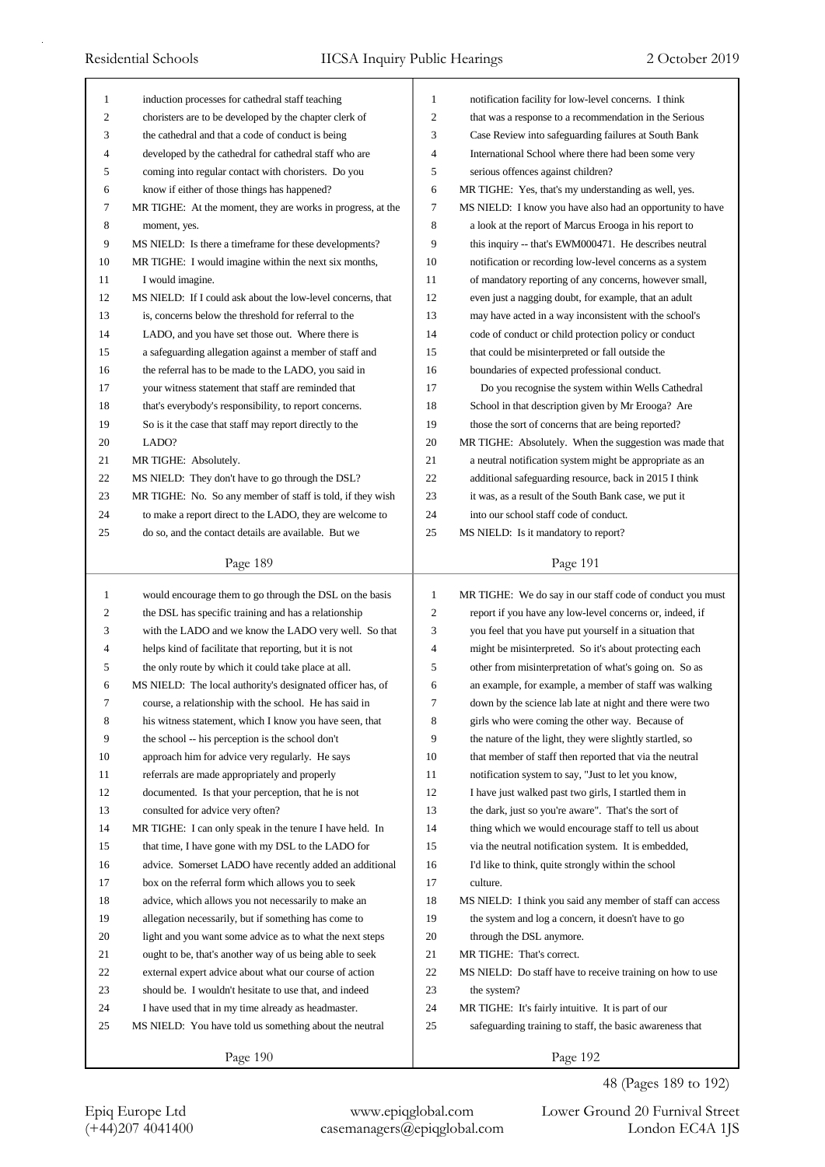| 1            | induction processes for cathedral staff teaching            | 1            | notification facility for low-level concerns. I think     |
|--------------|-------------------------------------------------------------|--------------|-----------------------------------------------------------|
| 2            | choristers are to be developed by the chapter clerk of      | 2            | that was a response to a recommendation in the Serious    |
| 3            | the cathedral and that a code of conduct is being           | 3            | Case Review into safeguarding failures at South Bank      |
| 4            | developed by the cathedral for cathedral staff who are      | 4            | International School where there had been some very       |
| 5            | coming into regular contact with choristers. Do you         | 5            | serious offences against children?                        |
| 6            | know if either of those things has happened?                | 6            | MR TIGHE: Yes, that's my understanding as well, yes.      |
| 7            | MR TIGHE: At the moment, they are works in progress, at the | 7            | MS NIELD: I know you have also had an opportunity to have |
| 8            | moment, yes.                                                | 8            | a look at the report of Marcus Erooga in his report to    |
| 9            | MS NIELD: Is there a timeframe for these developments?      | 9            | this inquiry -- that's EWM000471. He describes neutral    |
| 10           | MR TIGHE: I would imagine within the next six months,       | 10           | notification or recording low-level concerns as a system  |
| 11           | I would imagine.                                            | 11           | of mandatory reporting of any concerns, however small,    |
| 12           | MS NIELD: If I could ask about the low-level concerns, that | 12           | even just a nagging doubt, for example, that an adult     |
| 13           | is, concerns below the threshold for referral to the        | 13           | may have acted in a way inconsistent with the school's    |
| 14           | LADO, and you have set those out. Where there is            | 14           | code of conduct or child protection policy or conduct     |
| 15           | a safeguarding allegation against a member of staff and     | 15           | that could be misinterpreted or fall outside the          |
| 16           | the referral has to be made to the LADO, you said in        | 16           | boundaries of expected professional conduct.              |
| 17           | your witness statement that staff are reminded that         | 17           | Do you recognise the system within Wells Cathedral        |
| 18           | that's everybody's responsibility, to report concerns.      | 18           | School in that description given by Mr Erooga? Are        |
| 19           | So is it the case that staff may report directly to the     | 19           | those the sort of concerns that are being reported?       |
| 20           | LADO?                                                       | 20           | MR TIGHE: Absolutely. When the suggestion was made that   |
| 21           | MR TIGHE: Absolutely.                                       | 21           | a neutral notification system might be appropriate as an  |
| 22           | MS NIELD: They don't have to go through the DSL?            | 22           | additional safeguarding resource, back in 2015 I think    |
|              |                                                             |              |                                                           |
| 23           | MR TIGHE: No. So any member of staff is told, if they wish  | 23           | it was, as a result of the South Bank case, we put it     |
| 24           | to make a report direct to the LADO, they are welcome to    | 24           | into our school staff code of conduct.                    |
| 25           | do so, and the contact details are available. But we        | 25           | MS NIELD: Is it mandatory to report?                      |
|              | Page 189                                                    |              | Page 191                                                  |
|              |                                                             |              |                                                           |
|              |                                                             |              |                                                           |
| $\mathbf{1}$ | would encourage them to go through the DSL on the basis     | $\mathbf{1}$ | MR TIGHE: We do say in our staff code of conduct you must |
| 2            | the DSL has specific training and has a relationship        | 2            | report if you have any low-level concerns or, indeed, if  |
| 3            | with the LADO and we know the LADO very well. So that       | 3            | you feel that you have put yourself in a situation that   |
| 4            | helps kind of facilitate that reporting, but it is not      | 4            | might be misinterpreted. So it's about protecting each    |
| 5            | the only route by which it could take place at all.         | 5            | other from misinterpretation of what's going on. So as    |
| 6            | MS NIELD: The local authority's designated officer has, of  | 6            | an example, for example, a member of staff was walking    |
| 7            | course, a relationship with the school. He has said in      | 7            | down by the science lab late at night and there were two  |
| 8            | his witness statement, which I know you have seen, that     | 8            | girls who were coming the other way. Because of           |
| 9            | the school -- his perception is the school don't            | 9            | the nature of the light, they were slightly startled, so  |
| 10           | approach him for advice very regularly. He says             | 10           | that member of staff then reported that via the neutral   |
| 11           | referrals are made appropriately and properly               | 11           | notification system to say, "Just to let you know,        |
| 12           | documented. Is that your perception, that he is not         | 12           | I have just walked past two girls, I startled them in     |
| 13           | consulted for advice very often?                            | 13           | the dark, just so you're aware". That's the sort of       |
| 14           | MR TIGHE: I can only speak in the tenure I have held. In    | 14           | thing which we would encourage staff to tell us about     |
| 15           | that time, I have gone with my DSL to the LADO for          | 15           | via the neutral notification system. It is embedded,      |
| 16           | advice. Somerset LADO have recently added an additional     | 16           | I'd like to think, quite strongly within the school       |
| 17           | box on the referral form which allows you to seek           | 17           | culture.                                                  |
| 18           | advice, which allows you not necessarily to make an         | 18           | MS NIELD: I think you said any member of staff can access |
| 19           | allegation necessarily, but if something has come to        | 19           | the system and log a concern, it doesn't have to go       |
| 20           | light and you want some advice as to what the next steps    | 20           | through the DSL anymore.                                  |
| 21           | ought to be, that's another way of us being able to seek    | 21           | MR TIGHE: That's correct.                                 |
| 22           | external expert advice about what our course of action      | 22           | MS NIELD: Do staff have to receive training on how to use |
| 23           | should be. I wouldn't hesitate to use that, and indeed      | 23           | the system?                                               |
| 24           | I have used that in my time already as headmaster.          | 24           | MR TIGHE: It's fairly intuitive. It is part of our        |
| 25           | MS NIELD: You have told us something about the neutral      | 25           | safeguarding training to staff, the basic awareness that  |

48 (Pages 189 to 192)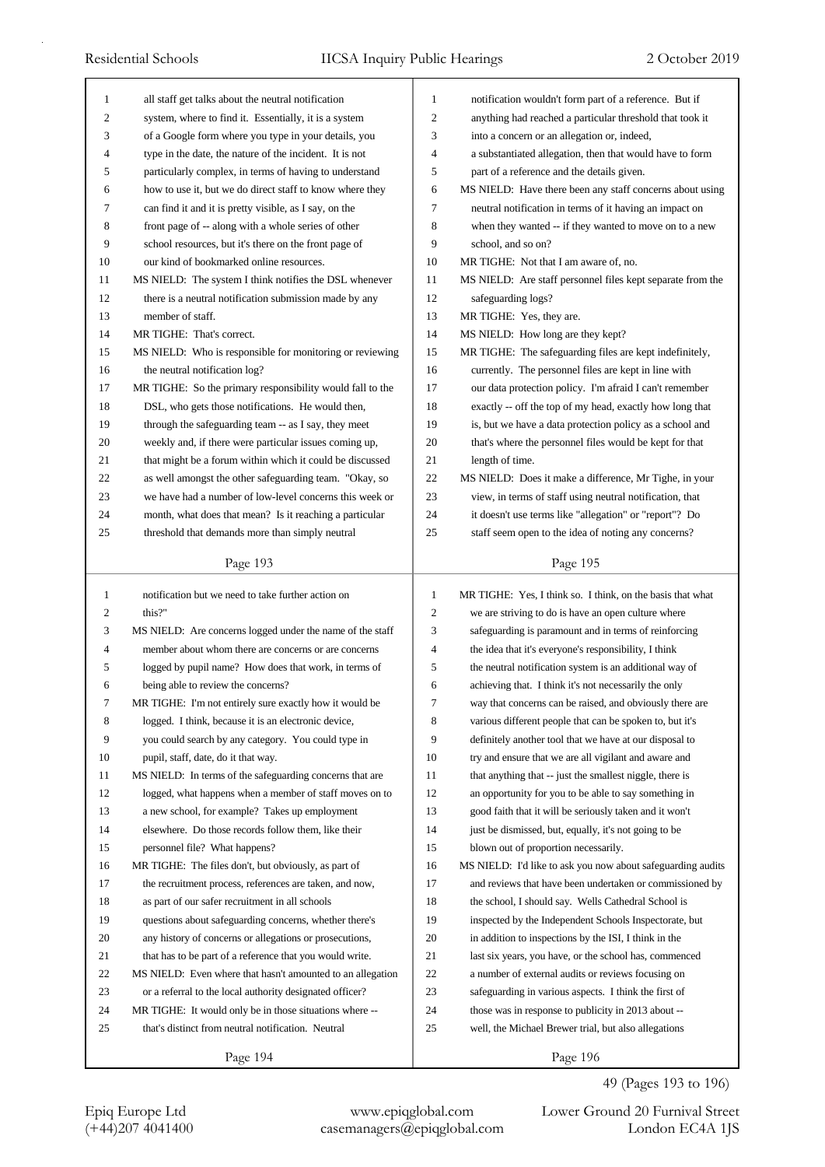| 1                | all staff get talks about the neutral notification         | 1              | notification wouldn't form part of a reference. But if      |
|------------------|------------------------------------------------------------|----------------|-------------------------------------------------------------|
| $\boldsymbol{2}$ | system, where to find it. Essentially, it is a system      | $\overline{c}$ | anything had reached a particular threshold that took it    |
| 3                | of a Google form where you type in your details, you       | 3              | into a concern or an allegation or, indeed,                 |
| 4                | type in the date, the nature of the incident. It is not    | 4              | a substantiated allegation, then that would have to form    |
| 5                | particularly complex, in terms of having to understand     | 5              | part of a reference and the details given.                  |
| 6                | how to use it, but we do direct staff to know where they   | 6              | MS NIELD: Have there been any staff concerns about using    |
| 7                | can find it and it is pretty visible, as I say, on the     | 7              | neutral notification in terms of it having an impact on     |
| 8                | front page of -- along with a whole series of other        | 8              | when they wanted -- if they wanted to move on to a new      |
| 9                | school resources, but it's there on the front page of      | 9              | school, and so on?                                          |
| 10               | our kind of bookmarked online resources.                   | 10             | MR TIGHE: Not that I am aware of, no.                       |
| 11               | MS NIELD: The system I think notifies the DSL whenever     | 11             | MS NIELD: Are staff personnel files kept separate from the  |
| 12               | there is a neutral notification submission made by any     | 12             | safeguarding logs?                                          |
| 13               | member of staff.                                           | 13             | MR TIGHE: Yes, they are.                                    |
| 14               | MR TIGHE: That's correct.                                  | 14             | MS NIELD: How long are they kept?                           |
| 15               | MS NIELD: Who is responsible for monitoring or reviewing   | 15             | MR TIGHE: The safeguarding files are kept indefinitely,     |
| 16               | the neutral notification log?                              | 16             | currently. The personnel files are kept in line with        |
| 17               | MR TIGHE: So the primary responsibility would fall to the  | 17             | our data protection policy. I'm afraid I can't remember     |
| 18               | DSL, who gets those notifications. He would then,          | 18             | exactly -- off the top of my head, exactly how long that    |
| 19               | through the safeguarding team -- as I say, they meet       | 19             | is, but we have a data protection policy as a school and    |
| 20               | weekly and, if there were particular issues coming up,     | 20             | that's where the personnel files would be kept for that     |
| 21               | that might be a forum within which it could be discussed   | 21             | length of time.                                             |
| 22               | as well amongst the other safeguarding team. "Okay, so     | 22             | MS NIELD: Does it make a difference, Mr Tighe, in your      |
| 23               | we have had a number of low-level concerns this week or    | 23             | view, in terms of staff using neutral notification, that    |
| 24               | month, what does that mean? Is it reaching a particular    | 24             | it doesn't use terms like "allegation" or "report"? Do      |
| 25               | threshold that demands more than simply neutral            | 25             | staff seem open to the idea of noting any concerns?         |
|                  |                                                            |                |                                                             |
|                  | Page 193                                                   |                | Page 195                                                    |
|                  |                                                            |                |                                                             |
|                  |                                                            |                |                                                             |
| $\mathbf{1}$     | notification but we need to take further action on         | $\mathbf{1}$   | MR TIGHE: Yes, I think so. I think, on the basis that what  |
| 2                | this?"                                                     | 2              | we are striving to do is have an open culture where         |
| 3                | MS NIELD: Are concerns logged under the name of the staff  | 3              | safeguarding is paramount and in terms of reinforcing       |
| $\overline{4}$   | member about whom there are concerns or are concerns       | 4              | the idea that it's everyone's responsibility, I think       |
| 5                | logged by pupil name? How does that work, in terms of      | 5              | the neutral notification system is an additional way of     |
| 6                | being able to review the concerns?                         | 6              | achieving that. I think it's not necessarily the only       |
| 7                | MR TIGHE: I'm not entirely sure exactly how it would be    | 7              | way that concerns can be raised, and obviously there are    |
| 8                | logged. I think, because it is an electronic device,       | 8              | various different people that can be spoken to, but it's    |
| 9                | you could search by any category. You could type in        | 9              | definitely another tool that we have at our disposal to     |
| 10               | pupil, staff, date, do it that way.                        | 10             | try and ensure that we are all vigilant and aware and       |
| 11               | MS NIELD: In terms of the safeguarding concerns that are   | 11             | that anything that -- just the smallest niggle, there is    |
| 12               | logged, what happens when a member of staff moves on to    | 12             | an opportunity for you to be able to say something in       |
| 13               | a new school, for example? Takes up employment             | 13             | good faith that it will be seriously taken and it won't     |
| 14               | elsewhere. Do those records follow them, like their        | 14             | just be dismissed, but, equally, it's not going to be       |
| 15               | personnel file? What happens?                              | 15             | blown out of proportion necessarily.                        |
| 16               | MR TIGHE: The files don't, but obviously, as part of       | 16             | MS NIELD: I'd like to ask you now about safeguarding audits |
| 17               | the recruitment process, references are taken, and now,    | 17             | and reviews that have been undertaken or commissioned by    |
| 18               | as part of our safer recruitment in all schools            | 18             | the school, I should say. Wells Cathedral School is         |
| 19               | questions about safeguarding concerns, whether there's     | 19             | inspected by the Independent Schools Inspectorate, but      |
| 20               | any history of concerns or allegations or prosecutions,    | 20             | in addition to inspections by the ISI, I think in the       |
| 21               | that has to be part of a reference that you would write.   | 21             | last six years, you have, or the school has, commenced      |
| 22               | MS NIELD: Even where that hasn't amounted to an allegation | 22             | a number of external audits or reviews focusing on          |
| 23               | or a referral to the local authority designated officer?   | 23             | safeguarding in various aspects. I think the first of       |
| 24               | MR TIGHE: It would only be in those situations where --    | 24             | those was in response to publicity in 2013 about --         |
| 25               | that's distinct from neutral notification. Neutral         | 25             | well, the Michael Brewer trial, but also allegations        |

49 (Pages 193 to 196)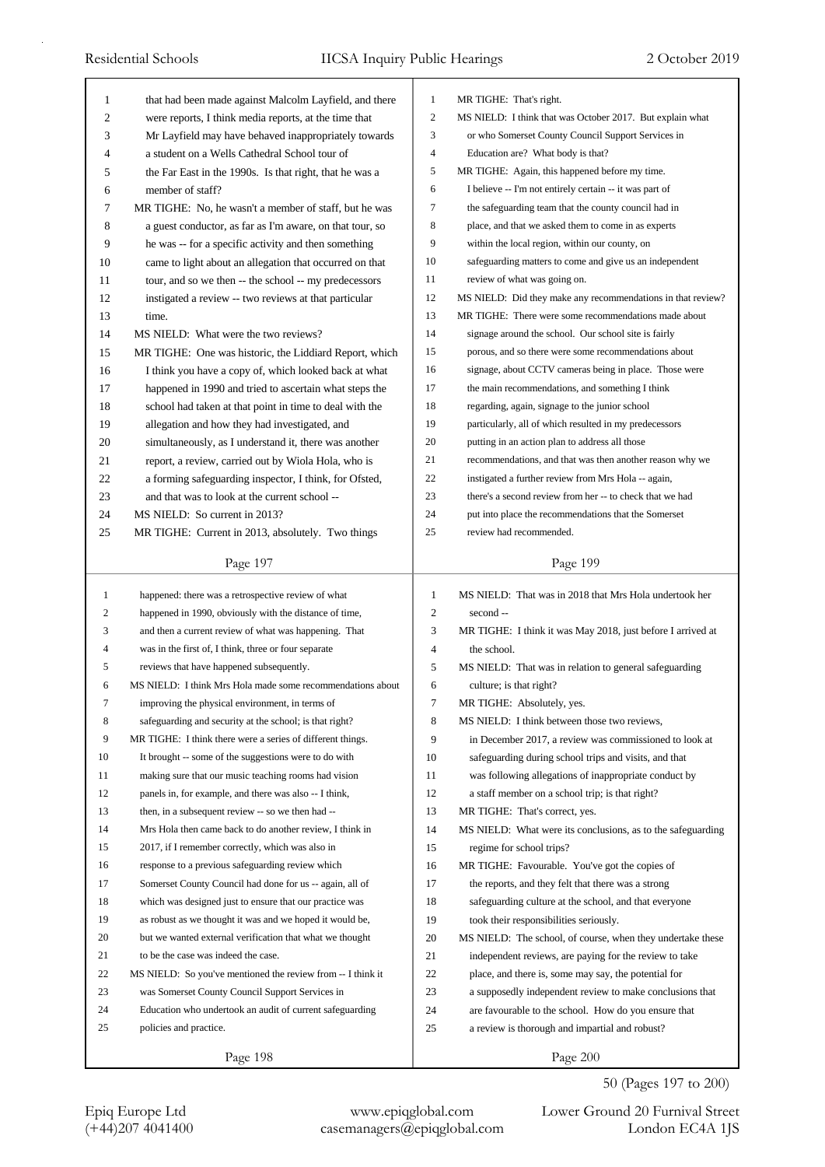| 1            | that had been made against Malcolm Layfield, and there      | 1              | MR TIGHE: That's right.                                     |
|--------------|-------------------------------------------------------------|----------------|-------------------------------------------------------------|
| 2            | were reports, I think media reports, at the time that       | 2              | MS NIELD: I think that was October 2017. But explain what   |
| 3            | Mr Layfield may have behaved inappropriately towards        | 3              | or who Somerset County Council Support Services in          |
| 4            | a student on a Wells Cathedral School tour of               | 4              | Education are? What body is that?                           |
| 5            | the Far East in the 1990s. Is that right, that he was a     | 5              | MR TIGHE: Again, this happened before my time.              |
| 6            | member of staff?                                            | 6              | I believe -- I'm not entirely certain -- it was part of     |
| 7            | MR TIGHE: No, he wasn't a member of staff, but he was       | 7              | the safeguarding team that the county council had in        |
| 8            | a guest conductor, as far as I'm aware, on that tour, so    | 8              | place, and that we asked them to come in as experts         |
| 9            | he was -- for a specific activity and then something        | 9              | within the local region, within our county, on              |
| 10           | came to light about an allegation that occurred on that     | 10             | safeguarding matters to come and give us an independent     |
| 11           | tour, and so we then -- the school -- my predecessors       | 11             | review of what was going on.                                |
| 12           | instigated a review -- two reviews at that particular       | 12             | MS NIELD: Did they make any recommendations in that review? |
| 13           | time.                                                       | 13             | MR TIGHE: There were some recommendations made about        |
| 14           | MS NIELD: What were the two reviews?                        | 14             | signage around the school. Our school site is fairly        |
| 15           | MR TIGHE: One was historic, the Liddiard Report, which      | 15             | porous, and so there were some recommendations about        |
| 16           | I think you have a copy of, which looked back at what       | 16             | signage, about CCTV cameras being in place. Those were      |
| 17           | happened in 1990 and tried to ascertain what steps the      | 17             | the main recommendations, and something I think             |
| 18           | school had taken at that point in time to deal with the     | 18             | regarding, again, signage to the junior school              |
| 19           | allegation and how they had investigated, and               | 19             | particularly, all of which resulted in my predecessors      |
| 20           | simultaneously, as I understand it, there was another       | 20             | putting in an action plan to address all those              |
| 21           | report, a review, carried out by Wiola Hola, who is         | 21             | recommendations, and that was then another reason why we    |
| 22           | a forming safeguarding inspector, I think, for Ofsted,      | 22             | instigated a further review from Mrs Hola -- again,         |
| 23           | and that was to look at the current school --               | 23             | there's a second review from her -- to check that we had    |
| 24           | MS NIELD: So current in 2013?                               | 24             | put into place the recommendations that the Somerset        |
| 25           | MR TIGHE: Current in 2013, absolutely. Two things           | 25             | review had recommended.                                     |
|              |                                                             |                |                                                             |
|              | Page 197                                                    |                | Page 199                                                    |
|              |                                                             |                |                                                             |
|              |                                                             |                |                                                             |
| $\mathbf{1}$ | happened: there was a retrospective review of what          | $\mathbf{1}$   | MS NIELD: That was in 2018 that Mrs Hola undertook her      |
| 2            | happened in 1990, obviously with the distance of time,      | $\overline{c}$ | second --                                                   |
| 3            | and then a current review of what was happening. That       | 3              | MR TIGHE: I think it was May 2018, just before I arrived at |
| 4            | was in the first of, I think, three or four separate        | 4              | the school.                                                 |
| 5            | reviews that have happened subsequently.                    | 5              | MS NIELD: That was in relation to general safeguarding      |
| 6            | MS NIELD: I think Mrs Hola made some recommendations about  | 6              | culture; is that right?                                     |
| 7            | improving the physical environment, in terms of             | 7              | MR TIGHE: Absolutely, yes.                                  |
| 8            | safeguarding and security at the school; is that right?     | 8              | MS NIELD: I think between those two reviews,                |
| 9            | MR TIGHE: I think there were a series of different things.  | 9              | in December 2017, a review was commissioned to look at      |
| 10           | It brought -- some of the suggestions were to do with       | 10             | safeguarding during school trips and visits, and that       |
| 11           | making sure that our music teaching rooms had vision        | 11             | was following allegations of inappropriate conduct by       |
| 12           | panels in, for example, and there was also -- I think,      | 12             | a staff member on a school trip; is that right?             |
| 13           | then, in a subsequent review -- so we then had --           | 13             | MR TIGHE: That's correct, yes.                              |
| 14           | Mrs Hola then came back to do another review, I think in    | 14             | MS NIELD: What were its conclusions, as to the safeguarding |
| 15           | 2017, if I remember correctly, which was also in            | 15             | regime for school trips?                                    |
| 16           | response to a previous safeguarding review which            | 16             | MR TIGHE: Favourable. You've got the copies of              |
| 17           | Somerset County Council had done for us -- again, all of    | 17             | the reports, and they felt that there was a strong          |
| 18           | which was designed just to ensure that our practice was     | 18             | safeguarding culture at the school, and that everyone       |
| 19           | as robust as we thought it was and we hoped it would be,    | 19             | took their responsibilities seriously.                      |
| 20           | but we wanted external verification that what we thought    | 20             | MS NIELD: The school, of course, when they undertake these  |
| 21           | to be the case was indeed the case.                         | 21             | independent reviews, are paying for the review to take      |
| 22           | MS NIELD: So you've mentioned the review from -- I think it | 22             | place, and there is, some may say, the potential for        |
| 23           | was Somerset County Council Support Services in             | 23             | a supposedly independent review to make conclusions that    |
| 24           | Education who undertook an audit of current safeguarding    | 24             | are favourable to the school. How do you ensure that        |
| 25           | policies and practice.                                      | 25             | a review is thorough and impartial and robust?              |
|              | Page 198                                                    |                | Page 200                                                    |

50 (Pages 197 to 200)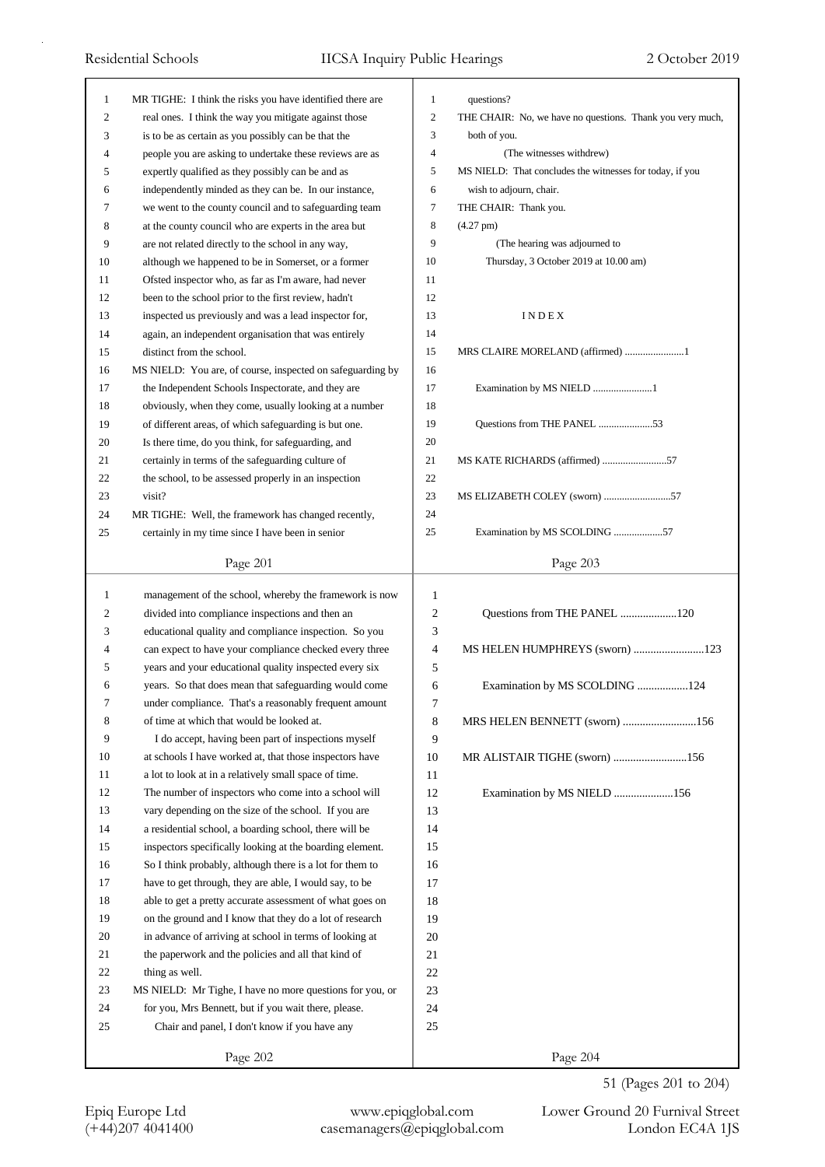| 1  | MR TIGHE: I think the risks you have identified there are  | 1                        | questions?                                                |
|----|------------------------------------------------------------|--------------------------|-----------------------------------------------------------|
| 2  | real ones. I think the way you mitigate against those      | $\mathfrak{2}$           | THE CHAIR: No, we have no questions. Thank you very much, |
| 3  | is to be as certain as you possibly can be that the        | 3                        | both of you.                                              |
| 4  | people you are asking to undertake these reviews are as    | $\overline{\mathcal{L}}$ | (The witnesses withdrew)                                  |
| 5  | expertly qualified as they possibly can be and as          | 5                        | MS NIELD: That concludes the witnesses for today, if you  |
| 6  | independently minded as they can be. In our instance,      | 6                        | wish to adjourn, chair.                                   |
| 7  | we went to the county council and to safeguarding team     | 7                        | THE CHAIR: Thank you.                                     |
| 8  | at the county council who are experts in the area but      | 8                        | $(4.27 \text{ pm})$                                       |
| 9  | are not related directly to the school in any way,         | 9                        | (The hearing was adjourned to                             |
| 10 | although we happened to be in Somerset, or a former        | 10                       | Thursday, 3 October 2019 at 10.00 am)                     |
| 11 | Ofsted inspector who, as far as I'm aware, had never       | 11                       |                                                           |
| 12 | been to the school prior to the first review, hadn't       | 12                       |                                                           |
| 13 | inspected us previously and was a lead inspector for,      | 13                       | INDEX                                                     |
| 14 | again, an independent organisation that was entirely       | 14                       |                                                           |
| 15 | distinct from the school.                                  | 15                       | MRS CLAIRE MORELAND (affirmed) 1                          |
| 16 | MS NIELD: You are, of course, inspected on safeguarding by | 16                       |                                                           |
| 17 | the Independent Schools Inspectorate, and they are         | 17                       | Examination by MS NIELD 1                                 |
| 18 | obviously, when they come, usually looking at a number     | 18                       |                                                           |
| 19 | of different areas, of which safeguarding is but one.      | 19                       | Questions from THE PANEL 53                               |
| 20 | Is there time, do you think, for safeguarding, and         | 20                       |                                                           |
| 21 | certainly in terms of the safeguarding culture of          | 21                       | MS KATE RICHARDS (affirmed) 57                            |
| 22 | the school, to be assessed properly in an inspection       | $22\,$                   |                                                           |
| 23 | visit?                                                     | 23                       | MS ELIZABETH COLEY (sworn) 57                             |
| 24 | MR TIGHE: Well, the framework has changed recently,        | 24                       |                                                           |
| 25 | certainly in my time since I have been in senior           | 25                       | Examination by MS SCOLDING 57                             |
|    |                                                            |                          |                                                           |
|    | Page 201                                                   |                          | Page 203                                                  |
| 1  | management of the school, whereby the framework is now     | $\mathbf{1}$             |                                                           |
| 2  | divided into compliance inspections and then an            | 2                        | Questions from THE PANEL 120                              |
| 3  | educational quality and compliance inspection. So you      | 3                        |                                                           |
| 4  | can expect to have your compliance checked every three     | $\overline{4}$           | MS HELEN HUMPHREYS (sworn) 123                            |
| 5  | years and your educational quality inspected every six     | 5                        |                                                           |
| 6  | years. So that does mean that safeguarding would come      | 6                        | Examination by MS SCOLDING 124                            |
| 7  | under compliance. That's a reasonably frequent amount      | 7                        |                                                           |
| 8  | of time at which that would be looked at.                  | 8                        | MRS HELEN BENNETT (sworn) 156                             |
| 9  | I do accept, having been part of inspections myself        | 9                        |                                                           |
| 10 | at schools I have worked at, that those inspectors have    | 10                       | MR ALISTAIR TIGHE (sworn) 156                             |
| 11 | a lot to look at in a relatively small space of time.      | 11                       |                                                           |
| 12 | The number of inspectors who come into a school will       | 12                       | Examination by MS NIELD 156                               |
| 13 | vary depending on the size of the school. If you are       | 13                       |                                                           |
| 14 | a residential school, a boarding school, there will be     | 14                       |                                                           |
| 15 | inspectors specifically looking at the boarding element.   | 15                       |                                                           |
| 16 | So I think probably, although there is a lot for them to   | 16                       |                                                           |
| 17 | have to get through, they are able, I would say, to be     | 17                       |                                                           |
|    | able to get a pretty accurate assessment of what goes on   | 18                       |                                                           |
| 18 |                                                            |                          |                                                           |
| 19 | on the ground and I know that they do a lot of research    | 19                       |                                                           |
| 20 | in advance of arriving at school in terms of looking at    | 20                       |                                                           |
| 21 | the paperwork and the policies and all that kind of        | 21                       |                                                           |
| 22 | thing as well.                                             | 22                       |                                                           |

51 (Pages 201 to 204)

Page 202

23 MS NIELD: Mr Tighe, I have no more questions for you, or 24 for you, Mrs Bennett, but if you wait there, please. 25 Chair and panel, I don't know if you have any

Page 204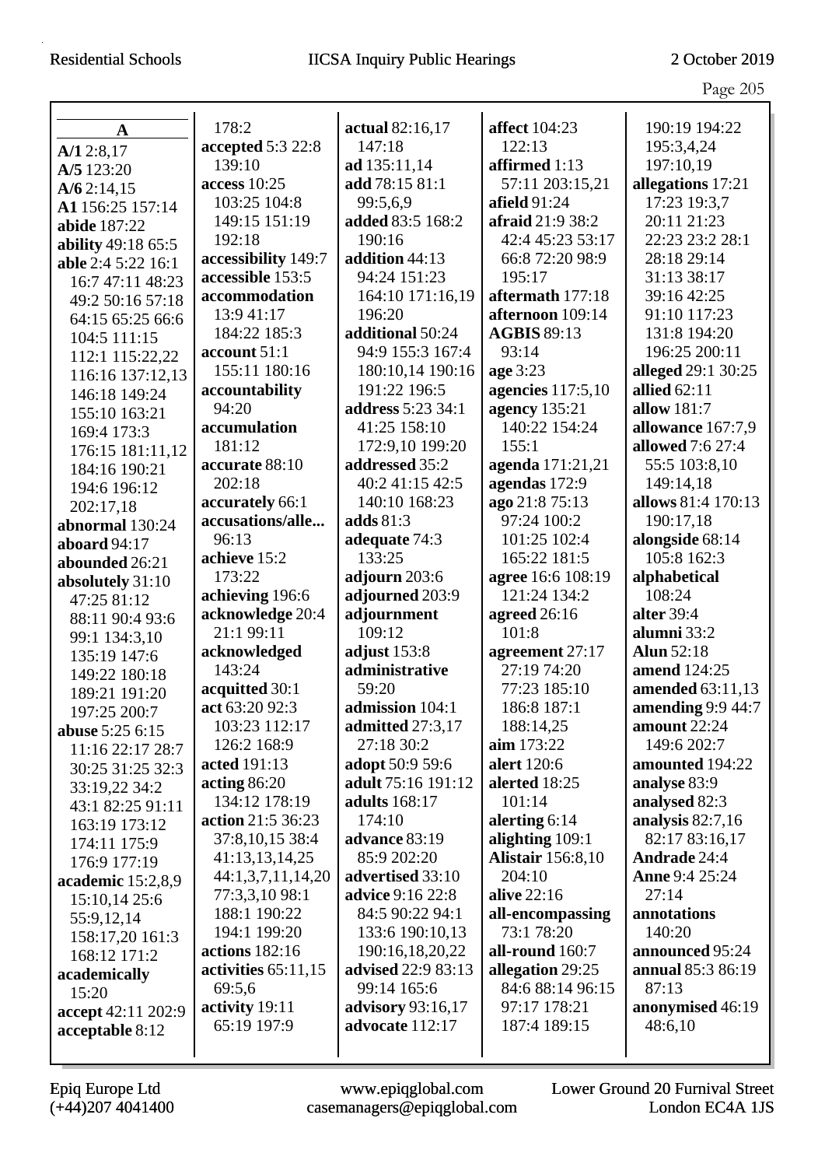Page 205

|                                          |                       |                           |                          | $1450 - 100$        |
|------------------------------------------|-----------------------|---------------------------|--------------------------|---------------------|
|                                          | 178:2                 | actual 82:16,17           | affect 104:23            | 190:19 194:22       |
| $\mathbf A$                              | accepted 5:3 22:8     | 147:18                    | 122:13                   | 195:3,4,24          |
| A/12:8,17                                | 139:10                | ad 135:11,14              | affirmed 1:13            | 197:10,19           |
| A/5 123:20                               | access $10:25$        | add 78:15 81:1            | 57:11 203:15,21          | allegations 17:21   |
| A/62:14,15<br>A1 156:25 157:14           | 103:25 104:8          | 99:5,6,9                  | afield 91:24             | 17:23 19:3,7        |
| abide 187:22                             | 149:15 151:19         | added 83:5 168:2          | afraid 21:9 38:2         | 20:11 21:23         |
|                                          | 192:18                | 190:16                    | 42:4 45:23 53:17         | 22:23 23:2 28:1     |
| ability 49:18 65:5<br>able 2:4 5:22 16:1 | accessibility 149:7   | addition 44:13            | 66:8 72:20 98:9          | 28:18 29:14         |
| 16:7 47:11 48:23                         | accessible 153:5      | 94:24 151:23              | 195:17                   | 31:13 38:17         |
| 49:2 50:16 57:18                         | accommodation         | 164:10 171:16,19          | aftermath 177:18         | 39:16 42:25         |
| 64:15 65:25 66:6                         | 13:9 41:17            | 196:20                    | afternoon 109:14         | 91:10 117:23        |
| 104:5 111:15                             | 184:22 185:3          | additional 50:24          | <b>AGBIS 89:13</b>       | 131:8 194:20        |
| 112:1 115:22,22                          | account 51:1          | 94:9 155:3 167:4          | 93:14                    | 196:25 200:11       |
| 116:16 137:12,13                         | 155:11 180:16         | 180:10,14 190:16          | age 3:23                 | alleged 29:1 30:25  |
| 146:18 149:24                            | accountability        | 191:22 196:5              | agencies 117:5,10        | allied $62:11$      |
| 155:10 163:21                            | 94:20                 | address 5:23 34:1         | <b>agency</b> 135:21     | allow 181:7         |
| 169:4 173:3                              | accumulation          | 41:25 158:10              | 140:22 154:24            | allowance 167:7,9   |
| 176:15 181:11,12                         | 181:12                | 172:9,10 199:20           | 155:1                    | allowed 7:6 27:4    |
| 184:16 190:21                            | accurate 88:10        | addressed 35:2            | agenda 171:21,21         | 55:5 103:8,10       |
| 194:6 196:12                             | 202:18                | 40:2 41:15 42:5           | agendas 172:9            | 149:14,18           |
| 202:17,18                                | accurately 66:1       | 140:10 168:23             | ago 21:8 75:13           | allows 81:4 170:13  |
| abnormal 130:24                          | accusations/alle      | adds $81:3$               | 97:24 100:2              | 190:17,18           |
| aboard 94:17                             | 96:13                 | adequate 74:3             | 101:25 102:4             | alongside 68:14     |
| abounded 26:21                           | achieve 15:2          | 133:25                    | 165:22 181:5             | 105:8 162:3         |
| absolutely 31:10                         | 173:22                | adjourn 203:6             | agree 16:6 108:19        | alphabetical        |
| 47:25 81:12                              | achieving 196:6       | adjourned 203:9           | 121:24 134:2             | 108:24              |
| 88:11 90:4 93:6                          | acknowledge 20:4      | adjournment               | agreed 26:16             | alter 39:4          |
| 99:1 134:3,10                            | 21:1 99:11            | 109:12                    | 101:8                    | alumni 33:2         |
| 135:19 147:6                             | acknowledged          | adjust $153:8$            | agreement 27:17          | <b>Alun 52:18</b>   |
| 149:22 180:18                            | 143:24                | administrative            | 27:19 74:20              | amend 124:25        |
| 189:21 191:20                            | acquitted 30:1        | 59:20                     | 77:23 185:10             | amended 63:11,13    |
| 197:25 200:7                             | act 63:20 92:3        | admission 104:1           | 186:8 187:1              | amending $9:944:7$  |
| abuse 5:25 6:15                          | 103:23 112:17         | admitted 27:3,17          | 188:14,25                | amount $22:24$      |
| 11:16 22:17 28:7                         | 126:2 168:9           | 27:18 30:2                | $\lim 173:22$            | 149:6 202:7         |
| 30:25 31:25 32:3                         | acted 191:13          | adopt 50:9 59:6           | alert 120:6              | amounted 194:22     |
| 33:19,22 34:2                            | acting $86:20$        | adult 75:16 191:12        | alerted 18:25            | analyse 83:9        |
| 43:1 82:25 91:11                         | 134:12 178:19         | adults 168:17             | 101:14                   | analysed 82:3       |
| 163:19 173:12                            | action 21:5 36:23     | 174:10                    | alerting $6:14$          | analysis $82:7,16$  |
| 174:11 175:9                             | 37:8,10,15 38:4       | advance 83:19             | alighting 109:1          | 82:17 83:16,17      |
| 176:9 177:19                             | 41:13,13,14,25        | 85:9 202:20               | <b>Alistair</b> 156:8,10 | <b>Andrade</b> 24:4 |
| academic 15:2,8,9                        | 44:1,3,7,11,14,20     | advertised 33:10          | 204:10                   | Anne 9:4 25:24      |
| 15:10,14 25:6                            | 77:3,3,10 98:1        | <b>advice</b> 9:16 22:8   | alive 22:16              | 27:14               |
| 55:9,12,14                               | 188:1 190:22          | 84:5 90:22 94:1           | all-encompassing         | annotations         |
| 158:17,20 161:3                          | 194:1 199:20          | 133:6 190:10,13           | 73:1 78:20               | 140:20              |
| 168:12 171:2                             | actions 182:16        | 190:16,18,20,22           | all-round 160:7          | announced 95:24     |
| academically                             | activities $65:11,15$ | <b>advised</b> 22:9 83:13 | allegation 29:25         | annual 85:3 86:19   |
| 15:20                                    | 69:5,6                | 99:14 165:6               | 84:6 88:14 96:15         | 87:13               |
| accept 42:11 202:9                       | activity 19:11        | <b>advisory</b> 93:16,17  | 97:17 178:21             | anonymised 46:19    |
| acceptable 8:12                          | 65:19 197:9           | advocate 112:17           | 187:4 189:15             | 48:6,10             |
|                                          |                       |                           |                          |                     |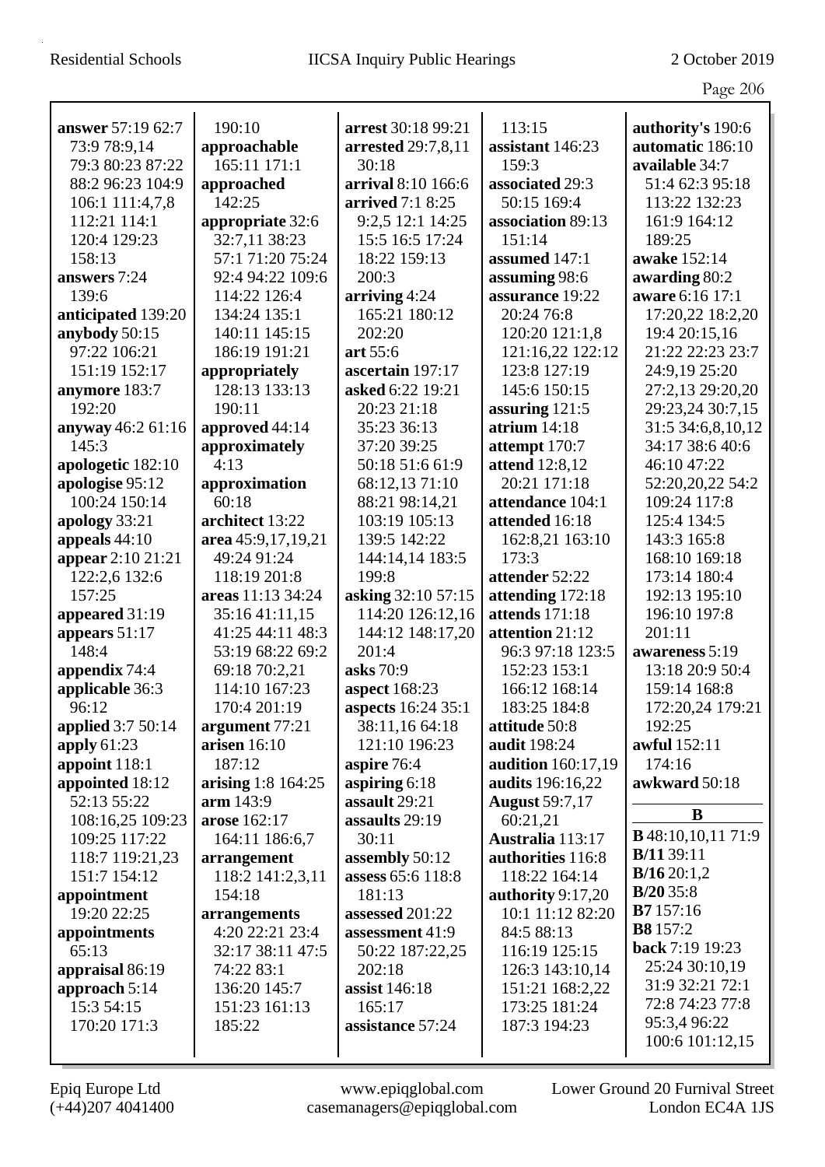|                          |                    |                    |                       | $\circ$                   |
|--------------------------|--------------------|--------------------|-----------------------|---------------------------|
| answer 57:19 62:7        | 190:10             | arrest 30:18 99:21 | 113:15                | authority's 190:6         |
| 73:9 78:9,14             | approachable       | arrested 29:7,8,11 | assistant 146:23      | automatic 186:10          |
| 79:3 80:23 87:22         | 165:11 171:1       | 30:18              | 159:3                 | available 34:7            |
| 88:2 96:23 104:9         | approached         | arrival 8:10 166:6 | associated 29:3       | 51:4 62:3 95:18           |
| 106:1 111:4,7,8          | 142:25             | arrived 7:1 8:25   | 50:15 169:4           | 113:22 132:23             |
| 112:21 114:1             | appropriate 32:6   | 9:2,5 12:1 14:25   | association 89:13     | 161:9 164:12              |
| 120:4 129:23             | 32:7,11 38:23      | 15:5 16:5 17:24    | 151:14                | 189:25                    |
| 158:13                   | 57:1 71:20 75:24   | 18:22 159:13       | assumed 147:1         | awake 152:14              |
| answers 7:24             | 92:4 94:22 109:6   | 200:3              | assuming 98:6         | awarding 80:2             |
| 139:6                    | 114:22 126:4       | arriving 4:24      | assurance 19:22       | aware 6:16 17:1           |
| anticipated 139:20       | 134:24 135:1       | 165:21 180:12      | 20:24 76:8            | 17:20,22 18:2,20          |
| anybody 50:15            | 140:11 145:15      | 202:20             | 120:20 121:1,8        | 19:4 20:15,16             |
| 97:22 106:21             | 186:19 191:21      | art 55:6           | 121:16,22 122:12      | 21:22 22:23 23:7          |
| 151:19 152:17            | appropriately      | ascertain 197:17   | 123:8 127:19          | 24:9,19 25:20             |
| anymore 183:7            | 128:13 133:13      | asked 6:22 19:21   | 145:6 150:15          | 27:2,13 29:20,20          |
| 192:20                   | 190:11             | 20:23 21:18        | assuring $121:5$      | 29:23,24 30:7,15          |
| anyway 46:2 61:16        | approved 44:14     | 35:23 36:13        | atrium $14:18$        | 31:5 34:6,8,10,12         |
| 145:3                    | approximately      | 37:20 39:25        | attempt 170:7         | 34:17 38:6 40:6           |
| apologetic 182:10        | 4:13               | 50:18 51:6 61:9    | <b>attend</b> 12:8,12 | 46:10 47:22               |
| apologise 95:12          | approximation      | 68:12,13 71:10     | 20:21 171:18          | 52:20,20,22 54:2          |
| 100:24 150:14            | 60:18              | 88:21 98:14,21     | attendance 104:1      | 109:24 117:8              |
| apology 33:21            | architect 13:22    | 103:19 105:13      | attended 16:18        | 125:4 134:5               |
| appeals $44:10$          | area 45:9,17,19,21 | 139:5 142:22       | 162:8,21 163:10       | 143:3 165:8               |
| appear 2:10 21:21        | 49:24 91:24        | 144:14,14 183:5    | 173:3                 | 168:10 169:18             |
| 122:2,6 132:6            | 118:19 201:8       | 199:8              | attender 52:22        | 173:14 180:4              |
| 157:25                   | areas 11:13 34:24  | asking 32:10 57:15 | attending 172:18      | 192:13 195:10             |
| appeared 31:19           | 35:16 41:11,15     | 114:20 126:12,16   | attends 171:18        | 196:10 197:8              |
| appears 51:17            | 41:25 44:11 48:3   | 144:12 148:17,20   | attention 21:12       | 201:11                    |
| 148:4                    | 53:19 68:22 69:2   | 201:4              | 96:3 97:18 123:5      | awareness 5:19            |
| appendix 74:4            | 69:18 70:2,21      | asks 70:9          | 152:23 153:1          | 13:18 20:9 50:4           |
| applicable 36:3          | 114:10 167:23      | aspect 168:23      | 166:12 168:14         | 159:14 168:8              |
| 96:12                    | 170:4 201:19       | aspects 16:24 35:1 | 183:25 184:8          | 172:20,24 179:21          |
| <b>applied</b> 3:7 50:14 | argument 77:21     | 38:11,16 64:18     | attitude 50:8         | 192:25                    |
| apply $61:23$            | arisen $16:10$     | 121:10 196:23      | audit 198:24          | awful 152:11              |
| appoint 118:1            | 187:12             | aspire 76:4        | audition 160:17,19    | 174:16                    |
| appointed 18:12          | arising 1:8 164:25 | aspiring $6:18$    | audits 196:16,22      | awkward 50:18             |
| 52:13 55:22              | arm 143:9          | assault 29:21      | <b>August 59:7,17</b> |                           |
| 108:16,25 109:23         | arose 162:17       | assaults 29:19     | 60:21,21              | B                         |
| 109:25 117:22            | 164:11 186:6,7     | 30:11              | Australia 113:17      | <b>B</b> 48:10,10,11 71:9 |
| 118:7 119:21,23          | arrangement        | assembly 50:12     | authorities 116:8     | <b>B</b> /11 39:11        |
| 151:7 154:12             | 118:2 141:2,3,11   | assess 65:6 118:8  | 118:22 164:14         | B/1620:1,2                |
| appointment              | 154:18             | 181:13             | authority 9:17,20     | $B/20$ 35:8               |
| 19:20 22:25              | arrangements       | assessed 201:22    | 10:1 11:12 82:20      | <b>B7</b> 157:16          |
| appointments             | 4:20 22:21 23:4    | assessment 41:9    | 84:5 88:13            | <b>B8</b> 157:2           |
| 65:13                    | 32:17 38:11 47:5   | 50:22 187:22,25    | 116:19 125:15         | back 7:19 19:23           |
| appraisal 86:19          | 74:22 83:1         | 202:18             | 126:3 143:10,14       | 25:24 30:10,19            |
| approach $5:14$          | 136:20 145:7       | assist 146:18      | 151:21 168:2,22       | 31:9 32:21 72:1           |
| 15:3 54:15               | 151:23 161:13      | 165:17             | 173:25 181:24         | 72:8 74:23 77:8           |
| 170:20 171:3             | 185:22             | assistance 57:24   | 187:3 194:23          | 95:3,4 96:22              |
|                          |                    |                    |                       | 100:6 101:12,15           |
|                          |                    |                    |                       |                           |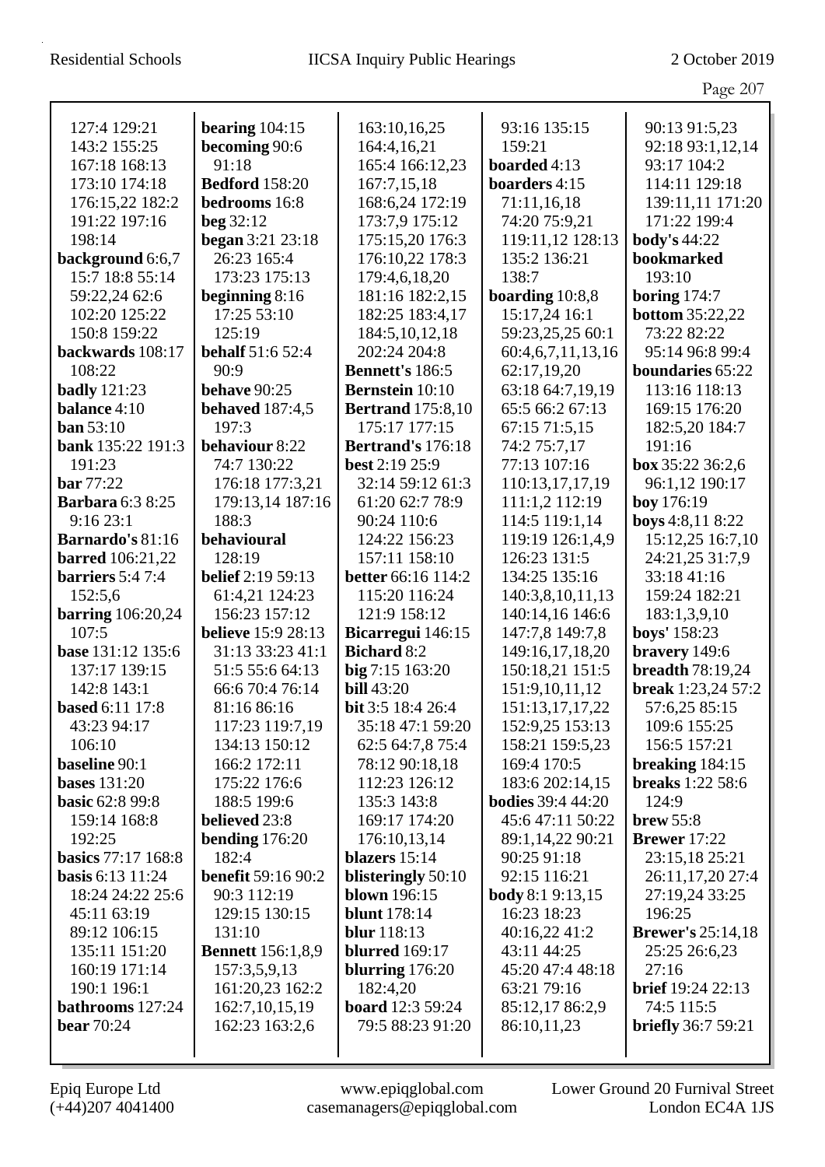|                                       |                                 |                                    |                                             | Page 207                                     |
|---------------------------------------|---------------------------------|------------------------------------|---------------------------------------------|----------------------------------------------|
| 127:4 129:21                          | bearing $104:15$                | 163:10,16,25                       | 93:16 135:15                                | 90:13 91:5,23                                |
| 143:2 155:25                          | becoming 90:6                   | 164:4,16,21                        | 159:21                                      | 92:18 93:1,12,14                             |
| 167:18 168:13                         | 91:18                           | 165:4 166:12,23                    | boarded 4:13                                | 93:17 104:2                                  |
| 173:10 174:18                         | <b>Bedford</b> 158:20           | 167:7,15,18                        | boarders 4:15                               | 114:11 129:18                                |
| 176:15,22 182:2                       | bedrooms 16:8                   | 168:6,24 172:19                    | 71:11,16,18                                 | 139:11,11 171:20                             |
| 191:22 197:16                         | beg $32:12$                     | 173:7,9 175:12                     | 74:20 75:9,21                               | 171:22 199:4                                 |
| 198:14                                | began 3:21 23:18                | 175:15,20 176:3                    | 119:11,12 128:13                            | <b>body's 44:22</b>                          |
| background 6:6,7                      | 26:23 165:4                     | 176:10,22 178:3                    | 135:2 136:21                                | bookmarked                                   |
| 15:7 18:8 55:14                       | 173:23 175:13                   | 179:4,6,18,20                      | 138:7                                       | 193:10                                       |
| 59:22,24 62:6                         | beginning 8:16                  | 181:16 182:2,15                    | boarding $10:8,8$                           | boring $174:7$                               |
| 102:20 125:22                         | 17:25 53:10                     | 182:25 183:4,17                    | 15:17,24 16:1                               | <b>bottom</b> 35:22,22                       |
| 150:8 159:22                          | 125:19                          | 184:5, 10, 12, 18                  | 59:23,25,25 60:1                            | 73:22 82:22                                  |
| backwards 108:17                      | <b>behalf</b> 51:6 52:4         | 202:24 204:8                       | 60:4,6,7,11,13,16                           | 95:14 96:8 99:4                              |
| 108:22                                | 90:9                            | <b>Bennett's 186:5</b>             | 62:17,19,20                                 | boundaries 65:22                             |
|                                       | <b>behave</b> 90:25             | <b>Bernstein</b> 10:10             |                                             | 113:16 118:13                                |
| <b>badly</b> 121:23                   |                                 |                                    | 63:18 64:7,19,19<br>65:5 66:2 67:13         |                                              |
| balance 4:10                          | <b>behaved</b> 187:4,5<br>197:3 | <b>Bertrand</b> 175:8,10           |                                             | 169:15 176:20                                |
| <b>ban</b> 53:10<br>bank 135:22 191:3 | behaviour 8:22                  | 175:17 177:15<br>Bertrand's 176:18 | 67:15 71:5,15<br>74:2 75:7,17               | 182:5,20 184:7<br>191:16                     |
| 191:23                                | 74:7 130:22                     |                                    | 77:13 107:16                                | box 35:22 36:2,6                             |
|                                       |                                 | best 2:19 25:9<br>32:14 59:12 61:3 |                                             |                                              |
| <b>bar</b> 77:22                      | 176:18 177:3,21                 | 61:20 62:7 78:9                    | 110:13,17,17,19                             | 96:1,12 190:17                               |
| <b>Barbara 6:3 8:25</b>               | 179:13,14 187:16                |                                    | 111:1,2 112:19                              | boy 176:19                                   |
| 9:1623:1                              | 188:3                           | 90:24 110:6                        | 114:5 119:1,14                              | boys 4:8,11 8:22                             |
| <b>Barnardo's 81:16</b>               | behavioural                     | 124:22 156:23                      | 119:19 126:1,4,9                            | 15:12,25 16:7,10                             |
| <b>barred</b> 106:21,22               | 128:19                          | 157:11 158:10                      | 126:23 131:5                                | 24:21,25 31:7,9                              |
| barriers 5:4 7:4                      | <b>belief</b> 2:19 59:13        | <b>better</b> 66:16 114:2          | 134:25 135:16                               | 33:18 41:16                                  |
| 152:5,6                               | 61:4,21 124:23                  | 115:20 116:24                      | 140:3,8,10,11,13                            | 159:24 182:21                                |
| <b>barring</b> 106:20,24              | 156:23 157:12                   | 121:9 158:12                       | 140:14,16 146:6                             | 183:1,3,9,10                                 |
| 107:5<br>base 131:12 135:6            | <b>believe</b> 15:9 28:13       | Bicarregui 146:15                  | 147:7,8 149:7,8                             | boys' 158:23                                 |
|                                       | 31:13 33:23 41:1                | <b>Bichard 8:2</b>                 | 149:16,17,18,20                             | bravery 149:6                                |
| 137:17 139:15                         | 51:5 55:6 64:13                 | big 7:15 163:20                    | 150:18,21 151:5                             | <b>breadth</b> 78:19,24                      |
| 142:8 143:1                           | 66:6 70:4 76:14                 | <b>bill</b> 43:20                  | 151:9,10,11,12                              | break $1:23,24$ 57:2                         |
| <b>based</b> 6:11 17:8                | 81:16 86:16                     | <b>bit</b> 3:5 18:4 26:4           | 151:13,17,17,22                             | 57:6,25 85:15                                |
| 43:23 94:17                           | 117:23 119:7,19                 | 35:18 47:1 59:20                   | 152:9,25 153:13                             | 109:6 155:25                                 |
| 106:10                                | 134:13 150:12                   | 62:5 64:7,8 75:4                   | 158:21 159:5,23                             | 156:5 157:21                                 |
| baseline 90:1<br><b>bases</b> 131:20  | 166:2 172:11<br>175:22 176:6    | 78:12 90:18,18<br>112:23 126:12    | 169:4 170:5                                 | breaking $184:15$<br><b>breaks</b> 1:22 58:6 |
| <b>basic 62:8 99:8</b>                | 188:5 199:6                     | 135:3 143:8                        | 183:6 202:14,15<br><b>bodies</b> 39:4 44:20 | 124:9                                        |
|                                       | believed 23:8                   | 169:17 174:20                      |                                             |                                              |
| 159:14 168:8                          | bending $176:20$                |                                    | 45:6 47:11 50:22                            | brew 55:8<br><b>Brewer</b> 17:22             |
| 192:25<br>basics 77:17 168:8          | 182:4                           | 176:10,13,14<br>blazers 15:14      | 89:1,14,22 90:21<br>90:25 91:18             | 23:15,18 25:21                               |
| <b>basis</b> 6:13 11:24               | <b>benefit 59:16 90:2</b>       | blisteringly 50:10                 | 92:15 116:21                                | 26:11,17,20 27:4                             |
| 18:24 24:22 25:6                      | 90:3 112:19                     | <b>blown</b> 196:15                | <b>body</b> 8:1 9:13,15                     | 27:19,24 33:25                               |
|                                       | 129:15 130:15                   | <b>blunt</b> 178:14                | 16:23 18:23                                 | 196:25                                       |
| 45:11 63:19<br>89:12 106:15           | 131:10                          | <b>blur</b> 118:13                 | 40:16,22 41:2                               | <b>Brewer's</b> 25:14,18                     |
| 135:11 151:20                         | <b>Bennett</b> 156:1,8,9        | <b>blurred</b> 169:17              | 43:11 44:25                                 | 25:25 26:6,23                                |
| 160:19 171:14                         | 157:3,5,9,13                    | blurring $176:20$                  | 45:20 47:4 48:18                            | 27:16                                        |
| 190:1 196:1                           | 161:20,23 162:2                 | 182:4,20                           | 63:21 79:16                                 | <b>brief</b> 19:24 22:13                     |
| bathrooms 127:24                      | 162:7, 10, 15, 19               | <b>board</b> 12:3 59:24            | 85:12,17 86:2,9                             | 74:5 115:5                                   |
| <b>bear</b> 70:24                     | 162:23 163:2,6                  | 79:5 88:23 91:20                   | 86:10,11,23                                 | <b>briefly</b> 36:7 59:21                    |
|                                       |                                 |                                    |                                             |                                              |
|                                       |                                 |                                    |                                             |                                              |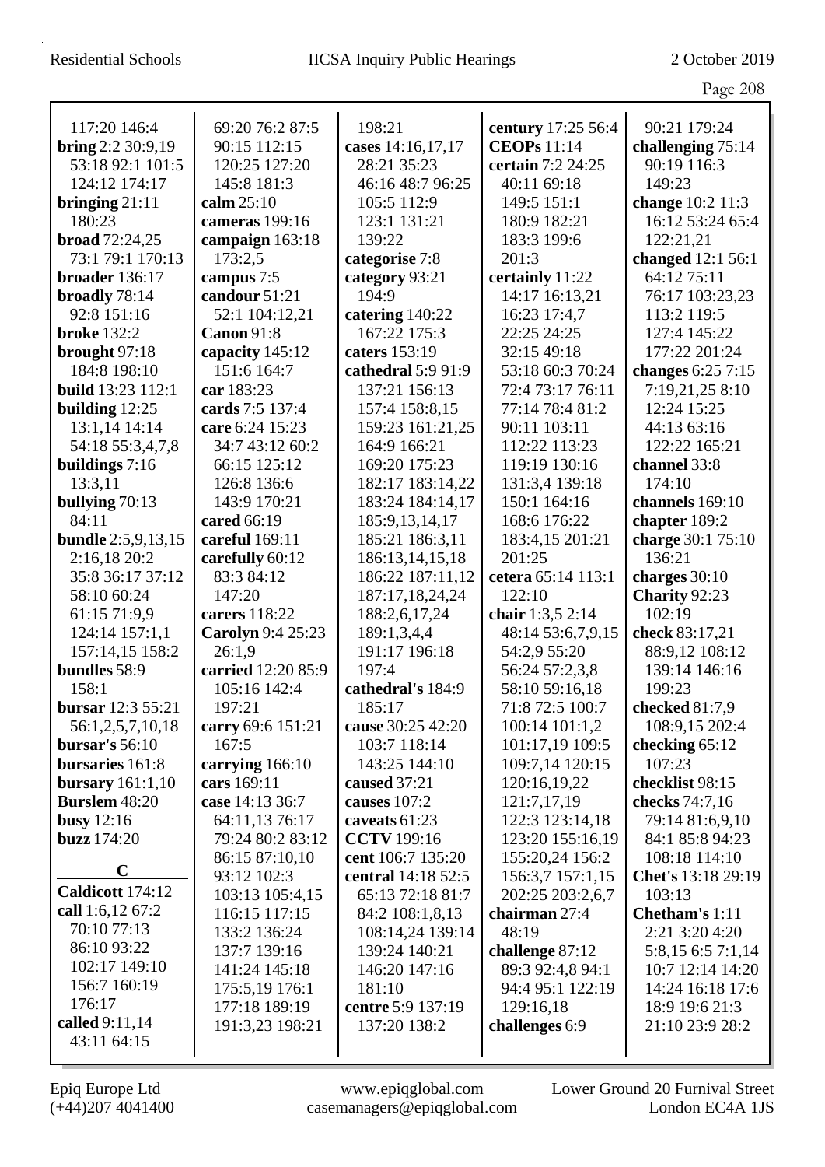|                                   |                                    |                                    |                                   | Page 208                         |
|-----------------------------------|------------------------------------|------------------------------------|-----------------------------------|----------------------------------|
| 117:20 146:4                      | 69:20 76:2 87:5                    | 198:21                             | century 17:25 56:4                | 90:21 179:24                     |
| bring $2:2 30:9,19$               | 90:15 112:15                       | cases 14:16,17,17                  | <b>CEOPs</b> 11:14                | challenging 75:14                |
| 53:18 92:1 101:5                  | 120:25 127:20                      | 28:21 35:23                        | certain 7:2 24:25                 | 90:19 116:3                      |
| 124:12 174:17                     | 145:8 181:3                        | 46:16 48:7 96:25                   | 40:11 69:18                       | 149:23                           |
| bringing $21:11$                  | calm 25:10                         | 105:5 112:9                        | 149:5 151:1                       | change 10:2 11:3                 |
| 180:23                            | cameras 199:16                     | 123:1 131:21                       | 180:9 182:21                      | 16:12 53:24 65:4                 |
| <b>broad</b> $72:24,25$           |                                    | 139:22                             | 183:3 199:6                       | 122:21,21                        |
| 73:1 79:1 170:13                  | campaign 163:18<br>173:2,5         |                                    | 201:3                             | changed 12:1 56:1                |
| broader 136:17                    | campus 7:5                         | categorise 7:8<br>category 93:21   | certainly 11:22                   | 64:12 75:11                      |
| broadly 78:14                     | candour 51:21                      | 194:9                              | 14:17 16:13,21                    | 76:17 103:23,23                  |
| 92:8 151:16                       | 52:1 104:12,21                     | catering 140:22                    | 16:23 17:4,7                      | 113:2 119:5                      |
| <b>broke</b> 132:2                | Canon 91:8                         | 167:22 175:3                       | 22:25 24:25                       | 127:4 145:22                     |
|                                   |                                    | caters 153:19                      | 32:15 49:18                       | 177:22 201:24                    |
| brought $97:18$<br>184:8 198:10   | capacity 145:12<br>151:6 164:7     | cathedral 5:9 91:9                 | 53:18 60:3 70:24                  | changes 6:25 7:15                |
| <b>build</b> 13:23 112:1          | car 183:23                         | 137:21 156:13                      | 72:4 73:17 76:11                  | 7:19,21,25 8:10                  |
|                                   | cards 7:5 137:4                    |                                    | 77:14 78:4 81:2                   | 12:24 15:25                      |
| building $12:25$<br>13:1,14 14:14 | care 6:24 15:23                    | 157:4 158:8,15<br>159:23 161:21,25 | 90:11 103:11                      | 44:13 63:16                      |
|                                   | 34:7 43:12 60:2                    | 164:9 166:21                       | 112:22 113:23                     | 122:22 165:21                    |
| 54:18 55:3,4,7,8                  | 66:15 125:12                       | 169:20 175:23                      | 119:19 130:16                     | channel 33:8                     |
| buildings 7:16                    |                                    |                                    |                                   | 174:10                           |
| 13:3,11                           | 126:8 136:6<br>143:9 170:21        | 182:17 183:14,22                   | 131:3,4 139:18<br>150:1 164:16    | channels 169:10                  |
| bullying 70:13<br>84:11           | cared 66:19                        | 183:24 184:14,17                   |                                   |                                  |
| <b>bundle</b> 2:5,9,13,15         | careful 169:11                     | 185:9, 13, 14, 17                  | 168:6 176:22                      | chapter 189:2                    |
|                                   |                                    | 185:21 186:3,11                    | 183:4,15 201:21<br>201:25         | charge 30:1 75:10<br>136:21      |
| 2:16,18 20:2                      | carefully 60:12                    | 186:13,14,15,18                    |                                   |                                  |
| 35:8 36:17 37:12                  | 83:3 84:12<br>147:20               | 186:22 187:11,12                   | cetera 65:14 113:1<br>122:10      | charges $30:10$                  |
| 58:10 60:24                       |                                    | 187:17,18,24,24                    |                                   | Charity 92:23<br>102:19          |
| 61:15 71:9,9                      | carers 118:22                      | 188:2,6,17,24                      | chair 1:3,5 2:14                  |                                  |
| 124:14 157:1,1<br>157:14,15 158:2 | <b>Carolyn</b> 9:4 25:23<br>26:1,9 | 189:1,3,4,4<br>191:17 196:18       | 48:14 53:6,7,9,15<br>54:2,9 55:20 | check 83:17,21                   |
| bundles 58:9                      | carried 12:20 85:9                 | 197:4                              |                                   | 88:9,12 108:12<br>139:14 146:16  |
| 158:1                             | 105:16 142:4                       | cathedral's 184:9                  | 56:24 57:2,3,8<br>58:10 59:16,18  | 199:23                           |
| bursar 12:3 55:21                 | 197:21                             | 185:17                             | 71:8 72:5 100:7                   |                                  |
| 56:1,2,5,7,10,18                  |                                    | cause 30:25 42:20                  | 100:14 101:1,2                    | checked 81:7,9<br>108:9,15 202:4 |
| bursar's $56:10$                  | carry 69:6 151:21<br>167:5         | 103:7 118:14                       | 101:17,19 109:5                   | checking $65:12$                 |
| bursaries 161:8                   | carrying 166:10                    | 143:25 144:10                      | 109:7,14 120:15                   | 107:23                           |
| bursary $161:1,10$                | cars 169:11                        | caused 37:21                       | 120:16,19,22                      | checklist 98:15                  |
| <b>Burslem</b> 48:20              | case 14:13 36:7                    | causes 107:2                       | 121:7,17,19                       | checks 74:7,16                   |
| busy $12:16$                      | 64:11,13 76:17                     | caveats 61:23                      | 122:3 123:14,18                   | 79:14 81:6,9,10                  |
| <b>buzz</b> 174:20                | 79:24 80:2 83:12                   | <b>CCTV</b> 199:16                 | 123:20 155:16,19                  | 84:1 85:8 94:23                  |
|                                   | 86:15 87:10,10                     | cent 106:7 135:20                  | 155:20,24 156:2                   | 108:18 114:10                    |
| $\mathbf C$                       | 93:12 102:3                        | central 14:18 52:5                 | 156:3,7 157:1,15                  | Chet's 13:18 29:19               |
| Caldicott 174:12                  | 103:13 105:4,15                    | 65:13 72:18 81:7                   | 202:25 203:2,6,7                  | 103:13                           |
| call 1:6,12 67:2                  | 116:15 117:15                      | 84:2 108:1,8,13                    | chairman 27:4                     | Chetham's 1:11                   |
| 70:10 77:13                       | 133:2 136:24                       | 108:14,24 139:14                   | 48:19                             | 2:21 3:20 4:20                   |
| 86:10 93:22                       | 137:7 139:16                       | 139:24 140:21                      | challenge 87:12                   | 5:8,15 6:5 7:1,14                |
| 102:17 149:10                     | 141:24 145:18                      | 146:20 147:16                      | 89:3 92:4,8 94:1                  | 10:7 12:14 14:20                 |
| 156:7 160:19                      | 175:5,19 176:1                     | 181:10                             | 94:4 95:1 122:19                  | 14:24 16:18 17:6                 |
| 176:17                            | 177:18 189:19                      | centre 5:9 137:19                  | 129:16,18                         | 18:9 19:6 21:3                   |
| called 9:11,14                    | 191:3,23 198:21                    | 137:20 138:2                       | challenges 6:9                    | 21:10 23:9 28:2                  |
| 43:11 64:15                       |                                    |                                    |                                   |                                  |
|                                   |                                    |                                    |                                   |                                  |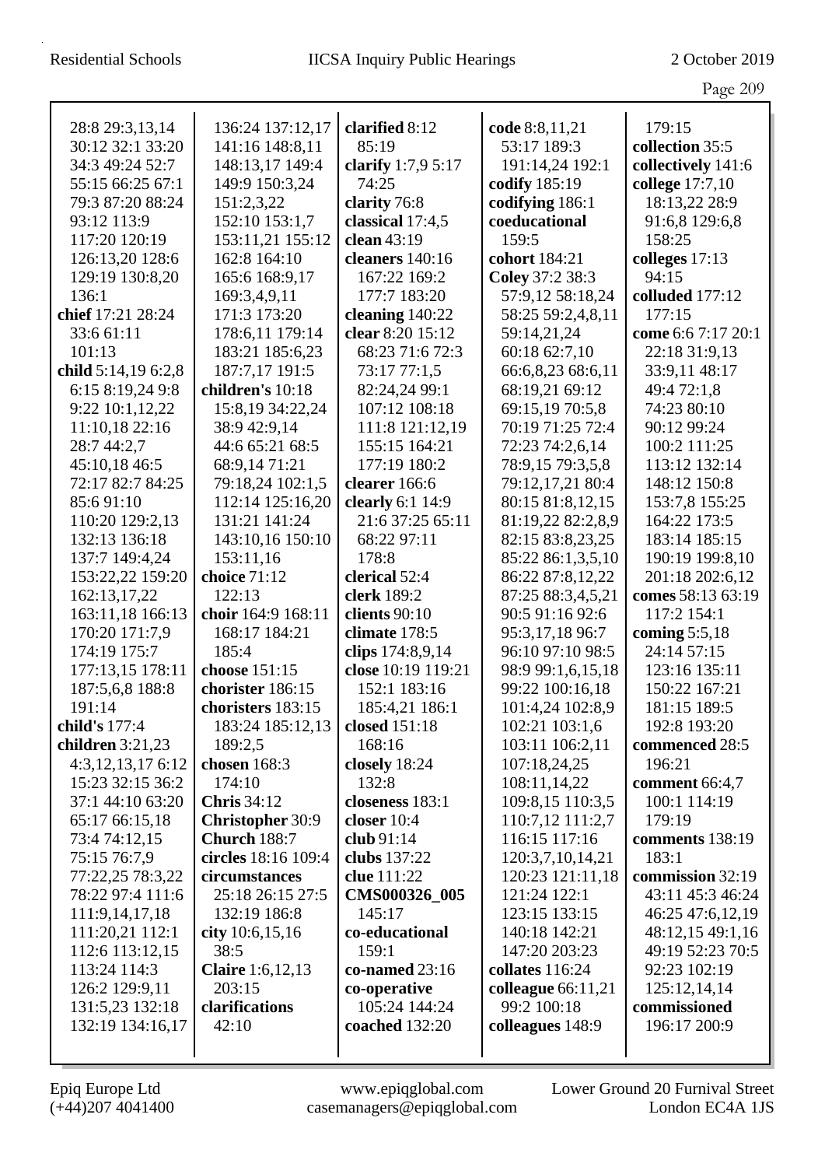|                                    |                                               |                          |                                  | Page 209               |
|------------------------------------|-----------------------------------------------|--------------------------|----------------------------------|------------------------|
| 28:8 29:3,13,14                    | 136:24 137:12,17                              | clarified 8:12           | code 8:8,11,21                   | 179:15                 |
| 30:12 32:1 33:20                   | 141:16 148:8,11                               | 85:19                    | 53:17 189:3                      | collection 35:5        |
| 34:3 49:24 52:7                    | 148:13,17 149:4                               | clarify 1:7,9 5:17       | 191:14,24 192:1                  | collectively 141:6     |
| 55:15 66:25 67:1                   | 149:9 150:3,24                                | 74:25                    | codify 185:19                    | college 17:7,10        |
| 79:3 87:20 88:24                   | 151:2,3,22                                    | clarity 76:8             | codifying 186:1                  | 18:13,22 28:9          |
| 93:12 113:9                        | 152:10 153:1,7                                | classical 17:4,5         | coeducational                    | 91:6,8 129:6,8         |
| 117:20 120:19                      | 153:11,21 155:12                              | clean 43:19              | 159:5                            | 158:25                 |
| 126:13,20 128:6                    | 162:8 164:10                                  | cleaners 140:16          | cohort 184:21                    | colleges 17:13         |
| 129:19 130:8,20                    | 165:6 168:9,17                                | 167:22 169:2             | Coley 37:2 38:3                  | 94:15                  |
| 136:1                              | 169:3,4,9,11                                  | 177:7 183:20             | 57:9,12 58:18,24                 | colluded 177:12        |
| chief 17:21 28:24                  | 171:3 173:20                                  | cleaning 140:22          | 58:25 59:2,4,8,11                | 177:15                 |
| 33:6 61:11                         | 178:6,11 179:14                               | clear 8:20 15:12         | 59:14,21,24                      | come 6:6 7:17 20:1     |
| 101:13                             | 183:21 185:6,23                               | 68:23 71:6 72:3          | 60:18 62:7,10                    | 22:18 31:9,13          |
| child 5:14,19 6:2,8                | 187:7,17 191:5                                | 73:17 77:1,5             | 66:6,8,23 68:6,11                | 33:9,11 48:17          |
| 6:15 8:19,24 9:8                   | children's 10:18                              | 82:24,24 99:1            | 68:19,21 69:12                   | 49:4 72:1,8            |
| 9:22 10:1,12,22                    | 15:8,19 34:22,24                              | 107:12 108:18            | 69:15,19 70:5,8                  | 74:23 80:10            |
| 11:10,18 22:16                     | 38:9 42:9,14                                  | 111:8 121:12,19          | 70:19 71:25 72:4                 | 90:12 99:24            |
| 28:7 44:2,7                        | 44:6 65:21 68:5                               | 155:15 164:21            | 72:23 74:2,6,14                  | 100:2 111:25           |
| 45:10,18 46:5                      | 68:9,14 71:21                                 | 177:19 180:2             | 78:9,15 79:3,5,8                 | 113:12 132:14          |
| 72:17 82:7 84:25                   | 79:18,24 102:1,5                              | clearer 166:6            | 79:12,17,21 80:4                 | 148:12 150:8           |
| 85:691:10                          | 112:14 125:16,20                              | clearly 6:1 14:9         | 80:15 81:8,12,15                 | 153:7,8 155:25         |
| 110:20 129:2,13                    | 131:21 141:24                                 | 21:6 37:25 65:11         | 81:19,22 82:2,8,9                | 164:22 173:5           |
| 132:13 136:18                      | 143:10,16 150:10                              | 68:22 97:11              | 82:15 83:8,23,25                 | 183:14 185:15          |
| 137:7 149:4,24                     | 153:11,16                                     | 178:8                    | 85:22 86:1,3,5,10                | 190:19 199:8,10        |
| 153:22,22 159:20                   | choice 71:12                                  | clerical 52:4            | 86:22 87:8,12,22                 | 201:18 202:6,12        |
| 162:13,17,22                       | 122:13                                        | clerk 189:2              | 87:25 88:3,4,5,21                | comes 58:13 63:19      |
| 163:11,18 166:13                   | choir 164:9 168:11                            | clients 90:10            | 90:5 91:16 92:6                  | 117:2 154:1            |
| 170:20 171:7,9                     | 168:17 184:21                                 | climate 178:5            | 95:3,17,18 96:7                  | coming $5:5,18$        |
| 174:19 175:7                       | 185:4                                         | clips 174:8,9,14         | 96:10 97:10 98:5                 | 24:14 57:15            |
| 177:13,15 178:11                   | choose 151:15                                 | close 10:19 119:21       | 98:9 99:1,6,15,18                | 123:16 135:11          |
| 187:5,6,8 188:8                    | chorister 186:15                              | 152:1 183:16             | 99:22 100:16,18                  | 150:22 167:21          |
| 191:14                             | choristers 183:15                             | 185:4,21 186:1           | 101:4,24 102:8,9                 | 181:15 189:5           |
| child's 177:4                      | 183:24 185:12,13                              | closed 151:18            | 102:21 103:1,6                   | 192:8 193:20           |
| children $3:21,23$                 | 189:2,5                                       | 168:16                   | 103:11 106:2,11                  | commenced 28:5         |
| $4:3,12,13,17$ 6:12                | chosen 168:3                                  | closely 18:24            | 107:18,24,25                     | 196:21                 |
| 15:23 32:15 36:2                   | 174:10                                        | 132:8<br>closeness 183:1 | 108:11,14,22<br>109:8,15 110:3,5 | comment 66:4,7         |
| 37:1 44:10 63:20<br>65:17 66:15,18 | <b>Chris</b> 34:12<br><b>Christopher 30:9</b> | closer $10:4$            | 110:7,12 111:2,7                 | 100:1 114:19<br>179:19 |
| 73:4 74:12,15                      | Church 188:7                                  | club 91:14               | 116:15 117:16                    | comments 138:19        |
| 75:15 76:7,9                       | circles 18:16 109:4                           | clubs 137:22             | 120:3,7,10,14,21                 | 183:1                  |
| 77:22,25 78:3,22                   | circumstances                                 | clue 111:22              | 120:23 121:11,18                 | commission 32:19       |
| 78:22 97:4 111:6                   | 25:18 26:15 27:5                              | CMS000326_005            | 121:24 122:1                     | 43:11 45:3 46:24       |
| 111:9,14,17,18                     | 132:19 186:8                                  | 145:17                   | 123:15 133:15                    | 46:25 47:6,12,19       |
| 111:20,21 112:1                    | city $10:6,15,16$                             | co-educational           | 140:18 142:21                    | 48:12,15 49:1,16       |
| 112:6 113:12,15                    | 38:5                                          | 159:1                    | 147:20 203:23                    | 49:19 52:23 70:5       |
| 113:24 114:3                       | <b>Claire</b> 1:6,12,13                       | co-named 23:16           | collates $116:24$                | 92:23 102:19           |
| 126:2 129:9,11                     | 203:15                                        | co-operative             | colleague $66:11,21$             | 125:12,14,14           |
| 131:5,23 132:18                    | clarifications                                | 105:24 144:24            | 99:2 100:18                      | commissioned           |
| 132:19 134:16,17                   | 42:10                                         | coached 132:20           | colleagues 148:9                 | 196:17 200:9           |
|                                    |                                               |                          |                                  |                        |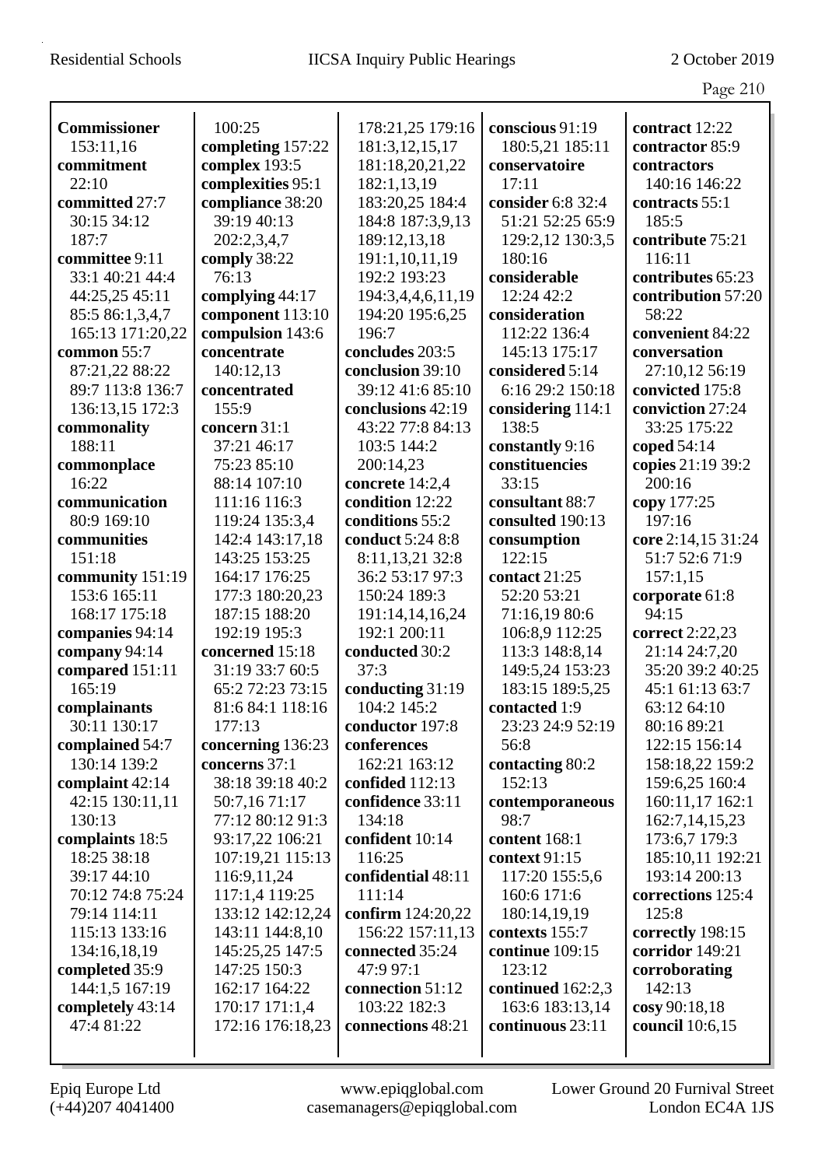|                     |                   |                    |                   | Page 210           |
|---------------------|-------------------|--------------------|-------------------|--------------------|
| <b>Commissioner</b> | 100:25            | 178:21,25 179:16   | conscious 91:19   | contract 12:22     |
| 153:11,16           | completing 157:22 | 181:3, 12, 15, 17  | 180:5,21 185:11   | contractor 85:9    |
| commitment          | complex 193:5     | 181:18,20,21,22    | conservatoire     | contractors        |
| 22:10               | complexities 95:1 | 182:1,13,19        | 17:11             | 140:16 146:22      |
| committed 27:7      | compliance 38:20  | 183:20,25 184:4    | consider 6:8 32:4 | contracts 55:1     |
| 30:15 34:12         | 39:19 40:13       | 184:8 187:3,9,13   | 51:21 52:25 65:9  | 185:5              |
| 187:7               | 202:2,3,4,7       | 189:12,13,18       | 129:2,12 130:3,5  | contribute 75:21   |
| committee 9:11      | comply 38:22      | 191:1,10,11,19     | 180:16            | 116:11             |
| 33:1 40:21 44:4     | 76:13             | 192:2 193:23       | considerable      | contributes 65:23  |
| 44:25,25 45:11      | complying 44:17   | 194:3,4,4,6,11,19  | 12:24 42:2        | contribution 57:20 |
| 85:5 86:1,3,4,7     | component 113:10  | 194:20 195:6,25    | consideration     | 58:22              |
| 165:13 171:20,22    | compulsion 143:6  | 196:7              | 112:22 136:4      | convenient 84:22   |
| common 55:7         | concentrate       | concludes 203:5    | 145:13 175:17     | conversation       |
| 87:21,22 88:22      | 140:12,13         | conclusion 39:10   | considered 5:14   | 27:10,12 56:19     |
| 89:7 113:8 136:7    | concentrated      | 39:12 41:6 85:10   | 6:16 29:2 150:18  | convicted 175:8    |
| 136:13,15 172:3     | 155:9             | conclusions 42:19  | considering 114:1 | conviction 27:24   |
| commonality         | concern 31:1      | 43:22 77:8 84:13   | 138:5             | 33:25 175:22       |
| 188:11              | 37:21 46:17       | 103:5 144:2        | constantly 9:16   | coped $54:14$      |
| commonplace         | 75:23 85:10       | 200:14,23          | constituencies    | copies 21:19 39:2  |
| 16:22               | 88:14 107:10      | concrete 14:2,4    | 33:15             | 200:16             |
| communication       | 111:16 116:3      | condition 12:22    | consultant 88:7   | copy 177:25        |
| 80:9 169:10         | 119:24 135:3,4    | conditions 55:2    | consulted 190:13  | 197:16             |
| communities         | 142:4 143:17,18   | conduct 5:24 8:8   | consumption       | core 2:14,15 31:24 |
| 151:18              | 143:25 153:25     | 8:11,13,21 32:8    | 122:15            | 51:7 52:6 71:9     |
| community 151:19    | 164:17 176:25     | 36:2 53:17 97:3    | contact 21:25     | 157:1,15           |
| 153:6 165:11        | 177:3 180:20,23   | 150:24 189:3       | 52:20 53:21       | corporate 61:8     |
| 168:17 175:18       | 187:15 188:20     | 191:14,14,16,24    | 71:16,19 80:6     | 94:15              |
| companies 94:14     | 192:19 195:3      | 192:1 200:11       | 106:8,9 112:25    | correct 2:22,23    |
| company 94:14       | concerned 15:18   | conducted 30:2     | 113:3 148:8,14    | 21:14 24:7,20      |
| compared 151:11     | 31:19 33:7 60:5   | 37:3               | 149:5,24 153:23   | 35:20 39:2 40:25   |
| 165:19              | 65:2 72:23 73:15  | conducting 31:19   | 183:15 189:5,25   | 45:1 61:13 63:7    |
| complainants        | 81:6 84:1 118:16  | 104:2 145:2        | contacted 1:9     | 63:12 64:10        |
| 30:11 130:17        | 177:13            | conductor 197:8    | 23:23 24:9 52:19  | 80:16 89:21        |
| complained 54:7     | concerning 136:23 | conferences        | 56:8              | 122:15 156:14      |
| 130:14 139:2        | concerns 37:1     | 162:21 163:12      | contacting 80:2   | 158:18,22 159:2    |
| complaint 42:14     | 38:18 39:18 40:2  | confided $112:13$  | 152:13            | 159:6,25 160:4     |
| 42:15 130:11,11     | 50:7,1671:17      | confidence 33:11   | contemporaneous   | 160:11,17 162:1    |
| 130:13              | 77:12 80:12 91:3  | 134:18             | 98:7              | 162:7, 14, 15, 23  |
| complaints 18:5     | 93:17,22 106:21   | confident 10:14    | content 168:1     | 173:6,7 179:3      |
| 18:25 38:18         | 107:19,21 115:13  | 116:25             | context 91:15     | 185:10,11 192:21   |
| 39:17 44:10         | 116:9,11,24       | confidential 48:11 | 117:20 155:5,6    | 193:14 200:13      |
| 70:12 74:8 75:24    | 117:1,4 119:25    | 111:14             | 160:6 171:6       | corrections 125:4  |
| 79:14 114:11        | 133:12 142:12,24  | confirm 124:20,22  | 180:14,19,19      | 125:8              |
| 115:13 133:16       | 143:11 144:8,10   | 156:22 157:11,13   | contexts 155:7    | correctly 198:15   |
| 134:16,18,19        | 145:25,25 147:5   | connected 35:24    | continue 109:15   | corridor 149:21    |
| completed 35:9      | 147:25 150:3      | 47:9 97:1          | 123:12            | corroborating      |
| 144:1,5 167:19      | 162:17 164:22     | connection 51:12   | continued 162:2,3 | 142:13             |
| completely 43:14    | 170:17 171:1,4    | 103:22 182:3       | 163:6 183:13,14   | cosy 90:18,18      |
| 47:4 81:22          | 172:16 176:18,23  | connections 48:21  | continuous 23:11  | council 10:6,15    |
|                     |                   |                    |                   |                    |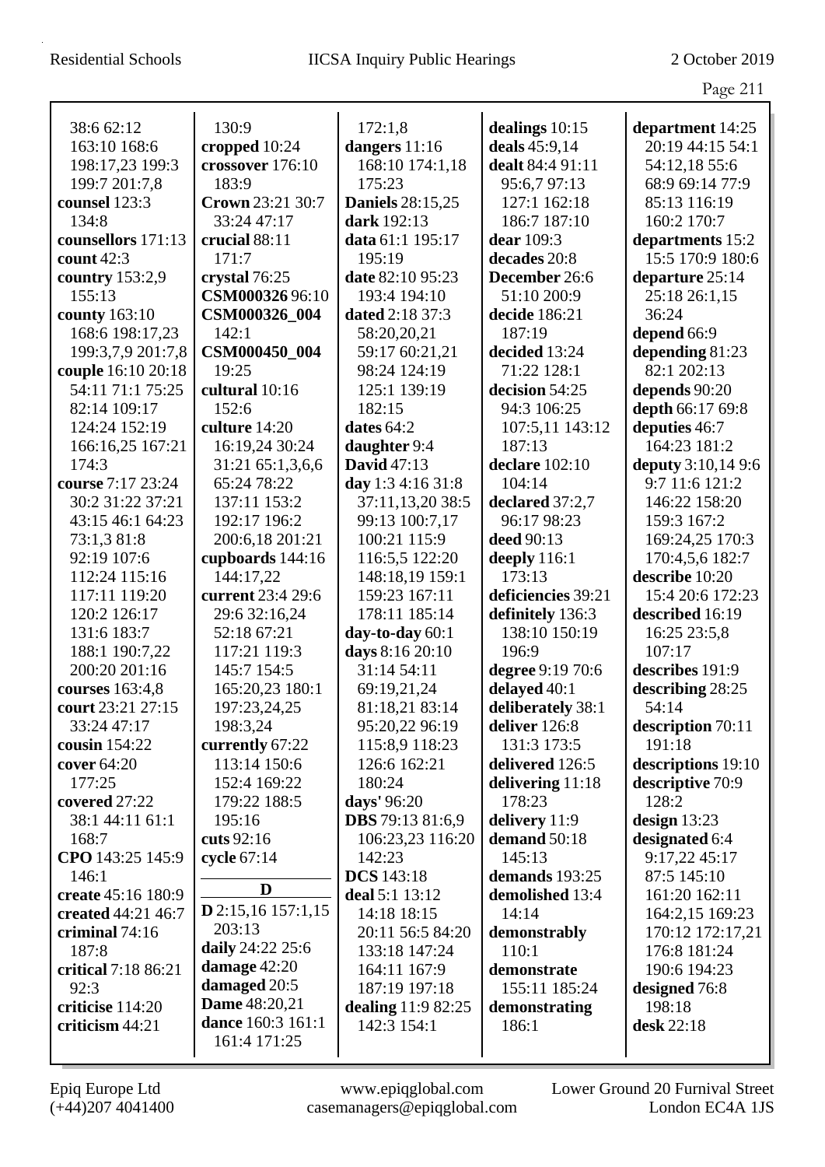|                     |                                |                         |                    | Page 211           |
|---------------------|--------------------------------|-------------------------|--------------------|--------------------|
| 38:6 62:12          | 130:9                          | 172:1,8                 | dealings 10:15     | department 14:25   |
| 163:10 168:6        | cropped 10:24                  | dangers 11:16           | deals 45:9,14      | 20:19 44:15 54:1   |
| 198:17,23 199:3     | crossover 176:10               | 168:10 174:1,18         | dealt 84:4 91:11   | 54:12,18 55:6      |
| 199:7 201:7,8       | 183:9                          | 175:23                  | 95:6,7 97:13       | 68:9 69:14 77:9    |
| counsel 123:3       | Crown 23:21 30:7               | <b>Daniels</b> 28:15,25 | 127:1 162:18       | 85:13 116:19       |
| 134:8               | 33:24 47:17                    | dark 192:13             | 186:7 187:10       | 160:2 170:7        |
| counsellors 171:13  | crucial 88:11                  | data 61:1 195:17        | dear 109:3         | departments 15:2   |
| count $42:3$        | 171:7                          | 195:19                  | decades 20:8       | 15:5 170:9 180:6   |
| country $153:2,9$   | crystal 76:25                  | date 82:10 95:23        | December 26:6      | departure 25:14    |
| 155:13              | CSM00032696:10                 | 193:4 194:10            | 51:10 200:9        | 25:18 26:1,15      |
| county 163:10       | CSM000326_004                  | dated 2:18 37:3         | decide 186:21      | 36:24              |
| 168:6 198:17,23     | 142:1                          | 58:20,20,21             | 187:19             | depend 66:9        |
| 199:3,7,9 201:7,8   | CSM000450_004                  | 59:17 60:21,21          | decided 13:24      | depending 81:23    |
| couple 16:10 20:18  | 19:25                          | 98:24 124:19            | 71:22 128:1        | 82:1 202:13        |
| 54:11 71:1 75:25    | cultural 10:16                 | 125:1 139:19            | decision 54:25     | depends 90:20      |
| 82:14 109:17        | 152:6                          | 182:15                  | 94:3 106:25        | depth 66:17 69:8   |
| 124:24 152:19       | culture 14:20                  | dates $64:2$            | 107:5,11 143:12    | deputies 46:7      |
| 166:16,25 167:21    | 16:19,24 30:24                 | daughter 9:4            | 187:13             | 164:23 181:2       |
| 174:3               | 31:21 65:1,3,6,6               | <b>David</b> 47:13      | declare 102:10     | deputy 3:10,14 9:6 |
| course 7:17 23:24   | 65:24 78:22                    | day 1:3 4:16 31:8       | 104:14             | 9:7 11:6 121:2     |
| 30:2 31:22 37:21    | 137:11 153:2                   | 37:11,13,20 38:5        | declared 37:2,7    | 146:22 158:20      |
| 43:15 46:1 64:23    | 192:17 196:2                   | 99:13 100:7,17          | 96:17 98:23        | 159:3 167:2        |
| 73:1,3 81:8         | 200:6,18 201:21                | 100:21 115:9            | deed 90:13         | 169:24,25 170:3    |
| 92:19 107:6         | cupboards 144:16               | 116:5,5 122:20          | deeply 116:1       | 170:4,5,6 182:7    |
| 112:24 115:16       | 144:17,22                      | 148:18,19 159:1         | 173:13             | describe 10:20     |
| 117:11 119:20       | current 23:4 29:6              | 159:23 167:11           | deficiencies 39:21 | 15:4 20:6 172:23   |
| 120:2 126:17        | 29:6 32:16,24                  | 178:11 185:14           | definitely 136:3   | described 16:19    |
| 131:6 183:7         | 52:18 67:21                    | day-to-day 60:1         | 138:10 150:19      | 16:25 23:5,8       |
| 188:1 190:7,22      | 117:21 119:3                   | days 8:16 20:10         | 196:9              | 107:17             |
| 200:20 201:16       | 145:7 154:5                    | 31:14 54:11             | degree 9:19 70:6   | describes 191:9    |
| courses 163:4,8     | 165:20,23 180:1                | 69:19,21,24             | delayed 40:1       | describing 28:25   |
| court 23:21 27:15   | 197:23,24,25                   | 81:18,21 83:14          | deliberately 38:1  | 54:14              |
| 33:24 47:17         | 198:3,24                       | 95:20,22 96:19          | deliver 126:8      | description 70:11  |
| cousin $154:22$     | currently 67:22                | 115:8,9 118:23          | 131:3 173:5        | 191:18             |
| cover $64:20$       | 113:14 150:6                   | 126:6 162:21            | delivered 126:5    | descriptions 19:10 |
| 177:25              | 152:4 169:22                   | 180:24                  | delivering 11:18   | descriptive 70:9   |
| covered 27:22       | 179:22 188:5                   | days' 96:20             | 178:23             | 128:2              |
| 38:1 44:11 61:1     | 195:16                         | <b>DBS</b> 79:13 81:6,9 | delivery 11:9      | design $13:23$     |
| 168:7               | cuts $92:16$                   | 106:23,23 116:20        | demand 50:18       | designated 6:4     |
| CPO 143:25 145:9    | cycle 67:14                    | 142:23                  | 145:13             | 9:17,22 45:17      |
| 146:1               | D                              | <b>DCS</b> 143:18       | demands 193:25     | 87:5 145:10        |
| create 45:16 180:9  |                                | deal 5:1 13:12          | demolished 13:4    | 161:20 162:11      |
| created 44:21 46:7  | $D$ 2:15,16 157:1,15<br>203:13 | 14:18 18:15             | 14:14              | 164:2,15 169:23    |
| criminal 74:16      | daily 24:22 25:6               | 20:11 56:5 84:20        | demonstrably       | 170:12 172:17,21   |
| 187:8               | damage 42:20                   | 133:18 147:24           | 110:1              | 176:8 181:24       |
| critical 7:18 86:21 | damaged 20:5                   | 164:11 167:9            | demonstrate        | 190:6 194:23       |
| 92:3                | Dame 48:20,21                  | 187:19 197:18           | 155:11 185:24      | designed 76:8      |
| criticise 114:20    | dance 160:3 161:1              | dealing 11:9 82:25      | demonstrating      | 198:18             |
| criticism 44:21     | 161:4 171:25                   | 142:3 154:1             | 186:1              | desk 22:18         |
|                     |                                |                         |                    |                    |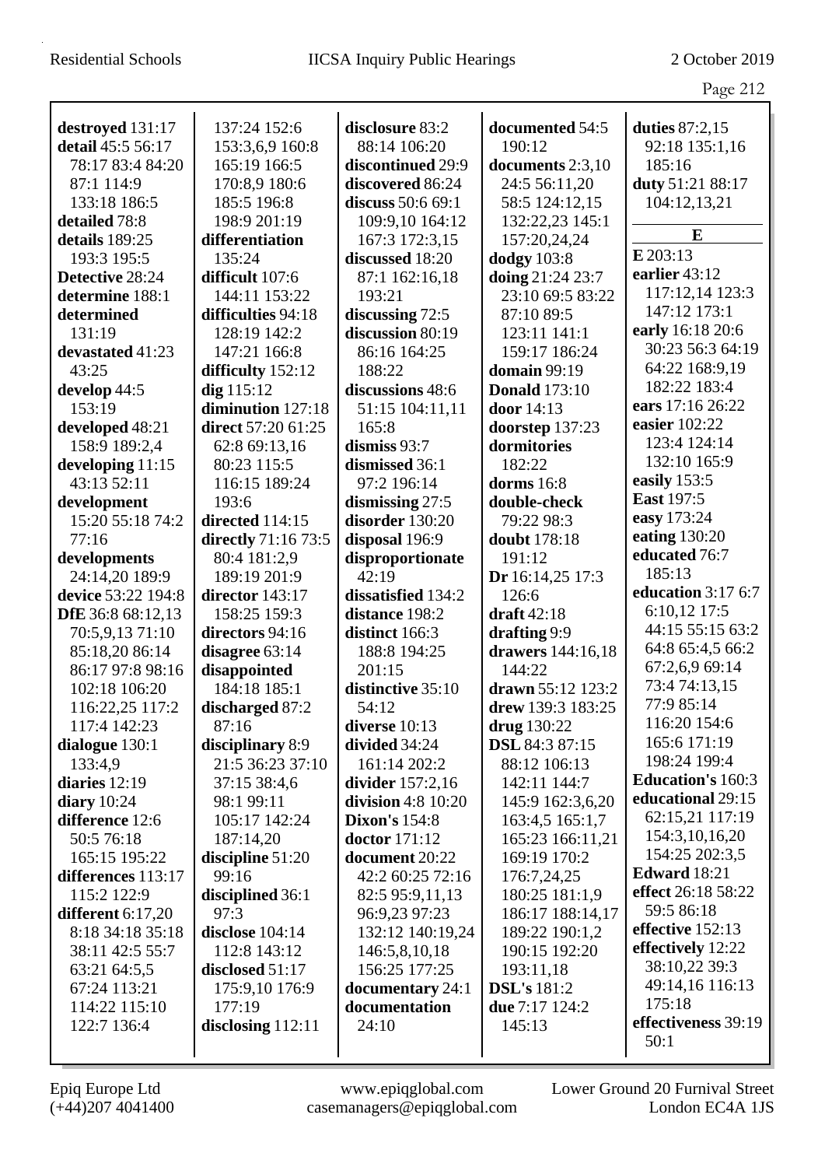|                     |                     |                      |                       | Page 212                 |
|---------------------|---------------------|----------------------|-----------------------|--------------------------|
|                     |                     |                      |                       |                          |
| destroyed 131:17    | 137:24 152:6        | disclosure 83:2      | documented 54:5       | duties 87:2,15           |
| detail 45:5 56:17   | 153:3,6,9 160:8     | 88:14 106:20         | 190:12                | 92:18 135:1,16           |
| 78:17 83:4 84:20    | 165:19 166:5        | discontinued 29:9    | documents 2:3,10      | 185:16                   |
| 87:1 114:9          | 170:8,9 180:6       | discovered 86:24     | 24:5 56:11,20         | duty 51:21 88:17         |
| 133:18 186:5        | 185:5 196:8         | discuss 50:6 69:1    | 58:5 124:12,15        | 104:12,13,21             |
| detailed 78:8       | 198:9 201:19        | 109:9,10 164:12      | 132:22,23 145:1       |                          |
| details 189:25      | differentiation     | 167:3 172:3,15       | 157:20,24,24          | E                        |
| 193:3 195:5         | 135:24              | discussed 18:20      | <b>dodgy</b> 103:8    | $E$ 203:13               |
| Detective 28:24     | difficult 107:6     | 87:1 162:16,18       | doing 21:24 23:7      | earlier 43:12            |
| determine 188:1     | 144:11 153:22       | 193:21               | 23:10 69:5 83:22      | 117:12,14 123:3          |
| determined          | difficulties 94:18  | discussing 72:5      | 87:10 89:5            | 147:12 173:1             |
| 131:19              | 128:19 142:2        | discussion 80:19     | 123:11 141:1          | early 16:18 20:6         |
| devastated 41:23    | 147:21 166:8        | 86:16 164:25         | 159:17 186:24         | 30:23 56:3 64:19         |
| 43:25               | difficulty 152:12   | 188:22               | domain 99:19          | 64:22 168:9,19           |
| develop 44:5        | $dig$ 115:12        | discussions 48:6     | <b>Donald</b> 173:10  | 182:22 183:4             |
| 153:19              | diminution 127:18   | 51:15 104:11,11      | door 14:13            | ears 17:16 26:22         |
| developed 48:21     | direct 57:20 61:25  | 165:8                | doorstep 137:23       | easier 102:22            |
| 158:9 189:2,4       | 62:8 69:13,16       | dismiss $93:7$       | dormitories           | 123:4 124:14             |
| developing $11:15$  | 80:23 115:5         | dismissed 36:1       | 182:22                | 132:10 165:9             |
| 43:13 52:11         | 116:15 189:24       | 97:2 196:14          | dorms $16:8$          | easily 153:5             |
| development         | 193:6               | dismissing $27:5$    | double-check          | <b>East</b> 197:5        |
| 15:20 55:18 74:2    | directed 114:15     | disorder 130:20      | 79:22 98:3            | easy 173:24              |
| 77:16               | directly 71:16 73:5 | disposal 196:9       | doubt 178:18          | eating 130:20            |
| developments        | 80:4 181:2,9        | disproportionate     | 191:12                | educated 76:7            |
| 24:14,20 189:9      | 189:19 201:9        | 42:19                | Dr 16:14,25 17:3      | 185:13                   |
| device 53:22 194:8  | director 143:17     | dissatisfied 134:2   | 126:6                 | education 3:17 6:7       |
| DfE 36:8 68:12,13   | 158:25 159:3        | distance 198:2       | draft 42:18           | 6:10,12 17:5             |
| 70:5,9,13 71:10     | directors 94:16     | distinct 166:3       | drafting 9:9          | 44:15 55:15 63:2         |
| 85:18,20 86:14      | disagree $63:14$    | 188:8 194:25         | drawers 144:16,18     | 64:8 65:4,5 66:2         |
| 86:17 97:8 98:16    | disappointed        | 201:15               | 144:22                | 67:2,6,9 69:14           |
| 102:18 106:20       | 184:18 185:1        | distinctive 35:10    | drawn 55:12 123:2     | 73:4 74:13,15            |
| 116:22,25 117:2     | discharged 87:2     | 54:12                | drew $139:3 183:25$   | 77:9 85:14               |
| 117:4 142:23        | 87:16               | diverse $10:13$      | drug 130:22           | 116:20 154:6             |
| dialogue 130:1      | disciplinary 8:9    | divided 34:24        | <b>DSL</b> 84:3 87:15 | 165:6 171:19             |
| 133:4,9             | 21:5 36:23 37:10    | 161:14 202:2         | 88:12 106:13          | 198:24 199:4             |
| diaries 12:19       | 37:15 38:4,6        | divider $157:2,16$   | 142:11 144:7          | <b>Education's 160:3</b> |
| diary $10:24$       | 98:1 99:11          | division 4:8 10:20   | 145:9 162:3,6,20      | educational 29:15        |
| difference 12:6     | 105:17 142:24       | <b>Dixon's 154:8</b> | 163:4,5 165:1,7       | 62:15,21 117:19          |
| 50:5 76:18          | 187:14,20           | <b>doctor</b> 171:12 | 165:23 166:11,21      | 154:3,10,16,20           |
| 165:15 195:22       | discipline $51:20$  | document 20:22       | 169:19 170:2          | 154:25 202:3,5           |
| differences 113:17  | 99:16               | 42:2 60:25 72:16     | 176:7,24,25           | <b>Edward</b> 18:21      |
| 115:2 122:9         | disciplined 36:1    | 82:5 95:9,11,13      | 180:25 181:1,9        | effect 26:18 58:22       |
| different $6:17,20$ | 97:3                | 96:9,23 97:23        | 186:17 188:14,17      | 59:5 86:18               |
| 8:18 34:18 35:18    | disclose 104:14     | 132:12 140:19,24     | 189:22 190:1,2        | effective 152:13         |
| 38:11 42:5 55:7     | 112:8 143:12        | 146:5,8,10,18        | 190:15 192:20         | effectively 12:22        |
| 63:21 64:5,5        | disclosed $51:17$   | 156:25 177:25        | 193:11,18             | 38:10,22 39:3            |
| 67:24 113:21        | 175:9,10 176:9      | documentary 24:1     | <b>DSL's</b> 181:2    | 49:14,16 116:13          |
| 114:22 115:10       | 177:19              | documentation        | due 7:17 124:2        | 175:18                   |
| 122:7 136:4         | disclosing $112:11$ | 24:10                | 145:13                | effectiveness 39:19      |
|                     |                     |                      |                       | 50:1                     |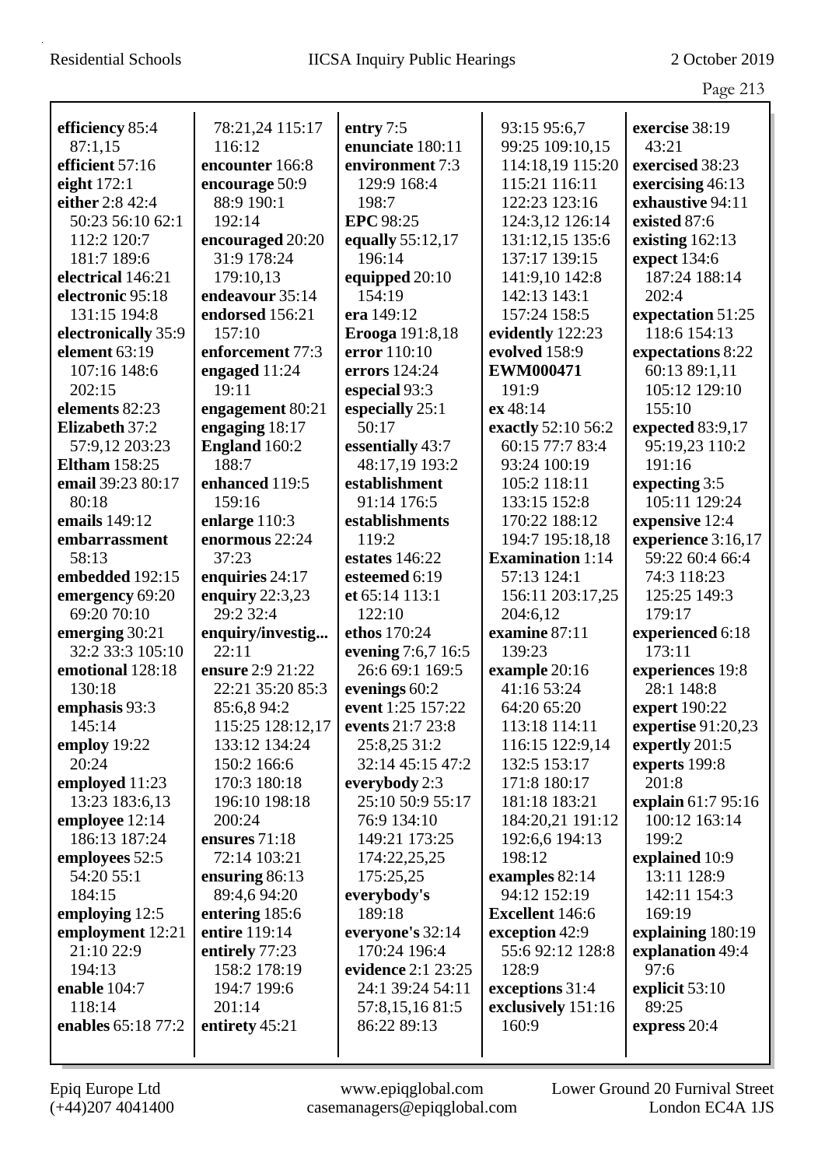|                       |                        |                          |                         | Page 213                       |
|-----------------------|------------------------|--------------------------|-------------------------|--------------------------------|
| efficiency 85:4       | 78:21,24 115:17        | entry 7:5                | 93:15 95:6,7            | exercise 38:19                 |
| 87:1,15               | 116:12                 | enunciate 180:11         | 99:25 109:10,15         | 43:21                          |
| efficient 57:16       | encounter 166:8        | environment 7:3          | 114:18,19 115:20        | exercised 38:23                |
| eight $172:1$         | encourage 50:9         | 129:9 168:4              | 115:21 116:11           | exercising 46:13               |
| either 2:8 42:4       | 88:9 190:1             | 198:7                    | 122:23 123:16           | exhaustive 94:11               |
| 50:23 56:10 62:1      | 192:14                 | <b>EPC</b> 98:25         | 124:3,12 126:14         | existed 87:6                   |
| 112:2 120:7           | encouraged 20:20       | equally 55:12,17         | 131:12,15 135:6         | existing $162:13$              |
| 181:7 189:6           | 31:9 178:24            | 196:14                   | 137:17 139:15           | expect 134:6                   |
| electrical 146:21     | 179:10,13              | equipped 20:10           | 141:9,10 142:8          | 187:24 188:14                  |
| electronic 95:18      | endeavour 35:14        | 154:19                   | 142:13 143:1            | 202:4                          |
| 131:15 194:8          | endorsed 156:21        | era 149:12               | 157:24 158:5            | expectation 51:25              |
| electronically 35:9   | 157:10                 | Erooga 191:8,18          | evidently 122:23        | 118:6 154:13                   |
| element 63:19         | enforcement 77:3       | error 110:10             | evolved 158:9           | expectations 8:22              |
| 107:16 148:6          | engaged 11:24          | errors 124:24            | <b>EWM000471</b>        | 60:13 89:1,11                  |
| 202:15                | 19:11                  | especial 93:3            | 191:9                   | 105:12 129:10                  |
| elements 82:23        |                        |                          | ex 48:14                | 155:10                         |
| <b>Elizabeth 37:2</b> | engagement 80:21       | especially 25:1<br>50:17 | exactly 52:10 56:2      | expected 83:9,17               |
| 57:9,12 203:23        | engaging 18:17         | essentially 43:7         | 60:15 77:7 83:4         |                                |
| <b>Eltham</b> 158:25  | England 160:2<br>188:7 | 48:17,19 193:2           |                         | 95:19,23 110:2<br>191:16       |
|                       | enhanced 119:5         | establishment            | 93:24 100:19            |                                |
| email 39:23 80:17     | 159:16                 |                          | 105:2 118:11            | expecting 3:5<br>105:11 129:24 |
| 80:18                 |                        | 91:14 176:5              | 133:15 152:8            |                                |
| emails 149:12         | enlarge 110:3          | establishments           | 170:22 188:12           | expensive 12:4                 |
| embarrassment         | enormous 22:24         | 119:2                    | 194:7 195:18,18         | experience 3:16,17             |
| 58:13                 | 37:23                  | estates $146:22$         | <b>Examination</b> 1:14 | 59:22 60:4 66:4                |
| embedded 192:15       | enquiries 24:17        | esteemed 6:19            | 57:13 124:1             | 74:3 118:23                    |
| emergency 69:20       | enquiry $22:3,23$      | et 65:14 113:1           | 156:11 203:17,25        | 125:25 149:3                   |
| 69:20 70:10           | 29:2 32:4              | 122:10                   | 204:6,12                | 179:17                         |
| emerging 30:21        | enquiry/investig       | ethos 170:24             | examine 87:11           | experienced 6:18               |
| 32:2 33:3 105:10      | 22:11                  | evening 7:6,7 16:5       | 139:23                  | 173:11                         |
| emotional 128:18      | ensure 2:9 21:22       | 26:6 69:1 169:5          | example 20:16           | experiences 19:8               |
| 130:18                | 22:21 35:20 85:3       | evenings 60:2            | 41:16 53:24             | 28:1 148:8                     |
| emphasis 93:3         | 85:6,8 94:2            | event 1:25 157:22        | 64:20 65:20             | expert 190:22                  |
| 145:14                | 115:25 128:12,17       | events 21:7 23:8         | 113:18 114:11           | expertise 91:20,23             |
| employ 19:22          | 133:12 134:24          | 25:8,25 31:2             | 116:15 122:9,14         | expertly 201:5                 |
| 20:24                 | 150:2 166:6            | 32:14 45:15 47:2         | 132:5 153:17            | experts 199:8                  |
| employed 11:23        | 170:3 180:18           | everybody 2:3            | 171:8 180:17            | 201:8                          |
| 13:23 183:6,13        | 196:10 198:18          | 25:10 50:9 55:17         | 181:18 183:21           | explain 61:7 95:16             |
| employee 12:14        | 200:24                 | 76:9 134:10              | 184:20,21 191:12        | 100:12 163:14                  |
| 186:13 187:24         | ensures 71:18          | 149:21 173:25            | 192:6,6 194:13          | 199:2                          |
| employees 52:5        | 72:14 103:21           | 174:22,25,25             | 198:12                  | explained 10:9                 |
| 54:20 55:1            | ensuring $86:13$       | 175:25,25                | examples 82:14          | 13:11 128:9                    |
| 184:15                | 89:4,6 94:20           | everybody's              | 94:12 152:19            | 142:11 154:3                   |
| employing 12:5        | entering 185:6         | 189:18                   | <b>Excellent</b> 146:6  | 169:19                         |
| employment 12:21      | entire 119:14          | everyone's 32:14         | exception 42:9          | explaining 180:19              |
| 21:10 22:9            | entirely 77:23         | 170:24 196:4             | 55:6 92:12 128:8        | explanation 49:4               |
| 194:13                | 158:2 178:19           | evidence 2:1 23:25       | 128:9                   | 97:6                           |
| enable 104:7          | 194:7 199:6            | 24:1 39:24 54:11         | exceptions 31:4         | explicit 53:10                 |
| 118:14                | 201:14                 | 57:8,15,16 81:5          | exclusively 151:16      | 89:25                          |
| enables 65:18 77:2    | entirety 45:21         | 86:22 89:13              | 160:9                   | express 20:4                   |
|                       |                        |                          |                         |                                |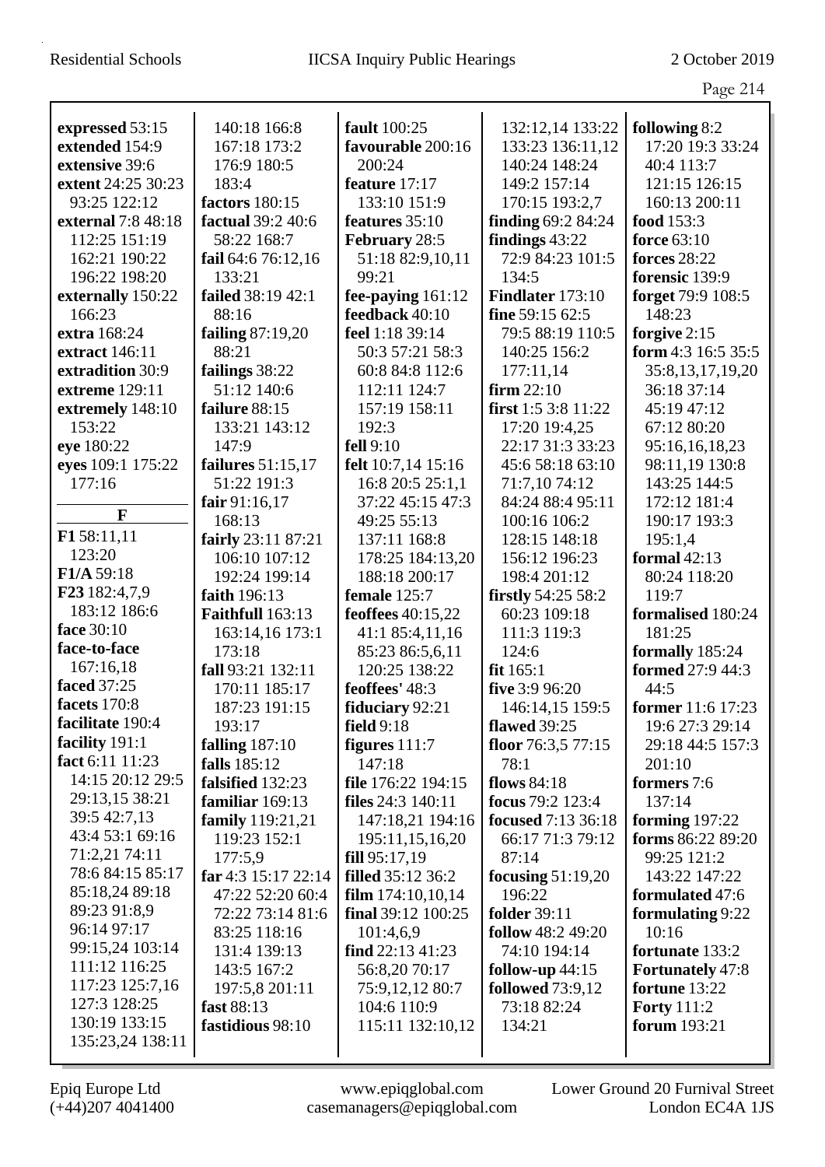Page 214

| expressed 53:15    | 140:18 166:8          | fault 100:25             | 132:12,14 133:22          | following 8:2           |
|--------------------|-----------------------|--------------------------|---------------------------|-------------------------|
| extended 154:9     | 167:18 173:2          | favourable 200:16        | 133:23 136:11,12          | 17:20 19:3 33:24        |
| extensive 39:6     | 176:9 180:5           | 200:24                   | 140:24 148:24             | 40:4 113:7              |
| extent 24:25 30:23 | 183:4                 | feature 17:17            | 149:2 157:14              | 121:15 126:15           |
| 93:25 122:12       | factors 180:15        | 133:10 151:9             | 170:15 193:2,7            | 160:13 200:11           |
| external 7:8 48:18 | factual 39:2 40:6     | features 35:10           | finding 69:2 84:24        | food 153:3              |
| 112:25 151:19      | 58:22 168:7           | February 28:5            | findings 43:22            | force 63:10             |
| 162:21 190:22      | fail 64:6 76:12,16    | 51:18 82:9,10,11         | 72:9 84:23 101:5          | <b>forces</b> 28:22     |
| 196:22 198:20      | 133:21                | 99:21                    | 134:5                     | forensic 139:9          |
| externally 150:22  | failed 38:19 42:1     | fee-paying 161:12        | Findlater 173:10          | forget 79:9 108:5       |
| 166:23             | 88:16                 | feedback 40:10           | fine 59:15 62:5           | 148:23                  |
| extra 168:24       | failing 87:19,20      | feel 1:18 39:14          | 79:5 88:19 110:5          | forgive 2:15            |
| extract 146:11     | 88:21                 | 50:3 57:21 58:3          | 140:25 156:2              | form $4:3$ 16:5 35:5    |
| extradition 30:9   | failings 38:22        | 60:8 84:8 112:6          | 177:11,14                 | 35:8,13,17,19,20        |
| extreme 129:11     | 51:12 140:6           | 112:11 124:7             | firm 22:10                | 36:18 37:14             |
| extremely 148:10   | failure 88:15         | 157:19 158:11            | first 1:5 3:8 11:22       | 45:19 47:12             |
| 153:22             | 133:21 143:12         | 192:3                    | 17:20 19:4,25             | 67:12 80:20             |
| eye 180:22         | 147:9                 | fell 9:10                | 22:17 31:3 33:23          | 95:16,16,18,23          |
| eyes 109:1 175:22  | failures 51:15,17     | felt 10:7,14 15:16       | 45:6 58:18 63:10          | 98:11,19 130:8          |
| 177:16             | 51:22 191:3           | 16:8 20:5 25:1,1         | 71:7,10 74:12             | 143:25 144:5            |
|                    | fair $91:16,17$       | 37:22 45:15 47:3         | 84:24 88:4 95:11          | 172:12 181:4            |
| F                  | 168:13                | 49:25 55:13              | 100:16 106:2              | 190:17 193:3            |
| F158:11,11         | fairly 23:11 87:21    | 137:11 168:8             | 128:15 148:18             | 195:1,4                 |
| 123:20             | 106:10 107:12         | 178:25 184:13,20         | 156:12 196:23             | formal 42:13            |
| F1/A 59:18         | 192:24 199:14         | 188:18 200:17            | 198:4 201:12              | 80:24 118:20            |
| F23 182:4,7,9      | faith 196:13          | female 125:7             | <b>firstly</b> 54:25 58:2 | 119:7                   |
| 183:12 186:6       | Faithfull 163:13      | feoffees 40:15,22        | 60:23 109:18              | formalised 180:24       |
| face 30:10         | 163:14,16 173:1       | 41:1 85:4,11,16          | 111:3 119:3               | 181:25                  |
| face-to-face       | 173:18                | 85:23 86:5,6,11          | 124:6                     | formally 185:24         |
| 167:16,18          | fall 93:21 132:11     | 120:25 138:22            | fit $165:1$               | formed 27:9 44:3        |
| faced 37:25        | 170:11 185:17         | feoffees' 48:3           | five 3:9 96:20            | 44:5                    |
| facets 170:8       | 187:23 191:15         | fiduciary 92:21          | 146:14,15 159:5           | former 11:6 17:23       |
| facilitate 190:4   | 193:17                | field $9:18$             | <b>flawed</b> 39:25       | 19:6 27:3 29:14         |
| facility 191:1     | falling $187:10$      | figures $111:7$          | floor $76:3,577:15$       | 29:18 44:5 157:3        |
| fact 6:11 11:23    | falls 185:12          | 147:18                   | 78:1                      | 201:10                  |
| 14:15 20:12 29:5   | falsified 132:23      | file 176:22 194:15       | <b>flows</b> 84:18        | formers 7:6             |
| 29:13,15 38:21     | familiar 169:13       | <b>files</b> 24:3 140:11 | focus 79:2 123:4          | 137:14                  |
| 39:5 42:7,13       | family 119:21,21      | 147:18,21 194:16         | <b>focused</b> 7:13 36:18 | forming $197:22$        |
| 43:4 53:1 69:16    | 119:23 152:1          | 195:11,15,16,20          | 66:17 71:3 79:12          | forms 86:22 89:20       |
| 71:2,21 74:11      | 177:5,9               | fill 95:17,19            | 87:14                     | 99:25 121:2             |
| 78:6 84:15 85:17   | far 4:3 $15:17$ 22:14 | filled 35:12 36:2        | focusing $51:19,20$       | 143:22 147:22           |
| 85:18,24 89:18     | 47:22 52:20 60:4      | film $174:10,10,14$      | 196:22                    | formulated 47:6         |
| 89:23 91:8,9       | 72:22 73:14 81:6      | final $39:12$ $100:25$   | <b>folder</b> 39:11       | formulating 9:22        |
| 96:14 97:17        | 83:25 118:16          | 101:4,6,9                | follow 48:2 49:20         | 10:16                   |
| 99:15,24 103:14    | 131:4 139:13          | find $22:13\,41:23$      | 74:10 194:14              | fortunate 133:2         |
| 111:12 116:25      | 143:5 167:2           | 56:8,20 70:17            | follow-up $44:15$         | <b>Fortunately</b> 47:8 |
| 117:23 125:7,16    | 197:5,8 201:11        | 75:9,12,12 80:7          | <b>followed</b> 73:9,12   | fortune 13:22           |
| 127:3 128:25       | fast 88:13            | 104:6 110:9              | 73:18 82:24               | <b>Forty</b> 111:2      |
| 130:19 133:15      | fastidious 98:10      | 115:11 132:10,12         | 134:21                    | <b>forum</b> 193:21     |
| 135:23,24 138:11   |                       |                          |                           |                         |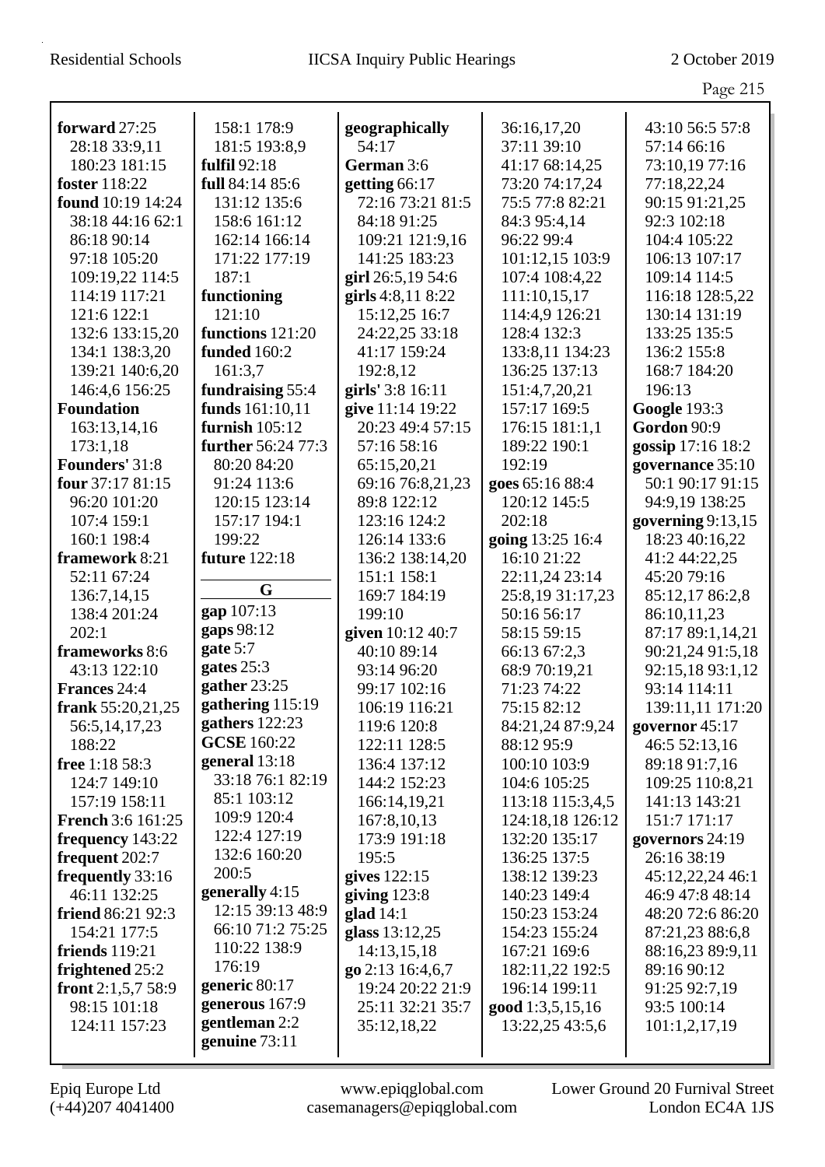|                                |                              |                              |                                | Page 215                       |
|--------------------------------|------------------------------|------------------------------|--------------------------------|--------------------------------|
|                                |                              |                              |                                |                                |
| forward 27:25<br>28:18 33:9,11 | 158:1 178:9<br>181:5 193:8,9 | geographically<br>54:17      | 36:16,17,20<br>37:11 39:10     | 43:10 56:5 57:8<br>57:14 66:16 |
| 180:23 181:15                  | fulfil 92:18                 | German 3:6                   | 41:17 68:14,25                 | 73:10,19 77:16                 |
| foster 118:22                  | full 84:14 85:6              | getting 66:17                | 73:20 74:17,24                 | 77:18,22,24                    |
| <b>found</b> 10:19 14:24       | 131:12 135:6                 | 72:16 73:21 81:5             | 75:5 77:8 82:21                | 90:15 91:21,25                 |
| 38:18 44:16 62:1               | 158:6 161:12                 | 84:18 91:25                  | 84:3 95:4,14                   | 92:3 102:18                    |
| 86:18 90:14                    | 162:14 166:14                | 109:21 121:9,16              | 96:22 99:4                     | 104:4 105:22                   |
| 97:18 105:20                   | 171:22 177:19                | 141:25 183:23                | 101:12,15 103:9                | 106:13 107:17                  |
| 109:19,22 114:5                | 187:1                        | girl 26:5,19 54:6            | 107:4 108:4,22                 | 109:14 114:5                   |
| 114:19 117:21                  | functioning                  | girls 4:8,11 8:22            | 111:10,15,17                   | 116:18 128:5,22                |
| 121:6 122:1                    | 121:10                       | 15:12,25 16:7                | 114:4,9 126:21                 | 130:14 131:19                  |
| 132:6 133:15,20                | functions 121:20             | 24:22,25 33:18               | 128:4 132:3                    | 133:25 135:5                   |
| 134:1 138:3,20                 | funded 160:2                 | 41:17 159:24                 | 133:8,11 134:23                | 136:2 155:8                    |
| 139:21 140:6,20                | 161:3,7                      | 192:8,12                     | 136:25 137:13                  | 168:7 184:20                   |
| 146:4,6 156:25                 | fundraising 55:4             | girls' 3:8 16:11             | 151:4,7,20,21                  | 196:13                         |
| <b>Foundation</b>              | funds 161:10,11              | give 11:14 19:22             | 157:17 169:5                   | <b>Google 193:3</b>            |
| 163:13,14,16                   | furnish $105:12$             | 20:23 49:4 57:15             | 176:15 181:1,1                 | Gordon 90:9                    |
| 173:1,18                       | further 56:24 77:3           | 57:16 58:16                  | 189:22 190:1                   | gossip 17:16 18:2              |
| <b>Founders' 31:8</b>          | 80:20 84:20                  | 65:15,20,21                  | 192:19                         | governance 35:10               |
| four 37:17 81:15               | 91:24 113:6                  | 69:16 76:8,21,23             | goes 65:16 88:4                | 50:1 90:17 91:15               |
| 96:20 101:20                   | 120:15 123:14                | 89:8 122:12                  | 120:12 145:5                   | 94:9,19 138:25                 |
| 107:4 159:1                    | 157:17 194:1                 | 123:16 124:2                 | 202:18                         | governing $9:13,15$            |
| 160:1 198:4                    | 199:22                       | 126:14 133:6                 | going 13:25 16:4               | 18:23 40:16,22                 |
| framework 8:21                 | <b>future</b> 122:18         | 136:2 138:14,20              | 16:10 21:22                    | 41:2 44:22,25                  |
| 52:11 67:24                    |                              | 151:1 158:1                  | 22:11,24 23:14                 | 45:20 79:16                    |
| 136:7,14,15                    | G                            | 169:7 184:19                 | 25:8,19 31:17,23               | 85:12,17 86:2,8                |
| 138:4 201:24                   | gap 107:13                   | 199:10                       | 50:16 56:17                    | 86:10,11,23                    |
| 202:1                          | gaps 98:12                   | given 10:12 40:7             | 58:15 59:15                    | 87:17 89:1,14,21               |
| frameworks 8:6                 | gate 5:7<br>gates 25:3       | 40:10 89:14                  | 66:13 67:2,3                   | 90:21,24 91:5,18               |
| 43:13 122:10                   | gather 23:25                 | 93:14 96:20                  | 68:9 70:19,21                  | 92:15,18 93:1,12               |
| <b>Frances 24:4</b>            | gathering $115:19$           | 99:17 102:16                 | 71:23 74:22                    | 93:14 114:11                   |
| frank 55:20,21,25              | gathers 122:23               | 106:19 116:21                | 75:15 82:12                    | 139:11,11 171:20               |
| 56:5, 14, 17, 23<br>188:22     | <b>GCSE</b> 160:22           | 119:6 120:8                  | 84:21,24 87:9,24<br>88:12 95:9 | governor 45:17                 |
| free 1:18 58:3                 | general 13:18                | 122:11 128:5<br>136:4 137:12 | 100:10 103:9                   | 46:5 52:13,16<br>89:18 91:7,16 |
| 124:7 149:10                   | 33:18 76:1 82:19             | 144:2 152:23                 | 104:6 105:25                   | 109:25 110:8,21                |
| 157:19 158:11                  | 85:1 103:12                  | 166:14,19,21                 | 113:18 115:3,4,5               | 141:13 143:21                  |
| <b>French 3:6 161:25</b>       | 109:9 120:4                  | 167:8,10,13                  | 124:18,18 126:12               | 151:7 171:17                   |
| frequency 143:22               | 122:4 127:19                 | 173:9 191:18                 | 132:20 135:17                  | governors 24:19                |
| frequent 202:7                 | 132:6 160:20                 | 195:5                        | 136:25 137:5                   | 26:16 38:19                    |
| frequently 33:16               | 200:5                        | gives $122:15$               | 138:12 139:23                  | 45:12,22,24 46:1               |
| 46:11 132:25                   | generally 4:15               | giving $123:8$               | 140:23 149:4                   | 46:9 47:8 48:14                |
| friend 86:21 92:3              | 12:15 39:13 48:9             | glad $14:1$                  | 150:23 153:24                  | 48:20 72:6 86:20               |
| 154:21 177:5                   | 66:10 71:2 75:25             | glass 13:12,25               | 154:23 155:24                  | 87:21,23 88:6,8                |
| friends $119:21$               | 110:22 138:9                 | 14:13,15,18                  | 167:21 169:6                   | 88:16,23 89:9,11               |
| frightened 25:2                | 176:19                       | go 2:13 16:4,6,7             | 182:11,22 192:5                | 89:16 90:12                    |
| front $2:1,5,7,58:9$           | generic 80:17                | 19:24 20:22 21:9             | 196:14 199:11                  | 91:25 92:7,19                  |
| 98:15 101:18                   | generous $167:9$             | 25:11 32:21 35:7             | good 1:3,5,15,16               | 93:5 100:14                    |
| 124:11 157:23                  | gentleman 2:2                | 35:12,18,22                  | 13:22,25 43:5,6                | 101:1,2,17,19                  |
|                                | genuine 73:11                |                              |                                |                                |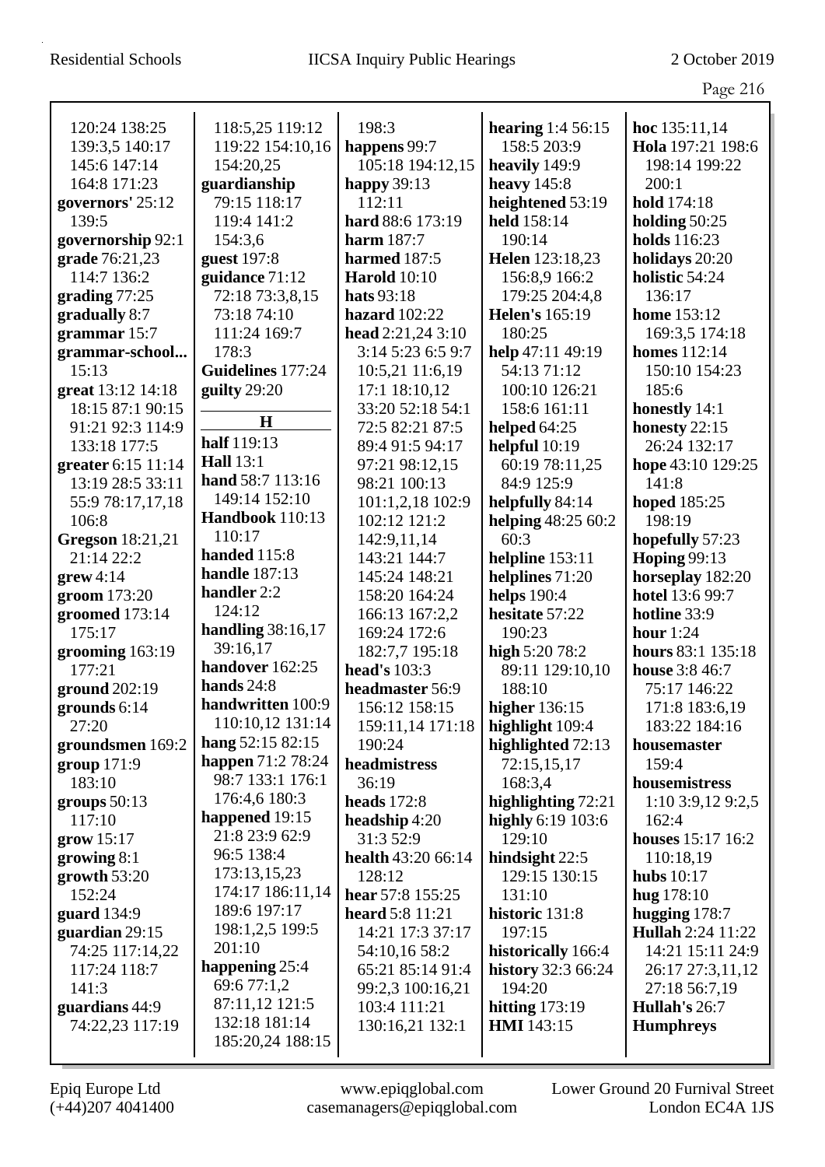Page 216

|                         |                          |                        |                          | ပ                        |
|-------------------------|--------------------------|------------------------|--------------------------|--------------------------|
| 120:24 138:25           | 118:5,25 119:12          | 198:3                  | <b>hearing</b> 1:4 56:15 | hoc 135:11,14            |
| 139:3,5 140:17          | 119:22 154:10,16         | happens 99:7           | 158:5 203:9              | Hola 197:21 198:6        |
| 145:6 147:14            | 154:20,25                | 105:18 194:12,15       | heavily 149:9            | 198:14 199:22            |
| 164:8 171:23            | guardianship             | happy $39:13$          | heavy $145:8$            | 200:1                    |
| governors' 25:12        | 79:15 118:17             | 112:11                 | heightened 53:19         | hold 174:18              |
| 139:5                   | 119:4 141:2              | hard 88:6 173:19       | held 158:14              | holding $50:25$          |
| governorship 92:1       | 154:3,6                  | <b>harm</b> 187:7      | 190:14                   | <b>holds</b> 116:23      |
| grade 76:21,23          | guest 197:8              | harmed 187:5           | Helen 123:18,23          | holidays 20:20           |
| 114:7 136:2             | guidance 71:12           | <b>Harold</b> 10:10    | 156:8,9 166:2            | holistic 54:24           |
| grading $77:25$         | 72:18 73:3,8,15          | hats 93:18             | 179:25 204:4,8           | 136:17                   |
| gradually 8:7           | 73:18 74:10              | hazard $102:22$        | <b>Helen's</b> 165:19    | <b>home</b> 153:12       |
| grammar 15:7            | 111:24 169:7             | head $2:21,243:10$     | 180:25                   | 169:3,5 174:18           |
| grammar-school          | 178:3                    | 3:14 5:23 6:5 9:7      | help 47:11 49:19         | <b>homes</b> 112:14      |
| 15:13                   | Guidelines 177:24        | 10:5,21 11:6,19        | 54:13 71:12              | 150:10 154:23            |
| great 13:12 14:18       | guilty 29:20             | 17:1 18:10,12          | 100:10 126:21            | 185:6                    |
| 18:15 87:1 90:15        |                          | 33:20 52:18 54:1       | 158:6 161:11             | honestly 14:1            |
| 91:21 92:3 114:9        | $\mathbf H$              | 72:5 82:21 87:5        | helped $64:25$           | honesty $22:15$          |
| 133:18 177:5            | half 119:13              | 89:4 91:5 94:17        | helpful $10:19$          | 26:24 132:17             |
| greater 6:15 11:14      | <b>Hall</b> 13:1         | 97:21 98:12,15         | 60:19 78:11,25           | hope 43:10 129:25        |
| 13:19 28:5 33:11        | hand 58:7 113:16         | 98:21 100:13           | 84:9 125:9               | 141:8                    |
| 55:9 78:17,17,18        | 149:14 152:10            | 101:1,2,18 102:9       | helpfully 84:14          | hoped 185:25             |
| 106:8                   | Handbook 110:13          | 102:12 121:2           | helping 48:25 60:2       | 198:19                   |
| <b>Gregson</b> 18:21,21 | 110:17                   | 142:9,11,14            | 60:3                     | hopefully 57:23          |
| 21:14 22:2              | handed 115:8             | 143:21 144:7           | helpline 153:11          | <b>Hoping 99:13</b>      |
| $grew 4:14$             | <b>handle</b> 187:13     | 145:24 148:21          | helplines 71:20          | horseplay 182:20         |
| groom 173:20            | handler 2:2              | 158:20 164:24          | <b>helps</b> 190:4       | hotel 13:6 99:7          |
| groomed 173:14          | 124:12                   | 166:13 167:2,2         | hesitate 57:22           | hotline 33:9             |
| 175:17                  | handling $38:16,17$      | 169:24 172:6           | 190:23                   | hour $1:24$              |
| grooming 163:19         | 39:16,17                 | 182:7,7 195:18         | high 5:20 78:2           | hours 83:1 135:18        |
| 177:21                  | handover 162:25          | head's 103:3           | 89:11 129:10,10          | house 3:8 46:7           |
| ground 202:19           | hands $24:8$             | headmaster 56:9        | 188:10                   | 75:17 146:22             |
| grounds 6:14            | handwritten 100:9        | 156:12 158:15          | <b>higher</b> 136:15     | 171:8 183:6,19           |
| 27:20                   | 110:10,12 131:14         | 159:11,14 171:18       | highlight 109:4          | 183:22 184:16            |
| groundsmen 169:2        | hang 52:15 82:15         | 190:24                 | highlighted 72:13        | housemaster              |
| group 171:9             | <b>happen</b> 71:2 78:24 | headmistress           | 72:15,15,17              | 159:4                    |
| 183:10                  | 98:7 133:1 176:1         | 36:19                  | 168:3,4                  | housemistress            |
| groups 50:13            | 176:4,6 180:3            | heads $172:8$          | highlighting 72:21       | 1:10 3:9,12 9:2,5        |
| 117:10                  | happened 19:15           | headship 4:20          | highly 6:19 103:6        | 162:4                    |
| grow 15:17              | 21:8 23:9 62:9           | 31:3 52:9              | 129:10                   | <b>houses</b> 15:17 16:2 |
| growing $8:1$           | 96:5 138:4               | health 43:20 66:14     | hindsight $22:5$         | 110:18,19                |
| growth $53:20$          | 173:13,15,23             | 128:12                 | 129:15 130:15            | hubs $10:17$             |
| 152:24                  | 174:17 186:11,14         | hear 57:8 155:25       | 131:10                   | hug $178:10$             |
| guard 134:9             | 189:6 197:17             | <b>heard</b> 5:8 11:21 | historic 131:8           | hugging 178:7            |
| guardian 29:15          | 198:1,2,5 199:5          | 14:21 17:3 37:17       | 197:15                   | Hullah 2:24 11:22        |
| 74:25 117:14,22         | 201:10                   | 54:10,16 58:2          | historically 166:4       | 14:21 15:11 24:9         |
| 117:24 118:7            | happening 25:4           | 65:21 85:14 91:4       | history 32:3 66:24       | 26:17 27:3,11,12         |
| 141:3                   | 69:6 77:1,2              | 99:2,3 100:16,21       | 194:20                   | 27:18 56:7,19            |
| guardians 44:9          | 87:11,12 121:5           | 103:4 111:21           | hitting $173:19$         | Hullah's 26:7            |
| 74:22,23 117:19         | 132:18 181:14            | 130:16,21 132:1        | <b>HMI</b> 143:15        | <b>Humphreys</b>         |
|                         | 185:20,24 188:15         |                        |                          |                          |
|                         |                          |                        |                          |                          |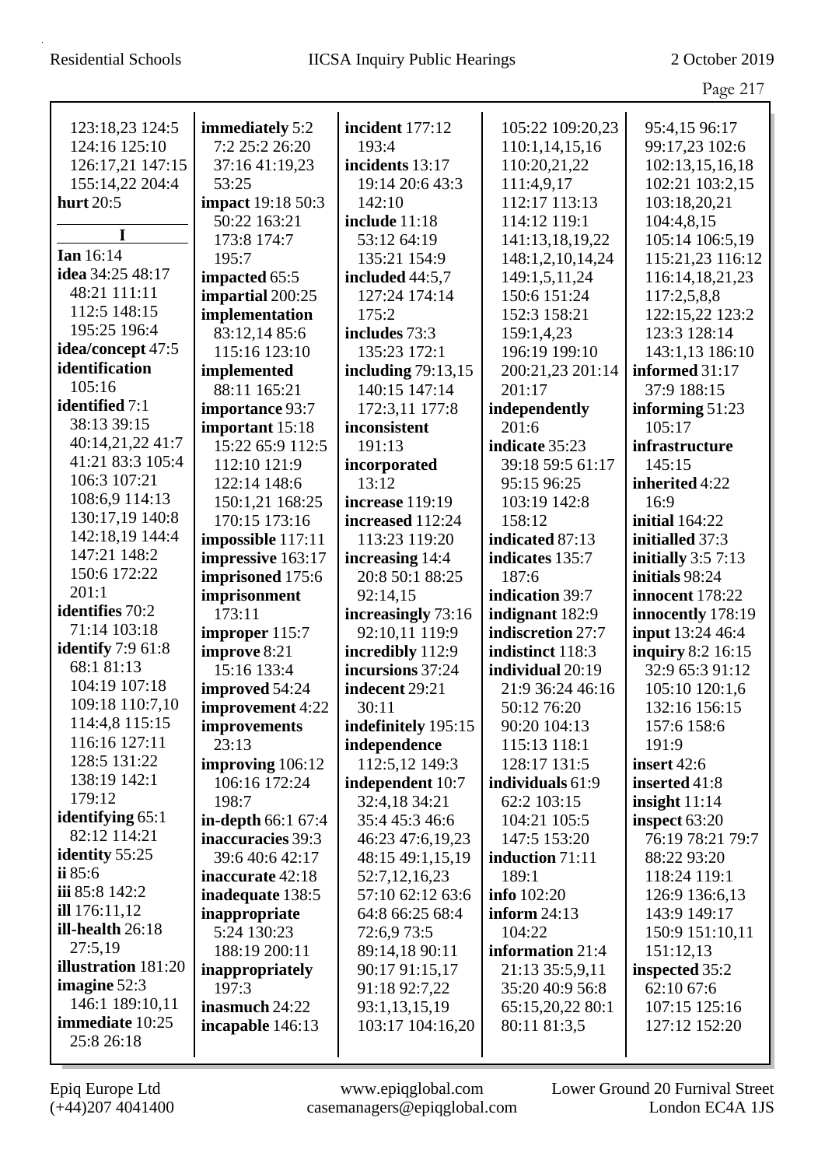|                                        |                          |                      |                    | Page 217              |
|----------------------------------------|--------------------------|----------------------|--------------------|-----------------------|
|                                        |                          |                      |                    |                       |
| 123:18,23 124:5                        | immediately 5:2          | incident 177:12      | 105:22 109:20,23   | 95:4,15 96:17         |
| 124:16 125:10                          | 7:2 25:2 26:20           | 193:4                | 110:1,14,15,16     | 99:17,23 102:6        |
| 126:17,21 147:15                       | 37:16 41:19,23           | incidents 13:17      | 110:20,21,22       | 102:13,15,16,18       |
| 155:14,22 204:4                        | 53:25                    | 19:14 20:6 43:3      | 111:4,9,17         | 102:21 103:2,15       |
| hurt 20:5                              | <b>impact</b> 19:18 50:3 | 142:10               | 112:17 113:13      | 103:18,20,21          |
| I                                      | 50:22 163:21             | include 11:18        | 114:12 119:1       | 104:4,8,15            |
| <b>Ian</b> 16:14                       | 173:8 174:7              | 53:12 64:19          | 141:13,18,19,22    | 105:14 106:5,19       |
| idea 34:25 48:17                       | 195:7                    | 135:21 154:9         | 148:1,2,10,14,24   | 115:21,23 116:12      |
| 48:21 111:11                           | impacted 65:5            | included 44:5,7      | 149:1,5,11,24      | 116:14,18,21,23       |
| 112:5 148:15                           | impartial 200:25         | 127:24 174:14        | 150:6 151:24       | 117:2,5,8,8           |
| 195:25 196:4                           | implementation           | 175:2                | 152:3 158:21       | 122:15,22 123:2       |
| idea/concept 47:5                      | 83:12,14 85:6            | includes 73:3        | 159:1,4,23         | 123:3 128:14          |
| identification                         | 115:16 123:10            | 135:23 172:1         | 196:19 199:10      | 143:1,13 186:10       |
| 105:16                                 | implemented              | including $79:13,15$ | 200:21,23 201:14   | informed 31:17        |
| identified 7:1                         | 88:11 165:21             | 140:15 147:14        | 201:17             | 37:9 188:15           |
| 38:13 39:15                            | importance 93:7          | 172:3,11 177:8       | independently      | informing $51:23$     |
| 40:14,21,22 41:7                       | important 15:18          | inconsistent         | 201:6              | 105:17                |
| 41:21 83:3 105:4                       | 15:22 65:9 112:5         | 191:13               | indicate 35:23     | infrastructure        |
| 106:3 107:21                           | 112:10 121:9             | incorporated         | 39:18 59:5 61:17   | 145:15                |
| 108:6,9 114:13                         | 122:14 148:6             | 13:12                | 95:15 96:25        | inherited 4:22        |
| 130:17,19 140:8                        | 150:1,21 168:25          | increase 119:19      | 103:19 142:8       | 16:9                  |
|                                        | 170:15 173:16            | increased 112:24     | 158:12             | <b>initial</b> 164:22 |
| 142:18,19 144:4<br>147:21 148:2        | impossible 117:11        | 113:23 119:20        | indicated 87:13    | initialled 37:3       |
|                                        | impressive 163:17        | increasing 14:4      | indicates 135:7    | initially $3:57:13$   |
| 150:6 172:22                           | imprisoned 175:6         | 20:8 50:1 88:25      | 187:6              | initials 98:24        |
| 201:1<br>identifies 70:2               | imprisonment             | 92:14,15             | indication 39:7    | innocent 178:22       |
|                                        | 173:11                   | increasingly 73:16   | indignant 182:9    | innocently 178:19     |
| 71:14 103:18                           | improper 115:7           | 92:10,11 119:9       | indiscretion 27:7  | input 13:24 46:4      |
| <b>identify</b> 7:9 61:8<br>68:1 81:13 | improve 8:21             | incredibly 112:9     | indistinct 118:3   | inquiry 8:2 16:15     |
| 104:19 107:18                          | 15:16 133:4              | incursions 37:24     | individual 20:19   | 32:9 65:3 91:12       |
| 109:18 110:7,10                        | improved 54:24           | indecent 29:21       | 21:9 36:24 46:16   | 105:10 120:1,6        |
|                                        | improvement 4:22         | 30:11                | 50:12 76:20        | 132:16 156:15         |
| 114:4,8 115:15                         | improvements             | indefinitely 195:15  | 90:20 104:13       | 157:6 158:6           |
| 116:16 127:11<br>128:5 131:22          | 23:13                    | independence         | 115:13 118:1       | 191:9                 |
| 138:19 142:1                           | improving 106:12         | 112:5,12 149:3       | 128:17 131:5       | insert $42:6$         |
| 179:12                                 | 106:16 172:24            | independent 10:7     | individuals 61:9   | inserted 41:8         |
| identifying 65:1                       | 198:7                    | 32:4,18 34:21        | 62:2 103:15        | insight $11:14$       |
| 82:12 114:21                           | in-depth 66:1 67:4       | 35:4 45:3 46:6       | 104:21 105:5       | inspect $63:20$       |
| identity 55:25                         | inaccuracies 39:3        | 46:23 47:6,19,23     | 147:5 153:20       | 76:19 78:21 79:7      |
| ii $85:6$                              | 39:6 40:6 42:17          | 48:15 49:1,15,19     | induction 71:11    | 88:22 93:20           |
| iii 85:8 142:2                         | inaccurate 42:18         | 52:7,12,16,23        | 189:1              | 118:24 119:1          |
| ill $176:11,12$                        | inadequate 138:5         | 57:10 62:12 63:6     | <b>info</b> 102:20 | 126:9 136:6,13        |
| ill-health 26:18                       | inappropriate            | 64:8 66:25 68:4      | inform $24:13$     | 143:9 149:17          |
| 27:5,19                                | 5:24 130:23              | 72:6,9 73:5          | 104:22             | 150:9 151:10,11       |
| illustration 181:20                    | 188:19 200:11            | 89:14,18 90:11       | information 21:4   | 151:12,13             |
| imagine $52:3$                         | inappropriately          | 90:17 91:15,17       | 21:13 35:5,9,11    | inspected 35:2        |
| 146:1 189:10,11                        | 197:3                    | 91:18 92:7,22        | 35:20 40:9 56:8    | 62:10 67:6            |
| <b>immediate</b> 10:25                 | inasmuch 24:22           | 93:1,13,15,19        | 65:15,20,22 80:1   | 107:15 125:16         |
|                                        | incapable 146:13         | 103:17 104:16,20     | 80:11 81:3,5       | 127:12 152:20         |
| 25:8 26:18                             |                          |                      |                    |                       |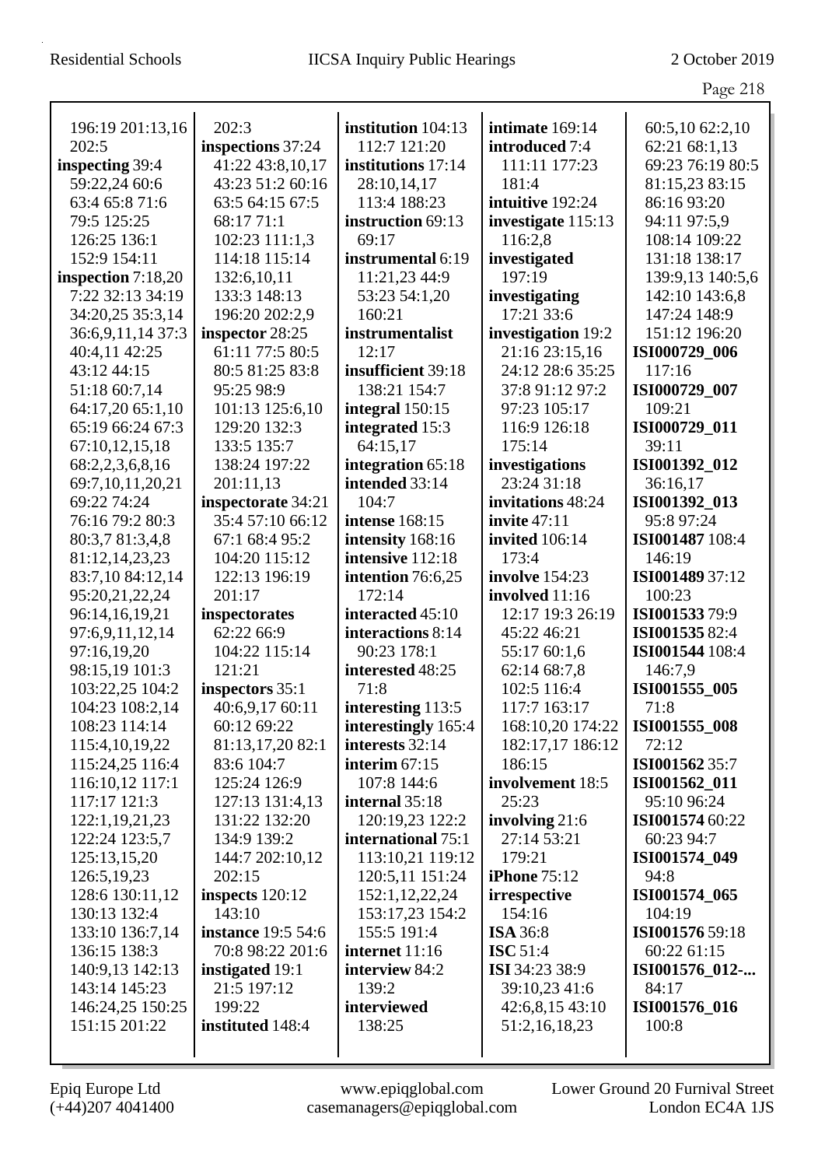|                      |                           |                       |                       | Page 218         |
|----------------------|---------------------------|-----------------------|-----------------------|------------------|
| 196:19 201:13,16     | 202:3                     | institution 104:13    | intimate 169:14       | 60:5,10 62:2,10  |
| 202:5                | inspections 37:24         | 112:7 121:20          | introduced 7:4        | 62:21 68:1,13    |
| inspecting 39:4      | 41:22 43:8,10,17          | institutions 17:14    | 111:11 177:23         | 69:23 76:19 80:5 |
| 59:22,24 60:6        | 43:23 51:2 60:16          | 28:10,14,17           | 181:4                 | 81:15,23 83:15   |
| 63:4 65:8 71:6       | 63:5 64:15 67:5           | 113:4 188:23          | intuitive 192:24      | 86:16 93:20      |
| 79:5 125:25          | 68:17 71:1                | instruction 69:13     | investigate 115:13    | 94:11 97:5,9     |
| 126:25 136:1         | 102:23 111:1,3            | 69:17                 | 116:2,8               | 108:14 109:22    |
| 152:9 154:11         | 114:18 115:14             | instrumental 6:19     | investigated          | 131:18 138:17    |
| inspection $7:18,20$ | 132:6,10,11               | 11:21,23 44:9         | 197:19                | 139:9,13 140:5,6 |
| 7:22 32:13 34:19     | 133:3 148:13              | 53:23 54:1,20         | investigating         | 142:10 143:6,8   |
| 34:20,25 35:3,14     | 196:20 202:2,9            | 160:21                | 17:21 33:6            | 147:24 148:9     |
| 36:6,9,11,14 37:3    | inspector 28:25           | instrumentalist       | investigation 19:2    | 151:12 196:20    |
| 40:4,11 42:25        | 61:11 77:5 80:5           | 12:17                 | 21:16 23:15,16        | ISI000729_006    |
| 43:12 44:15          | 80:5 81:25 83:8           | insufficient 39:18    | 24:12 28:6 35:25      | 117:16           |
| 51:18 60:7,14        | 95:25 98:9                | 138:21 154:7          | 37:8 91:12 97:2       | ISI000729_007    |
| 64:17,20 65:1,10     | 101:13 125:6,10           | integral 150:15       | 97:23 105:17          | 109:21           |
| 65:19 66:24 67:3     | 129:20 132:3              | integrated 15:3       | 116:9 126:18          | ISI000729_011    |
| 67:10,12,15,18       | 133:5 135:7               | 64:15,17              | 175:14                | 39:11            |
| 68:2,2,3,6,8,16      | 138:24 197:22             | integration 65:18     | investigations        | ISI001392_012    |
| 69:7, 10, 11, 20, 21 | 201:11,13                 | intended 33:14        | 23:24 31:18           | 36:16,17         |
| 69:22 74:24          | inspectorate 34:21        | 104:7                 | invitations 48:24     | ISI001392_013    |
| 76:16 79:2 80:3      | 35:4 57:10 66:12          | <b>intense</b> 168:15 | invite $47:11$        | 95:8 97:24       |
| 80:3,7 81:3,4,8      | 67:1 68:4 95:2            | intensity 168:16      | <b>invited</b> 106:14 | ISI001487 108:4  |
| 81:12,14,23,23       | 104:20 115:12             | intensive 112:18      | 173:4                 | 146:19           |
| 83:7,10 84:12,14     | 122:13 196:19             | intention 76:6,25     | <b>involve</b> 154:23 | ISI001489 37:12  |
| 95:20,21,22,24       | 201:17                    | 172:14                | involved 11:16        | 100:23           |
| 96:14,16,19,21       | inspectorates             | interacted 45:10      | 12:17 19:3 26:19      | ISI001533 79:9   |
| 97:6,9,11,12,14      | 62:22 66:9                | interactions 8:14     | 45:22 46:21           | ISI00153582:4    |
| 97:16,19,20          | 104:22 115:14             | 90:23 178:1           | 55:17 60:1,6          | ISI001544 108:4  |
| 98:15,19 101:3       | 121:21                    | interested 48:25      | 62:14 68:7,8          | 146:7,9          |
| 103:22,25 104:2      | inspectors 35:1           | 71:8                  | 102:5 116:4           | ISI001555 005    |
| 104:23 108:2,14      | 40:6,9,17 60:11           | interesting 113:5     | 117:7 163:17          | 71:8             |
| 108:23 114:14        | 60:12 69:22               | interestingly 165:4   | 168:10,20 174:22      | ISI001555_008    |
| 115:4, 10, 19, 22    | 81:13,17,20 82:1          | interests 32:14       | 182:17,17 186:12      | 72:12            |
| 115:24,25 116:4      | 83:6 104:7                | interim $67:15$       | 186:15                | ISI001562 35:7   |
| 116:10,12 117:1      | 125:24 126:9              | 107:8 144:6           | involvement 18:5      | ISI001562_011    |
| 117:17 121:3         | 127:13 131:4,13           | internal 35:18        | 25:23                 | 95:10 96:24      |
| 122:1,19,21,23       | 131:22 132:20             | 120:19,23 122:2       | involving 21:6        | ISI001574 60:22  |
| 122:24 123:5,7       | 134:9 139:2               | international 75:1    | 27:14 53:21           | 60:23 94:7       |
| 125:13,15,20         | 144:7 202:10,12           | 113:10,21 119:12      | 179:21                | ISI001574_049    |
| 126:5, 19, 23        | 202:15                    | 120:5,11 151:24       | <b>iPhone</b> 75:12   | 94:8             |
| 128:6 130:11,12      | inspects 120:12           | 152:1,12,22,24        | irrespective          | ISI001574_065    |
| 130:13 132:4         | 143:10                    | 153:17,23 154:2       | 154:16                | 104:19           |
| 133:10 136:7,14      | <b>instance</b> 19:5 54:6 | 155:5 191:4           | <b>ISA 36:8</b>       | ISI001576 59:18  |
| 136:15 138:3         | 70:8 98:22 201:6          | internet 11:16        | <b>ISC</b> 51:4       | 60:22 61:15      |
| 140:9,13 142:13      | instigated 19:1           | interview 84:2        | <b>ISI</b> 34:23 38:9 | ISI001576_012-   |
| 143:14 145:23        | 21:5 197:12               | 139:2                 | 39:10,23 41:6         | 84:17            |
| 146:24,25 150:25     | 199:22                    | interviewed           | 42:6,8,1543:10        | ISI001576_016    |
| 151:15 201:22        | instituted 148:4          | 138:25                | 51:2,16,18,23         | 100:8            |
|                      |                           |                       |                       |                  |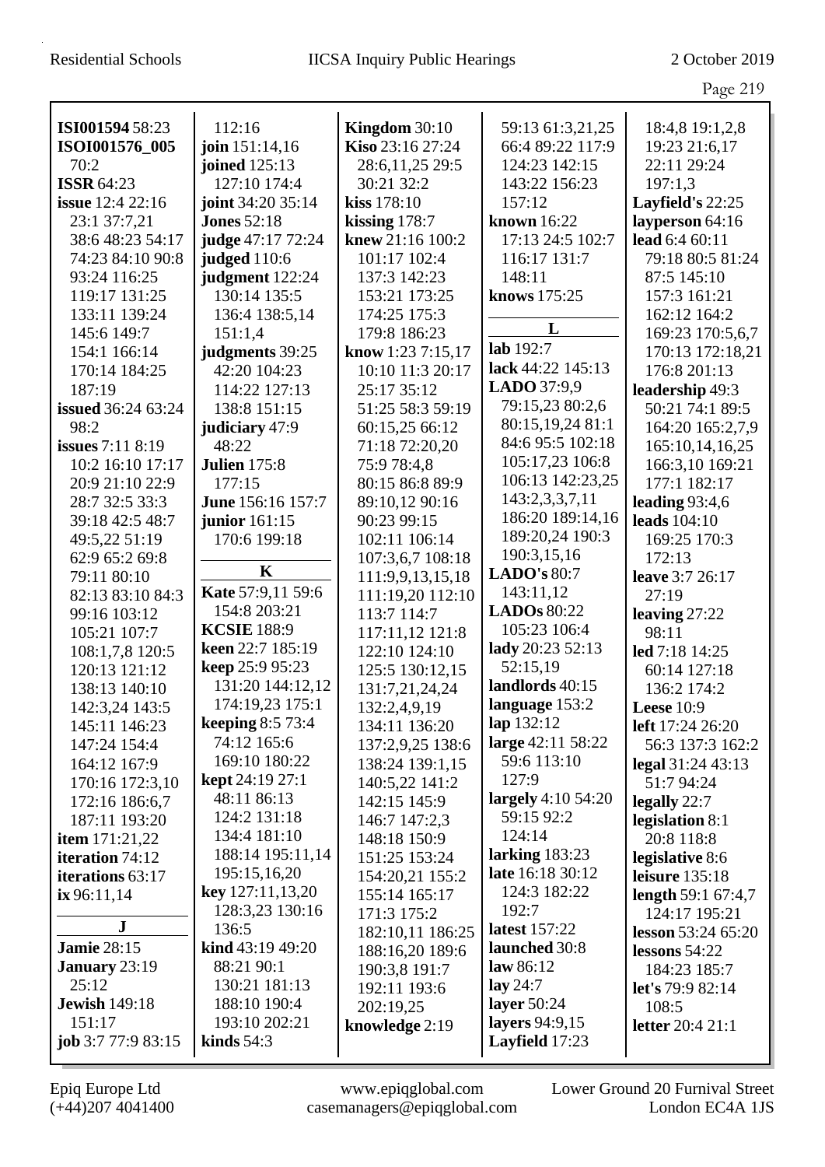|                               |                                    |                                   |                                    | Page 219                             |
|-------------------------------|------------------------------------|-----------------------------------|------------------------------------|--------------------------------------|
| ISI001594 58:23               | 112:16                             | Kingdom $30:10$                   | 59:13 61:3,21,25                   | 18:4,8 19:1,2,8                      |
| ISOI001576_005                | join 151:14,16                     | Kiso 23:16 27:24                  | 66:4 89:22 117:9                   | 19:23 21:6,17                        |
| 70:2                          | joined 125:13                      | 28:6,11,25 29:5                   | 124:23 142:15                      | 22:11 29:24                          |
| <b>ISSR 64:23</b>             | 127:10 174:4                       | 30:21 32:2                        | 143:22 156:23                      | 197:1,3                              |
| <b>issue</b> 12:4 22:16       | joint 34:20 35:14                  | kiss 178:10                       | 157:12                             | Layfield's $22:25$                   |
| 23:1 37:7,21                  | <b>Jones</b> 52:18                 | kissing $178:7$                   | <b>known</b> 16:22                 | layperson 64:16                      |
| 38:6 48:23 54:17              | judge 47:17 72:24                  | knew 21:16 100:2                  | 17:13 24:5 102:7                   | lead 6:4 60:11                       |
| 74:23 84:10 90:8              | judged 110:6                       | 101:17 102:4                      | 116:17 131:7                       | 79:18 80:5 81:24                     |
| 93:24 116:25                  | judgment 122:24                    | 137:3 142:23                      | 148:11                             | 87:5 145:10                          |
| 119:17 131:25                 | 130:14 135:5                       | 153:21 173:25                     | knows 175:25                       | 157:3 161:21                         |
| 133:11 139:24                 | 136:4 138:5,14                     | 174:25 175:3                      |                                    | 162:12 164:2                         |
| 145:6 149:7                   | 151:1,4                            | 179:8 186:23                      | L                                  | 169:23 170:5,6,7                     |
| 154:1 166:14                  | judgments 39:25                    | know 1:23 7:15,17                 | lab 192:7                          | 170:13 172:18,21                     |
| 170:14 184:25                 | 42:20 104:23                       | 10:10 11:3 20:17                  | lack 44:22 145:13                  | 176:8 201:13                         |
| 187:19                        | 114:22 127:13                      | 25:17 35:12                       | LADO 37:9,9                        | leadership 49:3                      |
| <b>issued</b> 36:24 63:24     | 138:8 151:15                       | 51:25 58:3 59:19                  | 79:15,23 80:2,6                    | 50:21 74:1 89:5                      |
| 98:2                          | judiciary 47:9                     | 60:15,25 66:12                    | 80:15,19,24 81:1                   | 164:20 165:2,7,9                     |
| <b>issues</b> $7:118:19$      | 48:22                              | 71:18 72:20,20                    | 84:6 95:5 102:18                   | 165:10,14,16,25                      |
| 10:2 16:10 17:17              | <b>Julien</b> 175:8                | 75:9 78:4,8                       | 105:17,23 106:8                    | 166:3,10 169:21                      |
| 20:9 21:10 22:9               | 177:15                             | 80:15 86:8 89:9                   | 106:13 142:23,25                   | 177:1 182:17                         |
| 28:7 32:5 33:3                | June 156:16 157:7                  | 89:10,12 90:16                    | 143:2,3,3,7,11                     | leading 93:4,6                       |
| 39:18 42:5 48:7               | <b>junior</b> 161:15               | 90:23 99:15                       | 186:20 189:14,16                   | <b>leads</b> 104:10                  |
| 49:5,22 51:19                 | 170:6 199:18                       | 102:11 106:14                     | 189:20,24 190:3                    | 169:25 170:3                         |
| 62:9 65:2 69:8                | $\mathbf K$                        | 107:3,6,7 108:18                  | 190:3,15,16                        | 172:13                               |
| 79:11 80:10                   |                                    | 111:9,9,13,15,18                  | <b>LADO's 80:7</b>                 | leave 3:7 26:17                      |
| 82:13 83:10 84:3              | Kate 57:9,11 59:6                  | 111:19,20 112:10                  | 143:11,12                          | 27:19                                |
| 99:16 103:12                  | 154:8 203:21<br><b>KCSIE</b> 188:9 | 113:7 114:7                       | <b>LADOs 80:22</b><br>105:23 106:4 | leaving $27:22$                      |
| 105:21 107:7                  | keen 22:7 185:19                   | 117:11,12 121:8                   | lady 20:23 52:13                   | 98:11                                |
| 108:1,7,8 120:5               | keep 25:9 95:23                    | 122:10 124:10                     | 52:15,19                           | led 7:18 14:25                       |
| 120:13 121:12                 | 131:20 144:12,12                   | 125:5 130:12,15                   | landlords 40:15                    | 60:14 127:18                         |
| 138:13 140:10                 | 174:19,23 175:1                    | 131:7,21,24,24                    | language 153:2                     | 136:2 174:2                          |
| 142:3,24 143:5                | <b>keeping 8:5 73:4</b>            | 132:2,4,9,19                      | lap 132:12                         | Leese $10:9$                         |
| 145:11 146:23<br>147:24 154:4 | 74:12 165:6                        | 134:11 136:20<br>137:2,9,25 138:6 | large 42:11 58:22                  | left 17:24 26:20<br>56:3 137:3 162:2 |
| 164:12 167:9                  | 169:10 180:22                      | 138:24 139:1,15                   | 59:6 113:10                        | legal 31:24 43:13                    |
| 170:16 172:3,10               | <b>kept</b> 24:19 27:1             | 140:5,22 141:2                    | 127:9                              | 51:7 94:24                           |
| 172:16 186:6,7                | 48:11 86:13                        | 142:15 145:9                      | largely $4:10\,54:20$              | legally 22:7                         |
| 187:11 193:20                 | 124:2 131:18                       | 146:7 147:2,3                     | 59:15 92:2                         | legislation 8:1                      |
| item $171:21,22$              | 134:4 181:10                       | 148:18 150:9                      | 124:14                             | 20:8 118:8                           |
| iteration 74:12               | 188:14 195:11,14                   | 151:25 153:24                     | larking $183:23$                   | legislative 8:6                      |
| iterations 63:17              | 195:15,16,20                       | 154:20,21 155:2                   | late 16:18 30:12                   | leisure $135:18$                     |
| ix 96:11,14                   | key 127:11,13,20                   | 155:14 165:17                     | 124:3 182:22                       | length 59:1 67:4,7                   |
|                               | 128:3,23 130:16                    | 171:3 175:2                       | 192:7                              | 124:17 195:21                        |
| J                             | 136:5                              | 182:10,11 186:25                  | <b>latest</b> 157:22               | <b>lesson</b> 53:24 65:20            |
| <b>Jamie 28:15</b>            | kind 43:19 49:20                   | 188:16,20 189:6                   | launched 30:8                      | lessons $54:22$                      |
| January 23:19                 | 88:21 90:1                         | 190:3,8 191:7                     | law $86:12$                        | 184:23 185:7                         |
| 25:12                         | 130:21 181:13                      | 192:11 193:6                      | lay $24:7$                         | let's 79:9 82:14                     |
| <b>Jewish 149:18</b>          | 188:10 190:4                       | 202:19,25                         | layer $50:24$                      | 108:5                                |
| 151:17                        | 193:10 202:21                      | knowledge 2:19                    | layers 94:9,15                     | <b>letter</b> 20:4 21:1              |
| job $3:777:983:15$            | kinds $54:3$                       |                                   | Layfield 17:23                     |                                      |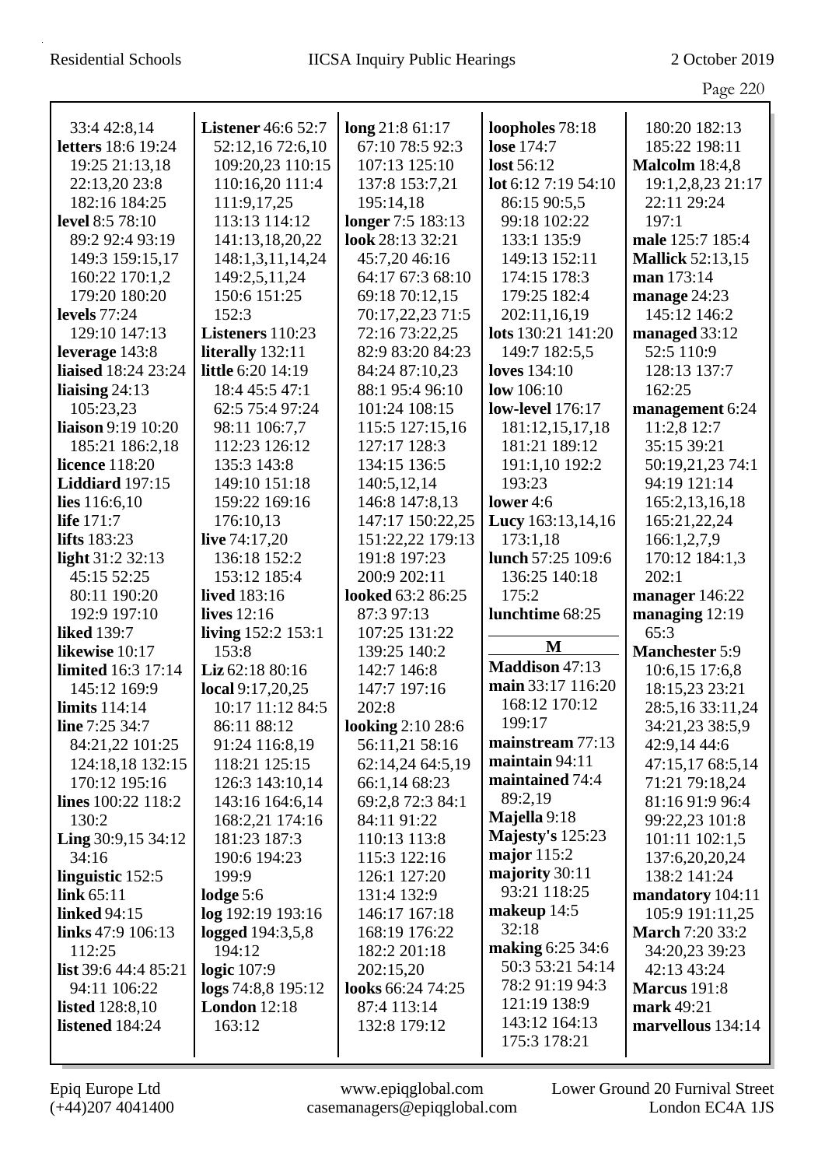|                               |                           |                   |                                | Page 220                        |
|-------------------------------|---------------------------|-------------------|--------------------------------|---------------------------------|
| 33:4 42:8,14                  | <b>Listener</b> 46:6 52:7 | long 21:8 61:17   | loopholes 78:18                | 180:20 182:13                   |
| <b>letters</b> 18:6 19:24     | 52:12,16 72:6,10          | 67:10 78:5 92:3   | lose 174:7                     | 185:22 198:11                   |
| 19:25 21:13,18                | 109:20,23 110:15          | 107:13 125:10     | lost 56:12                     | <b>Malcolm</b> 18:4,8           |
| 22:13,20 23:8                 | 110:16,20 111:4           | 137:8 153:7,21    | lot 6:12 7:19 54:10            | 19:1,2,8,23 21:17               |
| 182:16 184:25                 | 111:9,17,25               | 195:14,18         | 86:15 90:5,5                   | 22:11 29:24                     |
| <b>level</b> 8:5 78:10        | 113:13 114:12             | longer 7:5 183:13 | 99:18 102:22                   | 197:1                           |
| 89:2 92:4 93:19               | 141:13,18,20,22           | look 28:13 32:21  | 133:1 135:9                    | male 125:7 185:4                |
| 149:3 159:15,17               | 148:1,3,11,14,24          | 45:7,20 46:16     | 149:13 152:11                  | <b>Mallick</b> 52:13,15         |
| 160:22 170:1,2                | 149:2,5,11,24             | 64:17 67:3 68:10  | 174:15 178:3                   | man 173:14                      |
| 179:20 180:20                 | 150:6 151:25              | 69:18 70:12,15    | 179:25 182:4                   | manage 24:23                    |
| levels $77:24$                | 152:3                     | 70:17,22,23 71:5  | 202:11,16,19                   | 145:12 146:2                    |
| 129:10 147:13                 | Listeners 110:23          | 72:16 73:22,25    | lots 130:21 141:20             | managed 33:12                   |
| leverage 143:8                | literally 132:11          | 82:9 83:20 84:23  | 149:7 182:5,5                  | 52:5 110:9                      |
| <b>liaised</b> 18:24 23:24    | <b>little</b> 6:20 14:19  | 84:24 87:10,23    | <b>loves</b> 134:10            | 128:13 137:7                    |
| liaising $24:13$              | 18:4 45:5 47:1            | 88:1 95:4 96:10   | low $106:10$                   | 162:25                          |
| 105:23,23                     | 62:5 75:4 97:24           | 101:24 108:15     | <b>low-level</b> 176:17        | management 6:24                 |
| liaison 9:19 10:20            | 98:11 106:7,7             | 115:5 127:15,16   | 181:12,15,17,18                | 11:2,8 12:7                     |
| 185:21 186:2,18               | 112:23 126:12             | 127:17 128:3      | 181:21 189:12                  | 35:15 39:21                     |
| <b>licence</b> 118:20         | 135:3 143:8               | 134:15 136:5      | 191:1,10 192:2                 | 50:19,21,23 74:1                |
| Liddiard 197:15               | 149:10 151:18             | 140:5,12,14       | 193:23                         | 94:19 121:14                    |
| lies $116:6,10$               | 159:22 169:16             | 146:8 147:8,13    | lower $4:6$                    | 165:2,13,16,18                  |
| life 171:7                    | 176:10,13                 | 147:17 150:22,25  | Lucy 163:13,14,16              | 165:21,22,24                    |
| <b>lifts</b> 183:23           | live $74:17,20$           | 151:22,22 179:13  | 173:1,18                       | 166:1,2,7,9                     |
| light 31:2 32:13              | 136:18 152:2              | 191:8 197:23      | lunch 57:25 109:6              | 170:12 184:1,3                  |
| 45:15 52:25                   | 153:12 185:4              | 200:9 202:11      | 136:25 140:18                  | 202:1                           |
| 80:11 190:20                  | lived 183:16              | looked 63:2 86:25 | 175:2                          | manager 146:22                  |
| 192:9 197:10                  | lives 12:16               | 87:3 97:13        | lunchtime 68:25                | managing 12:19                  |
| <b>liked</b> 139:7            | living 152:2 153:1        | 107:25 131:22     |                                | 65:3                            |
| likewise 10:17                | 153:8                     | 139:25 140:2      | $\mathbf{M}$                   | <b>Manchester 5:9</b>           |
| <b>limited</b> 16:3 17:14     | Liz 62:18 80:16           | 142:7 146:8       | Maddison 47:13                 | 10:6,15 17:6,8                  |
| 145:12 169:9                  | local 9:17,20,25          | 147:7 197:16      | main 33:17 116:20              | 18:15,23 23:21                  |
| limits 114:14                 | 10:17 11:12 84:5          | 202:8             | 168:12 170:12                  | 28:5,16 33:11,24                |
| line $7:25\,34:7$             | 86:11 88:12               | looking 2:10 28:6 | 199:17                         | 34:21,23 38:5,9                 |
| 84:21,22 101:25               | 91:24 116:8,19            | 56:11,21 58:16    | mainstream 77:13               | 42:9,14 44:6                    |
| 124:18,18 132:15              | 118:21 125:15             | 62:14,24 64:5,19  | maintain $94:11$               | 47:15,17 68:5,14                |
| 170:12 195:16                 | 126:3 143:10,14           | 66:1,14 68:23     | maintained 74:4                | 71:21 79:18,24                  |
| lines $100:22$ 118:2          | 143:16 164:6,14           | 69:2,8 72:3 84:1  | 89:2,19                        | 81:16 91:9 96:4                 |
| 130:2                         | 168:2,21 174:16           | 84:11 91:22       | Majella 9:18                   | 99:22,23 101:8                  |
| <b>Ling</b> $30:9,15$ $34:12$ | 181:23 187:3              | 110:13 113:8      | <b>Majesty's 125:23</b>        | 101:11 102:1,5                  |
| 34:16                         | 190:6 194:23              | 115:3 122:16      | major $115:2$                  | 137:6,20,20,24                  |
| linguistic 152:5              | 199:9                     | 126:1 127:20      | majority 30:11<br>93:21 118:25 | 138:2 141:24                    |
| link $65:11$                  | lodge $5:6$               | 131:4 132:9       |                                | mandatory 104:11                |
| <b>linked</b> 94:15           | log 192:19 193:16         | 146:17 167:18     | makeup $14:5$<br>32:18         | 105:9 191:11,25                 |
| links $47:9 106:13$           | logged 194:3,5,8          | 168:19 176:22     | making 6:25 34:6               | <b>March</b> 7:20 33:2          |
| 112:25                        | 194:12                    | 182:2 201:18      | 50:3 53:21 54:14               | 34:20,23 39:23                  |
| list 39:6 44:4 85:21          | logic 107:9               | 202:15,20         | 78:2 91:19 94:3                | 42:13 43:24                     |
| 94:11 106:22                  | logs 74:8,8 195:12        | looks 66:24 74:25 | 121:19 138:9                   | <b>Marcus</b> 191:8             |
| <b>listed</b> $128:8,10$      | <b>London</b> 12:18       | 87:4 113:14       | 143:12 164:13                  | mark 49:21<br>marvellous 134:14 |
| listened 184:24               | 163:12                    | 132:8 179:12      | 175:3 178:21                   |                                 |
|                               |                           |                   |                                |                                 |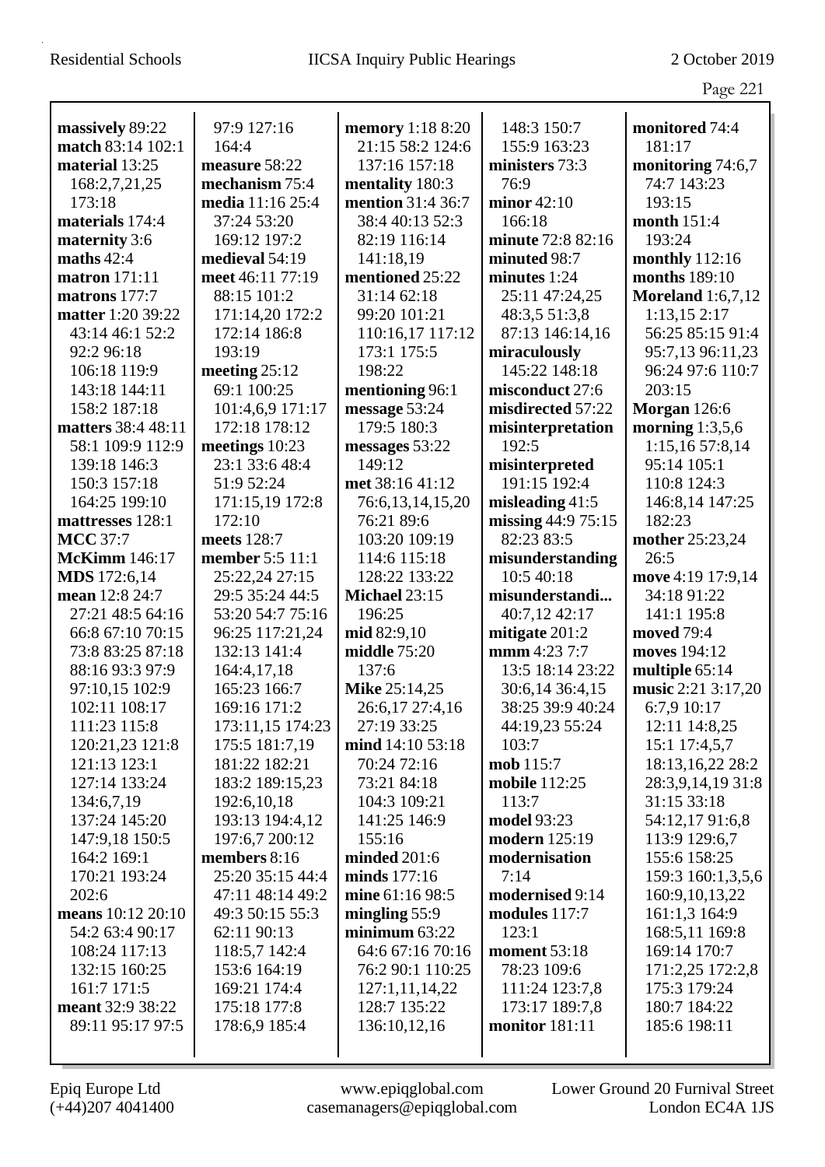|                      |                  |                         |                      | Page 221                 |
|----------------------|------------------|-------------------------|----------------------|--------------------------|
|                      |                  |                         |                      |                          |
| massively 89:22      | 97:9 127:16      | <b>memory</b> 1:18 8:20 | 148:3 150:7          | monitored 74:4           |
| match 83:14 102:1    | 164:4            | 21:15 58:2 124:6        | 155:9 163:23         | 181:17                   |
| material 13:25       | measure 58:22    | 137:16 157:18           | ministers 73:3       | monitoring 74:6,7        |
| 168:2,7,21,25        | mechanism 75:4   | mentality 180:3         | 76:9                 | 74:7 143:23              |
| 173:18               | media 11:16 25:4 | mention 31:4 36:7       | minor $42:10$        | 193:15                   |
| materials 174:4      | 37:24 53:20      | 38:4 40:13 52:3         | 166:18               | month 151:4              |
| maternity 3:6        | 169:12 197:2     | 82:19 116:14            | minute 72:8 82:16    | 193:24                   |
| maths $42:4$         | medieval 54:19   | 141:18,19               | minuted 98:7         | monthly 112:16           |
| <b>matron</b> 171:11 | meet 46:11 77:19 | mentioned 25:22         | minutes $1:24$       | <b>months</b> 189:10     |
| matrons 177:7        | 88:15 101:2      | 31:14 62:18             | 25:11 47:24,25       | <b>Moreland</b> 1:6,7,12 |
| matter 1:20 39:22    | 171:14,20 172:2  | 99:20 101:21            | 48:3,5 51:3,8        | 1:13,152:17              |
| 43:14 46:1 52:2      | 172:14 186:8     | 110:16,17 117:12        | 87:13 146:14,16      | 56:25 85:15 91:4         |
| 92:2 96:18           | 193:19           | 173:1 175:5             | miraculously         | 95:7,13 96:11,23         |
| 106:18 119:9         | meeting $25:12$  | 198:22                  | 145:22 148:18        | 96:24 97:6 110:7         |
| 143:18 144:11        | 69:1 100:25      | mentioning 96:1         | misconduct 27:6      | 203:15                   |
| 158:2 187:18         | 101:4,6,9 171:17 | message 53:24           | misdirected 57:22    | <b>Morgan</b> 126:6      |
| matters 38:4 48:11   | 172:18 178:12    | 179:5 180:3             | misinterpretation    | morning $1:3,5,6$        |
| 58:1 109:9 112:9     | meetings $10:23$ | messages 53:22          | 192:5                | 1:15,16 57:8,14          |
| 139:18 146:3         | 23:1 33:6 48:4   | 149:12                  | misinterpreted       | 95:14 105:1              |
| 150:3 157:18         | 51:9 52:24       | met 38:16 41:12         | 191:15 192:4         | 110:8 124:3              |
| 164:25 199:10        | 171:15,19 172:8  | 76:6,13,14,15,20        | misleading $41:5$    | 146:8,14 147:25          |
| mattresses 128:1     | 172:10           | 76:21 89:6              | missing 44:9 75:15   | 182:23                   |
| <b>MCC</b> 37:7      | meets 128:7      | 103:20 109:19           | 82:23 83:5           | mother 25:23,24          |
| <b>McKimm</b> 146:17 | member 5:5 11:1  | 114:6 115:18            | misunderstanding     | 26:5                     |
| <b>MDS</b> 172:6,14  | 25:22,24 27:15   | 128:22 133:22           | 10:5 40:18           | move 4:19 17:9,14        |
| mean 12:8 24:7       | 29:5 35:24 44:5  | Michael 23:15           | misunderstandi       | 34:18 91:22              |
| 27:21 48:5 64:16     | 53:20 54:7 75:16 | 196:25                  | 40:7,12 42:17        | 141:1 195:8              |
| 66:8 67:10 70:15     | 96:25 117:21,24  | mid 82:9,10             | mitigate 201:2       | moved 79:4               |
| 73:8 83:25 87:18     | 132:13 141:4     | middle $75:20$          | mmm 4:23 7:7         | moves 194:12             |
| 88:16 93:3 97:9      | 164:4,17,18      | 137:6                   | 13:5 18:14 23:22     | multiple 65:14           |
| 97:10,15 102:9       | 165:23 166:7     | <b>Mike 25:14,25</b>    | 30:6,14 36:4,15      | music 2:21 3:17,20       |
| 102:11 108:17        | 169:16 171:2     | 26:6,17 27:4,16         | 38:25 39:9 40:24     | 6:7,9 10:17              |
| 111:23 115:8         | 173:11,15 174:23 | 27:19 33:25             | 44:19,23 55:24       | 12:11 14:8,25            |
| 120:21,23 121:8      | 175:5 181:7,19   | mind 14:10 53:18        | 103:7                | 15:1 17:4,5,7            |
| 121:13 123:1         | 181:22 182:21    | 70:24 72:16             | mob 115:7            | 18:13,16,22 28:2         |
| 127:14 133:24        | 183:2 189:15,23  | 73:21 84:18             | mobile 112:25        | 28:3,9,14,19 31:8        |
| 134:6,7,19           | 192:6, 10, 18    | 104:3 109:21            | 113:7                | 31:15 33:18              |
| 137:24 145:20        | 193:13 194:4,12  | 141:25 146:9            | model 93:23          | 54:12,1791:6,8           |
| 147:9,18 150:5       | 197:6,7 200:12   | 155:16                  | <b>modern</b> 125:19 | 113:9 129:6,7            |
| 164:2 169:1          | members 8:16     | minded $201:6$          | modernisation        | 155:6 158:25             |
| 170:21 193:24        | 25:20 35:15 44:4 | minds 177:16            | 7:14                 | 159:3 160:1,3,5,6        |
| 202:6                | 47:11 48:14 49:2 | mine 61:16 98:5         | modernised 9:14      | 160:9, 10, 13, 22        |
| means 10:12 20:10    | 49:3 50:15 55:3  | mingling $55:9$         | modules 117:7        | 161:1,3 164:9            |
| 54:2 63:4 90:17      | 62:11 90:13      | minimum $63:22$         | 123:1                | 168:5,11 169:8           |
| 108:24 117:13        | 118:5,7 142:4    | 64:6 67:16 70:16        | <b>moment</b> 53:18  | 169:14 170:7             |
| 132:15 160:25        | 153:6 164:19     | 76:2 90:1 110:25        | 78:23 109:6          | 171:2,25 172:2,8         |
| 161:7 171:5          | 169:21 174:4     | 127:1,11,14,22          | 111:24 123:7,8       | 175:3 179:24             |
| meant 32:9 38:22     | 175:18 177:8     | 128:7 135:22            | 173:17 189:7,8       | 180:7 184:22             |
| 89:11 95:17 97:5     | 178:6,9 185:4    | 136:10,12,16            | monitor 181:11       | 185:6 198:11             |
|                      |                  |                         |                      |                          |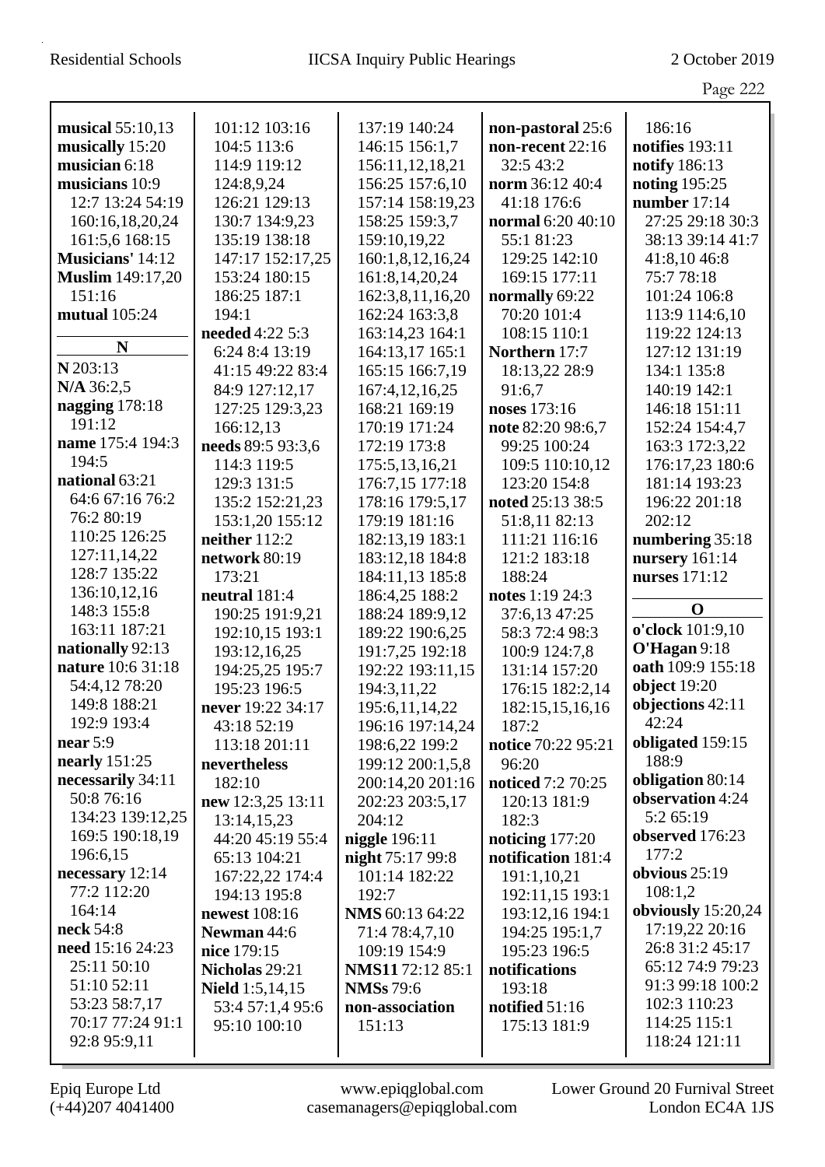|                                 |                              |                                   |                                   | Page 222                             |
|---------------------------------|------------------------------|-----------------------------------|-----------------------------------|--------------------------------------|
| musical 55:10,13                | 101:12 103:16                | 137:19 140:24                     | non-pastoral 25:6                 | 186:16                               |
| musically 15:20                 | 104:5 113:6                  | 146:15 156:1,7                    | non-recent 22:16                  | notifies 193:11                      |
| musician 6:18                   | 114:9 119:12                 | 156:11,12,18,21                   | 32:5 43:2                         | notify 186:13                        |
| musicians 10:9                  | 124:8,9,24                   | 156:25 157:6,10                   | norm 36:12 40:4                   | noting 195:25                        |
| 12:7 13:24 54:19                | 126:21 129:13                | 157:14 158:19,23                  | 41:18 176:6                       | number $17:14$                       |
| 160:16,18,20,24                 | 130:7 134:9,23               | 158:25 159:3,7                    | normal 6:20 40:10                 | 27:25 29:18 30:3                     |
| 161:5,6 168:15                  | 135:19 138:18                | 159:10,19,22                      | 55:1 81:23                        | 38:13 39:14 41:7                     |
| Musicians' 14:12                | 147:17 152:17,25             | 160:1,8,12,16,24                  | 129:25 142:10                     | 41:8,10 46:8                         |
| <b>Muslim</b> 149:17,20         | 153:24 180:15                | 161:8,14,20,24                    | 169:15 177:11                     | 75:778:18                            |
| 151:16                          | 186:25 187:1                 | 162:3,8,11,16,20                  | normally 69:22                    | 101:24 106:8                         |
| mutual 105:24                   | 194:1                        | 162:24 163:3,8                    | 70:20 101:4                       | 113:9 114:6,10                       |
|                                 | needed 4:22 5:3              | 163:14,23 164:1                   | 108:15 110:1                      | 119:22 124:13                        |
| N                               | 6:24 8:4 13:19               | 164:13,17 165:1                   | Northern 17:7                     | 127:12 131:19                        |
| N 203:13                        | 41:15 49:22 83:4             | 165:15 166:7,19                   | 18:13,22 28:9                     | 134:1 135:8                          |
| N/A 36:2,5                      | 84:9 127:12,17               | 167:4,12,16,25                    | 91:6,7                            | 140:19 142:1                         |
| nagging $178:18$                | 127:25 129:3,23              | 168:21 169:19                     | noses 173:16                      | 146:18 151:11                        |
| 191:12                          | 166:12,13                    | 170:19 171:24                     | note 82:20 98:6,7                 | 152:24 154:4,7                       |
| name 175:4 194:3                | needs 89:5 93:3,6            | 172:19 173:8                      | 99:25 100:24                      | 163:3 172:3,22                       |
| 194:5                           | 114:3 119:5                  | 175:5,13,16,21                    | 109:5 110:10,12                   | 176:17,23 180:6                      |
| national 63:21                  | 129:3 131:5                  | 176:7,15 177:18                   | 123:20 154:8                      | 181:14 193:23                        |
| 64:6 67:16 76:2                 | 135:2 152:21,23              | 178:16 179:5,17                   | noted 25:13 38:5                  | 196:22 201:18                        |
| 76:2 80:19                      | 153:1,20 155:12              | 179:19 181:16                     | 51:8,11 82:13                     | 202:12                               |
| 110:25 126:25                   | neither $112:2$              | 182:13,19 183:1                   | 111:21 116:16                     | numbering $35:18$                    |
| 127:11,14,22                    | network 80:19                | 183:12,18 184:8                   | 121:2 183:18                      | nursery $161:14$                     |
| 128:7 135:22                    | 173:21                       | 184:11,13 185:8                   | 188:24                            | nurses 171:12                        |
| 136:10,12,16                    | neutral 181:4                | 186:4,25 188:2                    | notes 1:19 24:3                   |                                      |
| 148:3 155:8                     | 190:25 191:9,21              | 188:24 189:9,12                   | 37:6,13 47:25                     | $\mathbf 0$                          |
| 163:11 187:21                   | 192:10,15 193:1              | 189:22 190:6,25                   | 58:3 72:4 98:3                    | o'clock 101:9,10                     |
| nationally 92:13                | 193:12,16,25                 | 191:7,25 192:18                   | 100:9 124:7,8                     | O'Hagan 9:18                         |
| nature 10:6 31:18               | 194:25,25 195:7              | 192:22 193:11,15                  | 131:14 157:20                     | oath 109:9 155:18                    |
| 54:4,12 78:20                   | 195:23 196:5                 | 194:3,11,22                       | 176:15 182:2.14                   | object 19:20                         |
| 149:8 188:21                    | never 19:22 34:17            | 195:6, 11, 14, 22                 | 182:15,15,16,16                   | objections 42:11                     |
| 192:9 193:4                     | 43:18 52:19                  | 196:16 197:14,24                  | 187:2                             | 42:24                                |
| near $5:9$                      | 113:18 201:11                | 198:6,22 199:2                    | notice 70:22 95:21                | obligated 159:15                     |
| nearly 151:25                   | nevertheless                 | 199:12 200:1,5,8                  | 96:20                             | 188:9                                |
| necessarily 34:11<br>50:8 76:16 | 182:10                       | 200:14,20 201:16                  | noticed 7:2 70:25                 | obligation 80:14<br>observation 4:24 |
| 134:23 139:12,25                | new 12:3,25 13:11            | 202:23 203:5,17                   | 120:13 181:9                      | 5:2 65:19                            |
| 169:5 190:18,19                 | 13:14,15,23                  | 204:12                            | 182:3                             | observed 176:23                      |
| 196:6,15                        | 44:20 45:19 55:4             | niggle 196:11                     | noticing $177:20$                 | 177:2                                |
| necessary 12:14                 | 65:13 104:21                 | night 75:17 99:8                  | notification 181:4                | obvious 25:19                        |
| 77:2 112:20                     | 167:22,22 174:4              | 101:14 182:22                     | 191:1,10,21                       | 108:1,2                              |
| 164:14                          | 194:13 195:8                 | 192:7                             | 192:11,15 193:1                   | obviously 15:20,24                   |
| neck 54:8                       | newest 108:16<br>Newman 44:6 | NMS 60:13 64:22<br>71:4 78:4,7,10 | 193:12,16 194:1<br>194:25 195:1,7 | 17:19,22 20:16                       |
| need 15:16 24:23                | nice 179:15                  | 109:19 154:9                      | 195:23 196:5                      | 26:8 31:2 45:17                      |
| 25:11 50:10                     | Nicholas 29:21               | NMS1172:12 85:1                   | notifications                     | 65:12 74:9 79:23                     |
| 51:10 52:11                     | <b>Nield</b> $1:5,14,15$     | <b>NMSs</b> 79:6                  | 193:18                            | 91:3 99:18 100:2                     |
| 53:23 58:7,17                   | 53:4 57:1,4 95:6             | non-association                   | notified 51:16                    | 102:3 110:23                         |
| 70:17 77:24 91:1                | 95:10 100:10                 | 151:13                            | 175:13 181:9                      | 114:25 115:1                         |
| 92:8 95:9,11                    |                              |                                   |                                   | 118:24 121:11                        |
|                                 |                              |                                   |                                   |                                      |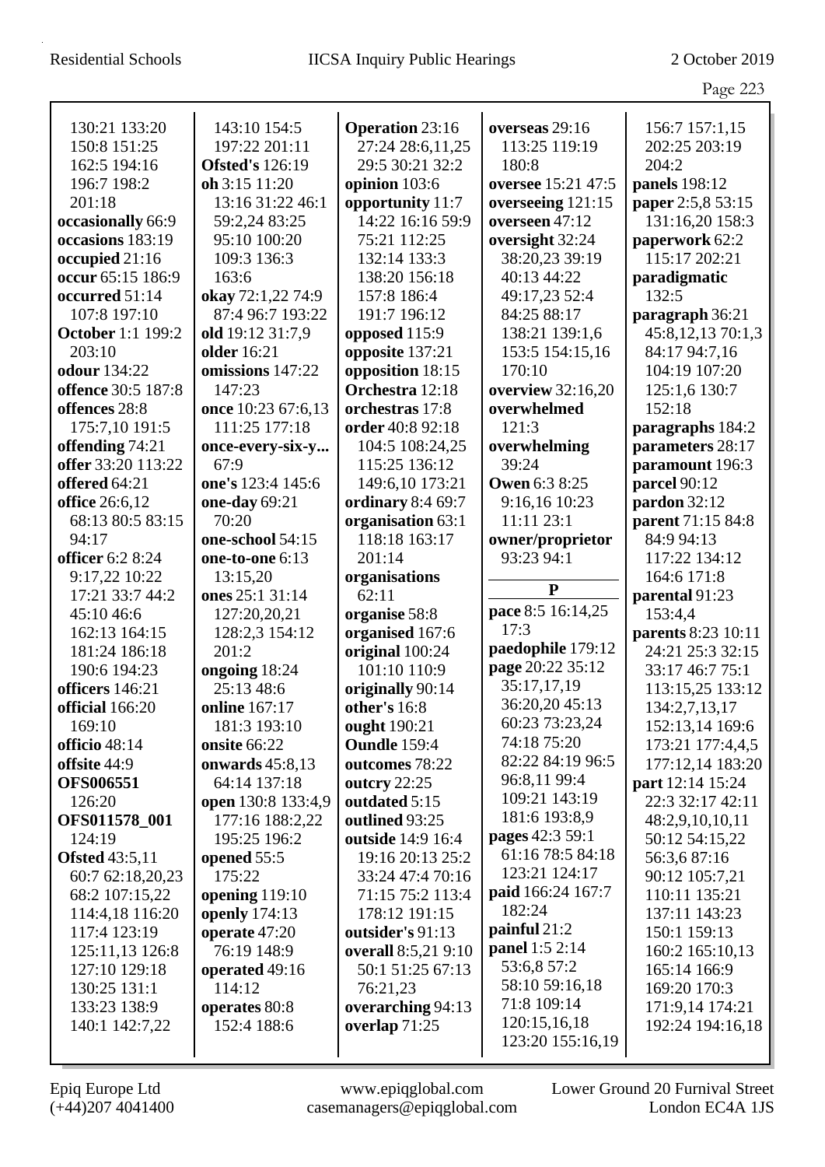|                          |                        |                        |                      | Page 223           |
|--------------------------|------------------------|------------------------|----------------------|--------------------|
| 130:21 133:20            | 143:10 154:5           | <b>Operation 23:16</b> | overseas 29:16       | 156:7 157:1,15     |
| 150:8 151:25             | 197:22 201:11          | 27:24 28:6,11,25       | 113:25 119:19        | 202:25 203:19      |
| 162:5 194:16             | <b>Ofsted's</b> 126:19 | 29:5 30:21 32:2        | 180:8                | 204:2              |
| 196:7 198:2              | oh 3:15 11:20          | opinion 103:6          | oversee 15:21 47:5   | panels 198:12      |
| 201:18                   | 13:16 31:22 46:1       | opportunity 11:7       | overseeing 121:15    | paper 2:5,8 53:15  |
| occasionally 66:9        | 59:2,24 83:25          | 14:22 16:16 59:9       | overseen 47:12       | 131:16,20 158:3    |
| occasions 183:19         | 95:10 100:20           | 75:21 112:25           | oversight 32:24      | paperwork 62:2     |
| occupied 21:16           | 109:3 136:3            | 132:14 133:3           | 38:20,23 39:19       | 115:17 202:21      |
| occur 65:15 186:9        | 163:6                  | 138:20 156:18          | 40:13 44:22          | paradigmatic       |
| occurred 51:14           | okay 72:1,22 74:9      | 157:8 186:4            | 49:17,23 52:4        | 132:5              |
| 107:8 197:10             | 87:4 96:7 193:22       | 191:7 196:12           | 84:25 88:17          | paragraph 36:21    |
| <b>October 1:1 199:2</b> | old 19:12 31:7,9       | opposed 115:9          | 138:21 139:1,6       | 45:8,12,13 70:1,3  |
| 203:10                   | older 16:21            | opposite 137:21        | 153:5 154:15,16      | 84:17 94:7,16      |
| <b>odour</b> 134:22      | omissions 147:22       | opposition 18:15       | 170:10               | 104:19 107:20      |
| offence 30:5 187:8       | 147:23                 | Orchestra 12:18        | overview 32:16,20    | 125:1,6 130:7      |
| offences 28:8            | once 10:23 67:6,13     | orchestras 17:8        | overwhelmed          | 152:18             |
| 175:7,10 191:5           | 111:25 177:18          | order 40:8 92:18       | 121:3                | paragraphs 184:2   |
| offending 74:21          | once-every-six-y       | 104:5 108:24,25        | overwhelming         | parameters 28:17   |
| offer 33:20 113:22       | 67:9                   | 115:25 136:12          | 39:24                | paramount 196:3    |
| offered 64:21            | one's 123:4 145:6      | 149:6,10 173:21        | <b>Owen 6:3 8:25</b> | parcel 90:12       |
| office 26:6,12           | one-day 69:21          | ordinary 8:4 69:7      | 9:16,16 10:23        | pardon 32:12       |
| 68:13 80:5 83:15         | 70:20                  | organisation 63:1      | 11:11 23:1           | parent 71:15 84:8  |
| 94:17                    | one-school 54:15       | 118:18 163:17          | owner/proprietor     | 84:9 94:13         |
| <b>officer</b> 6:2 8:24  | one-to-one 6:13        | 201:14                 | 93:23 94:1           | 117:22 134:12      |
| 9:17,22 10:22            | 13:15,20               | organisations          |                      | 164:6 171:8        |
| 17:21 33:7 44:2          | ones 25:1 31:14        | 62:11                  | ${\bf P}$            | parental 91:23     |
| 45:10 46:6               | 127:20,20,21           | organise 58:8          | pace 8:5 16:14,25    | 153:4,4            |
| 162:13 164:15            | 128:2,3 154:12         | organised 167:6        | 17:3                 | parents 8:23 10:11 |
| 181:24 186:18            | 201:2                  | original 100:24        | paedophile 179:12    | 24:21 25:3 32:15   |
| 190:6 194:23             | ongoing 18:24          | 101:10 110:9           | page 20:22 35:12     | 33:17 46:7 75:1    |
| officers 146:21          | 25:13 48:6             | originally 90:14       | 35:17,17,19          | 113:15,25 133:12   |
| official 166:20          | online 167:17          | other's 16:8           | 36:20,20 45:13       | 134:2,7,13,17      |
| 169:10                   | 181:3 193:10           | ought 190:21           | 60:23 73:23,24       | 152:13,14 169:6    |
| officio 48:14            | onsite 66:22           | Oundle 159:4           | 74:18 75:20          | 173:21 177:4,4,5   |
| offsite 44:9             | onwards $45:8,13$      | outcomes 78:22         | 82:22 84:19 96:5     | 177:12,14 183:20   |
| <b>OFS006551</b>         | 64:14 137:18           | outcry 22:25           | 96:8,11 99:4         | part 12:14 15:24   |
| 126:20                   | open 130:8 133:4,9     | outdated 5:15          | 109:21 143:19        | 22:3 32:17 42:11   |
| OFS011578_001            | 177:16 188:2,22        | outlined 93:25         | 181:6 193:8,9        | 48:2,9,10,10,11    |
| 124:19                   | 195:25 196:2           | outside 14:9 16:4      | pages 42:3 59:1      | 50:12 54:15,22     |
| <b>Ofsted 43:5,11</b>    | opened 55:5            | 19:16 20:13 25:2       | 61:16 78:5 84:18     | 56:3,687:16        |
| 60:7 62:18,20,23         | 175:22                 | 33:24 47:4 70:16       | 123:21 124:17        | 90:12 105:7,21     |
| 68:2 107:15,22           | opening 119:10         | 71:15 75:2 113:4       | paid 166:24 167:7    | 110:11 135:21      |
| 114:4,18 116:20          | openly 174:13          | 178:12 191:15          | 182:24               | 137:11 143:23      |
| 117:4 123:19             | operate 47:20          | outsider's 91:13       | painful 21:2         | 150:1 159:13       |
| 125:11,13 126:8          | 76:19 148:9            | overall 8:5,21 9:10    | panel 1:5 2:14       | 160:2 165:10,13    |
| 127:10 129:18            | operated 49:16         | 50:1 51:25 67:13       | 53:6,8 57:2          | 165:14 166:9       |
| 130:25 131:1             | 114:12                 | 76:21,23               | 58:10 59:16,18       | 169:20 170:3       |
| 133:23 138:9             | operates 80:8          | overarching 94:13      | 71:8 109:14          | 171:9,14 174:21    |
| 140:1 142:7,22           | 152:4 188:6            | overlap 71:25          | 120:15,16,18         | 192:24 194:16,18   |
|                          |                        |                        | 123:20 155:16,19     |                    |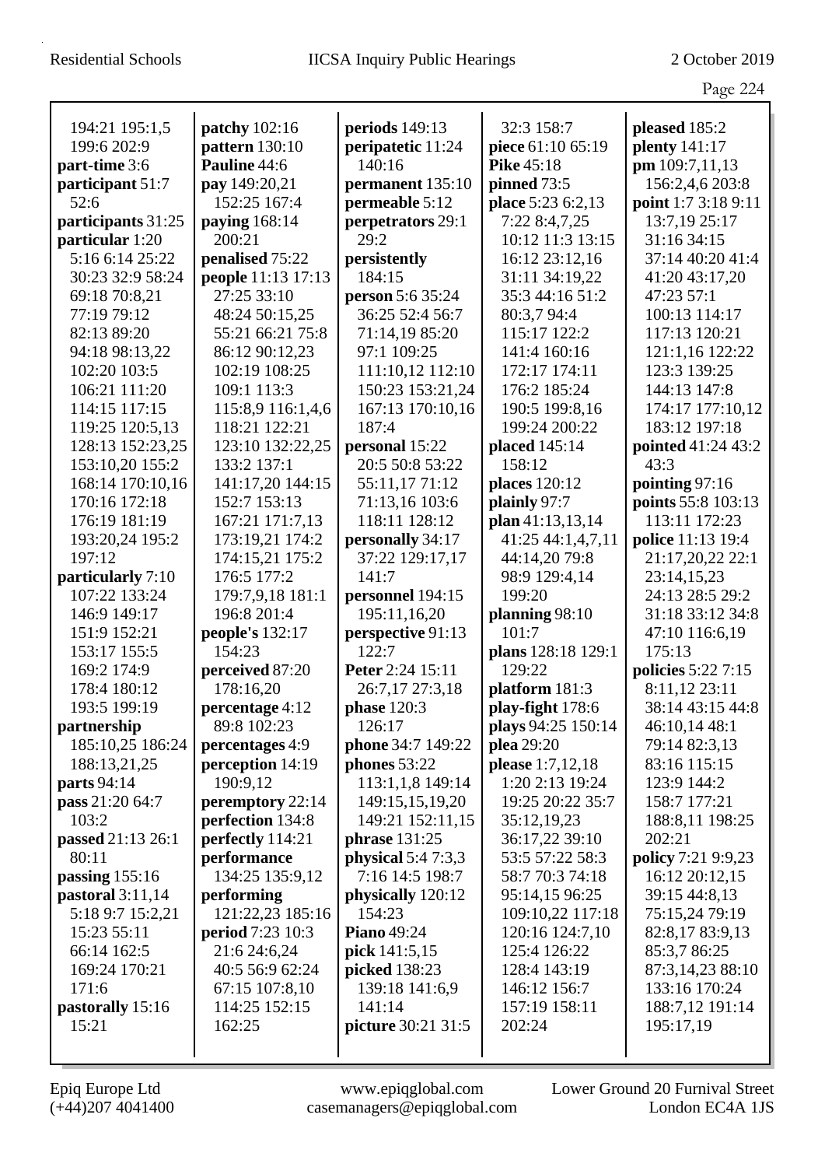|                    |                    |                      |                      | Page 224                 |
|--------------------|--------------------|----------------------|----------------------|--------------------------|
| 194:21 195:1,5     | patchy 102:16      | periods 149:13       | 32:3 158:7           | pleased 185:2            |
| 199:6 202:9        | pattern 130:10     | peripatetic 11:24    | piece 61:10 65:19    | <b>plenty</b> 141:17     |
| part-time 3:6      | Pauline 44:6       | 140:16               | <b>Pike</b> 45:18    | pm 109:7,11,13           |
| participant 51:7   | pay 149:20,21      | permanent 135:10     | pinned 73:5          | 156:2,4,6 203:8          |
| 52:6               | 152:25 167:4       | permeable 5:12       | place 5:23 6:2,13    | point 1:7 3:18 9:11      |
| participants 31:25 | paying 168:14      | perpetrators 29:1    | 7:22 8:4,7,25        | 13:7,19 25:17            |
| particular 1:20    | 200:21             | 29:2                 | 10:12 11:3 13:15     | 31:16 34:15              |
| 5:16 6:14 25:22    | penalised 75:22    | persistently         | 16:12 23:12,16       | 37:14 40:20 41:4         |
| 30:23 32:9 58:24   | people 11:13 17:13 | 184:15               | 31:11 34:19,22       | 41:20 43:17,20           |
| 69:18 70:8,21      | 27:25 33:10        | person 5:6 35:24     | 35:3 44:16 51:2      | 47:23 57:1               |
| 77:19 79:12        | 48:24 50:15,25     | 36:25 52:4 56:7      | 80:3,7 94:4          | 100:13 114:17            |
| 82:13 89:20        | 55:21 66:21 75:8   | 71:14,19 85:20       | 115:17 122:2         | 117:13 120:21            |
| 94:18 98:13,22     | 86:12 90:12,23     | 97:1 109:25          | 141:4 160:16         | 121:1,16 122:22          |
| 102:20 103:5       | 102:19 108:25      | 111:10,12 112:10     | 172:17 174:11        | 123:3 139:25             |
| 106:21 111:20      | 109:1 113:3        | 150:23 153:21,24     | 176:2 185:24         | 144:13 147:8             |
| 114:15 117:15      | 115:8,9 116:1,4,6  | 167:13 170:10,16     | 190:5 199:8,16       | 174:17 177:10,12         |
| 119:25 120:5,13    | 118:21 122:21      | 187:4                | 199:24 200:22        | 183:12 197:18            |
| 128:13 152:23,25   | 123:10 132:22,25   | personal 15:22       | placed 145:14        | pointed 41:24 43:2       |
| 153:10,20 155:2    | 133:2 137:1        | 20:5 50:8 53:22      | 158:12               | 43:3                     |
| 168:14 170:10,16   | 141:17,20 144:15   | 55:11,1771:12        | <b>places</b> 120:12 | pointing 97:16           |
| 170:16 172:18      | 152:7 153:13       | 71:13,16 103:6       | plainly 97:7         | points 55:8 103:13       |
| 176:19 181:19      | 167:21 171:7,13    | 118:11 128:12        | plan 41:13,13,14     | 113:11 172:23            |
| 193:20,24 195:2    | 173:19,21 174:2    | personally 34:17     | 41:25 44:1,4,7,11    | <b>police</b> 11:13 19:4 |
| 197:12             | 174:15,21 175:2    | 37:22 129:17,17      | 44:14,20 79:8        | 21:17,20,22 22:1         |
| particularly 7:10  | 176:5 177:2        | 141:7                | 98:9 129:4,14        | 23:14,15,23              |
| 107:22 133:24      | 179:7,9,18 181:1   | personnel 194:15     | 199:20               | 24:13 28:5 29:2          |
| 146:9 149:17       | 196:8 201:4        | 195:11,16,20         | planning $98:10$     | 31:18 33:12 34:8         |
| 151:9 152:21       | people's 132:17    | perspective 91:13    | 101:7                | 47:10 116:6,19           |
| 153:17 155:5       | 154:23             | 122:7                | plans 128:18 129:1   | 175:13                   |
| 169:2 174:9        | perceived 87:20    | Peter 2:24 15:11     | 129:22               | policies 5:22 7:15       |
| 178:4 180:12       | 178:16,20          | 26:7,17 27:3,18      | platform $181:3$     | 8:11,12 23:11            |
| 193:5 199:19       | percentage 4:12    | phase $120:3$        | play-fight 178:6     | 38:14 43:15 44:8         |
| partnership        | 89:8 102:23        | 126:17               | plays 94:25 150:14   | 46:10,14 48:1            |
| 185:10,25 186:24   | percentages 4:9    | phone 34:7 149:22    | plea 29:20           | 79:14 82:3,13            |
| 188:13,21,25       | perception 14:19   | phones 53:22         | please 1:7,12,18     | 83:16 115:15             |
| <b>parts</b> 94:14 | 190:9,12           | 113:1,1,8 149:14     | 1:20 2:13 19:24      | 123:9 144:2              |
| pass 21:20 64:7    | peremptory 22:14   | 149:15,15,19,20      | 19:25 20:22 35:7     | 158:7 177:21             |
| 103:2              | perfection 134:8   | 149:21 152:11,15     | 35:12,19,23          | 188:8,11 198:25          |
| passed 21:13 26:1  | perfectly 114:21   | <b>phrase</b> 131:25 | 36:17,22 39:10       | 202:21                   |
| 80:11              | performance        | physical $5:47:3,3$  | 53:5 57:22 58:3      | policy 7:21 9:9,23       |
| passing $155:16$   | 134:25 135:9,12    | 7:16 14:5 198:7      | 58:7 70:3 74:18      | 16:12 20:12,15           |
| pastoral $3:11,14$ | performing         | physically 120:12    | 95:14,15 96:25       | 39:15 44:8,13            |
| 5:18 9:7 15:2,21   | 121:22,23 185:16   | 154:23               | 109:10,22 117:18     | 75:15,24 79:19           |
| 15:23 55:11        | period 7:23 10:3   | <b>Piano</b> 49:24   | 120:16 124:7,10      | 82:8,17 83:9,13          |
| 66:14 162:5        | 21:6 24:6,24       | pick 141:5,15        | 125:4 126:22         | 85:3,7 86:25             |
| 169:24 170:21      | 40:5 56:9 62:24    | picked 138:23        | 128:4 143:19         | 87:3,14,23 88:10         |
| 171:6              | 67:15 107:8,10     | 139:18 141:6,9       | 146:12 156:7         | 133:16 170:24            |
| pastorally 15:16   | 114:25 152:15      | 141:14               | 157:19 158:11        | 188:7,12 191:14          |
| 15:21              | 162:25             | picture 30:21 31:5   | 202:24               | 195:17,19                |
|                    |                    |                      |                      |                          |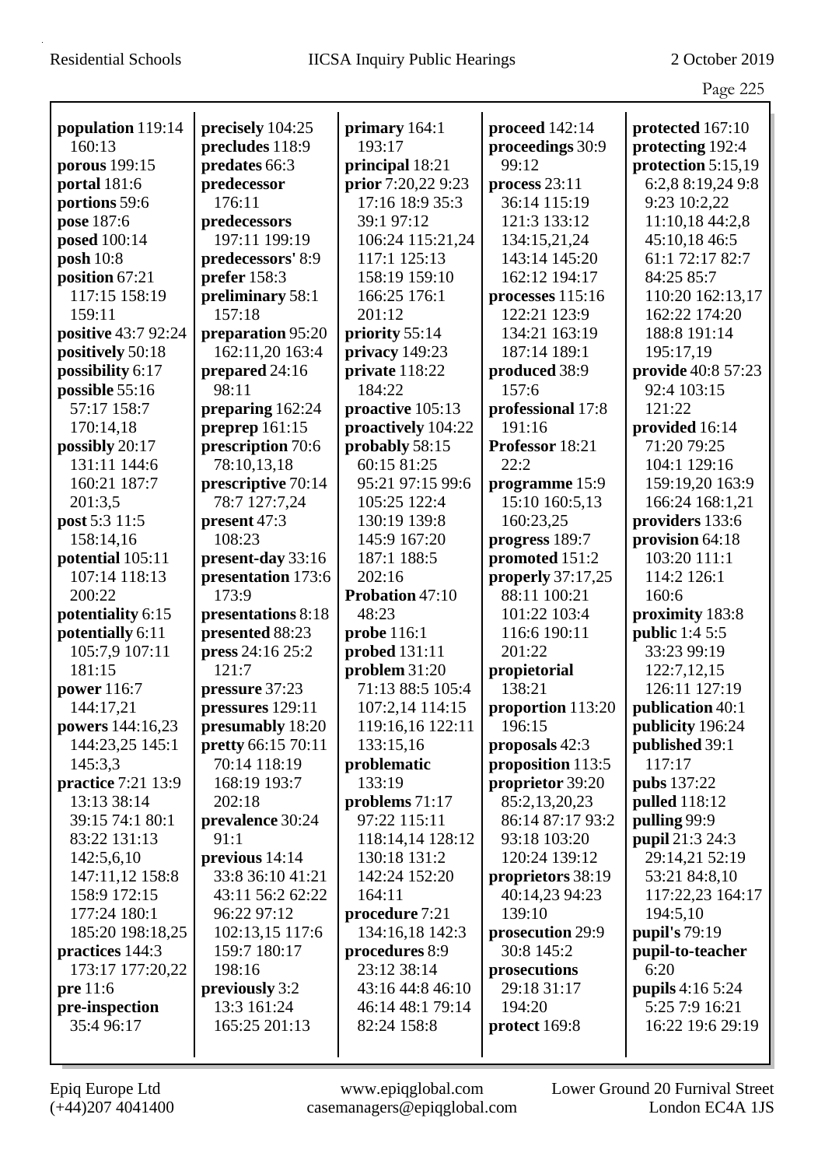|                                   |                                       |                                   |                                    | Page 225                             |
|-----------------------------------|---------------------------------------|-----------------------------------|------------------------------------|--------------------------------------|
|                                   |                                       |                                   |                                    |                                      |
| population 119:14<br>160:13       | precisely 104:25<br>precludes 118:9   | primary 164:1<br>193:17           | proceed 142:14<br>proceedings 30:9 | protected 167:10<br>protecting 192:4 |
| porous 199:15                     | predates 66:3                         | principal 18:21                   | 99:12                              | protection 5:15,19                   |
| portal 181:6                      | predecessor                           | prior 7:20,22 9:23                | process $23:11$                    | 6:2,8 8:19,24 9:8                    |
| portions 59:6                     | 176:11                                | 17:16 18:9 35:3                   | 36:14 115:19                       | 9:23 10:2,22                         |
| pose 187:6                        | predecessors                          | 39:1 97:12                        | 121:3 133:12                       | 11:10,18 44:2,8                      |
| posed 100:14                      | 197:11 199:19                         | 106:24 115:21,24                  | 134:15,21,24                       | 45:10,18 46:5                        |
| posh $10:8$                       | predecessors' 8:9                     | 117:1 125:13                      | 143:14 145:20                      | 61:1 72:17 82:7                      |
| position 67:21                    | prefer 158:3                          | 158:19 159:10                     | 162:12 194:17                      | 84:25 85:7                           |
| 117:15 158:19                     | preliminary 58:1                      | 166:25 176:1                      | processes 115:16                   | 110:20 162:13,17                     |
| 159:11                            | 157:18                                | 201:12                            | 122:21 123:9                       | 162:22 174:20                        |
| positive 43:7 92:24               | preparation 95:20                     | priority 55:14                    | 134:21 163:19                      | 188:8 191:14                         |
| positively 50:18                  | 162:11,20 163:4                       | privacy 149:23                    | 187:14 189:1                       | 195:17,19                            |
| possibility 6:17                  | prepared 24:16                        | private 118:22                    | produced 38:9                      | provide 40:8 57:23                   |
| possible 55:16                    | 98:11                                 | 184:22                            | 157:6                              | 92:4 103:15                          |
| 57:17 158:7                       |                                       | proactive 105:13                  |                                    | 121:22                               |
| 170:14,18                         | preparing 162:24                      | proactively 104:22                | professional 17:8<br>191:16        | provided 16:14                       |
| possibly 20:17                    | preprep $161:15$<br>prescription 70:6 | probably 58:15                    | Professor 18:21                    | 71:20 79:25                          |
| 131:11 144:6                      | 78:10,13,18                           | 60:15 81:25                       | 22:2                               | 104:1 129:16                         |
| 160:21 187:7                      | prescriptive 70:14                    | 95:21 97:15 99:6                  | programme 15:9                     | 159:19,20 163:9                      |
| 201:3,5                           | 78:7 127:7,24                         | 105:25 122:4                      | 15:10 160:5,13                     | 166:24 168:1,21                      |
|                                   | present 47:3                          | 130:19 139:8                      | 160:23,25                          | providers 133:6                      |
| post 5:3 11:5<br>158:14,16        | 108:23                                | 145:9 167:20                      |                                    | provision 64:18                      |
|                                   |                                       | 187:1 188:5                       | progress 189:7<br>promoted 151:2   | 103:20 111:1                         |
| potential 105:11<br>107:14 118:13 | present-day 33:16                     | 202:16                            |                                    | 114:2 126:1                          |
| 200:22                            | presentation 173:6<br>173:9           | Probation 47:10                   | properly 37:17,25<br>88:11 100:21  | 160:6                                |
|                                   |                                       | 48:23                             | 101:22 103:4                       |                                      |
| potentiality 6:15                 | presentations 8:18<br>presented 88:23 |                                   |                                    | proximity 183:8                      |
| potentially 6:11                  |                                       | probe 116:1                       | 116:6 190:11<br>201:22             | <b>public</b> 1:4 5:5<br>33:23 99:19 |
| 105:7,9 107:11<br>181:15          | press 24:16 25:2<br>121:7             | probed 131:11                     |                                    |                                      |
|                                   |                                       | problem 31:20<br>71:13 88:5 105:4 | propietorial<br>138:21             | 122:7,12,15<br>126:11 127:19         |
| power 116:7                       | pressure 37:23                        |                                   |                                    |                                      |
| 144:17,21                         | pressures 129:11                      | 107:2,14 114:15                   | proportion 113:20                  | <b>publication</b> 40:1              |
| powers 144:16,23                  | presumably 18:20                      | 119:16,16 122:11                  | 196:15                             | publicity 196:24                     |
| 144:23,25 145:1                   | pretty 66:15 70:11                    | 133:15,16                         | proposals 42:3                     | published 39:1                       |
| 145:3,3                           | 70:14 118:19                          | problematic                       | proposition 113:5                  | 117:17                               |
| practice 7:21 13:9                | 168:19 193:7                          | 133:19                            | proprietor 39:20                   | pubs 137:22                          |
| 13:13 38:14                       | 202:18                                | problems 71:17                    | 85:2,13,20,23                      | <b>pulled</b> 118:12                 |
| 39:15 74:1 80:1                   | prevalence 30:24                      | 97:22 115:11                      | 86:14 87:17 93:2                   | pulling 99:9                         |
| 83:22 131:13                      | 91:1                                  | 118:14,14 128:12                  | 93:18 103:20                       | pupil 21:3 24:3                      |
| 142:5,6,10                        | previous 14:14                        | 130:18 131:2                      | 120:24 139:12                      | 29:14,21 52:19                       |
| 147:11,12 158:8                   | 33:8 36:10 41:21                      | 142:24 152:20                     | proprietors 38:19                  | 53:21 84:8,10                        |
| 158:9 172:15                      | 43:11 56:2 62:22                      | 164:11                            | 40:14,23 94:23                     | 117:22,23 164:17                     |
| 177:24 180:1                      | 96:22 97:12                           | procedure 7:21                    | 139:10                             | 194:5,10                             |
| 185:20 198:18,25                  | 102:13,15 117:6                       | 134:16,18 142:3                   | prosecution 29:9                   | pupil's 79:19                        |
| practices 144:3                   | 159:7 180:17                          | procedures 8:9                    | 30:8 145:2                         | pupil-to-teacher                     |
| 173:17 177:20,22                  | 198:16                                | 23:12 38:14                       | prosecutions                       | 6:20                                 |
| pre 11:6                          | previously 3:2                        | 43:16 44:8 46:10                  | 29:18 31:17                        | <b>pupils</b> 4:16 5:24              |
| pre-inspection                    | 13:3 161:24                           | 46:14 48:1 79:14                  | 194:20                             | 5:25 7:9 16:21                       |
| 35:4 96:17                        | 165:25 201:13                         | 82:24 158:8                       | protect 169:8                      | 16:22 19:6 29:19                     |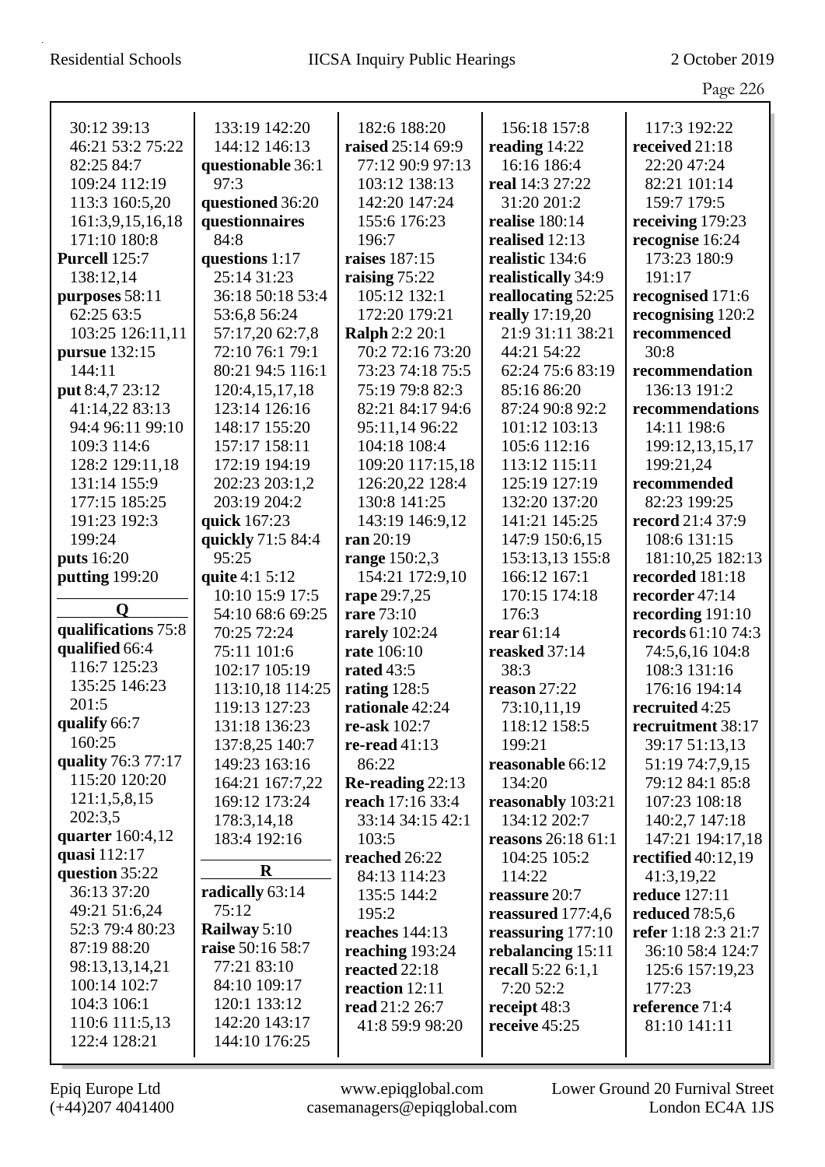|                                |                              |                                  |                       | Page 226                        |
|--------------------------------|------------------------------|----------------------------------|-----------------------|---------------------------------|
| 30:12 39:13                    | 133:19 142:20                | 182:6 188:20                     | 156:18 157:8          | 117:3 192:22                    |
| 46:21 53:2 75:22               | 144:12 146:13                | raised 25:14 69:9                | reading 14:22         | received 21:18                  |
| 82:25 84:7                     | questionable 36:1            | 77:12 90:9 97:13                 | 16:16 186:4           | 22:20 47:24                     |
| 109:24 112:19                  | 97:3                         | 103:12 138:13                    | real 14:3 27:22       | 82:21 101:14                    |
| 113:3 160:5,20                 | questioned 36:20             | 142:20 147:24                    | 31:20 201:2           | 159:7 179:5                     |
| 161:3,9,15,16,18               | questionnaires               | 155:6 176:23                     | realise 180:14        | receiving 179:23                |
| 171:10 180:8                   | 84:8                         | 196:7                            | realised 12:13        | recognise 16:24                 |
| Purcell 125:7                  | questions 1:17               | raises 187:15                    | realistic 134:6       | 173:23 180:9                    |
| 138:12,14                      | 25:14 31:23                  | raising 75:22                    | realistically 34:9    | 191:17                          |
| purposes 58:11                 | 36:18 50:18 53:4             | 105:12 132:1                     | reallocating 52:25    | recognised 171:6                |
| 62:25 63:5                     | 53:6,8 56:24                 | 172:20 179:21                    | really 17:19,20       | recognising 120:2               |
| 103:25 126:11,11               | 57:17,20 62:7,8              | <b>Ralph 2:2 20:1</b>            | 21:9 31:11 38:21      | recommenced                     |
| pursue 132:15                  | 72:10 76:1 79:1              | 70:2 72:16 73:20                 | 44:21 54:22           | 30:8                            |
| 144:11                         | 80:21 94:5 116:1             | 73:23 74:18 75:5                 | 62:24 75:6 83:19      | recommendation                  |
| put 8:4,7 23:12                | 120:4,15,17,18               | 75:19 79:8 82:3                  | 85:16 86:20           | 136:13 191:2                    |
| 41:14,22 83:13                 | 123:14 126:16                | 82:21 84:17 94:6                 | 87:24 90:8 92:2       | recommendations                 |
| 94:4 96:11 99:10               | 148:17 155:20                | 95:11,14 96:22                   | 101:12 103:13         | 14:11 198:6                     |
| 109:3 114:6                    | 157:17 158:11                | 104:18 108:4                     | 105:6 112:16          | 199:12,13,15,17                 |
| 128:2 129:11,18                | 172:19 194:19                | 109:20 117:15,18                 | 113:12 115:11         | 199:21,24                       |
| 131:14 155:9                   | 202:23 203:1,2               | 126:20,22 128:4                  | 125:19 127:19         | recommended                     |
| 177:15 185:25                  | 203:19 204:2                 | 130:8 141:25                     | 132:20 137:20         | 82:23 199:25                    |
| 191:23 192:3                   | quick 167:23                 | 143:19 146:9,12                  | 141:21 145:25         | record 21:4 37:9                |
| 199:24                         | quickly 71:5 84:4            | ran 20:19                        | 147:9 150:6,15        | 108:6 131:15                    |
| <b>puts</b> 16:20              | 95:25                        | range 150:2,3                    | 153:13,13 155:8       | 181:10,25 182:13                |
| putting 199:20                 | quite 4:1 5:12               | 154:21 172:9,10                  | 166:12 167:1          | recorded 181:18                 |
| O                              | 10:10 15:9 17:5              | rape 29:7,25                     | 170:15 174:18         | recorder 47:14                  |
| qualifications 75:8            | 54:10 68:6 69:25             | rare 73:10                       | 176:3                 | recording $191:10$              |
| qualified 66:4                 | 70:25 72:24                  | <b>rarely</b> 102:24             | rear 61:14            | records 61:10 74:3              |
| 116:7 125:23                   | 75:11 101:6<br>102:17 105:19 | rate 106:10<br><b>rated</b> 43:5 | reasked 37:14<br>38:3 | 74:5,6,16 104:8<br>108:3 131:16 |
| 135:25 146:23                  | 113:10,18 114:25             | rating 128:5                     | reason $27:22$        | 176:16 194:14                   |
| 201:5                          | 119:13 127:23                | rationale 42:24                  | 73:10,11,19           | recruited 4:25                  |
| qualify 66:7                   | 131:18 136:23                | re-ask 102:7                     | 118:12 158:5          | recruitment 38:17               |
| 160:25                         | 137:8,25 140:7               | re-read $41:13$                  | 199:21                | 39:17 51:13,13                  |
| quality 76:3 77:17             | 149:23 163:16                | 86:22                            | reasonable 66:12      | 51:19 74:7,9,15                 |
| 115:20 120:20                  | 164:21 167:7,22              | Re-reading $22:13$               | 134:20                | 79:12 84:1 85:8                 |
| 121:1,5,8,15                   | 169:12 173:24                | reach 17:16 33:4                 | reasonably 103:21     | 107:23 108:18                   |
| 202:3,5                        | 178:3,14,18                  | 33:14 34:15 42:1                 | 134:12 202:7          | 140:2,7 147:18                  |
| quarter $160:4,12$             | 183:4 192:16                 | 103:5                            | reasons 26:18 61:1    | 147:21 194:17,18                |
| quasi 112:17                   |                              | reached 26:22                    | 104:25 105:2          | rectified $40:12,19$            |
| question 35:22                 | $\bf R$                      | 84:13 114:23                     | 114:22                | 41:3,19,22                      |
| 36:13 37:20                    | radically 63:14              | 135:5 144:2                      | reassure 20:7         | <b>reduce</b> 127:11            |
| 49:21 51:6,24                  | 75:12                        | 195:2                            | reassured 177:4,6     | reduced 78:5,6                  |
| 52:3 79:4 80:23                | Railway 5:10                 | reaches 144:13                   | reassuring $177:10$   | refer 1:18 2:3 21:7             |
| 87:19 88:20                    | raise 50:16 58:7             | reaching 193:24                  | rebalancing 15:11     | 36:10 58:4 124:7                |
| 98:13,13,14,21                 | 77:21 83:10                  | reacted 22:18                    | recall $5:226:1,1$    | 125:6 157:19,23                 |
| 100:14 102:7                   | 84:10 109:17                 | reaction 12:11                   | 7:20 52:2             | 177:23                          |
| 104:3 106:1                    | 120:1 133:12                 | read 21:2 26:7                   | receipt 48:3          | reference 71:4                  |
| 110:6 111:5,13<br>122:4 128:21 | 142:20 143:17                | 41:8 59:9 98:20                  | receive 45:25         | 81:10 141:11                    |
|                                | 144:10 176:25                |                                  |                       |                                 |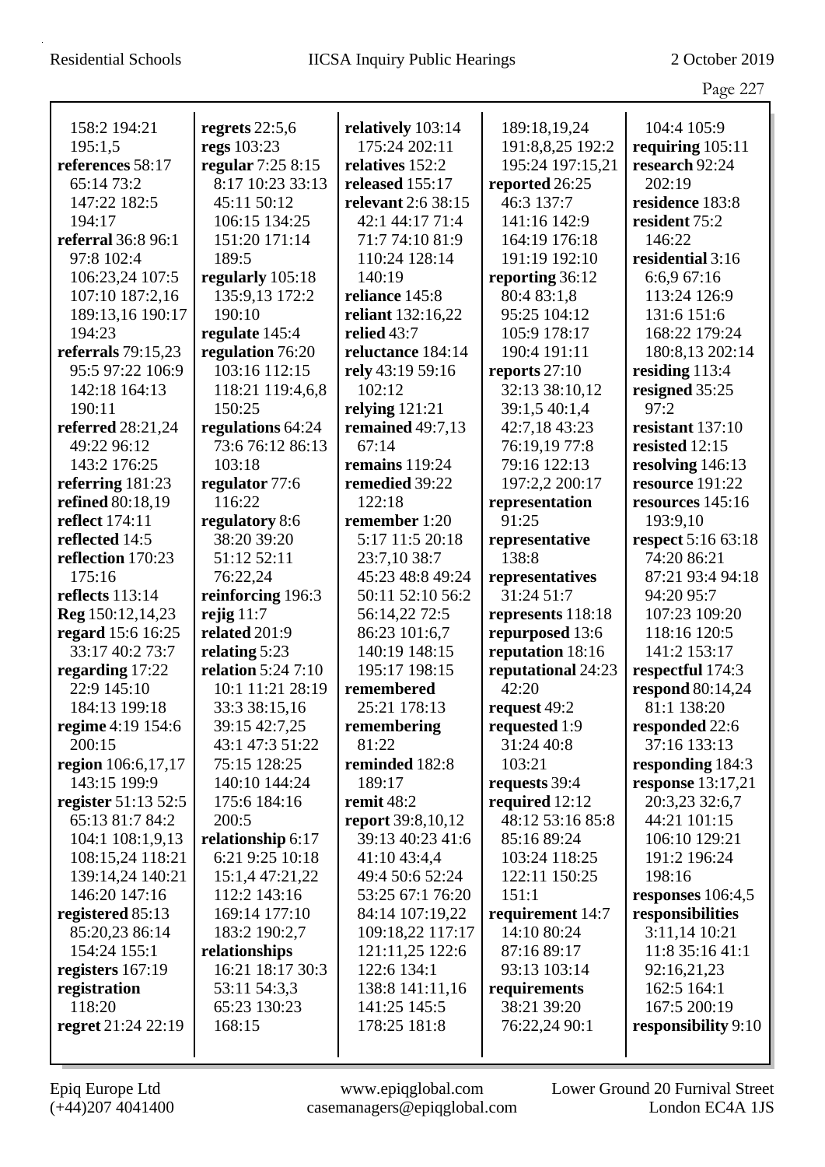|                              |                                               |                            |                                 | Page 227                       |
|------------------------------|-----------------------------------------------|----------------------------|---------------------------------|--------------------------------|
| 158:2 194:21                 | regrets $22:5,6$                              | relatively 103:14          | 189:18,19,24                    | 104:4 105:9                    |
| 195:1,5                      | regs 103:23                                   | 175:24 202:11              | 191:8,8,25 192:2                | requiring $105:11$             |
| references 58:17             | regular 7:25 8:15                             | relatives 152:2            | 195:24 197:15,21                | research 92:24                 |
| 65:14 73:2                   | 8:17 10:23 33:13                              | released 155:17            | reported 26:25                  | 202:19                         |
| 147:22 182:5                 | 45:11 50:12                                   | relevant 2:6 38:15         | 46:3 137:7                      | residence 183:8                |
| 194:17                       | 106:15 134:25                                 | 42:1 44:17 71:4            | 141:16 142:9                    | resident 75:2                  |
| <b>referral</b> 36:8 96:1    | 151:20 171:14                                 | 71:7 74:10 81:9            | 164:19 176:18                   | 146:22                         |
| 97:8 102:4                   | 189:5                                         | 110:24 128:14              | 191:19 192:10                   | residential 3:16               |
| 106:23,24 107:5              | regularly 105:18                              | 140:19                     | reporting 36:12                 | 6:6,9 67:16                    |
| 107:10 187:2,16              | 135:9,13 172:2                                | reliance 145:8             | 80:4 83:1,8                     | 113:24 126:9                   |
| 189:13,16 190:17             | 190:10                                        | reliant 132:16,22          | 95:25 104:12                    | 131:6 151:6                    |
| 194:23                       | regulate 145:4                                | relied 43:7                | 105:9 178:17                    | 168:22 179:24                  |
| referrals 79:15,23           | regulation 76:20                              | reluctance 184:14          | 190:4 191:11                    | 180:8,13 202:14                |
| 95:5 97:22 106:9             | 103:16 112:15                                 | rely 43:19 59:16           | reports $27:10$                 | residing 113:4                 |
| 142:18 164:13                | 118:21 119:4,6,8                              | 102:12                     | 32:13 38:10,12                  | resigned 35:25                 |
| 190:11                       | 150:25                                        | relying $121:21$           | 39:1,5 40:1,4                   | 97:2                           |
| <b>referred</b> 28:21,24     | regulations 64:24                             | remained 49:7,13           | 42:7,18 43:23                   | resistant 137:10               |
| 49:22 96:12                  | 73:6 76:12 86:13                              | 67:14                      | 76:19,19 77:8                   | resisted 12:15                 |
| 143:2 176:25                 | 103:18                                        | remains 119:24             | 79:16 122:13                    | resolving 146:13               |
| referring 181:23             | regulator 77:6                                | remedied 39:22             | 197:2,2 200:17                  | resource 191:22                |
| refined 80:18,19             | 116:22                                        | 122:18                     | representation                  | resources 145:16               |
| reflect 174:11               | regulatory 8:6                                | remember 1:20              | 91:25                           | 193:9,10                       |
| reflected 14:5               | 38:20 39:20                                   | 5:17 11:5 20:18            | representative                  | respect 5:16 63:18             |
| reflection 170:23            | 51:12 52:11                                   | 23:7,10 38:7               | 138:8                           | 74:20 86:21                    |
| 175:16                       | 76:22,24                                      | 45:23 48:8 49:24           | representatives                 | 87:21 93:4 94:18               |
| reflects 113:14              | reinforcing 196:3                             | 50:11 52:10 56:2           | 31:24 51:7                      | 94:20 95:7                     |
| Reg 150:12,14,23             | rejig $11:7$                                  | 56:14,22 72:5              | represents 118:18               | 107:23 109:20                  |
| regard 15:6 16:25            | related 201:9                                 | 86:23 101:6,7              | repurposed 13:6                 | 118:16 120:5                   |
| 33:17 40:2 73:7              | relating 5:23                                 | 140:19 148:15              | reputation 18:16                | 141:2 153:17                   |
| regarding 17:22              | <b>relation</b> 5:24 7:10<br>10:1 11:21 28:19 | 195:17 198:15              | reputational 24:23<br>42:20     | respectful 174:3               |
| 22:9 145:10<br>184:13 199:18 | 33:3 38:15,16                                 | remembered<br>25:21 178:13 |                                 | respond 80:14,24               |
| regime 4:19 154:6            | 39:15 42:7,25                                 |                            | request $49:2$<br>requested 1:9 | 81:1 138:20                    |
| 200:15                       | 43:1 47:3 51:22                               | remembering<br>81:22       | 31:24 40:8                      | responded 22:6<br>37:16 133:13 |
| region 106:6,17,17           | 75:15 128:25                                  | reminded 182:8             | 103:21                          | responding 184:3               |
| 143:15 199:9                 | 140:10 144:24                                 | 189:17                     | requests 39:4                   | response $13:17,21$            |
| register 51:13 52:5          | 175:6 184:16                                  | remit 48:2                 | required 12:12                  | 20:3,23 32:6,7                 |
| 65:13 81:7 84:2              | 200:5                                         | <b>report</b> 39:8,10,12   | 48:12 53:16 85:8                | 44:21 101:15                   |
| 104:1 108:1,9,13             | relationship 6:17                             | 39:13 40:23 41:6           | 85:16 89:24                     | 106:10 129:21                  |
| 108:15,24 118:21             | 6:21 9:25 10:18                               | 41:10 43:4,4               | 103:24 118:25                   | 191:2 196:24                   |
| 139:14,24 140:21             | 15:1,4 47:21,22                               | 49:4 50:6 52:24            | 122:11 150:25                   | 198:16                         |
| 146:20 147:16                | 112:2 143:16                                  | 53:25 67:1 76:20           | 151:1                           | responses $106:4,5$            |
| registered 85:13             | 169:14 177:10                                 | 84:14 107:19,22            | requirement 14:7                | responsibilities               |
| 85:20,23 86:14               | 183:2 190:2,7                                 | 109:18,22 117:17           | 14:10 80:24                     | 3:11,14 10:21                  |
| 154:24 155:1                 | relationships                                 | 121:11,25 122:6            | 87:16 89:17                     | 11:8 35:16 41:1                |
| registers 167:19             | 16:21 18:17 30:3                              | 122:6 134:1                | 93:13 103:14                    | 92:16,21,23                    |
| registration                 | 53:11 54:3,3                                  | 138:8 141:11,16            | requirements                    | 162:5 164:1                    |
| 118:20                       | 65:23 130:23                                  | 141:25 145:5               | 38:21 39:20                     | 167:5 200:19                   |
| regret 21:24 22:19           | 168:15                                        | 178:25 181:8               | 76:22,24 90:1                   | responsibility 9:10            |
|                              |                                               |                            |                                 |                                |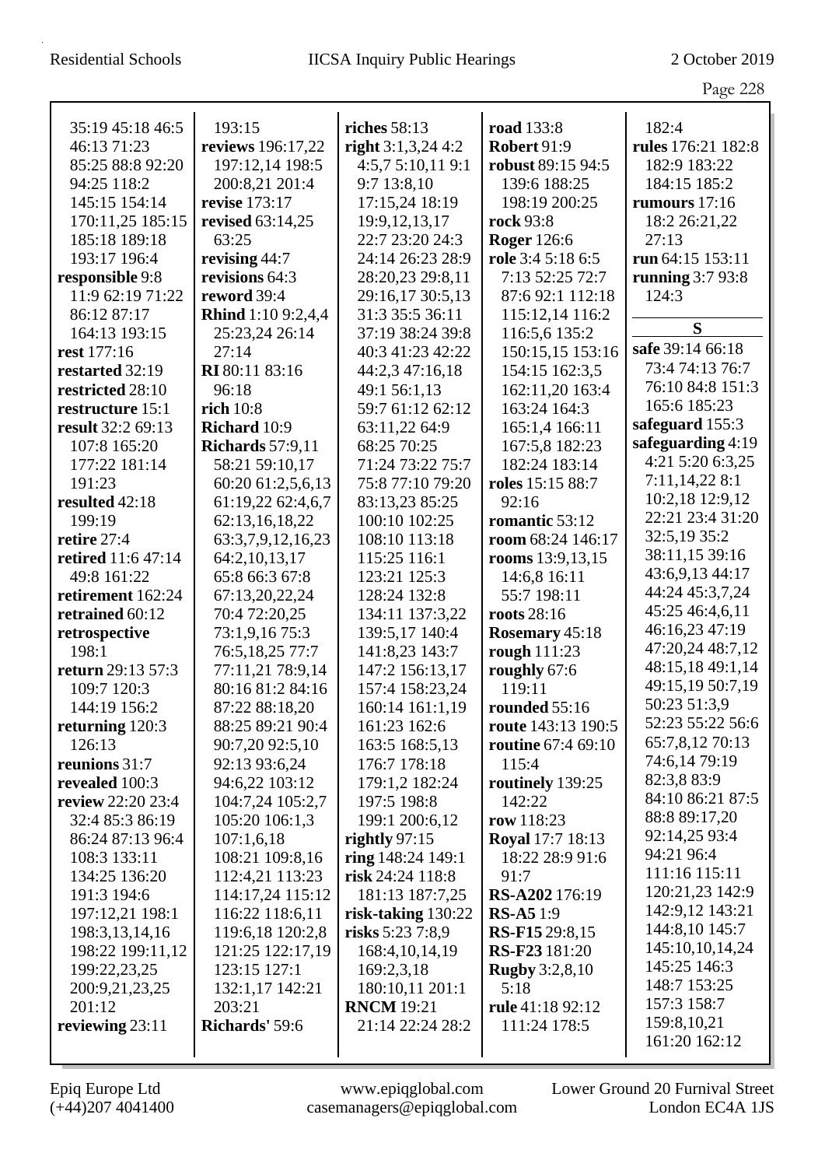|                                     |                                    |                               |                            | Page 228                             |
|-------------------------------------|------------------------------------|-------------------------------|----------------------------|--------------------------------------|
| 35:19 45:18 46:5                    | 193:15                             | riches 58:13                  | <b>road</b> 133:8          | 182:4                                |
| 46:13 71:23                         | reviews 196:17,22                  | right $3:1,3,24$ 4:2          | <b>Robert 91:9</b>         | rules 176:21 182:8                   |
| 85:25 88:8 92:20                    | 197:12,14 198:5                    | 4:5,75:10,119:1               | robust 89:15 94:5          | 182:9 183:22                         |
| 94:25 118:2                         | 200:8,21 201:4                     | 9:7 13:8,10                   | 139:6 188:25               | 184:15 185:2                         |
| 145:15 154:14                       | revise 173:17                      | 17:15,24 18:19                | 198:19 200:25              | rumours $17:16$                      |
| 170:11,25 185:15                    | revised 63:14,25                   | 19:9, 12, 13, 17              | <b>rock</b> 93:8           | 18:2 26:21,22                        |
| 185:18 189:18                       | 63:25                              | 22:7 23:20 24:3               | <b>Roger</b> 126:6         | 27:13                                |
| 193:17 196:4                        | revising 44:7                      | 24:14 26:23 28:9              | role 3:4 5:18 6:5          | run 64:15 153:11                     |
| responsible 9:8                     | revisions 64:3                     | 28:20,23 29:8,11              | 7:13 52:25 72:7            | running $3:793:8$                    |
| 11:9 62:19 71:22                    | reword 39:4                        | 29:16,17 30:5,13              | 87:6 92:1 112:18           | 124:3                                |
| 86:12 87:17                         | <b>Rhind</b> 1:10 9:2,4,4          | 31:3 35:5 36:11               | 115:12,14 116:2            |                                      |
| 164:13 193:15                       | 25:23,24 26:14                     | 37:19 38:24 39:8              | 116:5,6 135:2              | S                                    |
| rest 177:16                         | 27:14                              | 40:3 41:23 42:22              | 150:15,15 153:16           | safe 39:14 66:18                     |
| restarted 32:19                     | RI 80:11 83:16                     | 44:2,3 47:16,18               | 154:15 162:3,5             | 73:4 74:13 76:7                      |
| restricted 28:10                    | 96:18                              | 49:1 56:1,13                  | 162:11,20 163:4            | 76:10 84:8 151:3                     |
| restructure 15:1                    | rich 10:8                          | 59:7 61:12 62:12              | 163:24 164:3               | 165:6 185:23                         |
| result 32:2 69:13                   | Richard 10:9                       | 63:11,22 64:9                 | 165:1,4 166:11             | safeguard 155:3                      |
| 107:8 165:20                        | <b>Richards</b> 57:9,11            | 68:25 70:25                   | 167:5,8 182:23             | safeguarding 4:19                    |
| 177:22 181:14                       | 58:21 59:10,17                     | 71:24 73:22 75:7              | 182:24 183:14              | 4:21 5:20 6:3,25                     |
| 191:23                              | 60:20 61:2,5,6,13                  | 75:8 77:10 79:20              | roles 15:15 88:7           | 7:11,14,22 8:1                       |
| resulted 42:18                      | 61:19,22 62:4,6,7                  | 83:13,23 85:25                | 92:16                      | 10:2,18 12:9,12                      |
| 199:19                              | 62:13,16,18,22                     | 100:10 102:25                 | romantic 53:12             | 22:21 23:4 31:20                     |
| retire 27:4                         | 63:3,7,9,12,16,23                  | 108:10 113:18                 | room 68:24 146:17          | 32:5,19 35:2                         |
| <b>retired</b> 11:6 47:14           | 64:2,10,13,17                      | 115:25 116:1                  | rooms 13:9,13,15           | 38:11,15 39:16                       |
| 49:8 161:22                         | 65:8 66:3 67:8                     | 123:21 125:3                  | 14:6,8 16:11               | 43:6,9,13 44:17                      |
| retirement 162:24                   | 67:13,20,22,24                     | 128:24 132:8                  | 55:7 198:11                | 44:24 45:3,7,24                      |
| retrained 60:12                     | 70:4 72:20,25                      | 134:11 137:3,22               | roots 28:16                | 45:25 46:4,6,11                      |
| retrospective                       | 73:1,9,16 75:3                     | 139:5,17 140:4                | Rosemary 45:18             | 46:16,23 47:19                       |
| 198:1                               | 76:5,18,25 77:7                    | 141:8,23 143:7                | rough 111:23               | 47:20,24 48:7,12<br>48:15,18 49:1,14 |
| return 29:13 57:3                   | 77:11,21 78:9,14                   | 147:2 156:13,17               | roughly 67:6               | 49:15,19 50:7,19                     |
| 109:7 120:3                         | 80:16 81:2 84:16                   | 157:4 158:23,24               | 119:11                     | 50:23 51:3,9                         |
| 144:19 156:2                        | 87:22 88:18,20                     | 160:14 161:1,19               | rounded 55:16              | 52:23 55:22 56:6                     |
| returning 120:3                     | 88:25 89:21 90:4                   | 161:23 162:6                  | route 143:13 190:5         | 65:7,8,12 70:13                      |
| 126:13                              | 90:7,20 92:5,10                    | 163:5 168:5,13                | <b>routine</b> 67:4 69:10  | 74:6,14 79:19                        |
| reunions 31:7                       | 92:13 93:6,24                      | 176:7 178:18                  | 115:4                      | 82:3,8 83:9                          |
| revealed 100:3<br>review 22:20 23:4 | 94:6,22 103:12<br>104:7,24 105:2,7 | 179:1,2 182:24<br>197:5 198:8 | routinely 139:25<br>142:22 | 84:10 86:21 87:5                     |
| 32:4 85:3 86:19                     | 105:20 106:1,3                     | 199:1 200:6,12                | row 118:23                 | 88:8 89:17,20                        |
| 86:24 87:13 96:4                    | 107:1,6,18                         | rightly $97:15$               | <b>Royal</b> 17:7 18:13    | 92:14,25 93:4                        |
| 108:3 133:11                        | 108:21 109:8,16                    | ring 148:24 149:1             | 18:22 28:9 91:6            | 94:21 96:4                           |
| 134:25 136:20                       | 112:4,21 113:23                    | risk 24:24 118:8              | 91:7                       | 111:16 115:11                        |
| 191:3 194:6                         | 114:17,24 115:12                   | 181:13 187:7,25               | RS-A202 176:19             | 120:21,23 142:9                      |
| 197:12,21 198:1                     | 116:22 118:6,11                    | risk-taking 130:22            | <b>RS-A5</b> 1:9           | 142:9,12 143:21                      |
| 198:3, 13, 14, 16                   | 119:6,18 120:2,8                   | risks 5:23 7:8,9              | <b>RS-F15</b> 29:8,15      | 144:8,10 145:7                       |
| 198:22 199:11,12                    | 121:25 122:17,19                   | 168:4, 10, 14, 19             | <b>RS-F23</b> 181:20       | 145:10,10,14,24                      |
| 199:22,23,25                        | 123:15 127:1                       | 169:2,3,18                    | <b>Rugby</b> 3:2,8,10      | 145:25 146:3                         |
| 200:9,21,23,25                      | 132:1,17 142:21                    | 180:10,11 201:1               | 5:18                       | 148:7 153:25                         |
| 201:12                              | 203:21                             | <b>RNCM</b> 19:21             | rule 41:18 92:12           | 157:3 158:7                          |
| reviewing 23:11                     | Richards' 59:6                     | 21:14 22:24 28:2              | 111:24 178:5               | 159:8, 10, 21                        |
|                                     |                                    |                               |                            | 161:20 162:12                        |
|                                     |                                    |                               |                            |                                      |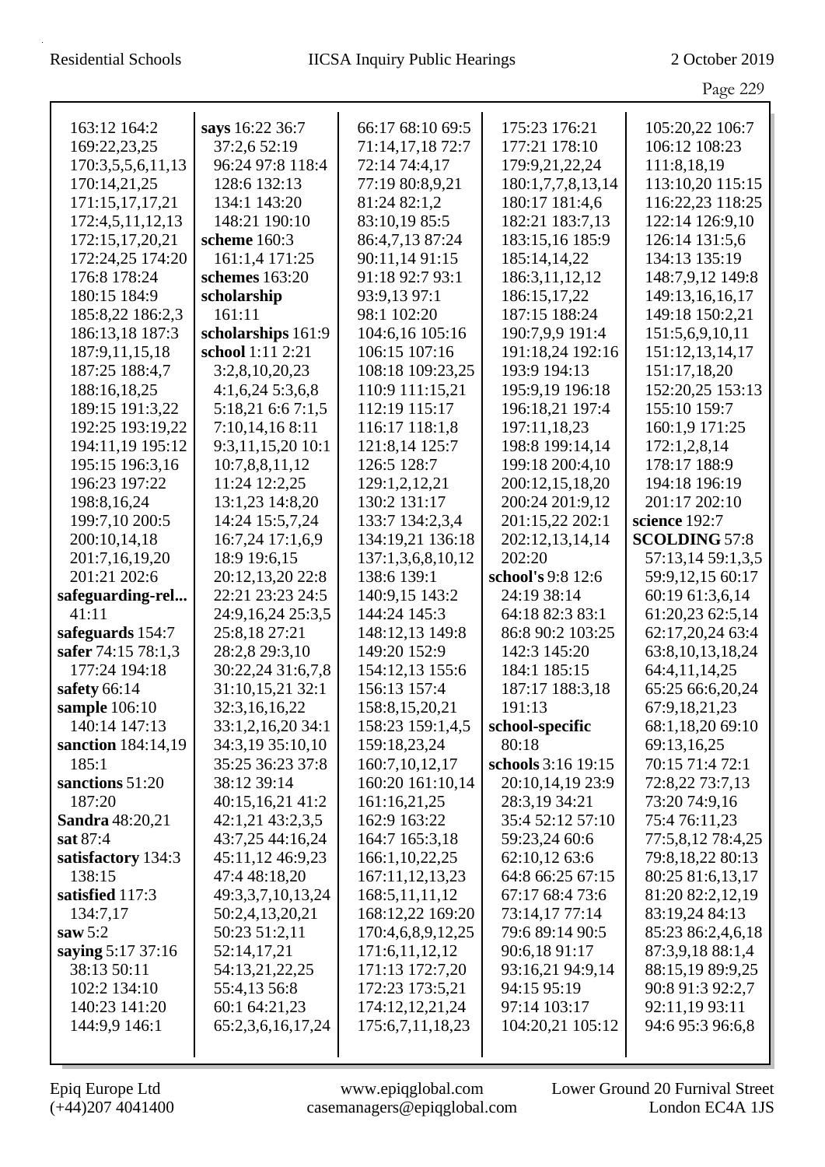|                                  |                                      |                                |                                        | Page 229                           |
|----------------------------------|--------------------------------------|--------------------------------|----------------------------------------|------------------------------------|
|                                  |                                      |                                |                                        |                                    |
| 163:12 164:2                     | says 16:22 36:7                      | 66:17 68:10 69:5               | 175:23 176:21                          | 105:20,22 106:7                    |
| 169:22,23,25                     | 37:2,6 52:19                         | 71:14,17,18 72:7               | 177:21 178:10                          | 106:12 108:23                      |
| 170:3,5,5,6,11,13                | 96:24 97:8 118:4                     | 72:14 74:4,17                  | 179:9,21,22,24                         | 111:8,18,19                        |
| 170:14,21,25                     | 128:6 132:13                         | 77:19 80:8,9,21                | 180:1,7,7,8,13,14                      | 113:10,20 115:15                   |
| 171:15,17,17,21                  | 134:1 143:20                         | 81:24 82:1,2                   | 180:17 181:4,6                         | 116:22,23 118:25                   |
| 172:4,5,11,12,13                 | 148:21 190:10                        | 83:10,19 85:5                  | 182:21 183:7,13                        | 122:14 126:9,10                    |
| 172:15,17,20,21                  | scheme 160:3                         | 86:4,7,13 87:24                | 183:15,16 185:9                        | 126:14 131:5,6                     |
| 172:24,25 174:20                 | 161:1,4 171:25                       | 90:11,14 91:15                 | 185:14,14,22                           | 134:13 135:19                      |
| 176:8 178:24                     | schemes 163:20                       | 91:18 92:7 93:1                | 186:3,11,12,12                         | 148:7,9,12 149:8                   |
| 180:15 184:9                     | scholarship                          | 93:9,13 97:1                   | 186:15,17,22                           | 149:13,16,16,17                    |
| 185:8,22 186:2,3                 | 161:11                               | 98:1 102:20                    | 187:15 188:24                          | 149:18 150:2,21                    |
| 186:13,18 187:3                  | scholarships 161:9                   | 104:6,16 105:16                | 190:7,9,9 191:4                        | 151:5,6,9,10,11                    |
| 187:9,11,15,18                   | school 1:11 2:21                     | 106:15 107:16                  | 191:18,24 192:16                       | 151:12,13,14,17                    |
| 187:25 188:4,7                   | 3:2,8,10,20,23                       | 108:18 109:23,25               | 193:9 194:13                           | 151:17,18,20                       |
| 188:16,18,25                     | $4:1,6,24$ 5:3,6,8                   | 110:9 111:15,21                | 195:9,19 196:18                        | 152:20,25 153:13                   |
| 189:15 191:3,22                  | 5:18,21 6:6 7:1,5                    | 112:19 115:17                  | 196:18,21 197:4                        | 155:10 159:7                       |
| 192:25 193:19,22                 | 7:10,14,168:11                       | 116:17 118:1,8                 | 197:11,18,23                           | 160:1,9 171:25                     |
| 194:11,19 195:12                 | 9:3,11,15,20 10:1                    | 121:8,14 125:7                 | 198:8 199:14,14                        | 172:1,2,8,14                       |
| 195:15 196:3,16                  | 10:7,8,8,11,12                       | 126:5 128:7                    | 199:18 200:4,10                        | 178:17 188:9                       |
| 196:23 197:22                    | 11:24 12:2,25                        | 129:1,2,12,21                  | 200:12,15,18,20                        | 194:18 196:19                      |
| 198:8,16,24                      | 13:1,23 14:8,20                      | 130:2 131:17                   | 200:24 201:9,12                        | 201:17 202:10                      |
| 199:7,10 200:5                   | 14:24 15:5,7,24                      | 133:7 134:2,3,4                | 201:15,22 202:1                        | science 192:7                      |
| 200:10,14,18                     | 16:7,24 17:1,6,9                     | 134:19,21 136:18               | 202:12,13,14,14                        | <b>SCOLDING 57:8</b>               |
| 201:7,16,19,20                   | 18:9 19:6,15                         | 137:1,3,6,8,10,12              | 202:20                                 | 57:13,14 59:1,3,5                  |
| 201:21 202:6                     | 20:12,13,20 22:8                     | 138:6 139:1                    | school's 9:8 12:6                      | 59:9,12,15 60:17                   |
| safeguarding-rel                 | 22:21 23:23 24:5                     | 140:9,15 143:2                 | 24:19 38:14                            | 60:19 61:3,6,14                    |
| 41:11                            | 24:9,16,24 25:3,5                    | 144:24 145:3                   | 64:18 82:3 83:1                        | 61:20,23 62:5,14                   |
| safeguards 154:7                 | 25:8,18 27:21                        | 148:12,13 149:8                | 86:8 90:2 103:25                       | 62:17,20,24 63:4                   |
| safer 74:15 78:1,3               | 28:2,8 29:3,10                       | 149:20 152:9                   | 142:3 145:20                           | 63:8, 10, 13, 18, 24               |
| 177:24 194:18                    | 30:22,24 31:6,7,8                    | 154:12,13 155:6                | 184:1 185:15                           | 64:4,11,14,25                      |
| safety 66:14                     | 31:10,15,21 32:1                     | 156:13 157:4                   | 187:17 188:3,18                        | 65:25 66:6,20,24                   |
| sample $106:10$<br>140:14 147:13 | 32:3,16,16,22                        | 158:8, 15, 20, 21              | 191:13                                 | 67:9,18,21,23                      |
|                                  | 33:1,2,16,20 34:1                    | 158:23 159:1,4,5               | school-specific<br>80:18               | 68:1,18,20 69:10                   |
| sanction 184:14,19               | 34:3,19 35:10,10<br>35:25 36:23 37:8 | 159:18,23,24<br>160:7,10,12,17 |                                        | 69:13,16,25                        |
| 185:1<br>sanctions 51:20         |                                      | 160:20 161:10,14               | schools 3:16 19:15<br>20:10,14,19 23:9 | 70:15 71:4 72:1<br>72:8,22 73:7,13 |
| 187:20                           | 38:12 39:14<br>40:15,16,21 41:2      | 161:16,21,25                   | 28:3,19 34:21                          | 73:20 74:9,16                      |
| <b>Sandra</b> 48:20,21           | 42:1,21 43:2,3,5                     | 162:9 163:22                   | 35:4 52:12 57:10                       | 75:4 76:11,23                      |
| sat 87:4                         | 43:7,25 44:16,24                     | 164:7 165:3,18                 | 59:23,24 60:6                          | 77:5,8,12 78:4,25                  |
| satisfactory 134:3               | 45:11,12 46:9,23                     | 166:1,10,22,25                 | 62:10,12 63:6                          | 79:8,18,22 80:13                   |
| 138:15                           | 47:4 48:18,20                        | 167:11,12,13,23                | 64:8 66:25 67:15                       | 80:25 81:6,13,17                   |
| satisfied 117:3                  | 49:3,3,7,10,13,24                    | 168:5, 11, 11, 12              | 67:17 68:4 73:6                        | 81:20 82:2,12,19                   |
| 134:7,17                         | 50:2,4,13,20,21                      | 168:12,22 169:20               | 73:14,17 77:14                         | 83:19,24 84:13                     |
| saw $5:2$                        | 50:23 51:2,11                        | 170:4,6,8,9,12,25              | 79:6 89:14 90:5                        | 85:23 86:2,4,6,18                  |
| saying 5:17 37:16                | 52:14,17,21                          | 171:6,11,12,12                 | 90:6,18 91:17                          | 87:3,9,18 88:1,4                   |
| 38:13 50:11                      | 54:13,21,22,25                       | 171:13 172:7,20                | 93:16,21 94:9,14                       | 88:15,19 89:9,25                   |
| 102:2 134:10                     | 55:4,13 56:8                         | 172:23 173:5,21                | 94:15 95:19                            | 90:8 91:3 92:2,7                   |
| 140:23 141:20                    | 60:1 64:21,23                        | 174:12,12,21,24                | 97:14 103:17                           | 92:11,19 93:11                     |
| 144:9,9 146:1                    | 65:2,3,6,16,17,24                    | 175:6,7,11,18,23               | 104:20,21 105:12                       | 94:6 95:3 96:6,8                   |
|                                  |                                      |                                |                                        |                                    |
|                                  |                                      |                                |                                        |                                    |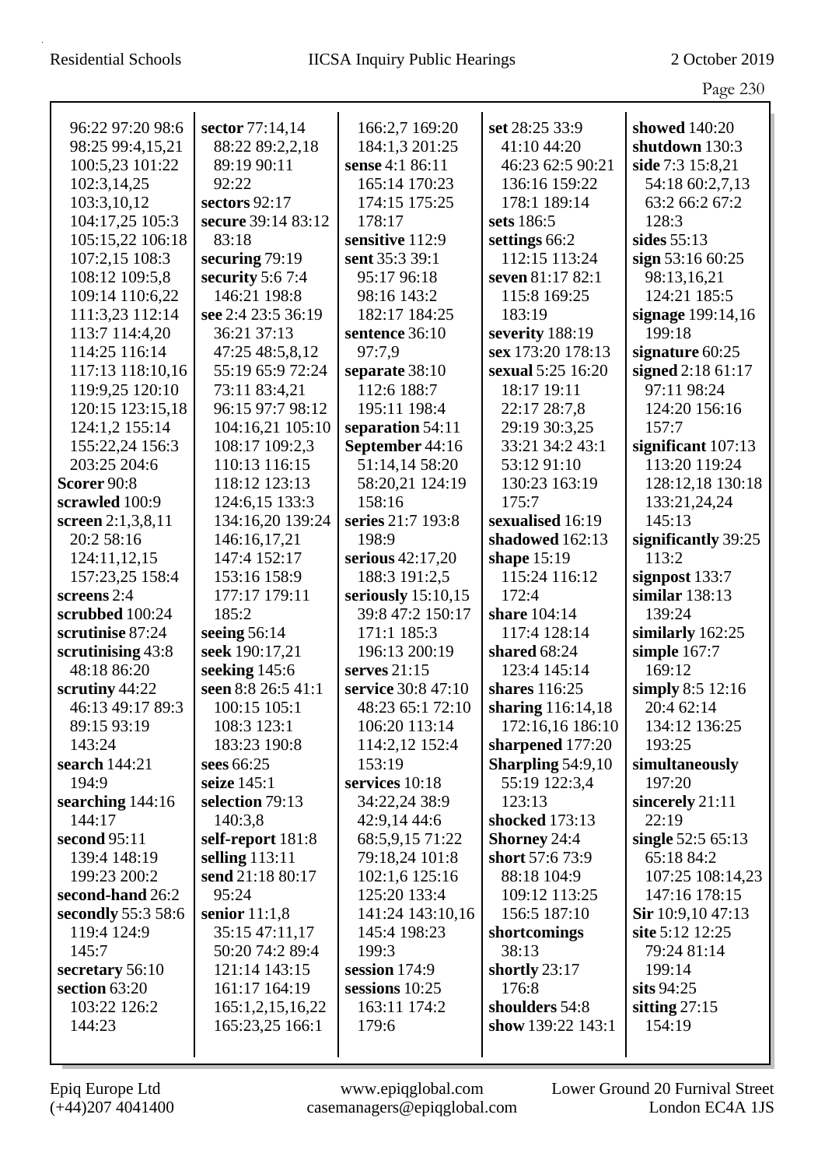|                                       |                                  |                              |                              | Page 230                         |
|---------------------------------------|----------------------------------|------------------------------|------------------------------|----------------------------------|
| 96:22 97:20 98:6                      | sector 77:14,14                  | 166:2,7 169:20               | set 28:25 33:9               | showed 140:20                    |
| 98:25 99:4,15,21                      | 88:22 89:2,2,18                  | 184:1,3 201:25               | 41:10 44:20                  | shutdown 130:3                   |
| 100:5,23 101:22                       | 89:19 90:11                      | sense 4:1 86:11              | 46:23 62:5 90:21             | side 7:3 15:8,21                 |
| 102:3,14,25                           | 92:22                            | 165:14 170:23                | 136:16 159:22                | 54:18 60:2,7,13                  |
| 103:3,10,12                           | sectors 92:17                    | 174:15 175:25                | 178:1 189:14                 | 63:2 66:2 67:2                   |
| 104:17,25 105:3                       | secure 39:14 83:12               | 178:17                       | sets 186:5                   | 128:3                            |
| 105:15,22 106:18                      | 83:18                            | sensitive 112:9              | settings 66:2                | sides $55:13$                    |
| 107:2,15 108:3                        | securing 79:19                   | sent 35:3 39:1               | 112:15 113:24                | sign $53:1660:25$                |
| 108:12 109:5,8                        | security $5:67:4$                | 95:17 96:18                  | seven 81:17 82:1             | 98:13,16,21                      |
| 109:14 110:6,22                       | 146:21 198:8                     | 98:16 143:2                  | 115:8 169:25                 | 124:21 185:5                     |
| 111:3,23 112:14                       | see 2:4 23:5 36:19               | 182:17 184:25                | 183:19                       | signage 199:14,16                |
| 113:7 114:4,20                        | 36:21 37:13                      | sentence 36:10               | severity 188:19              | 199:18                           |
| 114:25 116:14                         | 47:25 48:5,8,12                  | 97:7,9                       | sex 173:20 178:13            | signature 60:25                  |
| 117:13 118:10,16                      | 55:19 65:9 72:24                 | separate 38:10               | sexual 5:25 16:20            | signed 2:18 61:17                |
| 119:9,25 120:10                       | 73:11 83:4,21                    | 112:6 188:7                  | 18:17 19:11                  | 97:11 98:24                      |
| 120:15 123:15,18                      | 96:15 97:7 98:12                 | 195:11 198:4                 | 22:17 28:7,8                 | 124:20 156:16                    |
| 124:1,2 155:14                        | 104:16,21 105:10                 | separation 54:11             | 29:19 30:3,25                | 157:7                            |
| 155:22,24 156:3                       | 108:17 109:2,3                   | September 44:16              | 33:21 34:2 43:1              | significant 107:13               |
| 203:25 204:6                          | 110:13 116:15                    | 51:14,14 58:20               | 53:12 91:10                  | 113:20 119:24                    |
| Scorer 90:8                           | 118:12 123:13                    | 58:20,21 124:19              | 130:23 163:19                | 128:12,18 130:18                 |
| scrawled 100:9                        | 124:6,15 133:3                   | 158:16                       | 175:7                        | 133:21,24,24                     |
| screen 2:1,3,8,11                     | 134:16,20 139:24                 | series 21:7 193:8            | sexualised 16:19             | 145:13                           |
| 20:2 58:16                            | 146:16,17,21                     | 198:9                        | shadowed 162:13              | significantly 39:25              |
| 124:11,12,15                          | 147:4 152:17                     | serious 42:17,20             | shape $15:19$                | 113:2                            |
| 157:23,25 158:4                       | 153:16 158:9                     | 188:3 191:2,5                | 115:24 116:12                | signpost 133:7                   |
| screens 2:4                           | 177:17 179:11                    | seriously $15:10,15$         | 172:4                        | similar $138:13$                 |
| scrubbed 100:24                       | 185:2                            | 39:8 47:2 150:17             | share 104:14                 | 139:24                           |
| scrutinise 87:24<br>scrutinising 43:8 | seeing $56:14$<br>seek 190:17,21 | 171:1 185:3<br>196:13 200:19 | 117:4 128:14<br>shared 68:24 | similarly 162:25<br>simple 167:7 |
| 48:18 86:20                           | seeking 145:6                    | serves 21:15                 | 123:4 145:14                 | 169:12                           |
| scrutiny 44:22                        | seen 8:8 26:5 41:1               | service 30:8 47:10           | shares 116:25                | simply $8:5$ 12:16               |
| 46:13 49:17 89:3                      | 100:15 105:1                     | 48:23 65:1 72:10             | sharing 116:14,18            | 20:4 62:14                       |
| 89:15 93:19                           | 108:3 123:1                      | 106:20 113:14                | 172:16,16 186:10             | 134:12 136:25                    |
| 143:24                                | 183:23 190:8                     | 114:2,12 152:4               | sharpened 177:20             | 193:25                           |
| search 144:21                         | sees 66:25                       | 153:19                       | Sharpling $54:9,10$          | simultaneously                   |
| 194:9                                 | seize 145:1                      | services 10:18               | 55:19 122:3,4                | 197:20                           |
| searching 144:16                      | selection 79:13                  | 34:22,24 38:9                | 123:13                       | sincerely 21:11                  |
| 144:17                                | 140:3,8                          | 42:9,14 44:6                 | shocked 173:13               | 22:19                            |
| second 95:11                          | self-report 181:8                | 68:5,9,15 71:22              | <b>Shorney 24:4</b>          | single 52:5 65:13                |
| 139:4 148:19                          | selling 113:11                   | 79:18,24 101:8               | short 57:6 73:9              | 65:18 84:2                       |
| 199:23 200:2                          | send 21:18 80:17                 | 102:1,6 125:16               | 88:18 104:9                  | 107:25 108:14,23                 |
| second-hand 26:2                      | 95:24                            | 125:20 133:4                 | 109:12 113:25                | 147:16 178:15                    |
| secondly 55:3 58:6                    | senior $11:1,8$                  | 141:24 143:10,16             | 156:5 187:10                 | Sir $10:9,1047:13$               |
| 119:4 124:9                           | 35:15 47:11,17                   | 145:4 198:23                 | shortcomings                 | site 5:12 12:25                  |
| 145:7                                 | 50:20 74:2 89:4                  | 199:3                        | 38:13                        | 79:24 81:14                      |
| secretary 56:10                       | 121:14 143:15                    | session 174:9                | shortly 23:17                | 199:14                           |
| section 63:20                         | 161:17 164:19                    | sessions 10:25               | 176:8                        | sits $94:25$                     |
| 103:22 126:2                          | 165:1,2,15,16,22                 | 163:11 174:2                 | shoulders 54:8               | sitting $27:15$                  |
| 144:23                                | 165:23,25 166:1                  | 179:6                        | show 139:22 143:1            | 154:19                           |
|                                       |                                  |                              |                              |                                  |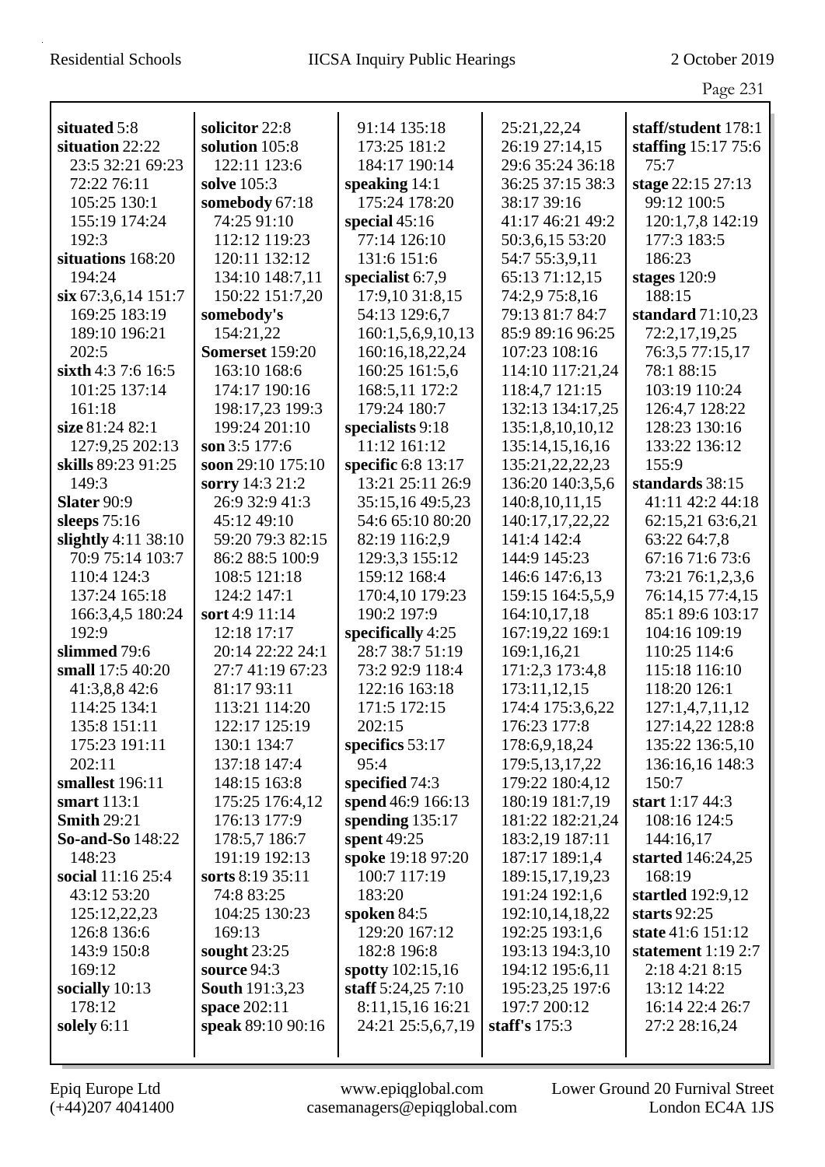|                             |                               |                              |                                   | Page 231                            |
|-----------------------------|-------------------------------|------------------------------|-----------------------------------|-------------------------------------|
| situated 5:8                | solicitor 22:8                | 91:14 135:18                 | 25:21,22,24                       | staff/student 178:1                 |
| situation 22:22             | solution 105:8                | 173:25 181:2                 | 26:19 27:14,15                    | staffing $15:1775:6$                |
| 23:5 32:21 69:23            | 122:11 123:6                  | 184:17 190:14                | 29:6 35:24 36:18                  | 75:7                                |
| 72:22 76:11                 | solve 105:3                   | speaking $14:1$              | 36:25 37:15 38:3                  | stage 22:15 27:13                   |
| 105:25 130:1                | somebody 67:18                | 175:24 178:20                | 38:17 39:16                       | 99:12 100:5                         |
| 155:19 174:24               | 74:25 91:10                   | special $45:16$              | 41:17 46:21 49:2                  | 120:1,7,8 142:19                    |
| 192:3                       | 112:12 119:23                 | 77:14 126:10                 | 50:3,6,15 53:20                   | 177:3 183:5                         |
| situations 168:20           | 120:11 132:12                 | 131:6 151:6                  | 54:7 55:3,9,11                    | 186:23                              |
| 194:24                      | 134:10 148:7,11               | specialist 6:7,9             | 65:13 71:12,15                    | stages $120:9$                      |
| $\sin 67:3,6,14$ 151:7      | 150:22 151:7,20               | 17:9,10 31:8,15              | 74:2,9 75:8,16                    | 188:15                              |
| 169:25 183:19               | somebody's                    | 54:13 129:6,7                | 79:13 81:7 84:7                   | standard $71:10,23$                 |
| 189:10 196:21               | 154:21,22                     | 160:1,5,6,9,10,13            | 85:9 89:16 96:25                  | 72:2,17,19,25                       |
| 202:5                       | <b>Somerset</b> 159:20        | 160:16,18,22,24              | 107:23 108:16                     | 76:3,5 77:15,17                     |
| sixth 4:3 7:6 16:5          | 163:10 168:6                  | 160:25 161:5,6               | 114:10 117:21,24                  | 78:1 88:15                          |
| 101:25 137:14               | 174:17 190:16                 | 168:5,11 172:2               | 118:4,7 121:15                    | 103:19 110:24                       |
| 161:18                      | 198:17,23 199:3               | 179:24 180:7                 | 132:13 134:17,25                  | 126:4,7 128:22                      |
| size 81:24 82:1             | 199:24 201:10                 | specialists 9:18             | 135:1,8,10,10,12                  | 128:23 130:16                       |
| 127:9,25 202:13             | son 3:5 177:6                 | 11:12 161:12                 | 135:14,15,16,16                   | 133:22 136:12                       |
| skills 89:23 91:25          | soon 29:10 175:10             | specific 6:8 13:17           | 135:21,22,22,23                   | 155:9                               |
| 149:3                       | sorry 14:3 21:2               | 13:21 25:11 26:9             | 136:20 140:3,5,6                  | standards 38:15                     |
| Slater 90:9                 | 26:9 32:9 41:3                | 35:15,16 49:5,23             | 140:8,10,11,15                    | 41:11 42:2 44:18                    |
| sleeps $75:16$              | 45:12 49:10                   | 54:6 65:10 80:20             | 140:17,17,22,22                   | 62:15,21 63:6,21                    |
| slightly 4:11 38:10         | 59:20 79:3 82:15              | 82:19 116:2,9                | 141:4 142:4                       | 63:22 64:7,8                        |
| 70:9 75:14 103:7            | 86:2 88:5 100:9               | 129:3,3 155:12               | 144:9 145:23                      | 67:16 71:6 73:6                     |
| 110:4 124:3                 | 108:5 121:18                  | 159:12 168:4                 | 146:6 147:6,13                    | 73:21 76:1,2,3,6                    |
| 137:24 165:18               | 124:2 147:1                   | 170:4,10 179:23              | 159:15 164:5,5,9                  | 76:14,15 77:4,15                    |
| 166:3,4,5 180:24            | sort 4:9 11:14                | 190:2 197:9                  | 164:10,17,18                      | 85:1 89:6 103:17                    |
| 192:9                       | 12:18 17:17                   | specifically 4:25            | 167:19,22 169:1                   | 104:16 109:19                       |
| slimmed 79:6                | 20:14 22:22 24:1              | 28:7 38:7 51:19              | 169:1,16,21                       | 110:25 114:6                        |
| small 17:5 40:20            | 27:7 41:19 67:23              | 73:2 92:9 118:4              | 171:2,3 173:4,8                   | 115:18 116:10                       |
| 41:3,8,8 42:6               | 81:17 93:11                   | 122:16 163:18                | 173:11,12,15                      | 118:20 126:1                        |
| 114:25 134:1                | 113:21 114:20                 | 171:5 172:15                 | 174:4 175:3,6,22                  | 127:1,4,7,11,12                     |
| 135:8 151:11                | 122:17 125:19                 | 202:15                       | 176:23 177:8                      | 127:14,22 128:8                     |
| 175:23 191:11               | 130:1 134:7                   | specifics $53:17$            | 178:6,9,18,24                     | 135:22 136:5,10                     |
| 202:11                      | 137:18 147:4                  | 95:4                         | 179:5, 13, 17, 22                 | 136:16,16 148:3                     |
| smallest 196:11             | 148:15 163:8                  | specified 74:3               | 179:22 180:4,12                   | 150:7                               |
| smart 113:1                 | 175:25 176:4,12               | spend 46:9 166:13            | 180:19 181:7,19                   | start 1:17 44:3                     |
| <b>Smith 29:21</b>          | 176:13 177:9                  | spending $135:17$            | 181:22 182:21,24                  | 108:16 124:5                        |
| <b>So-and-So</b> 148:22     | 178:5,7 186:7                 | spent 49:25                  | 183:2,19 187:11                   | 144:16,17                           |
| 148:23                      | 191:19 192:13                 | spoke 19:18 97:20            | 187:17 189:1,4                    | started 146:24,25                   |
| social 11:16 25:4           | sorts 8:19 35:11              | 100:7 117:19                 | 189:15,17,19,23                   | 168:19                              |
| 43:12 53:20                 | 74:8 83:25                    | 183:20                       | 191:24 192:1,6                    | startled 192:9,12                   |
| 125:12,22,23<br>126:8 136:6 | 104:25 130:23<br>169:13       | spoken 84:5<br>129:20 167:12 | 192:10,14,18,22<br>192:25 193:1,6 | starts $92:25$<br>state 41:6 151:12 |
| 143:9 150:8                 |                               | 182:8 196:8                  | 193:13 194:3,10                   | statement $1:192:7$                 |
| 169:12                      | sought $23:25$<br>source 94:3 | spotty 102:15,16             | 194:12 195:6,11                   | 2:18 4:21 8:15                      |
| socially 10:13              | <b>South 191:3,23</b>         | staff $5:24,257:10$          | 195:23,25 197:6                   | 13:12 14:22                         |
| 178:12                      | space 202:11                  | 8:11,15,16 16:21             | 197:7 200:12                      | 16:14 22:4 26:7                     |
| solely 6:11                 | speak 89:10 90:16             | 24:21 25:5,6,7,19            | staff's $175:3$                   | 27:2 28:16,24                       |
|                             |                               |                              |                                   |                                     |
|                             |                               |                              |                                   |                                     |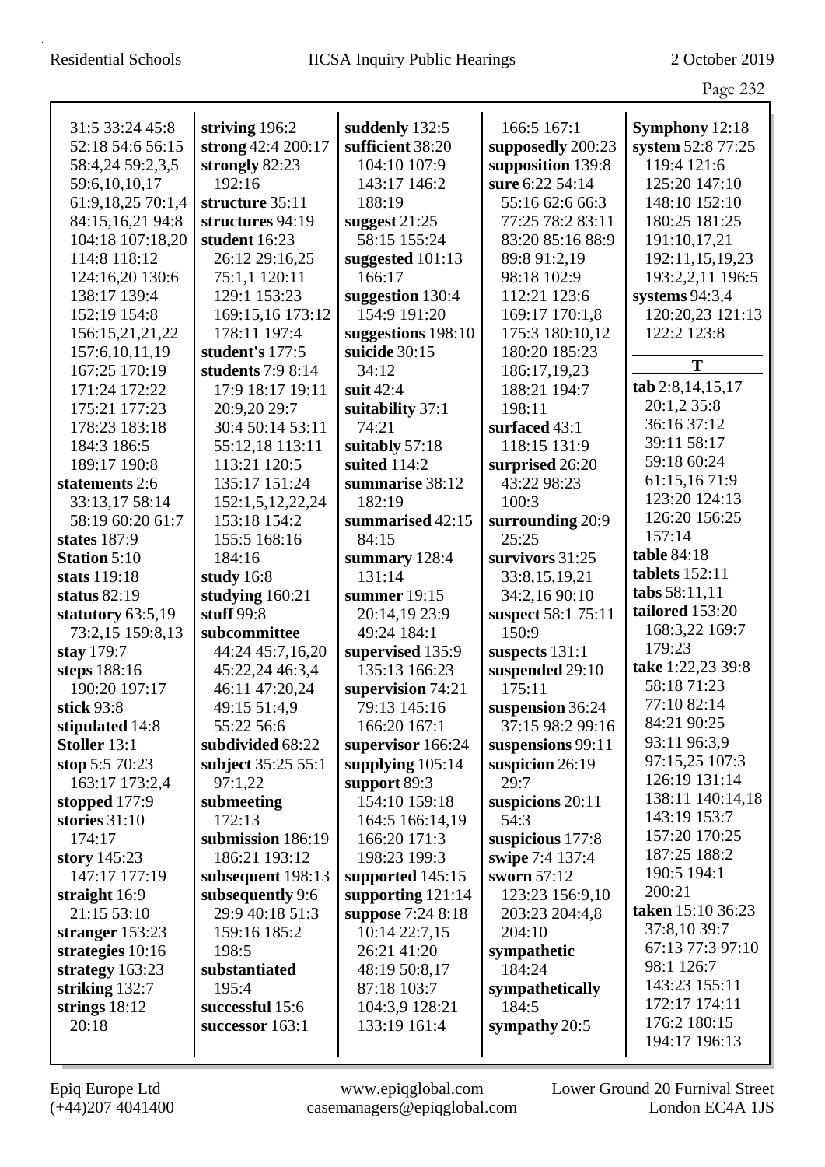| l,<br>۰л |  |
|----------|--|
|          |  |

|                     |                    |                           |                    | O                                |
|---------------------|--------------------|---------------------------|--------------------|----------------------------------|
| 31:5 33:24 45:8     | striving 196:2     | suddenly 132:5            | 166:5 167:1        | <b>Symphony</b> 12:18            |
| 52:18 54:6 56:15    | strong 42:4 200:17 | sufficient 38:20          | supposedly 200:23  | system 52:8 77:25                |
| 58:4,24 59:2,3,5    | strongly 82:23     | 104:10 107:9              | supposition 139:8  | 119:4 121:6                      |
| 59:6,10,10,17       | 192:16             | 143:17 146:2              | sure 6:22 54:14    | 125:20 147:10                    |
| 61:9,18,25 70:1,4   | structure 35:11    | 188:19                    | 55:16 62:6 66:3    | 148:10 152:10                    |
| 84:15,16,21 94:8    | structures 94:19   | suggest $21:25$           | 77:25 78:2 83:11   | 180:25 181:25                    |
| 104:18 107:18,20    | student 16:23      | 58:15 155:24              | 83:20 85:16 88:9   | 191:10,17,21                     |
| 114:8 118:12        | 26:12 29:16,25     | suggested 101:13          | 89:8 91:2,19       | 192:11,15,19,23                  |
| 124:16,20 130:6     | 75:1,1 120:11      | 166:17                    | 98:18 102:9        | 193:2,2,11 196:5                 |
| 138:17 139:4        | 129:1 153:23       | suggestion 130:4          | 112:21 123:6       | systems $94:3,4$                 |
| 152:19 154:8        | 169:15,16 173:12   | 154:9 191:20              | 169:17 170:1,8     | 120:20,23 121:13                 |
| 156:15,21,21,22     | 178:11 197:4       | suggestions 198:10        | 175:3 180:10,12    | 122:2 123:8                      |
| 157:6,10,11,19      | student's 177:5    | suicide 30:15             | 180:20 185:23      |                                  |
| 167:25 170:19       | students 7:9 8:14  | 34:12                     | 186:17,19,23       | T                                |
| 171:24 172:22       | 17:9 18:17 19:11   | suit $42:4$               | 188:21 194:7       | tab 2:8,14,15,17                 |
| 175:21 177:23       | 20:9,20 29:7       |                           | 198:11             | 20:1,2 35:8                      |
|                     |                    | suitability 37:1<br>74:21 |                    | 36:16 37:12                      |
| 178:23 183:18       | 30:4 50:14 53:11   |                           | surfaced 43:1      | 39:11 58:17                      |
| 184:3 186:5         | 55:12,18 113:11    | suitably 57:18            | 118:15 131:9       | 59:18 60:24                      |
| 189:17 190:8        | 113:21 120:5       | suited 114:2              | surprised 26:20    | 61:15,16 71:9                    |
| statements 2:6      | 135:17 151:24      | summarise 38:12           | 43:22 98:23        | 123:20 124:13                    |
| 33:13,17 58:14      | 152:1,5,12,22,24   | 182:19                    | 100:3              | 126:20 156:25                    |
| 58:19 60:20 61:7    | 153:18 154:2       | summarised 42:15          | surrounding 20:9   | 157:14                           |
| states 187:9        | 155:5 168:16       | 84:15                     | 25:25              | table 84:18                      |
| <b>Station 5:10</b> | 184:16             | summary 128:4             | survivors 31:25    | tablets 152:11                   |
| stats 119:18        | study 16:8         | 131:14                    | 33:8,15,19,21      | tabs 58:11,11                    |
| status 82:19        | studying 160:21    | summer $19:15$            | 34:2,16 90:10      | tailored 153:20                  |
| statutory 63:5,19   | stuff $99:8$       | 20:14,19 23:9             | suspect 58:1 75:11 | 168:3,22 169:7                   |
| 73:2,15 159:8,13    | subcommittee       | 49:24 184:1               | 150:9              | 179:23                           |
| stay 179:7          | 44:24 45:7,16,20   | supervised 135:9          | suspects 131:1     | take 1:22,23 39:8                |
| steps 188:16        | 45:22,24 46:3,4    | 135:13 166:23             | suspended 29:10    | 58:18 71:23                      |
| 190:20 197:17       | 46:11 47:20,24     | supervision 74:21         | 175:11             | 77:10 82:14                      |
| stick $93:8$        | 49:15 51:4,9       | 79:13 145:16              | suspension 36:24   | 84:21 90:25                      |
| stipulated 14:8     | 55:22 56:6         | 166:20 167:1              | 37:15 98:2 99:16   | 93:11 96:3,9                     |
| Stoller 13:1        | subdivided 68:22   | supervisor 166:24         | suspensions 99:11  |                                  |
| stop 5:5 70:23      | subject 35:25 55:1 | supplying $105:14$        | suspicion $26:19$  | 97:15,25 107:3<br>126:19 131:14  |
| 163:17 173:2,4      | 97:1,22            | support 89:3              | 29:7               |                                  |
| stopped $177:9$     | submeeting         | 154:10 159:18             | suspicions 20:11   | 138:11 140:14,18<br>143:19 153:7 |
| stories $31:10$     | 172:13             | 164:5 166:14,19           | 54:3               | 157:20 170:25                    |
| 174:17              | submission 186:19  | 166:20 171:3              | suspicious 177:8   |                                  |
| story 145:23        | 186:21 193:12      | 198:23 199:3              | swipe 7:4 137:4    | 187:25 188:2                     |
| 147:17 177:19       | subsequent 198:13  | supported 145:15          | sworn 57:12        | 190:5 194:1                      |
| straight 16:9       | subsequently 9:6   | supporting $121:14$       | 123:23 156:9,10    | 200:21                           |
| 21:15 53:10         | 29:9 40:18 51:3    | suppose 7:24 8:18         | 203:23 204:4,8     | taken 15:10 36:23                |
| stranger $153:23$   | 159:16 185:2       | 10:14 22:7,15             | 204:10             | 37:8,10 39:7                     |
| strategies 10:16    | 198:5              | 26:21 41:20               | sympathetic        | 67:13 77:3 97:10                 |
| strategy 163:23     | substantiated      | 48:19 50:8,17             | 184:24             | 98:1 126:7                       |
| striking 132:7      | 195:4              | 87:18 103:7               | sympathetically    | 143:23 155:11                    |
| strings $18:12$     | successful 15:6    | 104:3,9 128:21            | 184:5              | 172:17 174:11                    |
| 20:18               | successor $163:1$  | 133:19 161:4              | sympathy 20:5      | 176:2 180:15                     |
|                     |                    |                           |                    | 194:17 196:13                    |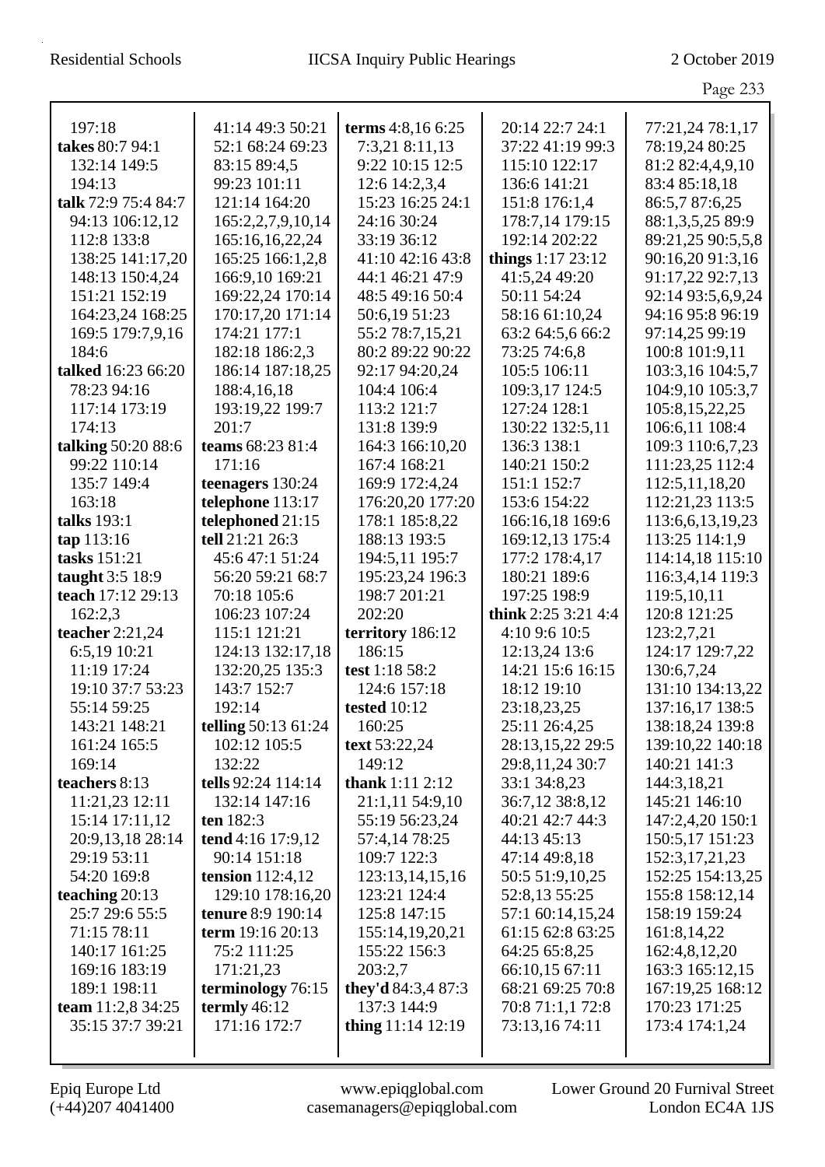|                     |                          |                     |                      | Page 233          |
|---------------------|--------------------------|---------------------|----------------------|-------------------|
|                     |                          |                     |                      |                   |
| 197:18              | 41:14 49:3 50:21         | terms 4:8,16 6:25   | 20:14 22:7 24:1      | 77:21,24 78:1,17  |
| takes 80:7 94:1     | 52:1 68:24 69:23         | 7:3,21 8:11,13      | 37:22 41:19 99:3     | 78:19,24 80:25    |
| 132:14 149:5        | 83:15 89:4,5             | 9:22 10:15 12:5     | 115:10 122:17        | 81:2 82:4,4,9,10  |
| 194:13              | 99:23 101:11             | 12:6 14:2,3,4       | 136:6 141:21         | 83:4 85:18,18     |
| talk 72:9 75:4 84:7 | 121:14 164:20            | 15:23 16:25 24:1    | 151:8 176:1,4        | 86:5,7 87:6,25    |
| 94:13 106:12,12     | 165:2,2,7,9,10,14        | 24:16 30:24         | 178:7,14 179:15      | 88:1,3,5,25 89:9  |
| 112:8 133:8         | 165:16,16,22,24          | 33:19 36:12         | 192:14 202:22        | 89:21,25 90:5,5,8 |
| 138:25 141:17,20    | 165:25 166:1,2,8         | 41:10 42:16 43:8    | things $1:17\,23:12$ | 90:16,20 91:3,16  |
| 148:13 150:4,24     | 166:9,10 169:21          | 44:1 46:21 47:9     | 41:5,24 49:20        | 91:17,22 92:7,13  |
| 151:21 152:19       | 169:22,24 170:14         | 48:5 49:16 50:4     | 50:11 54:24          | 92:14 93:5,6,9,24 |
| 164:23,24 168:25    | 170:17,20 171:14         | 50:6,19 51:23       | 58:16 61:10,24       | 94:16 95:8 96:19  |
| 169:5 179:7,9,16    | 174:21 177:1             | 55:2 78:7,15,21     | 63:2 64:5,6 66:2     | 97:14,25 99:19    |
| 184:6               | 182:18 186:2,3           | 80:2 89:22 90:22    | 73:25 74:6,8         | 100:8 101:9,11    |
| talked 16:23 66:20  | 186:14 187:18,25         | 92:17 94:20,24      | 105:5 106:11         | 103:3,16 104:5,7  |
| 78:23 94:16         | 188:4, 16, 18            | 104:4 106:4         | 109:3,17 124:5       | 104:9,10 105:3,7  |
| 117:14 173:19       | 193:19,22 199:7          | 113:2 121:7         | 127:24 128:1         | 105:8,15,22,25    |
| 174:13              | 201:7                    | 131:8 139:9         | 130:22 132:5,11      | 106:6,11 108:4    |
| talking 50:20 88:6  | teams 68:23 81:4         | 164:3 166:10.20     | 136:3 138:1          | 109:3 110:6,7,23  |
| 99:22 110:14        | 171:16                   | 167:4 168:21        | 140:21 150:2         | 111:23,25 112:4   |
| 135:7 149:4         | teenagers 130:24         | 169:9 172:4,24      | 151:1 152:7          | 112:5, 11, 18, 20 |
| 163:18              | telephone 113:17         | 176:20,20 177:20    | 153:6 154:22         | 112:21,23 113:5   |
| talks 193:1         | telephoned 21:15         | 178:1 185:8,22      | 166:16,18 169:6      | 113:6,6,13,19,23  |
| tap 113:16          | tell 21:21 26:3          | 188:13 193:5        | 169:12,13 175:4      | 113:25 114:1,9    |
| tasks 151:21        | 45:6 47:1 51:24          | 194:5,11 195:7      | 177:2 178:4,17       | 114:14,18 115:10  |
| taught 3:5 18:9     | 56:20 59:21 68:7         | 195:23,24 196:3     | 180:21 189:6         | 116:3,4,14 119:3  |
| teach 17:12 29:13   | 70:18 105:6              | 198:7 201:21        | 197:25 198:9         | 119:5,10,11       |
| 162:2,3             | 106:23 107:24            | 202:20              | think 2:25 3:21 4:4  | 120:8 121:25      |
| teacher $2:21,24$   | 115:1 121:21             | territory 186:12    | 4:10 9:6 10:5        | 123:2,7,21        |
| 6:5,19 10:21        | 124:13 132:17,18         | 186:15              | 12:13,24 13:6        | 124:17 129:7,22   |
| 11:19 17:24         | 132:20,25 135:3          | test 1:18 58:2      | 14:21 15:6 16:15     | 130:6,7,24        |
| 19:10 37:7 53:23    | 143:7 152:7              | 124:6 157:18        | 18:12 19:10          | 131:10 134:13,22  |
| 55:14 59:25         | 192:14                   | tested $10:12$      | 23:18,23,25          | 137:16,17 138:5   |
| 143:21 148:21       | telling 50:13 61:24      | 160:25              | 25:11 26:4,25        | 138:18,24 139:8   |
| 161:24 165:5        | 102:12 105:5             | text 53:22,24       | 28:13,15,22 29:5     | 139:10,22 140:18  |
| 169:14              | 132:22                   | 149:12              | 29:8,11,24 30:7      | 140:21 141:3      |
| teachers 8:13       | tells 92:24 114:14       | thank 1:11 2:12     | 33:1 34:8,23         | 144:3,18,21       |
| 11:21,23 12:11      | 132:14 147:16            | 21:1,11 54:9,10     | 36:7,12 38:8,12      | 145:21 146:10     |
| 15:14 17:11,12      | ten $182:3$              | 55:19 56:23,24      | 40:21 42:7 44:3      | 147:2,4,20 150:1  |
| 20:9,13,18 28:14    | tend 4:16 17:9,12        | 57:4,14 78:25       | 44:13 45:13          | 150:5,17 151:23   |
| 29:19 53:11         | 90:14 151:18             | 109:7 122:3         | 47:14 49:8,18        | 152:3, 17, 21, 23 |
| 54:20 169:8         | tension $112:4,12$       | 123:13,14,15,16     | 50:5 51:9,10,25      | 152:25 154:13,25  |
| teaching $20:13$    | 129:10 178:16,20         | 123:21 124:4        | 52:8,13 55:25        | 155:8 158:12,14   |
| 25:7 29:6 55:5      | <b>tenure</b> 8:9 190:14 | 125:8 147:15        | 57:1 60:14,15,24     | 158:19 159:24     |
| 71:15 78:11         | term 19:16 20:13         | 155:14,19,20,21     | 61:15 62:8 63:25     | 161:8,14,22       |
| 140:17 161:25       | 75:2 111:25              | 155:22 156:3        | 64:25 65:8,25        | 162:4,8,12,20     |
| 169:16 183:19       | 171:21,23                | 203:2,7             | 66:10,15 67:11       | 163:3 165:12,15   |
| 189:1 198:11        | terminology 76:15        | they'd 84:3,4 87:3  | 68:21 69:25 70:8     | 167:19,25 168:12  |
| team 11:2,8 34:25   | termly $46:12$           | 137:3 144:9         | 70:8 71:1,1 72:8     | 170:23 171:25     |
| 35:15 37:7 39:21    | 171:16 172:7             | thing $11:14$ 12:19 | 73:13,16 74:11       | 173:4 174:1,24    |
|                     |                          |                     |                      |                   |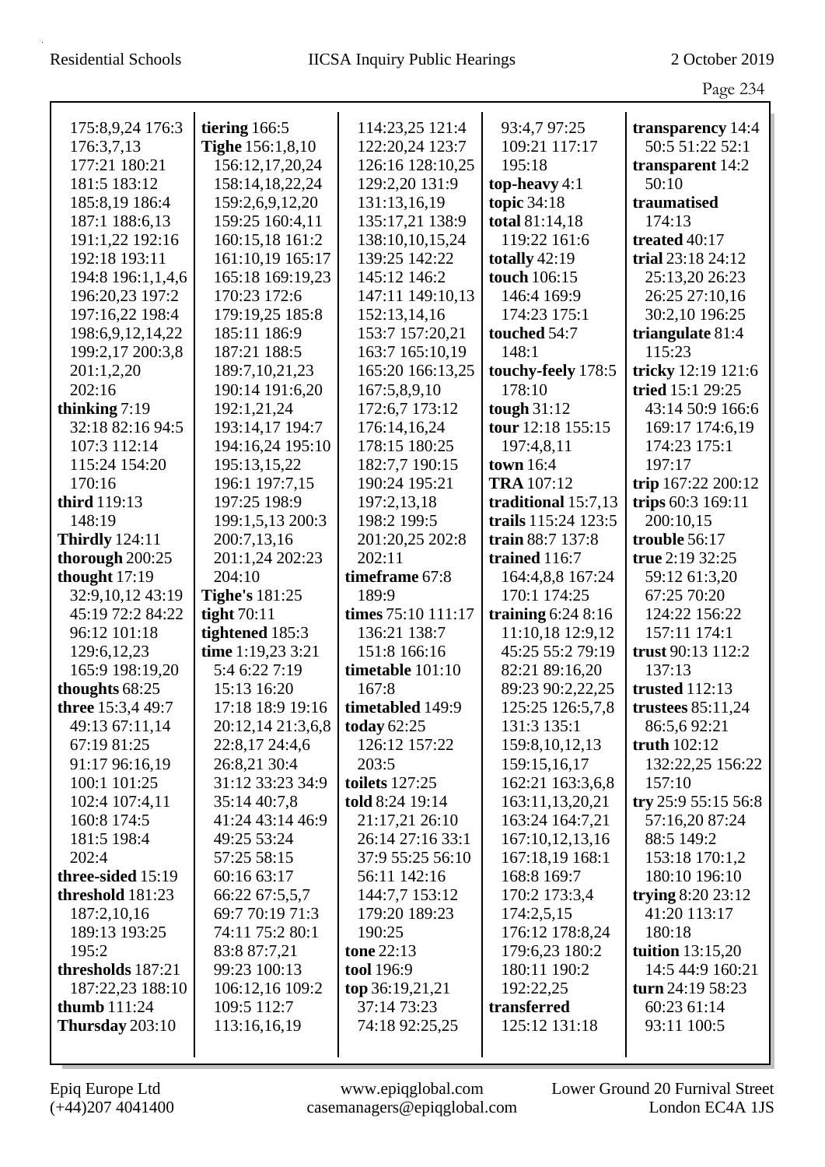|                       |                                  |                                          |                                    | Page 234                     |
|-----------------------|----------------------------------|------------------------------------------|------------------------------------|------------------------------|
| 175:8,9,24 176:3      | tiering 166:5                    | 114:23,25 121:4                          | 93:4,7 97:25                       | transparency 14:4            |
| 176:3,7,13            | <b>Tighe</b> 156:1,8,10          | 122:20,24 123:7                          | 109:21 117:17                      | 50:5 51:22 52:1              |
| 177:21 180:21         | 156:12,17,20,24                  | 126:16 128:10,25                         | 195:18                             | transparent 14:2             |
| 181:5 183:12          | 158:14,18,22,24                  | 129:2,20 131:9                           | top-heavy $4:1$                    | 50:10                        |
| 185:8,19 186:4        | 159:2,6,9,12,20                  | 131:13,16,19                             | topic 34:18                        | traumatised                  |
| 187:1 188:6,13        | 159:25 160:4,11                  | 135:17,21 138:9                          | total 81:14,18                     | 174:13                       |
| 191:1,22 192:16       | 160:15,18 161:2                  | 138:10,10,15,24                          | 119:22 161:6                       | treated 40:17                |
| 192:18 193:11         | 161:10,19 165:17                 | 139:25 142:22                            | totally $42:19$                    | trial 23:18 24:12            |
| 194:8 196:1,1,4,6     | 165:18 169:19,23                 | 145:12 146:2                             | touch 106:15                       | 25:13,20 26:23               |
| 196:20,23 197:2       | 170:23 172:6                     | 147:11 149:10,13                         | 146:4 169:9                        | 26:25 27:10,16               |
| 197:16,22 198:4       | 179:19,25 185:8                  | 152:13,14,16                             | 174:23 175:1                       | 30:2,10 196:25               |
| 198:6,9,12,14,22      | 185:11 186:9                     | 153:7 157:20,21                          | touched 54:7                       | triangulate 81:4             |
| 199:2,17 200:3,8      | 187:21 188:5                     | 163:7 165:10,19                          | 148:1                              | 115:23                       |
| 201:1,2,20            | 189:7, 10, 21, 23                | 165:20 166:13,25                         | touchy-feely 178:5                 | tricky 12:19 121:6           |
| 202:16                | 190:14 191:6,20                  | 167:5,8,9,10                             | 178:10                             | tried 15:1 29:25             |
| thinking $7:19$       | 192:1,21,24                      | 172:6,7 173:12                           | tough $31:12$                      | 43:14 50:9 166:6             |
| 32:18 82:16 94:5      | 193:14,17 194:7                  | 176:14,16,24                             | tour 12:18 155:15                  | 169:17 174:6,19              |
| 107:3 112:14          | 194:16,24 195:10                 | 178:15 180:25                            | 197:4,8,11                         | 174:23 175:1                 |
| 115:24 154:20         | 195:13,15,22                     | 182:7,7 190:15                           | <b>town</b> 16:4                   | 197:17                       |
| 170:16                | 196:1 197:7,15                   | 190:24 195:21                            | <b>TRA</b> 107:12                  | trip 167:22 200:12           |
| third 119:13          | 197:25 198:9                     | 197:2,13,18                              | traditional 15:7,13                | trips 60:3 169:11            |
| 148:19                | 199:1,5,13 200:3                 | 198:2 199:5                              | trails 115:24 123:5                | 200:10,15                    |
| <b>Thirdly</b> 124:11 | 200:7,13,16                      | 201:20,25 202:8                          | train 88:7 137:8                   | trouble 56:17                |
| thorough 200:25       | 201:1,24 202:23                  | 202:11                                   | trained 116:7                      | true 2:19 32:25              |
| thought 17:19         | 204:10                           | timeframe 67:8                           | 164:4,8,8 167:24                   | 59:12 61:3,20                |
| 32:9,10,12 43:19      | <b>Tighe's 181:25</b>            | 189:9                                    | 170:1 174:25                       | 67:25 70:20                  |
| 45:19 72:2 84:22      | tight $70:11$                    | times 75:10 111:17                       | training $6:248:16$                | 124:22 156:22                |
| 96:12 101:18          | tightened 185:3                  | 136:21 138:7                             | 11:10,18 12:9,12                   | 157:11 174:1                 |
| 129:6, 12, 23         | time 1:19,23 3:21                | 151:8 166:16                             | 45:25 55:2 79:19                   | trust 90:13 112:2            |
| 165:9 198:19,20       | 5:4 6:22 7:19                    | timetable 101:10                         | 82:21 89:16,20                     | 137:13                       |
| thoughts 68:25        | 15:13 16:20                      | 167:8                                    | 89:23 90:2,22,25                   | trusted $112:13$             |
| three 15:3,4 49:7     | 17:18 18:9 19:16                 | timetabled 149:9                         | 125:25 126:5,7,8                   | trustees $85:11,24$          |
| 49:13 67:11,14        | 20:12,14 21:3,6,8                | today $62:25$                            | 131:3 135:1                        | 86:5,692:21                  |
| 67:19 81:25           | 22:8,17 24:4,6                   | 126:12 157:22                            | 159:8, 10, 12, 13                  | truth 102:12                 |
| 91:17 96:16,19        | 26:8,21 30:4                     | 203:5                                    | 159:15,16,17                       | 132:22,25 156:22             |
| 100:1 101:25          | 31:12 33:23 34:9                 | <b>toilets</b> 127:25<br>told 8:24 19:14 | 162:21 163:3,6,8                   | 157:10                       |
| 102:4 107:4,11        | 35:14 40:7,8<br>41:24 43:14 46:9 |                                          | 163:11,13,20,21                    | try 25:9 55:15 56:8          |
| 160:8 174:5           | 49:25 53:24                      | 21:17,21 26:10<br>26:14 27:16 33:1       | 163:24 164:7,21<br>167:10,12,13,16 | 57:16,20 87:24<br>88:5 149:2 |
| 181:5 198:4<br>202:4  | 57:25 58:15                      | 37:9 55:25 56:10                         | 167:18,19 168:1                    | 153:18 170:1,2               |
| three-sided 15:19     | 60:16 63:17                      | 56:11 142:16                             | 168:8 169:7                        | 180:10 196:10                |
| threshold 181:23      | 66:22 67:5,5,7                   | 144:7,7 153:12                           | 170:2 173:3,4                      | trying 8:20 23:12            |
| 187:2,10,16           | 69:7 70:19 71:3                  | 179:20 189:23                            | 174:2,5,15                         | 41:20 113:17                 |
| 189:13 193:25         | 74:11 75:2 80:1                  | 190:25                                   | 176:12 178:8,24                    | 180:18                       |
| 195:2                 | 83:8 87:7,21                     | tone 22:13                               | 179:6,23 180:2                     | tuition $13:15,20$           |
| thresholds 187:21     | 99:23 100:13                     | tool 196:9                               | 180:11 190:2                       | 14:5 44:9 160:21             |
| 187:22,23 188:10      | 106:12,16 109:2                  | top 36:19,21,21                          | 192:22,25                          | turn $24:19\,58:23$          |
| thumb $111:24$        | 109:5 112:7                      | 37:14 73:23                              | transferred                        | 60:23 61:14                  |
| Thursday 203:10       | 113:16,16,19                     | 74:18 92:25,25                           | 125:12 131:18                      | 93:11 100:5                  |
|                       |                                  |                                          |                                    |                              |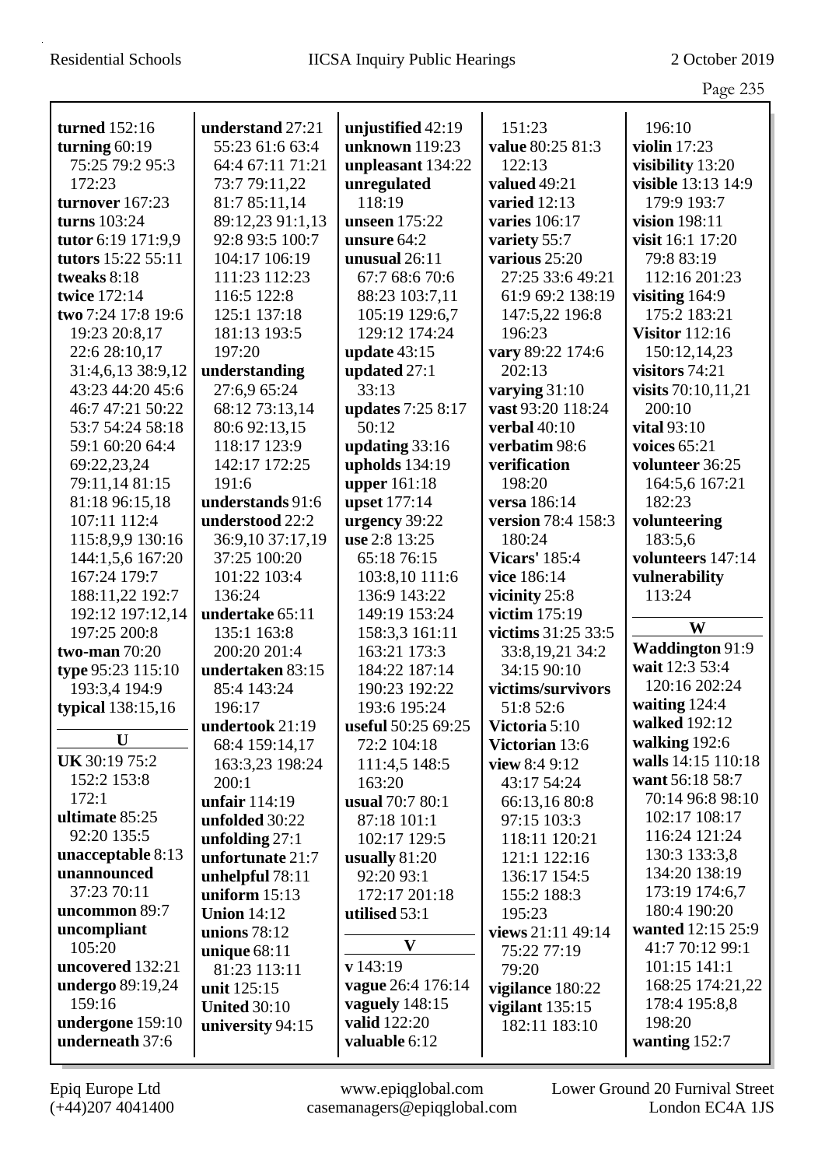|                                   |                     |                          |                      | Page 235                          |
|-----------------------------------|---------------------|--------------------------|----------------------|-----------------------------------|
| turned 152:16                     | understand 27:21    | unjustified 42:19        | 151:23               | 196:10                            |
| turning $60:19$                   | 55:23 61:6 63:4     | unknown 119:23           | value 80:25 81:3     | violin $17:23$                    |
| 75:25 79:2 95:3                   | 64:4 67:11 71:21    | unpleasant 134:22        | 122:13               | visibility 13:20                  |
| 172:23                            | 73:7 79:11,22       | unregulated              | valued 49:21         | visible 13:13 14:9                |
| turnover 167:23                   | 81:7 85:11,14       | 118:19                   | varied $12:13$       | 179:9 193:7                       |
| turns 103:24                      | 89:12,23 91:1,13    | unseen 175:22            | varies 106:17        | vision 198:11                     |
| tutor 6:19 171:9,9                | 92:8 93:5 100:7     | unsure 64:2              | variety 55:7         | visit 16:1 17:20                  |
| tutors 15:22 55:11                | 104:17 106:19       | unusual $26:11$          | various 25:20        | 79:8 83:19                        |
| tweaks 8:18                       | 111:23 112:23       | 67:7 68:6 70:6           | 27:25 33:6 49:21     | 112:16 201:23                     |
| twice 172:14                      | 116:5 122:8         | 88:23 103:7,11           | 61:9 69:2 138:19     | visiting $164:9$                  |
| two 7:24 17:8 19:6                | 125:1 137:18        | 105:19 129:6,7           | 147:5,22 196:8       | 175:2 183:21                      |
| 19:23 20:8,17                     | 181:13 193:5        | 129:12 174:24            | 196:23               | <b>Visitor</b> 112:16             |
| 22:6 28:10,17                     | 197:20              | update $43:15$           | vary 89:22 174:6     | 150:12,14,23                      |
| 31:4,6,13 38:9,12                 | understanding       | updated 27:1             | 202:13               | visitors 74:21                    |
| 43:23 44:20 45:6                  | 27:6,9 65:24        | 33:13                    | varying 31:10        | visits 70:10,11,21                |
| 46:7 47:21 50:22                  | 68:12 73:13,14      | <b>updates</b> 7:25 8:17 | vast 93:20 118:24    | 200:10                            |
| 53:7 54:24 58:18                  | 80:6 92:13,15       | 50:12                    | verbal $40:10$       | vital $93:10$                     |
| 59:1 60:20 64:4                   | 118:17 123:9        | updating $33:16$         | verbatim 98:6        | voices $65:21$                    |
| 69:22,23,24                       | 142:17 172:25       | upholds $134:19$         | verification         | volunteer 36:25                   |
| 79:11,14 81:15                    | 191:6               | <b>upper</b> 161:18      | 198:20               | 164:5,6 167:21                    |
| 81:18 96:15,18                    | understands 91:6    | upset 177:14             | versa 186:14         | 182:23                            |
| 107:11 112:4                      | understood 22:2     | urgency 39:22            | version 78:4 158:3   | volunteering                      |
| 115:8,9,9 130:16                  | 36:9,10 37:17,19    | use 2:8 13:25            | 180:24               | 183:5,6                           |
| 144:1,5,6 167:20                  | 37:25 100:20        | 65:18 76:15              | <b>Vicars'</b> 185:4 | volunteers 147:14                 |
| 167:24 179:7                      | 101:22 103:4        | 103:8,10 111:6           | vice 186:14          | vulnerability                     |
| 188:11,22 192:7                   | 136:24              | 136:9 143:22             | vicinity 25:8        | 113:24                            |
| 192:12 197:12,14                  | undertake 65:11     | 149:19 153:24            | victim 175:19        |                                   |
| 197:25 200:8                      | 135:1 163:8         | 158:3,3 161:11           | victims 31:25 33:5   | W                                 |
| two-man $70:20$                   | 200:20 201:4        | 163:21 173:3             | 33:8,19,21 34:2      | Waddington 91:9                   |
| type 95:23 115:10                 | undertaken 83:15    | 184:22 187:14            | 34:15 90:10          | wait 12:3 53:4                    |
| 193:3,4 194:9                     | 85:4 143:24         | 190:23 192:22            | victims/survivors    | 120:16 202:24                     |
| typical 138:15,16                 | 196:17              | 193:6 195:24             | 51:8 52:6            | waiting 124:4                     |
|                                   | undertook 21:19     | useful 50:25 69:25       | Victoria 5:10        | walked 192:12                     |
| U                                 | 68:4 159:14,17      | 72:2 104:18              | Victorian 13:6       | walking 192:6                     |
| <b>UK</b> 30:19 75:2              | 163:3,23 198:24     | 111:4,5 148:5            | view 8:4 9:12        | walls 14:15 110:18                |
| 152:2 153:8                       | 200:1               | 163:20                   | 43:17 54:24          | want 56:18 58:7                   |
| 172:1                             | unfair 114:19       | usual 70:7 80:1          | 66:13,16 80:8        | 70:14 96:8 98:10                  |
| ultimate 85:25                    | unfolded 30:22      | 87:18 101:1              | 97:15 103:3          | 102:17 108:17                     |
| 92:20 135:5                       | unfolding $27:1$    | 102:17 129:5             | 118:11 120:21        | 116:24 121:24                     |
| unacceptable 8:13                 | unfortunate 21:7    | usually $81:20$          | 121:1 122:16         | 130:3 133:3,8                     |
| unannounced                       | unhelpful 78:11     | 92:20 93:1               | 136:17 154:5         | 134:20 138:19                     |
| 37:23 70:11                       | uniform $15:13$     | 172:17 201:18            | 155:2 188:3          | 173:19 174:6,7                    |
| uncommon 89:7                     | <b>Union 14:12</b>  | utilised 53:1            | 195:23               | 180:4 190:20<br>wanted 12:15 25:9 |
| uncompliant<br>105:20             | unions $78:12$      | $\mathbf{V}$             | views 21:11 49:14    | 41:7 70:12 99:1                   |
| uncovered 132:21                  | unique $68:11$      | v 143:19                 | 75:22 77:19          | 101:15 141:1                      |
|                                   | 81:23 113:11        | vague 26:4 176:14        | 79:20                | 168:25 174:21,22                  |
| <b>undergo</b> 89:19,24<br>159:16 | unit 125:15         | vaguely 148:15           | vigilance 180:22     | 178:4 195:8,8                     |
| undergone 159:10                  | <b>United 30:10</b> | valid 122:20             | vigilant $135:15$    | 198:20                            |
| underneath 37:6                   | university 94:15    | valuable 6:12            | 182:11 183:10        |                                   |
|                                   |                     |                          |                      | wanting 152:7                     |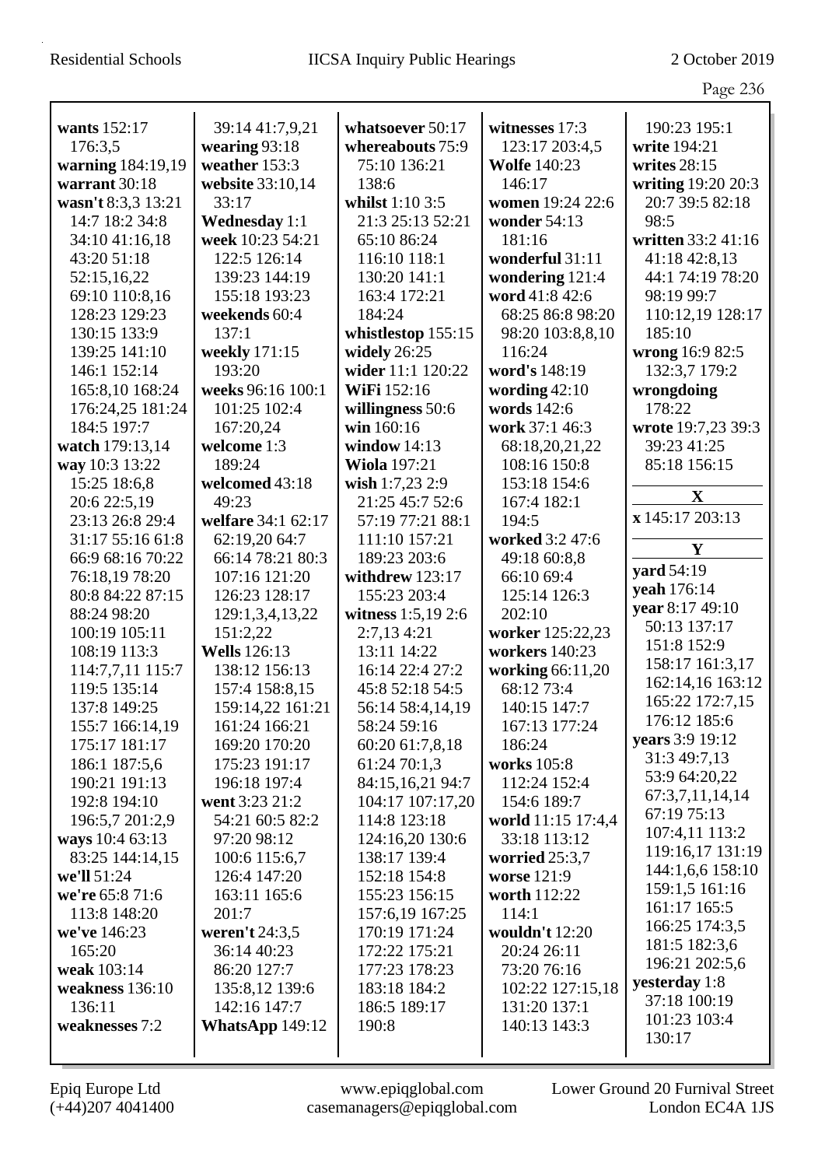|                    |                        |                      |                     | Page 236                        |
|--------------------|------------------------|----------------------|---------------------|---------------------------------|
|                    |                        |                      |                     |                                 |
| wants 152:17       | 39:14 41:7,9,21        | whatsoever 50:17     | witnesses 17:3      | 190:23 195:1                    |
| 176:3,5            | wearing $93:18$        | whereabouts 75:9     | 123:17 203:4,5      | write 194:21                    |
| warning 184:19,19  | weather 153:3          | 75:10 136:21         | <b>Wolfe</b> 140:23 | writes $28:15$                  |
| warrant 30:18      | website 33:10,14       | 138:6                | 146:17              | writing 19:20 20:3              |
| wasn't 8:3,3 13:21 | 33:17                  | whilst $1:103:5$     | women 19:24 22:6    | 20:7 39:5 82:18                 |
| 14:7 18:2 34:8     | <b>Wednesday 1:1</b>   | 21:3 25:13 52:21     | wonder 54:13        | 98:5                            |
| 34:10 41:16,18     | week 10:23 54:21       | 65:10 86:24          | 181:16              | written 33:2 41:16              |
| 43:20 51:18        | 122:5 126:14           | 116:10 118:1         | wonderful 31:11     | 41:18 42:8,13                   |
| 52:15,16,22        | 139:23 144:19          | 130:20 141:1         | wondering 121:4     | 44:1 74:19 78:20                |
| 69:10 110:8,16     | 155:18 193:23          | 163:4 172:21         | word 41:8 42:6      | 98:19 99:7                      |
| 128:23 129:23      | weekends 60:4          | 184:24               | 68:25 86:8 98:20    | 110:12,19 128:17                |
| 130:15 133:9       | 137:1                  | whistlestop 155:15   | 98:20 103:8,8,10    | 185:10                          |
| 139:25 141:10      | weekly 171:15          | widely $26:25$       | 116:24              | wrong 16:9 82:5                 |
| 146:1 152:14       | 193:20                 | wider 11:1 120:22    | word's 148:19       | 132:3,7 179:2                   |
| 165:8,10 168:24    | weeks 96:16 100:1      | WiFi 152:16          | wording $42:10$     | wrongdoing                      |
| 176:24,25 181:24   | 101:25 102:4           | willingness 50:6     | words 142:6         | 178:22                          |
| 184:5 197:7        | 167:20,24              | win 160:16           | work 37:1 46:3      | wrote 19:7,23 39:3              |
| watch 179:13,14    | welcome 1:3            | window $14:13$       | 68:18,20,21,22      | 39:23 41:25                     |
| way 10:3 13:22     | 189:24                 | <b>Wiola</b> 197:21  | 108:16 150:8        | 85:18 156:15                    |
| 15:25 18:6,8       | welcomed 43:18         | wish 1:7,23 2:9      | 153:18 154:6        |                                 |
| 20:6 22:5,19       | 49:23                  | 21:25 45:7 52:6      | 167:4 182:1         | X                               |
| 23:13 26:8 29:4    | welfare 34:1 62:17     | 57:19 77:21 88:1     | 194:5               | x 145:17 203:13                 |
| 31:17 55:16 61:8   | 62:19,20 64:7          | 111:10 157:21        | worked 3:2 47:6     | $\mathbf Y$                     |
| 66:9 68:16 70:22   | 66:14 78:21 80:3       | 189:23 203:6         | 49:18 60:8,8        | <b>yard</b> 54:19               |
| 76:18,19 78:20     | 107:16 121:20          | withdrew 123:17      | 66:10 69:4          |                                 |
| 80:8 84:22 87:15   | 126:23 128:17          | 155:23 203:4         | 125:14 126:3        | yeah 176:14                     |
| 88:24 98:20        | 129:1,3,4,13,22        | witness $1:5,19$ 2:6 | 202:10              | year 8:17 49:10                 |
| 100:19 105:11      | 151:2,22               | 2:7,13 4:21          | worker 125:22,23    | 50:13 137:17                    |
| 108:19 113:3       | <b>Wells</b> 126:13    | 13:11 14:22          | workers 140:23      | 151:8 152:9                     |
| 114:7,7,11 115:7   | 138:12 156:13          | 16:14 22:4 27:2      | working 66:11,20    | 158:17 161:3,17                 |
| 119:5 135:14       | 157:4 158:8,15         | 45:8 52:18 54:5      | 68:12 73:4          | 162:14,16 163:12                |
| 137:8 149:25       | 159:14,22 161:21       | 56:14 58:4,14,19     | 140:15 147:7        | 165:22 172:7,15<br>176:12 185:6 |
| 155:7 166:14,19    | 161:24 166:21          | 58:24 59:16          | 167:13 177:24       |                                 |
| 175:17 181:17      | 169:20 170:20          | 60:20 61:7,8,18      | 186:24              | years 3:9 19:12                 |
| 186:1 187:5,6      | 175:23 191:17          | 61:24 70:1,3         | works 105:8         | 31:3 49:7,13                    |
| 190:21 191:13      | 196:18 197:4           | 84:15,16,21 94:7     | 112:24 152:4        | 53:9 64:20,22                   |
| 192:8 194:10       | went 3:23 21:2         | 104:17 107:17,20     | 154:6 189:7         | 67:3,7,11,14,14<br>67:19 75:13  |
| 196:5,7 201:2,9    | 54:21 60:5 82:2        | 114:8 123:18         | world 11:15 17:4,4  |                                 |
| ways 10:4 63:13    | 97:20 98:12            | 124:16,20 130:6      | 33:18 113:12        | 107:4,11 113:2                  |
| 83:25 144:14,15    | 100:6 115:6,7          | 138:17 139:4         | worried $25:3,7$    | 119:16,17 131:19                |
| we'll 51:24        | 126:4 147:20           | 152:18 154:8         | worse 121:9         | 144:1,6,6 158:10                |
| we're 65:8 71:6    | 163:11 165:6           | 155:23 156:15        | worth 112:22        | 159:1,5 161:16                  |
| 113:8 148:20       | 201:7                  | 157:6,19 167:25      | 114:1               | 161:17 165:5                    |
| we've 146:23       | weren't 24:3,5         | 170:19 171:24        | wouldn't 12:20      | 166:25 174:3,5                  |
| 165:20             | 36:14 40:23            | 172:22 175:21        | 20:24 26:11         | 181:5 182:3,6                   |
| weak 103:14        | 86:20 127:7            | 177:23 178:23        | 73:20 76:16         | 196:21 202:5,6                  |
| weakness 136:10    | 135:8,12 139:6         | 183:18 184:2         | 102:22 127:15,18    | yesterday 1:8                   |
| 136:11             | 142:16 147:7           | 186:5 189:17         | 131:20 137:1        | 37:18 100:19                    |
| weaknesses 7:2     | <b>WhatsApp 149:12</b> | 190:8                | 140:13 143:3        | 101:23 103:4                    |
|                    |                        |                      |                     | 130:17                          |